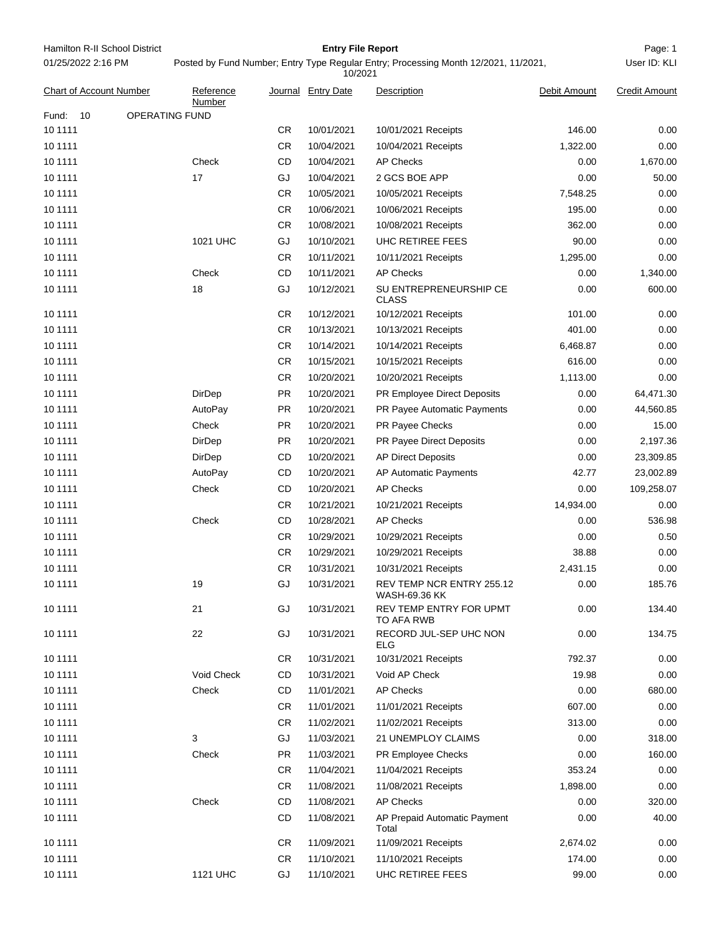| Hamilton R-II School District | <b>Entry File Report</b>                                                            | Page: 1      |
|-------------------------------|-------------------------------------------------------------------------------------|--------------|
| 01/25/2022 2:16 PM            | Posted by Fund Number; Entry Type Regular Entry; Processing Month 12/2021, 11/2021, | User ID: KLI |

Posted by Fund Number; Entry Type Regular Entry; Processing Month 12/2021, 11/2021,

|                                |                       |           | 10/2021            |                                            |              |                      |
|--------------------------------|-----------------------|-----------|--------------------|--------------------------------------------|--------------|----------------------|
| <b>Chart of Account Number</b> | Reference<br>Number   |           | Journal Entry Date | Description                                | Debit Amount | <b>Credit Amount</b> |
| Fund:<br>10                    | <b>OPERATING FUND</b> |           |                    |                                            |              |                      |
| 10 11 11                       |                       | CR.       | 10/01/2021         | 10/01/2021 Receipts                        | 146.00       | 0.00                 |
| 10 11 11                       |                       | <b>CR</b> | 10/04/2021         | 10/04/2021 Receipts                        | 1,322.00     | 0.00                 |
| 10 1111                        | Check                 | CD        | 10/04/2021         | <b>AP Checks</b>                           | 0.00         | 1,670.00             |
| 10 11 11                       | 17                    | GJ        | 10/04/2021         | 2 GCS BOE APP                              | 0.00         | 50.00                |
| 10 11 11                       |                       | CR.       | 10/05/2021         | 10/05/2021 Receipts                        | 7,548.25     | 0.00                 |
| 10 11 11                       |                       | CR.       | 10/06/2021         | 10/06/2021 Receipts                        | 195.00       | 0.00                 |
| 10 1111                        |                       | <b>CR</b> | 10/08/2021         | 10/08/2021 Receipts                        | 362.00       | 0.00                 |
| 10 11 11                       | 1021 UHC              | GJ        | 10/10/2021         | UHC RETIREE FEES                           | 90.00        | 0.00                 |
| 10 1111                        |                       | CR.       | 10/11/2021         | 10/11/2021 Receipts                        | 1,295.00     | 0.00                 |
| 10 11 11                       | Check                 | CD        | 10/11/2021         | <b>AP Checks</b>                           | 0.00         | 1,340.00             |
| 10 1111                        | 18                    | GJ        | 10/12/2021         | SU ENTREPRENEURSHIP CE<br><b>CLASS</b>     | 0.00         | 600.00               |
| 10 1111                        |                       | <b>CR</b> | 10/12/2021         | 10/12/2021 Receipts                        | 101.00       | 0.00                 |
| 10 11 11                       |                       | <b>CR</b> | 10/13/2021         | 10/13/2021 Receipts                        | 401.00       | 0.00                 |
| 10 1111                        |                       | CR.       | 10/14/2021         | 10/14/2021 Receipts                        | 6,468.87     | 0.00                 |
| 10 11 11                       |                       | CR.       | 10/15/2021         | 10/15/2021 Receipts                        | 616.00       | 0.00                 |
| 10 1111                        |                       | CR.       | 10/20/2021         | 10/20/2021 Receipts                        | 1,113.00     | 0.00                 |
| 10 11 11                       | DirDep                | <b>PR</b> | 10/20/2021         | <b>PR Employee Direct Deposits</b>         | 0.00         | 64,471.30            |
| 10 11 11                       | AutoPay               | <b>PR</b> | 10/20/2021         | <b>PR Payee Automatic Payments</b>         | 0.00         | 44,560.85            |
| 10 11 11                       | Check                 | <b>PR</b> | 10/20/2021         | PR Payee Checks                            | 0.00         | 15.00                |
| 10 1111                        | DirDep                | <b>PR</b> | 10/20/2021         | <b>PR Payee Direct Deposits</b>            | 0.00         | 2,197.36             |
| 10 11 11                       | DirDep                | CD        | 10/20/2021         | <b>AP Direct Deposits</b>                  | 0.00         | 23,309.85            |
| 10 1111                        | AutoPay               | CD        | 10/20/2021         | AP Automatic Payments                      | 42.77        | 23,002.89            |
| 10 11 11                       | Check                 | CD        | 10/20/2021         | <b>AP Checks</b>                           | 0.00         | 109,258.07           |
| 10 11 11                       |                       | CR.       | 10/21/2021         | 10/21/2021 Receipts                        | 14,934.00    | 0.00                 |
| 10 11 11                       | Check                 | CD        | 10/28/2021         | <b>AP Checks</b>                           | 0.00         | 536.98               |
| 10 1111                        |                       | <b>CR</b> | 10/29/2021         | 10/29/2021 Receipts                        | 0.00         | 0.50                 |
| 10 1111                        |                       | <b>CR</b> | 10/29/2021         | 10/29/2021 Receipts                        | 38.88        | 0.00                 |
| 10 1111                        |                       | CR        | 10/31/2021         | 10/31/2021 Receipts                        | 2,431.15     | 0.00                 |
| 10 1111                        | 19                    | GJ        | 10/31/2021         | REV TEMP NCR ENTRY 255.12<br>WASH-69.36 KK | 0.00         | 185.76               |
| 10 11 11                       | 21                    | GJ        | 10/31/2021         | REV TEMP ENTRY FOR UPMT<br>TO AFA RWB      | 0.00         | 134.40               |
| 10 11 11                       | 22                    | GJ        | 10/31/2021         | RECORD JUL-SEP UHC NON<br><b>ELG</b>       | 0.00         | 134.75               |
| 10 11 11                       |                       | <b>CR</b> | 10/31/2021         | 10/31/2021 Receipts                        | 792.37       | 0.00                 |
| 10 11 11                       | Void Check            | CD        | 10/31/2021         | Void AP Check                              | 19.98        | 0.00                 |
| 10 11 11                       | Check                 | CD        | 11/01/2021         | <b>AP Checks</b>                           | 0.00         | 680.00               |
| 10 1111                        |                       | <b>CR</b> | 11/01/2021         | 11/01/2021 Receipts                        | 607.00       | 0.00                 |
| 10 11 11                       |                       | <b>CR</b> | 11/02/2021         | 11/02/2021 Receipts                        | 313.00       | 0.00                 |
| 10 1111                        | 3                     | GJ        | 11/03/2021         | 21 UNEMPLOY CLAIMS                         | 0.00         | 318.00               |
| 10 11 11                       | Check                 | <b>PR</b> | 11/03/2021         | <b>PR Employee Checks</b>                  | 0.00         | 160.00               |
| 10 1111                        |                       | <b>CR</b> | 11/04/2021         | 11/04/2021 Receipts                        | 353.24       | 0.00                 |
| 10 11 11                       |                       | <b>CR</b> | 11/08/2021         | 11/08/2021 Receipts                        | 1,898.00     | 0.00                 |
| 10 11 11                       | Check                 | CD        | 11/08/2021         | <b>AP Checks</b>                           | 0.00         | 320.00               |
| 10 11 11                       |                       | CD        | 11/08/2021         | AP Prepaid Automatic Payment<br>Total      | 0.00         | 40.00                |
| 10 11 11                       |                       | <b>CR</b> | 11/09/2021         | 11/09/2021 Receipts                        | 2,674.02     | 0.00                 |
| 10 11 11                       |                       | <b>CR</b> | 11/10/2021         | 11/10/2021 Receipts                        | 174.00       | 0.00                 |
| 10 1111                        | <b>1121 UHC</b>       | GJ        | 11/10/2021         | UHC RETIREE FEES                           | 99.00        | 0.00                 |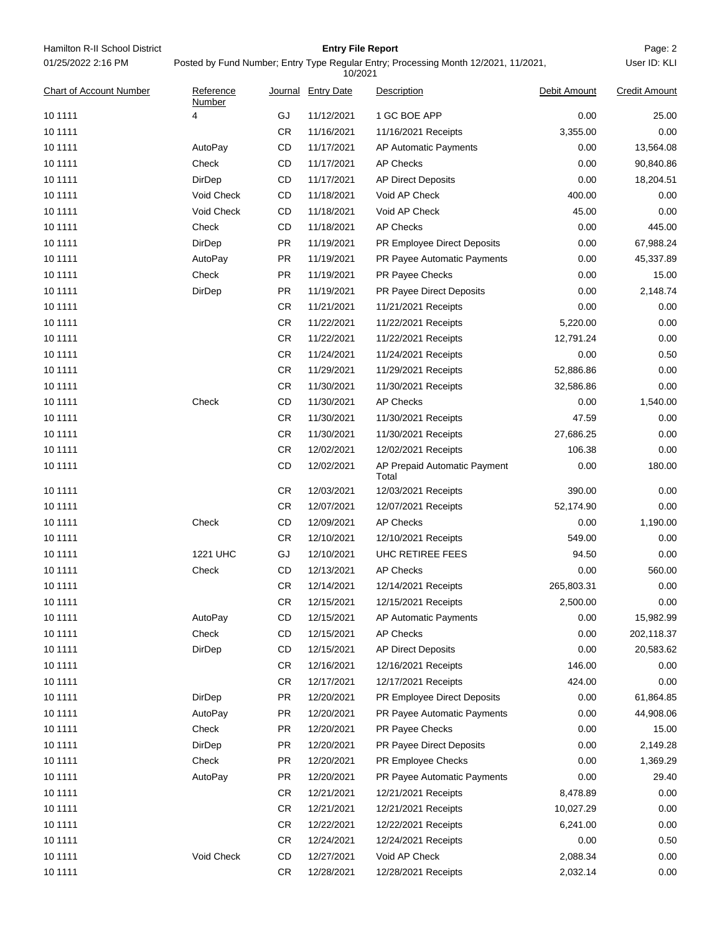| Hamilton R-II School District  |                     |                                                                                                | <b>Entry File Report</b> |                                       |              | Page: 2              |  |
|--------------------------------|---------------------|------------------------------------------------------------------------------------------------|--------------------------|---------------------------------------|--------------|----------------------|--|
| 01/25/2022 2:16 PM             |                     | Posted by Fund Number; Entry Type Regular Entry; Processing Month 12/2021, 11/2021,<br>10/2021 |                          |                                       |              |                      |  |
| <b>Chart of Account Number</b> | Reference<br>Number |                                                                                                | Journal Entry Date       | Description                           | Debit Amount | <b>Credit Amount</b> |  |
| 10 11 11                       | 4                   | GJ                                                                                             | 11/12/2021               | 1 GC BOE APP                          | 0.00         | 25.00                |  |
| 10 11 11                       |                     | CR.                                                                                            | 11/16/2021               | 11/16/2021 Receipts                   | 3,355.00     | 0.00                 |  |
| 10 11 11                       | AutoPay             | CD                                                                                             | 11/17/2021               | AP Automatic Payments                 | 0.00         | 13,564.08            |  |
| 10 11 11                       | Check               | CD                                                                                             | 11/17/2021               | <b>AP Checks</b>                      | 0.00         | 90,840.86            |  |
| 10 11 11                       | DirDep              | CD                                                                                             | 11/17/2021               | <b>AP Direct Deposits</b>             | 0.00         | 18,204.51            |  |
| 10 11 11                       | Void Check          | CD                                                                                             | 11/18/2021               | Void AP Check                         | 400.00       | 0.00                 |  |
| 10 11 11                       | Void Check          | CD                                                                                             | 11/18/2021               | Void AP Check                         | 45.00        | 0.00                 |  |
| 10 11 11                       | Check               | CD                                                                                             | 11/18/2021               | <b>AP Checks</b>                      | 0.00         | 445.00               |  |
| 10 1111                        | DirDep              | PR                                                                                             | 11/19/2021               | PR Employee Direct Deposits           | 0.00         | 67,988.24            |  |
| 10 11 11                       | AutoPay             | PR                                                                                             | 11/19/2021               | PR Payee Automatic Payments           | 0.00         | 45,337.89            |  |
| 10 11 11                       | Check               | PR                                                                                             | 11/19/2021               | PR Payee Checks                       | 0.00         | 15.00                |  |
| 10 1111                        | DirDep              | PR                                                                                             | 11/19/2021               | PR Payee Direct Deposits              | 0.00         | 2,148.74             |  |
| 10 1111                        |                     | CR                                                                                             | 11/21/2021               | 11/21/2021 Receipts                   | 0.00         | 0.00                 |  |
| 10 11 11                       |                     | CR.                                                                                            | 11/22/2021               | 11/22/2021 Receipts                   | 5,220.00     | 0.00                 |  |
| 10 11 11                       |                     | CR                                                                                             | 11/22/2021               | 11/22/2021 Receipts                   | 12,791.24    | 0.00                 |  |
| 10 1111                        |                     | CR.                                                                                            | 11/24/2021               | 11/24/2021 Receipts                   | 0.00         | 0.50                 |  |
| 10 1111                        |                     | CR                                                                                             | 11/29/2021               | 11/29/2021 Receipts                   | 52,886.86    | 0.00                 |  |
| 10 11 11                       |                     | CR.                                                                                            | 11/30/2021               | 11/30/2021 Receipts                   | 32,586.86    | 0.00                 |  |
| 10 11 11                       | Check               | CD                                                                                             | 11/30/2021               | <b>AP Checks</b>                      | 0.00         | 1,540.00             |  |
| 10 1111                        |                     | CR                                                                                             | 11/30/2021               | 11/30/2021 Receipts                   | 47.59        | 0.00                 |  |
| 10 1111                        |                     | CR                                                                                             | 11/30/2021               | 11/30/2021 Receipts                   | 27,686.25    | 0.00                 |  |
| 10 11 11                       |                     | CR.                                                                                            | 12/02/2021               | 12/02/2021 Receipts                   | 106.38       | 0.00                 |  |
| 10 11 11                       |                     | CD                                                                                             | 12/02/2021               | AP Prepaid Automatic Payment<br>Total | 0.00         | 180.00               |  |
| 10 1111                        |                     | CR.                                                                                            | 12/03/2021               | 12/03/2021 Receipts                   | 390.00       | 0.00                 |  |
| 10 11 11                       |                     | CR.                                                                                            | 12/07/2021               | 12/07/2021 Receipts                   | 52,174.90    | 0.00                 |  |
| 10 11 11                       | Check               | CD                                                                                             | 12/09/2021               | <b>AP Checks</b>                      | 0.00         | 1,190.00             |  |
| 10 11 11                       |                     | CR.                                                                                            | 12/10/2021               | 12/10/2021 Receipts                   | 549.00       | 0.00                 |  |
| 10 11 11                       | <b>1221 UHC</b>     | GJ                                                                                             | 12/10/2021               | UHC RETIREE FEES                      | 94.50        | 0.00                 |  |
| 10 11 11                       | Check               | CD                                                                                             | 12/13/2021               | AP Checks                             | 0.00         | 560.00               |  |
| 10 11 11                       |                     | CR.                                                                                            | 12/14/2021               | 12/14/2021 Receipts                   | 265,803.31   | 0.00                 |  |
| 10 1111                        |                     | CR                                                                                             | 12/15/2021               | 12/15/2021 Receipts                   | 2,500.00     | 0.00                 |  |
| 10 1111                        | AutoPay             | CD                                                                                             | 12/15/2021               | AP Automatic Payments                 | 0.00         | 15,982.99            |  |
| 10 1111                        | Check               | CD                                                                                             | 12/15/2021               | <b>AP Checks</b>                      | 0.00         | 202,118.37           |  |
| 10 1111                        | DirDep              | CD                                                                                             | 12/15/2021               | <b>AP Direct Deposits</b>             | 0.00         | 20,583.62            |  |
| 10 1111                        |                     | CR.                                                                                            | 12/16/2021               | 12/16/2021 Receipts                   | 146.00       | 0.00                 |  |
| 10 1111                        |                     | CR                                                                                             | 12/17/2021               | 12/17/2021 Receipts                   | 424.00       | 0.00                 |  |
| 10 1111                        | DirDep              | PR                                                                                             | 12/20/2021               | PR Employee Direct Deposits           | 0.00         | 61,864.85            |  |
| 10 1111                        | AutoPay             | PR                                                                                             | 12/20/2021               | PR Payee Automatic Payments           | 0.00         | 44,908.06            |  |
| 10 1111                        | Check               | PR                                                                                             | 12/20/2021               | PR Payee Checks                       | 0.00         | 15.00                |  |
| 10 1111                        | DirDep              | PR                                                                                             | 12/20/2021               | PR Payee Direct Deposits              | 0.00         | 2,149.28             |  |
| 10 1111                        | Check               | PR                                                                                             | 12/20/2021               | PR Employee Checks                    | 0.00         | 1,369.29             |  |
| 10 1111                        | AutoPay             | PR                                                                                             | 12/20/2021               | PR Payee Automatic Payments           | 0.00         | 29.40                |  |
| 10 1111                        |                     | CR.                                                                                            | 12/21/2021               | 12/21/2021 Receipts                   | 8,478.89     | 0.00                 |  |
| 10 1111                        |                     | CR                                                                                             | 12/21/2021               | 12/21/2021 Receipts                   | 10,027.29    | 0.00                 |  |
| 10 1111                        |                     | CR                                                                                             | 12/22/2021               | 12/22/2021 Receipts                   | 6,241.00     | 0.00                 |  |
| 10 1111                        |                     | CR                                                                                             | 12/24/2021               | 12/24/2021 Receipts                   | 0.00         | 0.50                 |  |
| 10 1111                        | Void Check          | CD                                                                                             | 12/27/2021               | Void AP Check                         | 2,088.34     | 0.00                 |  |
| 10 1111                        |                     | CR                                                                                             | 12/28/2021               | 12/28/2021 Receipts                   | 2,032.14     | 0.00                 |  |
|                                |                     |                                                                                                |                          |                                       |              |                      |  |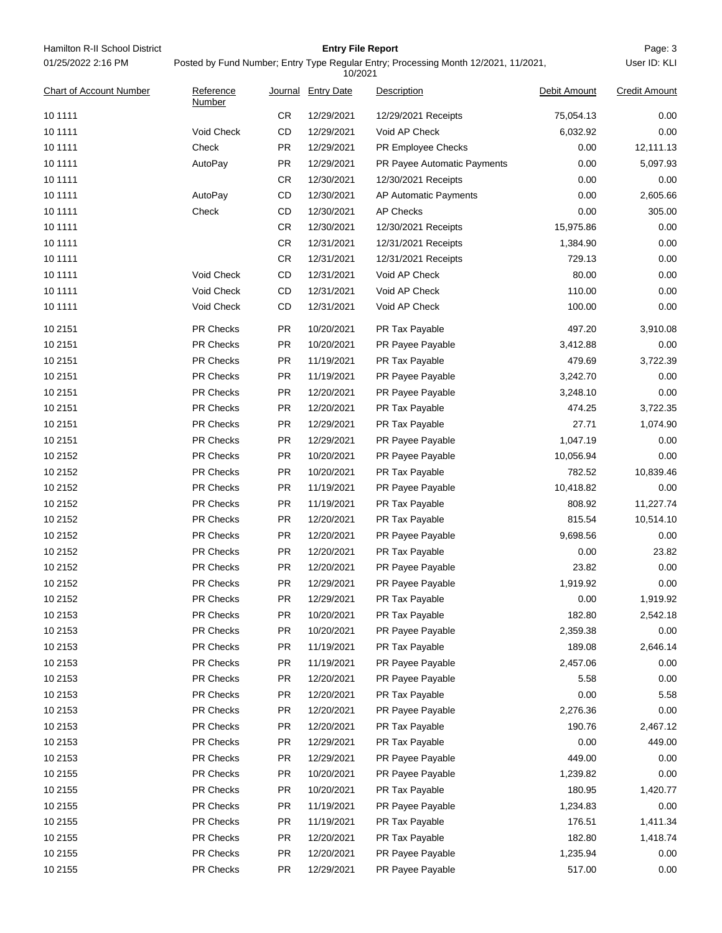| Hamilton R-II School District  |                                                                                                |           | <b>Entry File Report</b> |                             |              | Page: 3              |  |
|--------------------------------|------------------------------------------------------------------------------------------------|-----------|--------------------------|-----------------------------|--------------|----------------------|--|
| 01/25/2022 2:16 PM             | Posted by Fund Number; Entry Type Regular Entry; Processing Month 12/2021, 11/2021,<br>10/2021 |           |                          |                             |              | User ID: KLI         |  |
| <b>Chart of Account Number</b> | Reference<br>Number                                                                            |           | Journal Entry Date       | Description                 | Debit Amount | <b>Credit Amount</b> |  |
| 10 1111                        |                                                                                                | CR        | 12/29/2021               | 12/29/2021 Receipts         | 75,054.13    | 0.00                 |  |
| 10 1111                        | Void Check                                                                                     | CD        | 12/29/2021               | Void AP Check               | 6,032.92     | 0.00                 |  |
| 10 1111                        | Check                                                                                          | PR        | 12/29/2021               | <b>PR Employee Checks</b>   | 0.00         | 12,111.13            |  |
| 10 1111                        | AutoPay                                                                                        | <b>PR</b> | 12/29/2021               | PR Payee Automatic Payments | 0.00         | 5,097.93             |  |
| 10 11 11                       |                                                                                                | CR        | 12/30/2021               | 12/30/2021 Receipts         | 0.00         | 0.00                 |  |
| 10 1111                        | AutoPay                                                                                        | CD        | 12/30/2021               | AP Automatic Payments       | 0.00         | 2,605.66             |  |
| 10 1111                        | Check                                                                                          | CD        | 12/30/2021               | <b>AP Checks</b>            | 0.00         | 305.00               |  |
| 10 1111                        |                                                                                                | CR        | 12/30/2021               | 12/30/2021 Receipts         | 15,975.86    | 0.00                 |  |
| 10 1111                        |                                                                                                | CR        | 12/31/2021               | 12/31/2021 Receipts         | 1,384.90     | 0.00                 |  |
| 10 1111                        |                                                                                                | CR        | 12/31/2021               | 12/31/2021 Receipts         | 729.13       | 0.00                 |  |
| 10 1111                        | Void Check                                                                                     | CD        | 12/31/2021               | Void AP Check               | 80.00        | 0.00                 |  |
| 10 1111                        | Void Check                                                                                     | CD        | 12/31/2021               | Void AP Check               | 110.00       | 0.00                 |  |
| 10 1111                        | Void Check                                                                                     | CD        | 12/31/2021               | Void AP Check               | 100.00       | 0.00                 |  |
| 10 2151                        | <b>PR Checks</b>                                                                               | <b>PR</b> | 10/20/2021               | PR Tax Payable              | 497.20       | 3,910.08             |  |
| 10 2151                        | <b>PR Checks</b>                                                                               | <b>PR</b> | 10/20/2021               | PR Payee Payable            | 3,412.88     | 0.00                 |  |
| 10 2151                        | PR Checks                                                                                      | PR.       | 11/19/2021               | PR Tax Payable              | 479.69       | 3,722.39             |  |
| 10 2151                        | <b>PR Checks</b>                                                                               | PR        | 11/19/2021               | PR Payee Payable            | 3,242.70     | 0.00                 |  |
| 10 2151                        | <b>PR Checks</b>                                                                               | PR        | 12/20/2021               | PR Payee Payable            | 3,248.10     | 0.00                 |  |
| 10 2151                        | PR Checks                                                                                      | PR        | 12/20/2021               | PR Tax Payable              | 474.25       | 3,722.35             |  |
| 10 2151                        | <b>PR Checks</b>                                                                               | PR        | 12/29/2021               | PR Tax Payable              | 27.71        | 1,074.90             |  |
| 10 2151                        | <b>PR Checks</b>                                                                               | PR        | 12/29/2021               | PR Payee Payable            | 1,047.19     | 0.00                 |  |
| 10 2152                        | <b>PR Checks</b>                                                                               | <b>PR</b> | 10/20/2021               | PR Payee Payable            | 10,056.94    | 0.00                 |  |
| 10 2152                        | <b>PR Checks</b>                                                                               | <b>PR</b> | 10/20/2021               | PR Tax Payable              | 782.52       | 10,839.46            |  |
| 10 2152                        | <b>PR Checks</b>                                                                               | PR.       | 11/19/2021               | PR Payee Payable            | 10,418.82    | 0.00                 |  |
| 10 2152                        | <b>PR Checks</b>                                                                               | PR.       | 11/19/2021               | PR Tax Payable              | 808.92       | 11,227.74            |  |
| 10 2152                        | <b>PR Checks</b>                                                                               | <b>PR</b> | 12/20/2021               | PR Tax Payable              | 815.54       | 10,514.10            |  |
| 10 2152                        | PR Checks                                                                                      | <b>PR</b> | 12/20/2021               | PR Payee Payable            | 9,698.56     | 0.00                 |  |
| 10 2152                        | PR Checks                                                                                      | PR        | 12/20/2021               | PR Tax Payable              | 0.00         | 23.82                |  |
| 10 2152                        | <b>PR Checks</b>                                                                               | <b>PR</b> | 12/20/2021               | PR Payee Payable            | 23.82        | 0.00                 |  |
| 10 2152                        | PR Checks                                                                                      | PR        | 12/29/2021               | PR Payee Payable            | 1,919.92     | 0.00                 |  |
| 10 2152                        | PR Checks                                                                                      | PR        | 12/29/2021               | PR Tax Payable              | 0.00         | 1,919.92             |  |
| 10 2153                        | PR Checks                                                                                      | PR        | 10/20/2021               | PR Tax Payable              | 182.80       | 2,542.18             |  |
| 10 2153                        | PR Checks                                                                                      | PR        | 10/20/2021               | PR Payee Payable            | 2,359.38     | 0.00                 |  |
| 10 2153                        | PR Checks                                                                                      | <b>PR</b> | 11/19/2021               | PR Tax Payable              | 189.08       | 2,646.14             |  |
| 10 2153                        | PR Checks                                                                                      | PR        | 11/19/2021               | PR Payee Payable            | 2,457.06     | 0.00                 |  |
| 10 2153                        | PR Checks                                                                                      | <b>PR</b> | 12/20/2021               | PR Payee Payable            | 5.58         | 0.00                 |  |
| 10 2153                        | PR Checks                                                                                      | PR        | 12/20/2021               | PR Tax Payable              | 0.00         | 5.58                 |  |
| 10 2153                        | PR Checks                                                                                      | PR        | 12/20/2021               | PR Payee Payable            | 2,276.36     | 0.00                 |  |
| 10 2153                        | PR Checks                                                                                      | PR        | 12/20/2021               | PR Tax Payable              | 190.76       | 2,467.12             |  |
| 10 2153                        | PR Checks                                                                                      | PR        | 12/29/2021               | PR Tax Payable              | 0.00         | 449.00               |  |
| 10 2153                        | PR Checks                                                                                      | PR        | 12/29/2021               | PR Payee Payable            | 449.00       | 0.00                 |  |
| 10 2155                        | PR Checks                                                                                      | PR        | 10/20/2021               | PR Payee Payable            | 1,239.82     | 0.00                 |  |
| 10 2155                        | PR Checks                                                                                      | PR        | 10/20/2021               | PR Tax Payable              | 180.95       | 1,420.77             |  |
| 10 2155                        | PR Checks                                                                                      | PR        | 11/19/2021               | PR Payee Payable            | 1,234.83     | 0.00                 |  |
| 10 2155                        | PR Checks                                                                                      | <b>PR</b> | 11/19/2021               | PR Tax Payable              | 176.51       | 1,411.34             |  |
| 10 2155                        | PR Checks                                                                                      | <b>PR</b> | 12/20/2021               | PR Tax Payable              | 182.80       | 1,418.74             |  |
| 10 2155                        | PR Checks                                                                                      | <b>PR</b> | 12/20/2021               | PR Payee Payable            | 1,235.94     | 0.00                 |  |
| 10 2155                        | PR Checks                                                                                      | <b>PR</b> | 12/29/2021               | PR Payee Payable            | 517.00       | 0.00                 |  |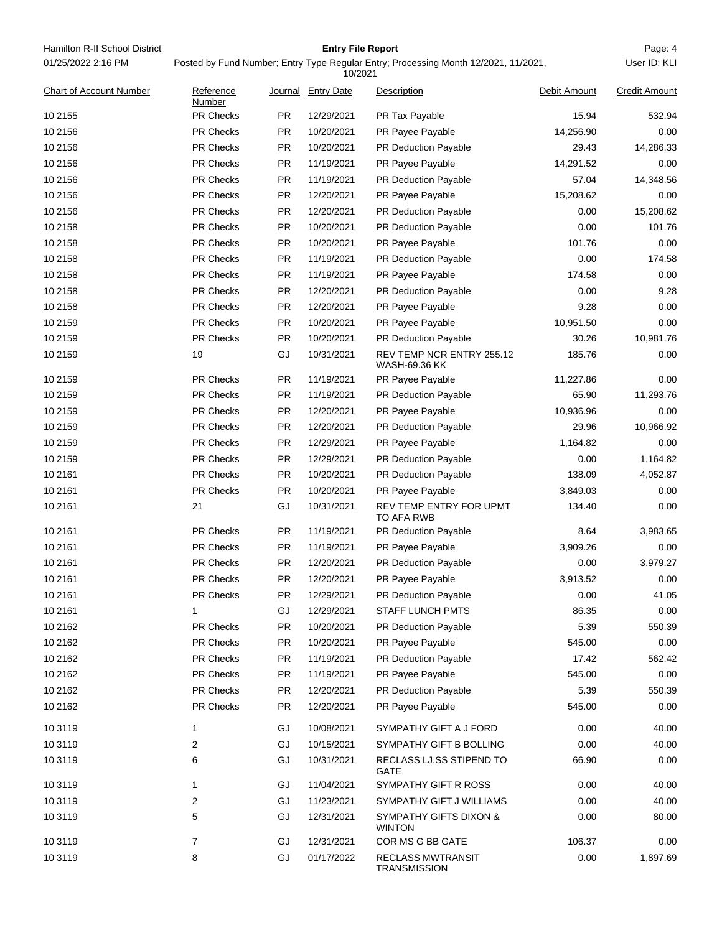| Hamilton R-II School District<br>01/25/2022 2:16 PM | <b>Entry File Report</b><br>Posted by Fund Number; Entry Type Regular Entry; Processing Month 12/2021, 11/2021,<br>10/2021 |                        |                          |                                            |                |                      |  |
|-----------------------------------------------------|----------------------------------------------------------------------------------------------------------------------------|------------------------|--------------------------|--------------------------------------------|----------------|----------------------|--|
| <b>Chart of Account Number</b>                      | Reference<br>Number                                                                                                        |                        | Journal Entry Date       | Description                                | Debit Amount   | <b>Credit Amount</b> |  |
| 10 2155                                             | PR Checks                                                                                                                  | <b>PR</b>              | 12/29/2021               | PR Tax Payable                             | 15.94          | 532.94               |  |
| 10 2156                                             | PR Checks                                                                                                                  | <b>PR</b>              | 10/20/2021               | PR Payee Payable                           | 14,256.90      | 0.00                 |  |
| 10 2156                                             | <b>PR Checks</b>                                                                                                           | <b>PR</b>              | 10/20/2021               | <b>PR Deduction Payable</b>                | 29.43          | 14,286.33            |  |
| 10 2156                                             | <b>PR Checks</b>                                                                                                           | <b>PR</b>              | 11/19/2021               | PR Payee Payable                           | 14,291.52      | 0.00                 |  |
| 10 2156                                             | <b>PR Checks</b>                                                                                                           | <b>PR</b>              | 11/19/2021               | PR Deduction Payable                       | 57.04          | 14,348.56            |  |
| 10 2156                                             | <b>PR Checks</b>                                                                                                           | <b>PR</b>              | 12/20/2021               | PR Payee Payable                           | 15,208.62      | 0.00                 |  |
| 10 2156                                             | <b>PR Checks</b>                                                                                                           | <b>PR</b>              | 12/20/2021               | <b>PR Deduction Payable</b>                | 0.00           | 15,208.62            |  |
| 10 2158                                             | PR Checks                                                                                                                  | <b>PR</b>              | 10/20/2021               | <b>PR Deduction Payable</b>                | 0.00           | 101.76               |  |
| 10 2158                                             | <b>PR Checks</b>                                                                                                           | <b>PR</b>              | 10/20/2021               | PR Payee Payable                           | 101.76         | 0.00                 |  |
| 10 2158                                             | <b>PR Checks</b>                                                                                                           | <b>PR</b>              | 11/19/2021               | PR Deduction Payable                       | 0.00           | 174.58               |  |
| 10 2158                                             | <b>PR Checks</b>                                                                                                           | <b>PR</b>              | 11/19/2021               | PR Payee Payable                           | 174.58         | 0.00                 |  |
| 10 2158                                             | <b>PR Checks</b>                                                                                                           | <b>PR</b>              | 12/20/2021               | <b>PR Deduction Payable</b>                | 0.00           | 9.28                 |  |
| 10 2158                                             | <b>PR Checks</b>                                                                                                           | <b>PR</b>              | 12/20/2021               | PR Payee Payable                           | 9.28           | 0.00                 |  |
| 10 2159                                             | <b>PR Checks</b>                                                                                                           | <b>PR</b>              | 10/20/2021               | PR Payee Payable                           | 10,951.50      | 0.00                 |  |
| 10 2159                                             | <b>PR Checks</b>                                                                                                           | <b>PR</b>              | 10/20/2021               | PR Deduction Payable                       | 30.26          | 10,981.76            |  |
| 10 2159                                             | 19                                                                                                                         | GJ                     | 10/31/2021               | REV TEMP NCR ENTRY 255.12<br>WASH-69.36 KK | 185.76         | 0.00                 |  |
| 10 2159                                             | <b>PR Checks</b>                                                                                                           | <b>PR</b>              | 11/19/2021               | PR Payee Payable                           | 11,227.86      | 0.00                 |  |
| 10 2159                                             | <b>PR Checks</b>                                                                                                           | <b>PR</b>              | 11/19/2021               | PR Deduction Payable                       | 65.90          | 11,293.76            |  |
| 10 2159                                             | <b>PR Checks</b>                                                                                                           | <b>PR</b>              | 12/20/2021               | PR Payee Payable                           | 10,936.96      | 0.00                 |  |
| 10 2159                                             | <b>PR Checks</b>                                                                                                           | <b>PR</b>              | 12/20/2021               | PR Deduction Payable                       | 29.96          | 10,966.92            |  |
| 10 2159                                             | <b>PR Checks</b>                                                                                                           | <b>PR</b>              | 12/29/2021               | PR Payee Payable                           | 1,164.82       | 0.00                 |  |
| 10 2159                                             | <b>PR Checks</b>                                                                                                           | <b>PR</b>              | 12/29/2021               | <b>PR Deduction Payable</b>                | 0.00           | 1,164.82             |  |
| 10 21 61                                            | <b>PR Checks</b>                                                                                                           | <b>PR</b>              | 10/20/2021               | PR Deduction Payable                       | 138.09         | 4,052.87             |  |
| 10 21 61                                            | <b>PR Checks</b>                                                                                                           | <b>PR</b>              | 10/20/2021               | PR Payee Payable                           | 3,849.03       | 0.00                 |  |
| 10 21 61                                            | 21                                                                                                                         | GJ                     | 10/31/2021               | REV TEMP ENTRY FOR UPMT<br>TO AFA RWB      | 134.40         | 0.00                 |  |
| 10 21 61                                            | <b>PR Checks</b>                                                                                                           | <b>PR</b>              | 11/19/2021               | PR Deduction Payable                       | 8.64           | 3,983.65             |  |
| 10 21 61                                            | <b>PR Checks</b>                                                                                                           | PR.                    | 11/19/2021               | PR Payee Payable                           | 3,909.26       | 0.00                 |  |
| 10 21 61                                            | PR Checks                                                                                                                  | PR                     | 12/20/2021               | PR Deduction Payable                       | 0.00           | 3,979.27             |  |
| 10 21 61                                            | PR Checks                                                                                                                  | <b>PR</b>              | 12/20/2021               | PR Payee Payable                           | 3,913.52       | 0.00                 |  |
| 10 21 61                                            | PR Checks                                                                                                                  | <b>PR</b>              | 12/29/2021               | PR Deduction Payable                       | 0.00           | 41.05                |  |
| 10 21 61                                            | 1                                                                                                                          | GJ                     | 12/29/2021               | <b>STAFF LUNCH PMTS</b>                    | 86.35          | 0.00                 |  |
| 10 2162                                             | PR Checks                                                                                                                  | <b>PR</b>              | 10/20/2021               | <b>PR Deduction Payable</b>                | 5.39           | 550.39               |  |
| 10 2162                                             | PR Checks                                                                                                                  | <b>PR</b>              | 10/20/2021               | PR Payee Payable                           | 545.00         | 0.00                 |  |
| 10 2162                                             | <b>PR Checks</b>                                                                                                           | <b>PR</b>              | 11/19/2021               | PR Deduction Payable                       | 17.42          | 562.42               |  |
| 10 2162                                             | PR Checks                                                                                                                  | PR                     | 11/19/2021               | PR Payee Payable                           | 545.00         | 0.00                 |  |
| 10 2162<br>10 2162                                  | PR Checks<br>PR Checks                                                                                                     | <b>PR</b><br><b>PR</b> | 12/20/2021<br>12/20/2021 | PR Deduction Payable<br>PR Payee Payable   | 5.39<br>545.00 | 550.39<br>0.00       |  |
| 10 3119                                             | 1                                                                                                                          | GJ                     | 10/08/2021               | SYMPATHY GIFT A J FORD                     | 0.00           | 40.00                |  |
| 10 31 19                                            | 2                                                                                                                          | GJ                     | 10/15/2021               | SYMPATHY GIFT B BOLLING                    | 0.00           | 40.00                |  |
| 10 31 19                                            | 6                                                                                                                          | GJ                     | 10/31/2021               | RECLASS LJ, SS STIPEND TO<br><b>GATE</b>   | 66.90          | 0.00                 |  |
| 10 3119                                             | 1                                                                                                                          | GJ                     | 11/04/2021               | SYMPATHY GIFT R ROSS                       | 0.00           | 40.00                |  |
| 10 31 19                                            | 2                                                                                                                          | GJ                     | 11/23/2021               | SYMPATHY GIFT J WILLIAMS                   | 0.00           | 40.00                |  |
| 10 31 19                                            | 5                                                                                                                          | GJ                     | 12/31/2021               | SYMPATHY GIFTS DIXON &<br><b>WINTON</b>    | 0.00           | 80.00                |  |
| 10 31 19                                            | 7                                                                                                                          | GJ                     | 12/31/2021               | COR MS G BB GATE                           | 106.37         | 0.00                 |  |
| 10 3119                                             | 8                                                                                                                          | GJ                     | 01/17/2022               | <b>RECLASS MWTRANSIT</b><br>TRANSMISSION   | 0.00           | 1,897.69             |  |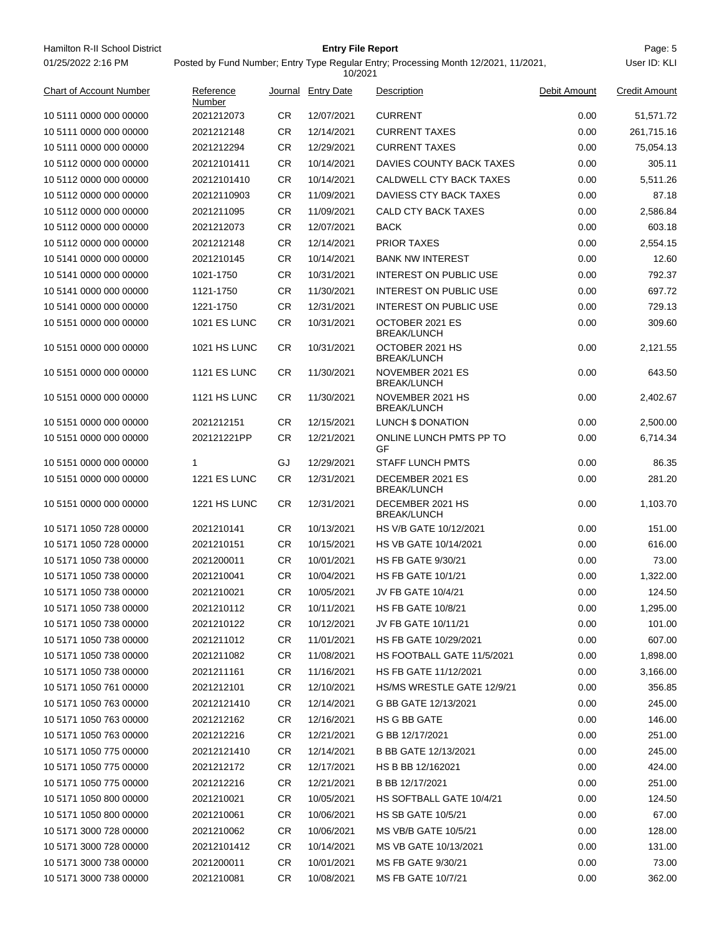Hamilton R-II School District **Entry File Report Entry File Report Page: 5** 01/25/2022 2:16 PM

## **Entry File Report**

Posted by Fund Number; Entry Type Regular Entry; Processing Month 12/2021, 11/2021,

|                                |                     |           | 10/2021           |                                        |              |                      |
|--------------------------------|---------------------|-----------|-------------------|----------------------------------------|--------------|----------------------|
| <b>Chart of Account Number</b> | Reference<br>Number | Journal   | <b>Entry Date</b> | Description                            | Debit Amount | <b>Credit Amount</b> |
| 10 5111 0000 000 00000         | 2021212073          | CR        | 12/07/2021        | <b>CURRENT</b>                         | 0.00         | 51,571.72            |
| 10 5111 0000 000 00000         | 2021212148          | CR.       | 12/14/2021        | <b>CURRENT TAXES</b>                   | 0.00         | 261,715.16           |
| 10 5111 0000 000 00000         | 2021212294          | CR        | 12/29/2021        | <b>CURRENT TAXES</b>                   | 0.00         | 75,054.13            |
| 10 5112 0000 000 00000         | 20212101411         | CR        | 10/14/2021        | DAVIES COUNTY BACK TAXES               | 0.00         | 305.11               |
| 10 5112 0000 000 00000         | 20212101410         | CR        | 10/14/2021        | CALDWELL CTY BACK TAXES                | 0.00         | 5,511.26             |
| 10 5112 0000 000 00000         | 20212110903         | CR.       | 11/09/2021        | DAVIESS CTY BACK TAXES                 | 0.00         | 87.18                |
| 10 5112 0000 000 00000         | 2021211095          | CR        | 11/09/2021        | CALD CTY BACK TAXES                    | 0.00         | 2,586.84             |
| 10 5112 0000 000 00000         | 2021212073          | CR        | 12/07/2021        | <b>BACK</b>                            | 0.00         | 603.18               |
| 10 5112 0000 000 00000         | 2021212148          | CR        | 12/14/2021        | <b>PRIOR TAXES</b>                     | 0.00         | 2,554.15             |
| 10 5141 0000 000 00000         | 2021210145          | <b>CR</b> | 10/14/2021        | <b>BANK NW INTEREST</b>                | 0.00         | 12.60                |
| 10 5141 0000 000 00000         | 1021-1750           | CR        | 10/31/2021        | <b>INTEREST ON PUBLIC USE</b>          | 0.00         | 792.37               |
| 10 5141 0000 000 00000         | 1121-1750           | CR        | 11/30/2021        | <b>INTEREST ON PUBLIC USE</b>          | 0.00         | 697.72               |
| 10 5141 0000 000 00000         | 1221-1750           | CR        | 12/31/2021        | <b>INTEREST ON PUBLIC USE</b>          | 0.00         | 729.13               |
| 10 5151 0000 000 00000         | <b>1021 ES LUNC</b> | CR        | 10/31/2021        | OCTOBER 2021 ES<br><b>BREAK/LUNCH</b>  | 0.00         | 309.60               |
| 10 5151 0000 000 00000         | <b>1021 HS LUNC</b> | CR        | 10/31/2021        | OCTOBER 2021 HS<br><b>BREAK/LUNCH</b>  | 0.00         | 2,121.55             |
| 10 5151 0000 000 00000         | <b>1121 ES LUNC</b> | CR        | 11/30/2021        | NOVEMBER 2021 ES<br><b>BREAK/LUNCH</b> | 0.00         | 643.50               |
| 10 5151 0000 000 00000         | 1121 HS LUNC        | CR.       | 11/30/2021        | NOVEMBER 2021 HS<br><b>BREAK/LUNCH</b> | 0.00         | 2,402.67             |
| 10 5151 0000 000 00000         | 2021212151          | CR.       | 12/15/2021        | LUNCH \$ DONATION                      | 0.00         | 2,500.00             |
| 10 5151 0000 000 00000         | 202121221PP         | CR        | 12/21/2021        | ONLINE LUNCH PMTS PP TO<br>GF          | 0.00         | 6,714.34             |
| 10 5151 0000 000 00000         | 1                   | GJ        | 12/29/2021        | <b>STAFF LUNCH PMTS</b>                | 0.00         | 86.35                |
| 10 5151 0000 000 00000         | <b>1221 ES LUNC</b> | CR        | 12/31/2021        | DECEMBER 2021 ES<br><b>BREAK/LUNCH</b> | 0.00         | 281.20               |
| 10 5151 0000 000 00000         | 1221 HS LUNC        | CR        | 12/31/2021        | DECEMBER 2021 HS<br><b>BREAK/LUNCH</b> | 0.00         | 1,103.70             |
| 10 5171 1050 728 00000         | 2021210141          | CR.       | 10/13/2021        | HS V/B GATE 10/12/2021                 | 0.00         | 151.00               |
| 10 5171 1050 728 00000         | 2021210151          | CR        | 10/15/2021        | HS VB GATE 10/14/2021                  | 0.00         | 616.00               |
| 10 5171 1050 738 00000         | 2021200011          | CR        | 10/01/2021        | <b>HS FB GATE 9/30/21</b>              | 0.00         | 73.00                |
| 10 5171 1050 738 00000         | 2021210041          | CR        | 10/04/2021        | <b>HS FB GATE 10/1/21</b>              | 0.00         | 1,322.00             |
| 10 5171 1050 738 00000         | 2021210021          | <b>CR</b> | 10/05/2021        | JV FB GATE 10/4/21                     | 0.00         | 124.50               |
| 10 5171 1050 738 00000         | 2021210112          | CR        | 10/11/2021        | <b>HS FB GATE 10/8/21</b>              | 0.00         | 1,295.00             |
| 10 5171 1050 738 00000         | 2021210122          | CR.       | 10/12/2021        | JV FB GATE 10/11/21                    | 0.00         | 101.00               |
| 10 5171 1050 738 00000         | 2021211012          | CR.       | 11/01/2021        | HS FB GATE 10/29/2021                  | 0.00         | 607.00               |
| 10 5171 1050 738 00000         | 2021211082          | CR        | 11/08/2021        | HS FOOTBALL GATE 11/5/2021             | 0.00         | 1,898.00             |
| 10 5171 1050 738 00000         | 2021211161          | CR        | 11/16/2021        | HS FB GATE 11/12/2021                  | 0.00         | 3,166.00             |
| 10 5171 1050 761 00000         | 2021212101          | CR.       | 12/10/2021        | HS/MS WRESTLE GATE 12/9/21             | 0.00         | 356.85               |
| 10 5171 1050 763 00000         | 20212121410         | CR        | 12/14/2021        | G BB GATE 12/13/2021                   | 0.00         | 245.00               |
| 10 5171 1050 763 00000         | 2021212162          | CR        | 12/16/2021        | HS G BB GATE                           | 0.00         | 146.00               |
| 10 5171 1050 763 00000         | 2021212216          | CR        | 12/21/2021        | G BB 12/17/2021                        | 0.00         | 251.00               |
| 10 5171 1050 775 00000         | 20212121410         | CR        | 12/14/2021        | B BB GATE 12/13/2021                   | 0.00         | 245.00               |
| 10 5171 1050 775 00000         | 2021212172          | CR        | 12/17/2021        | HS B BB 12/162021                      | 0.00         | 424.00               |
| 10 5171 1050 775 00000         | 2021212216          | CR        | 12/21/2021        | B BB 12/17/2021                        | 0.00         | 251.00               |
| 10 5171 1050 800 00000         | 2021210021          | CR        | 10/05/2021        | HS SOFTBALL GATE 10/4/21               | 0.00         | 124.50               |
| 10 5171 1050 800 00000         | 2021210061          | CR.       | 10/06/2021        | <b>HS SB GATE 10/5/21</b>              | 0.00         | 67.00                |
| 10 5171 3000 728 00000         | 2021210062          | CR        | 10/06/2021        | MS VB/B GATE 10/5/21                   | 0.00         | 128.00               |
| 10 5171 3000 728 00000         | 20212101412         | CR        | 10/14/2021        | MS VB GATE 10/13/2021                  | 0.00         | 131.00               |
| 10 5171 3000 738 00000         | 2021200011          | CR        | 10/01/2021        | MS FB GATE 9/30/21                     | 0.00         | 73.00                |
| 10 5171 3000 738 00000         | 2021210081          | CR        | 10/08/2021        | MS FB GATE 10/7/21                     | 0.00         | 362.00               |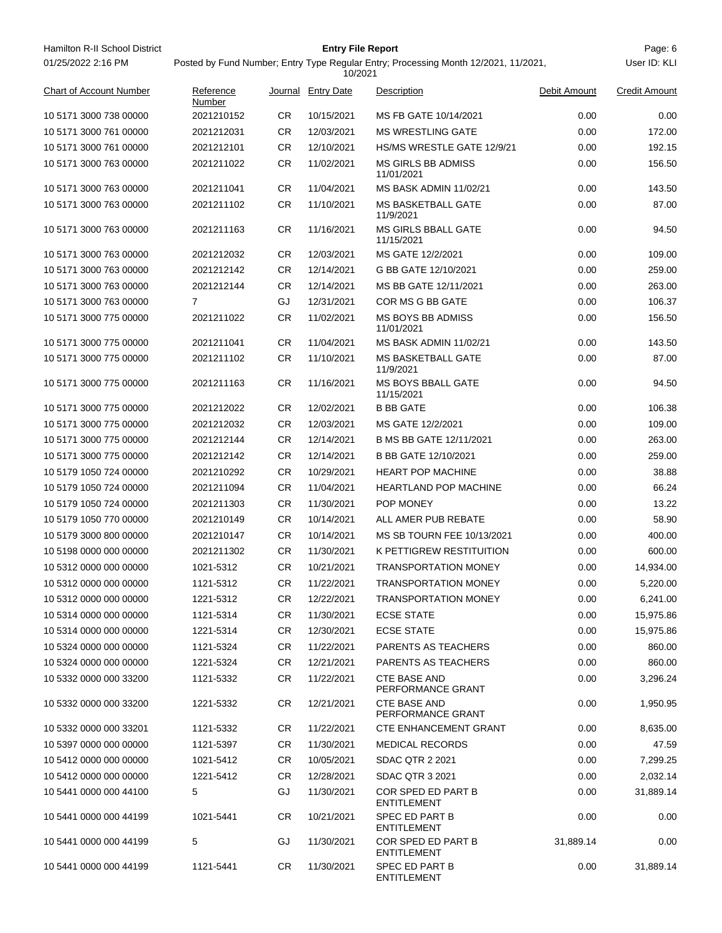| Hamilton R-II School District | <b>Entry File Report</b>                                                            | Page: 6      |
|-------------------------------|-------------------------------------------------------------------------------------|--------------|
| 01/25/2022 2:16 PM            | Posted by Fund Number: Entry Type Regular Entry: Processing Month 12/2021, 11/2021, | User ID: KLI |
|                               | 10/2021                                                                             |              |

## Posted by Fund Number; Entry Type Regular Entry; Processing Month 12/2021, 11/2021,

|                                |                     |           | 10/2021           |                                          |              |                      |
|--------------------------------|---------------------|-----------|-------------------|------------------------------------------|--------------|----------------------|
| <b>Chart of Account Number</b> | Reference<br>Number | Journal   | <b>Entry Date</b> | Description                              | Debit Amount | <b>Credit Amount</b> |
| 10 5171 3000 738 00000         | 2021210152          | CR.       | 10/15/2021        | MS FB GATE 10/14/2021                    | 0.00         | 0.00                 |
| 10 5171 3000 761 00000         | 2021212031          | CR.       | 12/03/2021        | <b>MS WRESTLING GATE</b>                 | 0.00         | 172.00               |
| 10 5171 3000 761 00000         | 2021212101          | CR.       | 12/10/2021        | HS/MS WRESTLE GATE 12/9/21               | 0.00         | 192.15               |
| 10 5171 3000 763 00000         | 2021211022          | CR.       | 11/02/2021        | <b>MS GIRLS BB ADMISS</b><br>11/01/2021  | 0.00         | 156.50               |
| 10 5171 3000 763 00000         | 2021211041          | CR.       | 11/04/2021        | <b>MS BASK ADMIN 11/02/21</b>            | 0.00         | 143.50               |
| 10 5171 3000 763 00000         | 2021211102          | CR        | 11/10/2021        | <b>MS BASKETBALL GATE</b><br>11/9/2021   | 0.00         | 87.00                |
| 10 5171 3000 763 00000         | 2021211163          | CR        | 11/16/2021        | <b>MS GIRLS BBALL GATE</b><br>11/15/2021 | 0.00         | 94.50                |
| 10 5171 3000 763 00000         | 2021212032          | CR        | 12/03/2021        | MS GATE 12/2/2021                        | 0.00         | 109.00               |
| 10 5171 3000 763 00000         | 2021212142          | CR.       | 12/14/2021        | G BB GATE 12/10/2021                     | 0.00         | 259.00               |
| 10 5171 3000 763 00000         | 2021212144          | CR        | 12/14/2021        | MS BB GATE 12/11/2021                    | 0.00         | 263.00               |
| 10 5171 3000 763 00000         | $\overline{7}$      | GJ        | 12/31/2021        | COR MS G BB GATE                         | 0.00         | 106.37               |
| 10 5171 3000 775 00000         | 2021211022          | CR        | 11/02/2021        | MS BOYS BB ADMISS<br>11/01/2021          | 0.00         | 156.50               |
| 10 5171 3000 775 00000         | 2021211041          | CR        | 11/04/2021        | <b>MS BASK ADMIN 11/02/21</b>            | 0.00         | 143.50               |
| 10 5171 3000 775 00000         | 2021211102          | CR.       | 11/10/2021        | <b>MS BASKETBALL GATE</b><br>11/9/2021   | 0.00         | 87.00                |
| 10 5171 3000 775 00000         | 2021211163          | CR        | 11/16/2021        | <b>MS BOYS BBALL GATE</b><br>11/15/2021  | 0.00         | 94.50                |
| 10 5171 3000 775 00000         | 2021212022          | CR.       | 12/02/2021        | <b>B BB GATE</b>                         | 0.00         | 106.38               |
| 10 5171 3000 775 00000         | 2021212032          | CR.       | 12/03/2021        | MS GATE 12/2/2021                        | 0.00         | 109.00               |
| 10 5171 3000 775 00000         | 2021212144          | CR.       | 12/14/2021        | B MS BB GATE 12/11/2021                  | 0.00         | 263.00               |
| 10 5171 3000 775 00000         | 2021212142          | <b>CR</b> | 12/14/2021        | B BB GATE 12/10/2021                     | 0.00         | 259.00               |
| 10 5179 1050 724 00000         | 2021210292          | CR.       | 10/29/2021        | <b>HEART POP MACHINE</b>                 | 0.00         | 38.88                |
| 10 5179 1050 724 00000         | 2021211094          | CR.       | 11/04/2021        | <b>HEARTLAND POP MACHINE</b>             | 0.00         | 66.24                |
| 10 5179 1050 724 00000         | 2021211303          | CR.       | 11/30/2021        | POP MONEY                                | 0.00         | 13.22                |
| 10 5179 1050 770 00000         | 2021210149          | CR.       | 10/14/2021        | ALL AMER PUB REBATE                      | 0.00         | 58.90                |
| 10 5179 3000 800 00000         | 2021210147          | CR.       | 10/14/2021        | MS SB TOURN FEE 10/13/2021               | 0.00         | 400.00               |
| 10 5198 0000 000 00000         | 2021211302          | CR.       | 11/30/2021        | K PETTIGREW RESTITUITION                 | 0.00         | 600.00               |
| 10 5312 0000 000 00000         | 1021-5312           | CR.       | 10/21/2021        | <b>TRANSPORTATION MONEY</b>              | 0.00         | 14,934.00            |
| 10 5312 0000 000 00000         | 1121-5312           | <b>CR</b> | 11/22/2021        | <b>TRANSPORTATION MONEY</b>              | 0.00         | 5,220.00             |
| 10 5312 0000 000 00000         | 1221-5312           | <b>CR</b> | 12/22/2021        | TRANSPORTATION MONEY                     | 0.00         | 6,241.00             |
| 10 5314 0000 000 00000         | 1121-5314           | <b>CR</b> | 11/30/2021        | <b>ECSE STATE</b>                        | 0.00         | 15,975.86            |
| 10 5314 0000 000 00000         | 1221-5314           | <b>CR</b> | 12/30/2021        | <b>ECSE STATE</b>                        | 0.00         | 15,975.86            |
| 10 5324 0000 000 00000         | 1121-5324           | <b>CR</b> | 11/22/2021        | <b>PARENTS AS TEACHERS</b>               | 0.00         | 860.00               |
| 10 5324 0000 000 00000         | 1221-5324           | <b>CR</b> | 12/21/2021        | <b>PARENTS AS TEACHERS</b>               | 0.00         | 860.00               |
| 10 5332 0000 000 33200         | 1121-5332           | <b>CR</b> | 11/22/2021        | <b>CTE BASE AND</b><br>PERFORMANCE GRANT | 0.00         | 3,296.24             |
| 10 5332 0000 000 33200         | 1221-5332           | <b>CR</b> | 12/21/2021        | <b>CTE BASE AND</b><br>PERFORMANCE GRANT | 0.00         | 1,950.95             |
| 10 5332 0000 000 33201         | 1121-5332           | CR        | 11/22/2021        | <b>CTE ENHANCEMENT GRANT</b>             | 0.00         | 8,635.00             |
| 10 5397 0000 000 00000         | 1121-5397           | <b>CR</b> | 11/30/2021        | <b>MEDICAL RECORDS</b>                   | 0.00         | 47.59                |
| 10 5412 0000 000 00000         | 1021-5412           | <b>CR</b> | 10/05/2021        | <b>SDAC QTR 2 2021</b>                   | 0.00         | 7,299.25             |
| 10 5412 0000 000 00000         | 1221-5412           | <b>CR</b> | 12/28/2021        | <b>SDAC QTR 3 2021</b>                   | 0.00         | 2,032.14             |
| 10 5441 0000 000 44100         | 5                   | GJ        | 11/30/2021        | COR SPED ED PART B<br><b>ENTITLEMENT</b> | 0.00         | 31,889.14            |
| 10 5441 0000 000 44199         | 1021-5441           | <b>CR</b> | 10/21/2021        | SPEC ED PART B<br><b>ENTITLEMENT</b>     | 0.00         | 0.00                 |
| 10 5441 0000 000 44199         | 5                   | GJ        | 11/30/2021        | COR SPED ED PART B<br><b>ENTITLEMENT</b> | 31,889.14    | 0.00                 |
| 10 5441 0000 000 44199         | 1121-5441           | <b>CR</b> | 11/30/2021        | SPEC ED PART B<br><b>ENTITLEMENT</b>     | 0.00         | 31,889.14            |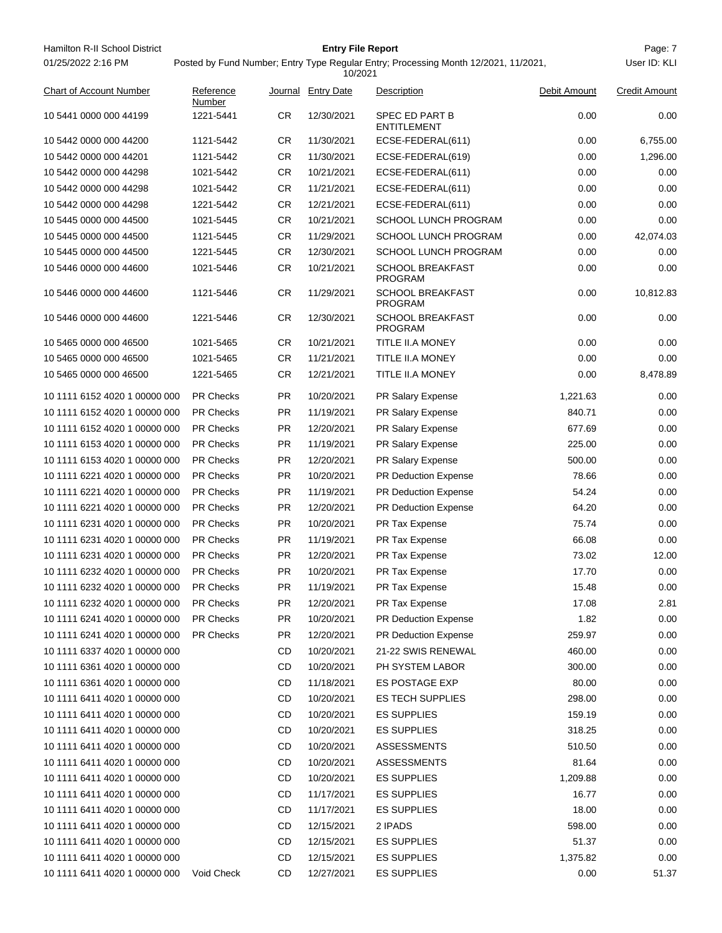| Hamilton R-II School District<br>01/25/2022 2:16 PM |                     |           | <b>Entry File Report</b><br>10/2021 | Posted by Fund Number; Entry Type Regular Entry; Processing Month 12/2021, 11/2021, |              | Page: 7<br>User ID: KLI |
|-----------------------------------------------------|---------------------|-----------|-------------------------------------|-------------------------------------------------------------------------------------|--------------|-------------------------|
| <b>Chart of Account Number</b>                      | Reference<br>Number |           | Journal Entry Date                  | Description                                                                         | Debit Amount | <b>Credit Amount</b>    |
| 10 5441 0000 000 44199                              | 1221-5441           | CR.       | 12/30/2021                          | SPEC ED PART B<br><b>ENTITLEMENT</b>                                                | 0.00         | 0.00                    |
| 10 5442 0000 000 44200                              | 1121-5442           | CR.       | 11/30/2021                          | ECSE-FEDERAL(611)                                                                   | 0.00         | 6,755.00                |
| 10 5442 0000 000 44201                              | 1121-5442           | CR.       | 11/30/2021                          | ECSE-FEDERAL(619)                                                                   | 0.00         | 1,296.00                |
| 10 5442 0000 000 44298                              | 1021-5442           | <b>CR</b> | 10/21/2021                          | ECSE-FEDERAL(611)                                                                   | 0.00         | 0.00                    |
| 10 5442 0000 000 44298                              | 1021-5442           | <b>CR</b> | 11/21/2021                          | ECSE-FEDERAL(611)                                                                   | 0.00         | 0.00                    |
| 10 5442 0000 000 44298                              | 1221-5442           | CR.       | 12/21/2021                          | ECSE-FEDERAL(611)                                                                   | 0.00         | 0.00                    |
| 10 5445 0000 000 44500                              | 1021-5445           | <b>CR</b> | 10/21/2021                          | <b>SCHOOL LUNCH PROGRAM</b>                                                         | 0.00         | 0.00                    |
| 10 5445 0000 000 44500                              | 1121-5445           | <b>CR</b> | 11/29/2021                          | <b>SCHOOL LUNCH PROGRAM</b>                                                         | 0.00         | 42,074.03               |
| 10 5445 0000 000 44500                              | 1221-5445           | <b>CR</b> | 12/30/2021                          | SCHOOL LUNCH PROGRAM                                                                | 0.00         | 0.00                    |
| 10 5446 0000 000 44600                              | 1021-5446           | <b>CR</b> | 10/21/2021                          | <b>SCHOOL BREAKFAST</b><br><b>PROGRAM</b>                                           | 0.00         | 0.00                    |
| 10 5446 0000 000 44600                              | 1121-5446           | CR.       | 11/29/2021                          | <b>SCHOOL BREAKFAST</b><br><b>PROGRAM</b>                                           | 0.00         | 10,812.83               |
| 10 5446 0000 000 44600                              | 1221-5446           | CR.       | 12/30/2021                          | <b>SCHOOL BREAKFAST</b><br><b>PROGRAM</b>                                           | 0.00         | 0.00                    |
| 10 5465 0000 000 46500                              | 1021-5465           | CR.       | 10/21/2021                          | TITLE II.A MONEY                                                                    | 0.00         | 0.00                    |
| 10 5465 0000 000 46500                              | 1021-5465           | CR.       | 11/21/2021                          | TITLE II.A MONEY                                                                    | 0.00         | 0.00                    |
| 10 5465 0000 000 46500                              | 1221-5465           | CR.       | 12/21/2021                          | <b>TITLE II.A MONEY</b>                                                             | 0.00         | 8,478.89                |
| 10 1111 6152 4020 1 00000 000                       | <b>PR Checks</b>    | <b>PR</b> | 10/20/2021                          | PR Salary Expense                                                                   | 1,221.63     | 0.00                    |
| 10 1111 6152 4020 1 00000 000                       | <b>PR Checks</b>    | <b>PR</b> | 11/19/2021                          | PR Salary Expense                                                                   | 840.71       | 0.00                    |
| 10 1111 6152 4020 1 00000 000                       | <b>PR Checks</b>    | <b>PR</b> | 12/20/2021                          | PR Salary Expense                                                                   | 677.69       | 0.00                    |
| 10 1111 6153 4020 1 00000 000                       | <b>PR Checks</b>    | PR.       | 11/19/2021                          | PR Salary Expense                                                                   | 225.00       | 0.00                    |
| 10 1111 6153 4020 1 00000 000                       | <b>PR Checks</b>    | <b>PR</b> | 12/20/2021                          | PR Salary Expense                                                                   | 500.00       | 0.00                    |
| 10 1111 6221 4020 1 00000 000                       | <b>PR Checks</b>    | <b>PR</b> | 10/20/2021                          | <b>PR Deduction Expense</b>                                                         | 78.66        | 0.00                    |
| 10 1111 6221 4020 1 00000 000                       | <b>PR Checks</b>    | <b>PR</b> | 11/19/2021                          | <b>PR Deduction Expense</b>                                                         | 54.24        | 0.00                    |
| 10 1111 6221 4020 1 00000 000                       | <b>PR Checks</b>    | <b>PR</b> | 12/20/2021                          | <b>PR Deduction Expense</b>                                                         | 64.20        | 0.00                    |
| 10 1111 6231 4020 1 00000 000                       | <b>PR Checks</b>    | <b>PR</b> | 10/20/2021                          | PR Tax Expense                                                                      | 75.74        | 0.00                    |
| 10 1111 6231 4020 1 00000 000                       | <b>PR Checks</b>    | <b>PR</b> | 11/19/2021                          | PR Tax Expense                                                                      | 66.08        | 0.00                    |
| 10 1111 6231 4020 1 00000 000                       | <b>PR Checks</b>    | <b>PR</b> | 12/20/2021                          | PR Tax Expense                                                                      | 73.02        | 12.00                   |
| 10 1111 6232 4020 1 00000 000                       | PR Checks           | <b>PR</b> | 10/20/2021                          | PR Tax Expense                                                                      | 17.70        | 0.00                    |
| 10 1111 6232 4020 1 00000 000                       | PR Checks           | <b>PR</b> | 11/19/2021                          | PR Tax Expense                                                                      | 15.48        | 0.00                    |
| 10 1111 6232 4020 1 00000 000                       | PR Checks           | <b>PR</b> | 12/20/2021                          | PR Tax Expense                                                                      | 17.08        | 2.81                    |
| 10 1111 6241 4020 1 00000 000                       | PR Checks           | <b>PR</b> | 10/20/2021                          | <b>PR Deduction Expense</b>                                                         | 1.82         | 0.00                    |
| 10 1111 6241 4020 1 00000 000                       | PR Checks           | <b>PR</b> | 12/20/2021                          | <b>PR Deduction Expense</b>                                                         | 259.97       | 0.00                    |
| 10 1111 6337 4020 1 00000 000                       |                     | CD        | 10/20/2021                          | 21-22 SWIS RENEWAL                                                                  | 460.00       | 0.00                    |
| 10 1111 6361 4020 1 00000 000                       |                     | CD        | 10/20/2021                          | PH SYSTEM LABOR                                                                     | 300.00       | 0.00                    |
| 10 1111 6361 4020 1 00000 000                       |                     | CD        | 11/18/2021                          | <b>ES POSTAGE EXP</b>                                                               | 80.00        | 0.00                    |
| 10 1111 6411 4020 1 00000 000                       |                     | CD        | 10/20/2021                          | <b>ES TECH SUPPLIES</b>                                                             | 298.00       | 0.00                    |
| 10 1111 6411 4020 1 00000 000                       |                     | CD        | 10/20/2021                          | <b>ES SUPPLIES</b>                                                                  | 159.19       | 0.00                    |
| 10 1111 6411 4020 1 00000 000                       |                     | CD        | 10/20/2021                          | <b>ES SUPPLIES</b>                                                                  | 318.25       | 0.00                    |
| 10 1111 6411 4020 1 00000 000                       |                     | CD        | 10/20/2021                          | <b>ASSESSMENTS</b>                                                                  | 510.50       | 0.00                    |
| 10 1111 6411 4020 1 00000 000                       |                     | CD        | 10/20/2021                          | <b>ASSESSMENTS</b>                                                                  | 81.64        | 0.00                    |
| 10 1111 6411 4020 1 00000 000                       |                     | CD        | 10/20/2021                          | <b>ES SUPPLIES</b>                                                                  | 1,209.88     | 0.00                    |
| 10 1111 6411 4020 1 00000 000                       |                     | CD        | 11/17/2021                          | <b>ES SUPPLIES</b>                                                                  | 16.77        | 0.00                    |
| 10 1111 6411 4020 1 00000 000                       |                     | CD        | 11/17/2021                          | <b>ES SUPPLIES</b>                                                                  | 18.00        | 0.00                    |
| 10 1111 6411 4020 1 00000 000                       |                     | CD        | 12/15/2021                          | 2 IPADS                                                                             | 598.00       | 0.00                    |
| 10 1111 6411 4020 1 00000 000                       |                     | CD        | 12/15/2021                          | <b>ES SUPPLIES</b>                                                                  | 51.37        | 0.00                    |
| 10 1111 6411 4020 1 00000 000                       |                     | CD        | 12/15/2021                          | <b>ES SUPPLIES</b>                                                                  | 1,375.82     | 0.00                    |
| 10 1111 6411 4020 1 00000 000                       | Void Check          | CD        | 12/27/2021                          | <b>ES SUPPLIES</b>                                                                  | 0.00         | 51.37                   |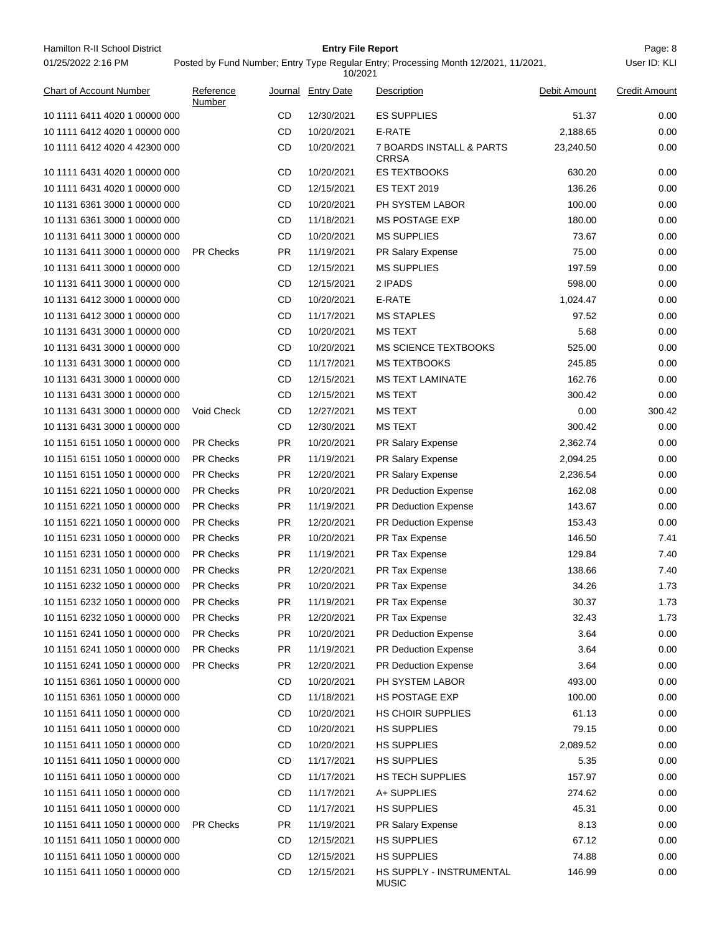| Hamilton R-II School District  |                     |           | <b>Entry File Report</b> |                                                                                     |              | Page: 8              |
|--------------------------------|---------------------|-----------|--------------------------|-------------------------------------------------------------------------------------|--------------|----------------------|
| 01/25/2022 2:16 PM             |                     |           | 10/2021                  | Posted by Fund Number; Entry Type Regular Entry; Processing Month 12/2021, 11/2021, |              | User ID: KLI         |
| <b>Chart of Account Number</b> | Reference<br>Number |           | Journal Entry Date       | Description                                                                         | Debit Amount | <b>Credit Amount</b> |
| 10 1111 6411 4020 1 00000 000  |                     | CD        | 12/30/2021               | <b>ES SUPPLIES</b>                                                                  | 51.37        | 0.00                 |
| 10 1111 6412 4020 1 00000 000  |                     | CD        | 10/20/2021               | E-RATE                                                                              | 2,188.65     | 0.00                 |
| 10 1111 6412 4020 4 42300 000  |                     | CD        | 10/20/2021               | 7 BOARDS INSTALL & PARTS<br><b>CRRSA</b>                                            | 23,240.50    | 0.00                 |
| 10 1111 6431 4020 1 00000 000  |                     | CD        | 10/20/2021               | ES TEXTBOOKS                                                                        | 630.20       | 0.00                 |
| 10 1111 6431 4020 1 00000 000  |                     | CD        | 12/15/2021               | <b>ES TEXT 2019</b>                                                                 | 136.26       | 0.00                 |
| 10 1131 6361 3000 1 00000 000  |                     | CD        | 10/20/2021               | PH SYSTEM LABOR                                                                     | 100.00       | 0.00                 |
| 10 1131 6361 3000 1 00000 000  |                     | CD        | 11/18/2021               | <b>MS POSTAGE EXP</b>                                                               | 180.00       | 0.00                 |
| 10 1131 6411 3000 1 00000 000  |                     | CD        | 10/20/2021               | <b>MS SUPPLIES</b>                                                                  | 73.67        | 0.00                 |
| 10 1131 6411 3000 1 00000 000  | <b>PR Checks</b>    | <b>PR</b> | 11/19/2021               | PR Salary Expense                                                                   | 75.00        | 0.00                 |
| 10 1131 6411 3000 1 00000 000  |                     | CD        | 12/15/2021               | <b>MS SUPPLIES</b>                                                                  | 197.59       | 0.00                 |
| 10 1131 6411 3000 1 00000 000  |                     | CD        | 12/15/2021               | 2 IPADS                                                                             | 598.00       | 0.00                 |
| 10 1131 6412 3000 1 00000 000  |                     | CD        | 10/20/2021               | E-RATE                                                                              | 1,024.47     | 0.00                 |
| 10 1131 6412 3000 1 00000 000  |                     | CD        | 11/17/2021               | <b>MS STAPLES</b>                                                                   | 97.52        | 0.00                 |
| 10 1131 6431 3000 1 00000 000  |                     | CD        | 10/20/2021               | <b>MS TEXT</b>                                                                      | 5.68         | 0.00                 |
| 10 1131 6431 3000 1 00000 000  |                     | CD        | 10/20/2021               | <b>MS SCIENCE TEXTBOOKS</b>                                                         | 525.00       | 0.00                 |
| 10 1131 6431 3000 1 00000 000  |                     | CD        | 11/17/2021               | <b>MS TEXTBOOKS</b>                                                                 | 245.85       | 0.00                 |
| 10 1131 6431 3000 1 00000 000  |                     | CD        | 12/15/2021               | <b>MS TEXT LAMINATE</b>                                                             | 162.76       | 0.00                 |
| 10 1131 6431 3000 1 00000 000  |                     | CD        | 12/15/2021               | <b>MS TEXT</b>                                                                      | 300.42       | 0.00                 |
| 10 1131 6431 3000 1 00000 000  | Void Check          | CD        | 12/27/2021               | <b>MS TEXT</b>                                                                      | 0.00         | 300.42               |
| 10 1131 6431 3000 1 00000 000  |                     | CD        | 12/30/2021               | <b>MS TEXT</b>                                                                      | 300.42       | 0.00                 |
| 10 1151 6151 1050 1 00000 000  | <b>PR Checks</b>    | <b>PR</b> | 10/20/2021               | PR Salary Expense                                                                   | 2,362.74     | 0.00                 |
| 10 1151 6151 1050 1 00000 000  | <b>PR Checks</b>    | <b>PR</b> | 11/19/2021               | PR Salary Expense                                                                   | 2,094.25     | 0.00                 |
| 10 1151 6151 1050 1 00000 000  | <b>PR Checks</b>    | <b>PR</b> | 12/20/2021               | PR Salary Expense                                                                   | 2,236.54     | 0.00                 |
| 10 1151 6221 1050 1 00000 000  | <b>PR Checks</b>    | PR.       | 10/20/2021               | PR Deduction Expense                                                                | 162.08       | 0.00                 |
| 10 1151 6221 1050 1 00000 000  | <b>PR Checks</b>    | <b>PR</b> | 11/19/2021               | <b>PR Deduction Expense</b>                                                         | 143.67       | 0.00                 |
| 10 1151 6221 1050 1 00000 000  | <b>PR Checks</b>    | <b>PR</b> | 12/20/2021               | <b>PR Deduction Expense</b>                                                         | 153.43       | 0.00                 |
| 10 1151 6231 1050 1 00000 000  | PR Checks           | PR.       | 10/20/2021               | PR Tax Expense                                                                      | 146.50       | 7.41                 |
| 10 1151 6231 1050 1 00000 000  | <b>PR Checks</b>    | <b>PR</b> | 11/19/2021               | PR Tax Expense                                                                      | 129.84       | 7.40                 |
| 10 1151 6231 1050 1 00000 000  | PR Checks           | <b>PR</b> | 12/20/2021               | PR Tax Expense                                                                      | 138.66       | 7.40                 |
| 10 1151 6232 1050 1 00000 000  | <b>PR Checks</b>    | PR.       | 10/20/2021               | PR Tax Expense                                                                      | 34.26        | 1.73                 |
| 10 1151 6232 1050 1 00000 000  | PR Checks           | <b>PR</b> | 11/19/2021               | PR Tax Expense                                                                      | 30.37        | 1.73                 |
| 10 1151 6232 1050 1 00000 000  | <b>PR Checks</b>    | <b>PR</b> | 12/20/2021               | PR Tax Expense                                                                      | 32.43        | 1.73                 |
| 10 1151 6241 1050 1 00000 000  | PR Checks           | PR.       | 10/20/2021               | <b>PR Deduction Expense</b>                                                         | 3.64         | 0.00                 |
| 10 1151 6241 1050 1 00000 000  | PR Checks           | PR.       | 11/19/2021               | <b>PR Deduction Expense</b>                                                         | 3.64         | 0.00                 |
| 10 1151 6241 1050 1 00000 000  | <b>PR Checks</b>    | <b>PR</b> | 12/20/2021               | <b>PR Deduction Expense</b>                                                         | 3.64         | 0.00                 |
| 10 1151 6361 1050 1 00000 000  |                     | CD        | 10/20/2021               | PH SYSTEM LABOR                                                                     | 493.00       | 0.00                 |
| 10 1151 6361 1050 1 00000 000  |                     | CD        | 11/18/2021               | <b>HS POSTAGE EXP</b>                                                               | 100.00       | 0.00                 |
| 10 1151 6411 1050 1 00000 000  |                     | CD        | 10/20/2021               | HS CHOIR SUPPLIES                                                                   | 61.13        | 0.00                 |
| 10 1151 6411 1050 1 00000 000  |                     | CD        | 10/20/2021               | <b>HS SUPPLIES</b>                                                                  | 79.15        | 0.00                 |
| 10 1151 6411 1050 1 00000 000  |                     | CD        | 10/20/2021               | <b>HS SUPPLIES</b>                                                                  | 2,089.52     | 0.00                 |
| 10 1151 6411 1050 1 00000 000  |                     | CD        | 11/17/2021               | <b>HS SUPPLIES</b>                                                                  | 5.35         | 0.00                 |
| 10 1151 6411 1050 1 00000 000  |                     | CD        | 11/17/2021               | <b>HS TECH SUPPLIES</b>                                                             | 157.97       | 0.00                 |
| 10 1151 6411 1050 1 00000 000  |                     | CD        | 11/17/2021               | A+ SUPPLIES                                                                         | 274.62       | 0.00                 |
| 10 1151 6411 1050 1 00000 000  |                     | CD        | 11/17/2021               | <b>HS SUPPLIES</b>                                                                  | 45.31        | 0.00                 |
| 10 1151 6411 1050 1 00000 000  | PR Checks           | PR        | 11/19/2021               | PR Salary Expense                                                                   | 8.13         | 0.00                 |
| 10 1151 6411 1050 1 00000 000  |                     | CD        | 12/15/2021               | <b>HS SUPPLIES</b>                                                                  | 67.12        | 0.00                 |
| 10 1151 6411 1050 1 00000 000  |                     | CD        | 12/15/2021               | <b>HS SUPPLIES</b>                                                                  | 74.88        | 0.00                 |
| 10 1151 6411 1050 1 00000 000  |                     | CD        | 12/15/2021               | HS SUPPLY - INSTRUMENTAL<br><b>MUSIC</b>                                            | 146.99       | 0.00                 |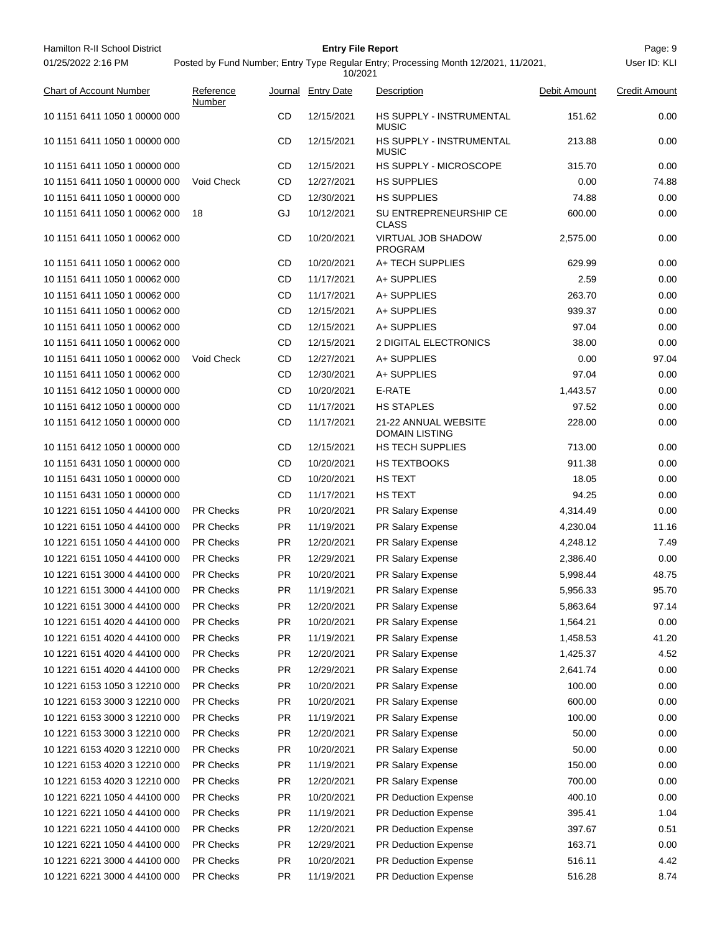| Hamilton R-II School District  |                     |           | <b>Entry File Report</b> |                                                                                     |              | Page: 9              |
|--------------------------------|---------------------|-----------|--------------------------|-------------------------------------------------------------------------------------|--------------|----------------------|
| 01/25/2022 2:16 PM             |                     |           | 10/2021                  | Posted by Fund Number; Entry Type Regular Entry; Processing Month 12/2021, 11/2021, |              | User ID: KLI         |
| <b>Chart of Account Number</b> | Reference<br>Number |           | Journal Entry Date       | Description                                                                         | Debit Amount | <b>Credit Amount</b> |
| 10 1151 6411 1050 1 00000 000  |                     | CD        | 12/15/2021               | HS SUPPLY - INSTRUMENTAL<br><b>MUSIC</b>                                            | 151.62       | 0.00                 |
| 10 1151 6411 1050 1 00000 000  |                     | CD        | 12/15/2021               | HS SUPPLY - INSTRUMENTAL<br><b>MUSIC</b>                                            | 213.88       | 0.00                 |
| 10 1151 6411 1050 1 00000 000  |                     | CD        | 12/15/2021               | HS SUPPLY - MICROSCOPE                                                              | 315.70       | 0.00                 |
| 10 1151 6411 1050 1 00000 000  | <b>Void Check</b>   | CD        | 12/27/2021               | <b>HS SUPPLIES</b>                                                                  | 0.00         | 74.88                |
| 10 1151 6411 1050 1 00000 000  |                     | CD        | 12/30/2021               | <b>HS SUPPLIES</b>                                                                  | 74.88        | 0.00                 |
| 10 1151 6411 1050 1 00062 000  | 18                  | GJ        | 10/12/2021               | SU ENTREPRENEURSHIP CE<br><b>CLASS</b>                                              | 600.00       | 0.00                 |
| 10 1151 6411 1050 1 00062 000  |                     | CD        | 10/20/2021               | <b>VIRTUAL JOB SHADOW</b><br><b>PROGRAM</b>                                         | 2,575.00     | 0.00                 |
| 10 1151 6411 1050 1 00062 000  |                     | CD        | 10/20/2021               | A+ TECH SUPPLIES                                                                    | 629.99       | 0.00                 |
| 10 1151 6411 1050 1 00062 000  |                     | CD        | 11/17/2021               | A+ SUPPLIES                                                                         | 2.59         | 0.00                 |
| 10 1151 6411 1050 1 00062 000  |                     | CD        | 11/17/2021               | A+ SUPPLIES                                                                         | 263.70       | 0.00                 |
| 10 1151 6411 1050 1 00062 000  |                     | CD        | 12/15/2021               | A+ SUPPLIES                                                                         | 939.37       | 0.00                 |
| 10 1151 6411 1050 1 00062 000  |                     | CD        | 12/15/2021               | A+ SUPPLIES                                                                         | 97.04        | 0.00                 |
| 10 1151 6411 1050 1 00062 000  |                     | CD        | 12/15/2021               | 2 DIGITAL ELECTRONICS                                                               | 38.00        | 0.00                 |
| 10 1151 6411 1050 1 00062 000  | Void Check          | CD        | 12/27/2021               | A+ SUPPLIES                                                                         | 0.00         | 97.04                |
| 10 1151 6411 1050 1 00062 000  |                     | CD        | 12/30/2021               | A+ SUPPLIES                                                                         | 97.04        | 0.00                 |
| 10 1151 6412 1050 1 00000 000  |                     | CD        | 10/20/2021               | E-RATE                                                                              | 1,443.57     | 0.00                 |
| 10 1151 6412 1050 1 00000 000  |                     | CD        | 11/17/2021               | <b>HS STAPLES</b>                                                                   | 97.52        | 0.00                 |
| 10 1151 6412 1050 1 00000 000  |                     | CD        | 11/17/2021               | 21-22 ANNUAL WEBSITE<br><b>DOMAIN LISTING</b>                                       | 228.00       | 0.00                 |
| 10 1151 6412 1050 1 00000 000  |                     | CD        | 12/15/2021               | <b>HS TECH SUPPLIES</b>                                                             | 713.00       | 0.00                 |
| 10 1151 6431 1050 1 00000 000  |                     | CD        | 10/20/2021               | HS TEXTBOOKS                                                                        | 911.38       | 0.00                 |
| 10 1151 6431 1050 1 00000 000  |                     | CD        | 10/20/2021               | HS TEXT                                                                             | 18.05        | 0.00                 |
| 10 1151 6431 1050 1 00000 000  |                     | CD        | 11/17/2021               | <b>HS TEXT</b>                                                                      | 94.25        | 0.00                 |
| 10 1221 6151 1050 4 44100 000  | <b>PR Checks</b>    | PR.       | 10/20/2021               | PR Salary Expense                                                                   | 4,314.49     | 0.00                 |
| 10 1221 6151 1050 4 44100 000  | <b>PR Checks</b>    | PR        | 11/19/2021               | PR Salary Expense                                                                   | 4,230.04     | 11.16                |
| 10 1221 6151 1050 4 44100 000  | <b>PR Checks</b>    | PR        | 12/20/2021               | PR Salary Expense                                                                   | 4,248.12     | 7.49                 |
| 10 1221 6151 1050 4 44100 000  | <b>PR Checks</b>    | <b>PR</b> | 12/29/2021               | PR Salary Expense                                                                   | 2,386.40     | 0.00                 |
| 10 1221 6151 3000 4 44100 000  | PR Checks           | PR        | 10/20/2021               | PR Salary Expense                                                                   | 5,998.44     | 48.75                |
| 10 1221 6151 3000 4 44100 000  | PR Checks           | PR        | 11/19/2021               | PR Salary Expense                                                                   | 5,956.33     | 95.70                |
| 10 1221 6151 3000 4 44100 000  | PR Checks           | PR        | 12/20/2021               | PR Salary Expense                                                                   | 5,863.64     | 97.14                |
| 10 1221 6151 4020 4 44100 000  | PR Checks           | PR        | 10/20/2021               | PR Salary Expense                                                                   | 1,564.21     | 0.00                 |
| 10 1221 6151 4020 4 44100 000  | PR Checks           | PR        | 11/19/2021               | PR Salary Expense                                                                   | 1,458.53     | 41.20                |
| 10 1221 6151 4020 4 44100 000  | PR Checks           | PR        | 12/20/2021               | PR Salary Expense                                                                   | 1,425.37     | 4.52                 |
| 10 1221 6151 4020 4 44100 000  | <b>PR Checks</b>    | <b>PR</b> | 12/29/2021               | PR Salary Expense                                                                   | 2,641.74     | 0.00                 |
| 10 1221 6153 1050 3 12210 000  | PR Checks           | PR        | 10/20/2021               | PR Salary Expense                                                                   | 100.00       | 0.00                 |
| 10 1221 6153 3000 3 12210 000  | PR Checks           | PR        | 10/20/2021               | PR Salary Expense                                                                   | 600.00       | 0.00                 |
| 10 1221 6153 3000 3 12210 000  | PR Checks           | PR        | 11/19/2021               | PR Salary Expense                                                                   | 100.00       | 0.00                 |
| 10 1221 6153 3000 3 12210 000  | PR Checks           | PR        | 12/20/2021               | PR Salary Expense                                                                   | 50.00        | 0.00                 |
| 10 1221 6153 4020 3 12210 000  | PR Checks           | PR        | 10/20/2021               | PR Salary Expense                                                                   | 50.00        | 0.00                 |
| 10 1221 6153 4020 3 12210 000  | PR Checks           | PR        | 11/19/2021               | PR Salary Expense                                                                   | 150.00       | 0.00                 |
| 10 1221 6153 4020 3 12210 000  | PR Checks           | PR        | 12/20/2021               | PR Salary Expense                                                                   | 700.00       | 0.00                 |
| 10 1221 6221 1050 4 44100 000  | <b>PR Checks</b>    | <b>PR</b> | 10/20/2021               | PR Deduction Expense                                                                | 400.10       | 0.00                 |
| 10 1221 6221 1050 4 44100 000  | PR Checks           | PR        | 11/19/2021               | PR Deduction Expense                                                                | 395.41       | 1.04                 |
| 10 1221 6221 1050 4 44100 000  | PR Checks           | PR        | 12/20/2021               | PR Deduction Expense                                                                | 397.67       | 0.51                 |
| 10 1221 6221 1050 4 44100 000  | PR Checks           | PR        | 12/29/2021               | PR Deduction Expense                                                                | 163.71       | 0.00                 |
| 10 1221 6221 3000 4 44100 000  | PR Checks           | PR        | 10/20/2021               | PR Deduction Expense                                                                | 516.11       | 4.42                 |
| 10 1221 6221 3000 4 44100 000  | PR Checks           | PR        | 11/19/2021               | PR Deduction Expense                                                                | 516.28       | 8.74                 |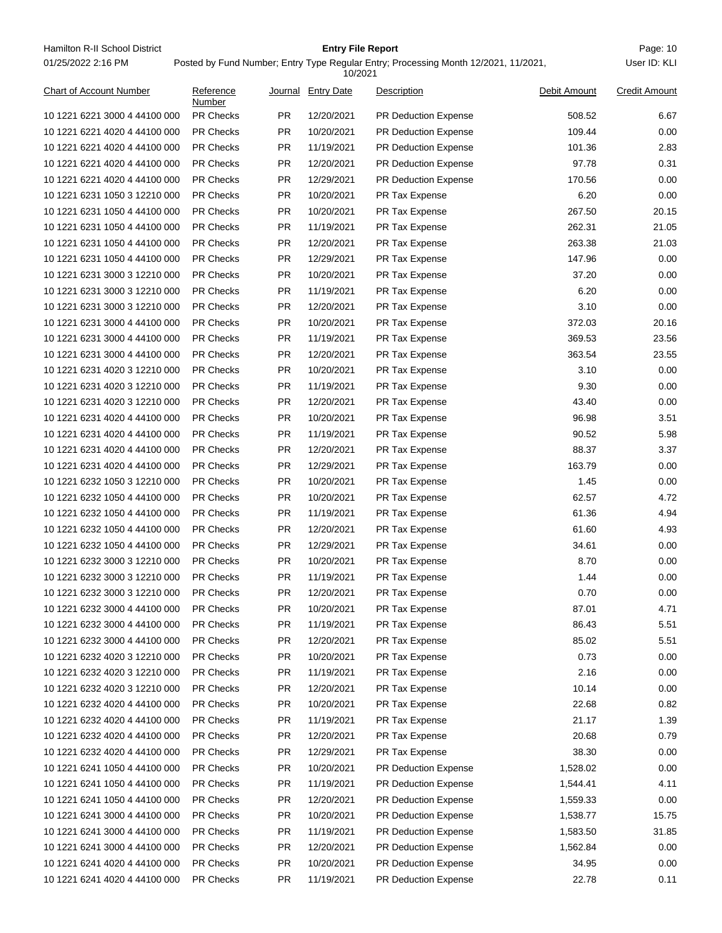Hamilton R-II School District **Entry File Report Entry File Report** Page: 10 01/25/2022 2:16 PM

## **Entry File Report**

10/2021

| <b>Chart of Account Number</b> | Reference<br>Number |           | Journal Entry Date | <b>Description</b>          | Debit Amount | <b>Credit Amount</b> |
|--------------------------------|---------------------|-----------|--------------------|-----------------------------|--------------|----------------------|
| 10 1221 6221 3000 4 44100 000  | <b>PR Checks</b>    | <b>PR</b> | 12/20/2021         | <b>PR Deduction Expense</b> | 508.52       | 6.67                 |
| 10 1221 6221 4020 4 44100 000  | PR Checks           | PR.       | 10/20/2021         | <b>PR Deduction Expense</b> | 109.44       | 0.00                 |
| 10 1221 6221 4020 4 44100 000  | PR Checks           | <b>PR</b> | 11/19/2021         | <b>PR Deduction Expense</b> | 101.36       | 2.83                 |
| 10 1221 6221 4020 4 44100 000  | PR Checks           | <b>PR</b> | 12/20/2021         | PR Deduction Expense        | 97.78        | 0.31                 |
| 10 1221 6221 4020 4 44100 000  | PR Checks           | <b>PR</b> | 12/29/2021         | PR Deduction Expense        | 170.56       | 0.00                 |
| 10 1221 6231 1050 3 12210 000  | <b>PR Checks</b>    | <b>PR</b> | 10/20/2021         | PR Tax Expense              | 6.20         | 0.00                 |
| 10 1221 6231 1050 4 44100 000  | <b>PR Checks</b>    | PR        | 10/20/2021         | PR Tax Expense              | 267.50       | 20.15                |
| 10 1221 6231 1050 4 44100 000  | <b>PR Checks</b>    | <b>PR</b> | 11/19/2021         | PR Tax Expense              | 262.31       | 21.05                |
| 10 1221 6231 1050 4 44100 000  | PR Checks           | <b>PR</b> | 12/20/2021         | PR Tax Expense              | 263.38       | 21.03                |
| 10 1221 6231 1050 4 44100 000  | PR Checks           | PR.       | 12/29/2021         | PR Tax Expense              | 147.96       | 0.00                 |
| 10 1221 6231 3000 3 12210 000  | PR Checks           | PR        | 10/20/2021         | PR Tax Expense              | 37.20        | 0.00                 |
| 10 1221 6231 3000 3 12210 000  | PR Checks           | <b>PR</b> | 11/19/2021         | PR Tax Expense              | 6.20         | 0.00                 |
| 10 1221 6231 3000 3 12210 000  | PR Checks           | <b>PR</b> | 12/20/2021         | PR Tax Expense              | 3.10         | 0.00                 |
| 10 1221 6231 3000 4 44100 000  | <b>PR Checks</b>    | <b>PR</b> | 10/20/2021         | PR Tax Expense              | 372.03       | 20.16                |
| 10 1221 6231 3000 4 44100 000  | <b>PR Checks</b>    | PR        | 11/19/2021         | PR Tax Expense              | 369.53       | 23.56                |
| 10 1221 6231 3000 4 44100 000  | <b>PR Checks</b>    | <b>PR</b> | 12/20/2021         | PR Tax Expense              | 363.54       | 23.55                |
| 10 1221 6231 4020 3 12210 000  | PR Checks           | <b>PR</b> | 10/20/2021         | PR Tax Expense              | 3.10         | 0.00                 |
| 10 1221 6231 4020 3 12210 000  | PR Checks           | PR.       | 11/19/2021         | PR Tax Expense              | 9.30         | 0.00                 |
| 10 1221 6231 4020 3 12210 000  | PR Checks           | <b>PR</b> | 12/20/2021         | PR Tax Expense              | 43.40        | 0.00                 |
| 10 1221 6231 4020 4 44100 000  | PR Checks           | <b>PR</b> | 10/20/2021         | PR Tax Expense              | 96.98        | 3.51                 |
| 10 1221 6231 4020 4 44100 000  | PR Checks           | <b>PR</b> | 11/19/2021         | PR Tax Expense              | 90.52        | 5.98                 |
| 10 1221 6231 4020 4 44100 000  | <b>PR Checks</b>    | <b>PR</b> | 12/20/2021         | PR Tax Expense              | 88.37        | 3.37                 |
| 10 1221 6231 4020 4 44100 000  | <b>PR Checks</b>    | PR        | 12/29/2021         | PR Tax Expense              | 163.79       | 0.00                 |
| 10 1221 6232 1050 3 12210 000  | <b>PR Checks</b>    | <b>PR</b> | 10/20/2021         | PR Tax Expense              | 1.45         | 0.00                 |
| 10 1221 6232 1050 4 44100 000  | PR Checks           | <b>PR</b> | 10/20/2021         | PR Tax Expense              | 62.57        | 4.72                 |
| 10 1221 6232 1050 4 44100 000  | PR Checks           | <b>PR</b> | 11/19/2021         | PR Tax Expense              | 61.36        | 4.94                 |
| 10 1221 6232 1050 4 44100 000  | PR Checks           | <b>PR</b> | 12/20/2021         | PR Tax Expense              | 61.60        | 4.93                 |
| 10 1221 6232 1050 4 44100 000  | <b>PR Checks</b>    | <b>PR</b> | 12/29/2021         | PR Tax Expense              | 34.61        | 0.00                 |
| 10 1221 6232 3000 3 12210 000  | PR Checks           | <b>PR</b> | 10/20/2021         | PR Tax Expense              | 8.70         | 0.00                 |
| 10 1221 6232 3000 3 12210 000  | <b>PR Checks</b>    | <b>PR</b> | 11/19/2021         | PR Tax Expense              |              | 0.00                 |
| 10 1221 6232 3000 3 12210 000  | <b>PR Checks</b>    | <b>PR</b> | 12/20/2021         |                             | 1.44<br>0.70 | 0.00                 |
|                                |                     |           |                    | PR Tax Expense              |              |                      |
| 10 1221 6232 3000 4 44100 000  | PR Checks           | PR        | 10/20/2021         | PR Tax Expense              | 87.01        | 4.71                 |
| 10 1221 6232 3000 4 44100 000  | PR Checks           | PR        | 11/19/2021         | PR Tax Expense              | 86.43        | 5.51                 |
| 10 1221 6232 3000 4 44100 000  | <b>PR Checks</b>    | <b>PR</b> | 12/20/2021         | PR Tax Expense              | 85.02        | 5.51                 |
| 10 1221 6232 4020 3 12210 000  | <b>PR Checks</b>    | <b>PR</b> | 10/20/2021         | PR Tax Expense              | 0.73         | 0.00                 |
| 10 1221 6232 4020 3 12210 000  | <b>PR Checks</b>    | <b>PR</b> | 11/19/2021         | PR Tax Expense              | 2.16         | 0.00                 |
| 10 1221 6232 4020 3 12210 000  | PR Checks           | <b>PR</b> | 12/20/2021         | PR Tax Expense              | 10.14        | 0.00                 |
| 10 1221 6232 4020 4 44100 000  | PR Checks           | <b>PR</b> | 10/20/2021         | PR Tax Expense              | 22.68        | 0.82                 |
| 10 1221 6232 4020 4 44100 000  | <b>PR Checks</b>    | <b>PR</b> | 11/19/2021         | PR Tax Expense              | 21.17        | 1.39                 |
| 10 1221 6232 4020 4 44100 000  | <b>PR Checks</b>    | <b>PR</b> | 12/20/2021         | PR Tax Expense              | 20.68        | 0.79                 |
| 10 1221 6232 4020 4 44100 000  | PR Checks           | <b>PR</b> | 12/29/2021         | PR Tax Expense              | 38.30        | 0.00                 |
| 10 1221 6241 1050 4 44100 000  | <b>PR Checks</b>    | <b>PR</b> | 10/20/2021         | PR Deduction Expense        | 1,528.02     | 0.00                 |
| 10 1221 6241 1050 4 44100 000  | <b>PR Checks</b>    | <b>PR</b> | 11/19/2021         | <b>PR Deduction Expense</b> | 1,544.41     | 4.11                 |
| 10 1221 6241 1050 4 44100 000  | <b>PR Checks</b>    | <b>PR</b> | 12/20/2021         | <b>PR Deduction Expense</b> | 1,559.33     | 0.00                 |
| 10 1221 6241 3000 4 44100 000  | PR Checks           | <b>PR</b> | 10/20/2021         | PR Deduction Expense        | 1,538.77     | 15.75                |
| 10 1221 6241 3000 4 44100 000  | PR Checks           | <b>PR</b> | 11/19/2021         | PR Deduction Expense        | 1,583.50     | 31.85                |
| 10 1221 6241 3000 4 44100 000  | <b>PR Checks</b>    | <b>PR</b> | 12/20/2021         | PR Deduction Expense        | 1,562.84     | 0.00                 |
| 10 1221 6241 4020 4 44100 000  | <b>PR Checks</b>    | <b>PR</b> | 10/20/2021         | PR Deduction Expense        | 34.95        | 0.00                 |
| 10 1221 6241 4020 4 44100 000  | PR Checks           | <b>PR</b> | 11/19/2021         | PR Deduction Expense        | 22.78        | 0.11                 |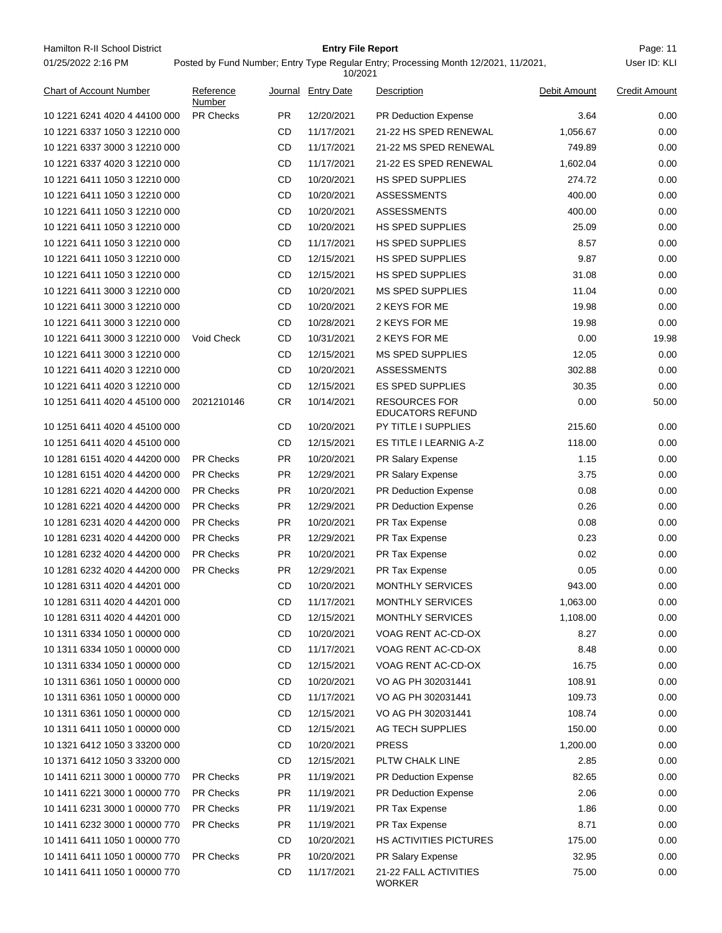| 01/25/2022 2:16 PM             | Posted by Fund Number; Entry Type Regular Entry; Processing Month 12/2021, 11/2021,<br>10/2021 |           |                    |                                                 |              |                      |  |  |
|--------------------------------|------------------------------------------------------------------------------------------------|-----------|--------------------|-------------------------------------------------|--------------|----------------------|--|--|
| <b>Chart of Account Number</b> | Reference<br>Number                                                                            |           | Journal Entry Date | Description                                     | Debit Amount | <b>Credit Amount</b> |  |  |
| 10 1221 6241 4020 4 44100 000  | <b>PR Checks</b>                                                                               | PR.       | 12/20/2021         | <b>PR Deduction Expense</b>                     | 3.64         | 0.00                 |  |  |
| 10 1221 6337 1050 3 12210 000  |                                                                                                | CD        | 11/17/2021         | 21-22 HS SPED RENEWAL                           | 1,056.67     | 0.00                 |  |  |
| 10 1221 6337 3000 3 12210 000  |                                                                                                | CD        | 11/17/2021         | 21-22 MS SPED RENEWAL                           | 749.89       | 0.00                 |  |  |
| 10 1221 6337 4020 3 12210 000  |                                                                                                | CD        | 11/17/2021         | 21-22 ES SPED RENEWAL                           | 1,602.04     | 0.00                 |  |  |
| 10 1221 6411 1050 3 12210 000  |                                                                                                | CD        | 10/20/2021         | <b>HS SPED SUPPLIES</b>                         | 274.72       | 0.00                 |  |  |
| 10 1221 6411 1050 3 12210 000  |                                                                                                | CD        | 10/20/2021         | <b>ASSESSMENTS</b>                              | 400.00       | 0.00                 |  |  |
| 10 1221 6411 1050 3 12210 000  |                                                                                                | CD        | 10/20/2021         | <b>ASSESSMENTS</b>                              | 400.00       | 0.00                 |  |  |
| 10 1221 6411 1050 3 12210 000  |                                                                                                | CD        | 10/20/2021         | HS SPED SUPPLIES                                | 25.09        | 0.00                 |  |  |
| 10 1221 6411 1050 3 12210 000  |                                                                                                | CD        | 11/17/2021         | <b>HS SPED SUPPLIES</b>                         | 8.57         | 0.00                 |  |  |
| 10 1221 6411 1050 3 12210 000  |                                                                                                | CD        | 12/15/2021         | <b>HS SPED SUPPLIES</b>                         | 9.87         | 0.00                 |  |  |
| 10 1221 6411 1050 3 12210 000  |                                                                                                | CD        | 12/15/2021         | <b>HS SPED SUPPLIES</b>                         | 31.08        | 0.00                 |  |  |
| 10 1221 6411 3000 3 12210 000  |                                                                                                | CD        | 10/20/2021         | <b>MS SPED SUPPLIES</b>                         | 11.04        | 0.00                 |  |  |
| 10 1221 6411 3000 3 12210 000  |                                                                                                | CD        | 10/20/2021         | 2 KEYS FOR ME                                   | 19.98        | 0.00                 |  |  |
| 10 1221 6411 3000 3 12210 000  |                                                                                                | CD        | 10/28/2021         | 2 KEYS FOR ME                                   | 19.98        | 0.00                 |  |  |
| 10 1221 6411 3000 3 12210 000  | Void Check                                                                                     | CD        | 10/31/2021         | 2 KEYS FOR ME                                   | 0.00         | 19.98                |  |  |
| 10 1221 6411 3000 3 12210 000  |                                                                                                | CD        | 12/15/2021         | <b>MS SPED SUPPLIES</b>                         | 12.05        | 0.00                 |  |  |
| 10 1221 6411 4020 3 12210 000  |                                                                                                | CD        | 10/20/2021         | <b>ASSESSMENTS</b>                              | 302.88       | 0.00                 |  |  |
| 10 1221 6411 4020 3 12210 000  |                                                                                                | CD        | 12/15/2021         | <b>ES SPED SUPPLIES</b>                         | 30.35        | 0.00                 |  |  |
| 10 1251 6411 4020 4 45100 000  | 2021210146                                                                                     | <b>CR</b> | 10/14/2021         | <b>RESOURCES FOR</b><br><b>EDUCATORS REFUND</b> | 0.00         | 50.00                |  |  |
| 10 1251 6411 4020 4 45100 000  |                                                                                                | CD        | 10/20/2021         | PY TITLE I SUPPLIES                             | 215.60       | 0.00                 |  |  |
| 10 1251 6411 4020 4 45100 000  |                                                                                                | CD        | 12/15/2021         | ES TITLE I LEARNIG A-Z                          | 118.00       | 0.00                 |  |  |
| 10 1281 6151 4020 4 44200 000  | <b>PR Checks</b>                                                                               | PR        | 10/20/2021         | PR Salary Expense                               | 1.15         | 0.00                 |  |  |
| 10 1281 6151 4020 4 44200 000  | <b>PR Checks</b>                                                                               | PR.       | 12/29/2021         | PR Salary Expense                               | 3.75         | 0.00                 |  |  |
| 10 1281 6221 4020 4 44200 000  | <b>PR Checks</b>                                                                               | PR.       | 10/20/2021         | <b>PR Deduction Expense</b>                     | 0.08         | 0.00                 |  |  |
| 10 1281 6221 4020 4 44200 000  | <b>PR Checks</b>                                                                               | <b>PR</b> | 12/29/2021         | <b>PR Deduction Expense</b>                     | 0.26         | 0.00                 |  |  |
| 10 1281 6231 4020 4 44200 000  | <b>PR Checks</b>                                                                               | <b>PR</b> | 10/20/2021         | PR Tax Expense                                  | 0.08         | 0.00                 |  |  |
| 10 1281 6231 4020 4 44200 000  | <b>PR Checks</b>                                                                               | PR.       | 12/29/2021         | PR Tax Expense                                  | 0.23         | 0.00                 |  |  |
| 10 1281 6232 4020 4 44200 000  | <b>PR Checks</b>                                                                               | <b>PR</b> | 10/20/2021         | PR Tax Expense                                  | 0.02         | 0.00                 |  |  |
| 10 1281 6232 4020 4 44200 000  | <b>PR Checks</b>                                                                               | <b>PR</b> | 12/29/2021         | PR Tax Expense                                  | 0.05         | 0.00                 |  |  |
| 10 1281 6311 4020 4 44201 000  |                                                                                                | CD        | 10/20/2021         | MONTHLY SERVICES                                | 943.00       | 0.00                 |  |  |
| 10 1281 6311 4020 4 44201 000  |                                                                                                | CD        | 11/17/2021         | <b>MONTHLY SERVICES</b>                         | 1,063.00     | 0.00                 |  |  |
| 10 1281 6311 4020 4 44201 000  |                                                                                                | CD        | 12/15/2021         | MONTHLY SERVICES                                | 1,108.00     | 0.00                 |  |  |
| 10 1311 6334 1050 1 00000 000  |                                                                                                | CD        | 10/20/2021         | VOAG RENT AC-CD-OX                              | 8.27         | 0.00                 |  |  |
| 10 1311 6334 1050 1 00000 000  |                                                                                                | CD        | 11/17/2021         | VOAG RENT AC-CD-OX                              | 8.48         | 0.00                 |  |  |
| 10 1311 6334 1050 1 00000 000  |                                                                                                | CD        | 12/15/2021         | VOAG RENT AC-CD-OX                              | 16.75        | 0.00                 |  |  |
| 10 1311 6361 1050 1 00000 000  |                                                                                                | CD        | 10/20/2021         | VO AG PH 302031441                              | 108.91       | 0.00                 |  |  |
| 10 1311 6361 1050 1 00000 000  |                                                                                                | CD        | 11/17/2021         | VO AG PH 302031441                              | 109.73       | 0.00                 |  |  |
| 10 1311 6361 1050 1 00000 000  |                                                                                                | CD        | 12/15/2021         | VO AG PH 302031441                              | 108.74       | 0.00                 |  |  |
| 10 1311 6411 1050 1 00000 000  |                                                                                                | CD        | 12/15/2021         | AG TECH SUPPLIES                                | 150.00       | 0.00                 |  |  |
| 10 1321 6412 1050 3 33200 000  |                                                                                                | CD        | 10/20/2021         | <b>PRESS</b>                                    | 1,200.00     | 0.00                 |  |  |
| 10 1371 6412 1050 3 33200 000  |                                                                                                | CD        | 12/15/2021         | PLTW CHALK LINE                                 | 2.85         | 0.00                 |  |  |
| 10 1411 6211 3000 1 00000 770  | <b>PR Checks</b>                                                                               | PR.       | 11/19/2021         | <b>PR Deduction Expense</b>                     | 82.65        | 0.00                 |  |  |
| 10 1411 6221 3000 1 00000 770  | <b>PR Checks</b>                                                                               | PR.       | 11/19/2021         | <b>PR Deduction Expense</b>                     | 2.06         | 0.00                 |  |  |
| 10 1411 6231 3000 1 00000 770  | <b>PR Checks</b>                                                                               | PR.       | 11/19/2021         | PR Tax Expense                                  | 1.86         | 0.00                 |  |  |
| 10 1411 6232 3000 1 00000 770  | <b>PR Checks</b>                                                                               | PR.       | 11/19/2021         | PR Tax Expense                                  | 8.71         | 0.00                 |  |  |
| 10 1411 6411 1050 1 00000 770  |                                                                                                | CD        | 10/20/2021         | HS ACTIVITIES PICTURES                          | 175.00       | 0.00                 |  |  |
| 10 1411 6411 1050 1 00000 770  | <b>PR Checks</b>                                                                               | <b>PR</b> | 10/20/2021         | PR Salary Expense                               | 32.95        | 0.00                 |  |  |
| 10 1411 6411 1050 1 00000 770  |                                                                                                | CD        | 11/17/2021         | 21-22 FALL ACTIVITIES<br><b>WORKER</b>          | 75.00        | 0.00                 |  |  |

Hamilton R-II School District **Entry File Report Entry File Report** Page: 11

**Entry File Report**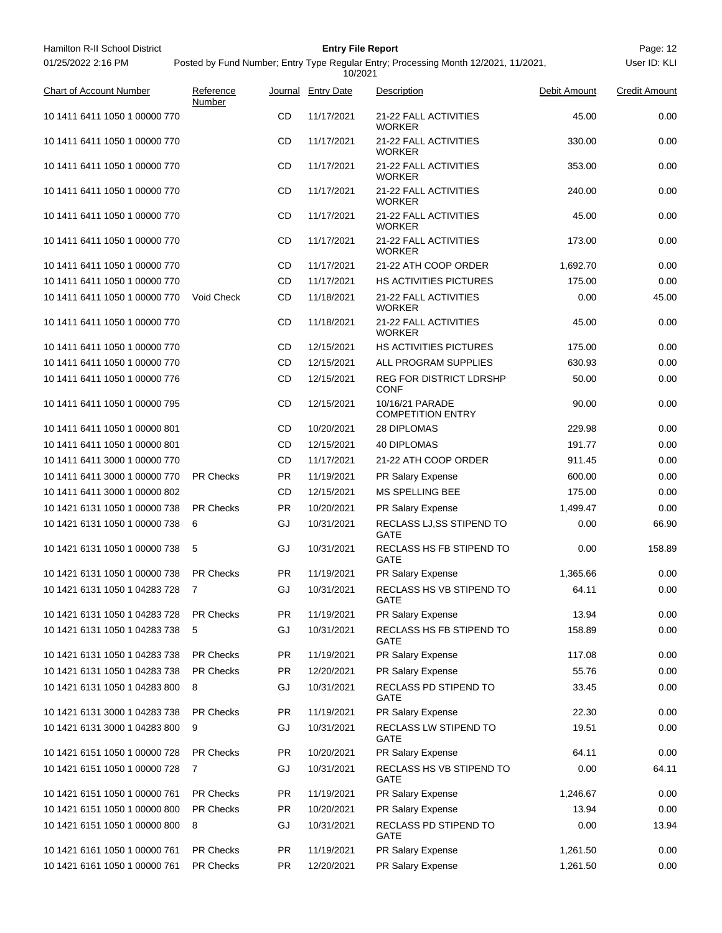| Hamilton R-II School District  |                     |           | <b>Entry File Report</b> |                                                                                     |              | Page: 12      |
|--------------------------------|---------------------|-----------|--------------------------|-------------------------------------------------------------------------------------|--------------|---------------|
| 01/25/2022 2:16 PM             |                     |           | 10/2021                  | Posted by Fund Number; Entry Type Regular Entry; Processing Month 12/2021, 11/2021, |              | User ID: KLI  |
| <b>Chart of Account Number</b> | Reference<br>Number |           | Journal Entry Date       | Description                                                                         | Debit Amount | Credit Amount |
| 10 1411 6411 1050 1 00000 770  |                     | CD        | 11/17/2021               | 21-22 FALL ACTIVITIES<br><b>WORKER</b>                                              | 45.00        | 0.00          |
| 10 1411 6411 1050 1 00000 770  |                     | CD        | 11/17/2021               | 21-22 FALL ACTIVITIES<br><b>WORKER</b>                                              | 330.00       | 0.00          |
| 10 1411 6411 1050 1 00000 770  |                     | CD        | 11/17/2021               | 21-22 FALL ACTIVITIES<br><b>WORKER</b>                                              | 353.00       | 0.00          |
| 10 1411 6411 1050 1 00000 770  |                     | CD        | 11/17/2021               | 21-22 FALL ACTIVITIES<br>WORKER                                                     | 240.00       | 0.00          |
| 10 1411 6411 1050 1 00000 770  |                     | CD        | 11/17/2021               | 21-22 FALL ACTIVITIES<br><b>WORKER</b>                                              | 45.00        | 0.00          |
| 10 1411 6411 1050 1 00000 770  |                     | CD        | 11/17/2021               | 21-22 FALL ACTIVITIES<br><b>WORKER</b>                                              | 173.00       | 0.00          |
| 10 1411 6411 1050 1 00000 770  |                     | CD        | 11/17/2021               | 21-22 ATH COOP ORDER                                                                | 1,692.70     | 0.00          |
| 10 1411 6411 1050 1 00000 770  |                     | CD        | 11/17/2021               | <b>HS ACTIVITIES PICTURES</b>                                                       | 175.00       | 0.00          |
| 10 1411 6411 1050 1 00000 770  | Void Check          | CD        | 11/18/2021               | 21-22 FALL ACTIVITIES<br><b>WORKER</b>                                              | 0.00         | 45.00         |
| 10 1411 6411 1050 1 00000 770  |                     | CD        | 11/18/2021               | 21-22 FALL ACTIVITIES<br><b>WORKER</b>                                              | 45.00        | 0.00          |
| 10 1411 6411 1050 1 00000 770  |                     | CD        | 12/15/2021               | <b>HS ACTIVITIES PICTURES</b>                                                       | 175.00       | 0.00          |
| 10 1411 6411 1050 1 00000 770  |                     | CD        | 12/15/2021               | ALL PROGRAM SUPPLIES                                                                | 630.93       | 0.00          |
| 10 1411 6411 1050 1 00000 776  |                     | CD        | 12/15/2021               | <b>REG FOR DISTRICT LDRSHP</b><br><b>CONF</b>                                       | 50.00        | 0.00          |
| 10 1411 6411 1050 1 00000 795  |                     | CD        | 12/15/2021               | 10/16/21 PARADE<br><b>COMPETITION ENTRY</b>                                         | 90.00        | 0.00          |
| 10 1411 6411 1050 1 00000 801  |                     | CD        | 10/20/2021               | 28 DIPLOMAS                                                                         | 229.98       | 0.00          |
| 10 1411 6411 1050 1 00000 801  |                     | CD        | 12/15/2021               | <b>40 DIPLOMAS</b>                                                                  | 191.77       | 0.00          |
| 10 1411 6411 3000 1 00000 770  |                     | CD        | 11/17/2021               | 21-22 ATH COOP ORDER                                                                | 911.45       | 0.00          |
| 10 1411 6411 3000 1 00000 770  | <b>PR Checks</b>    | PR.       | 11/19/2021               | PR Salary Expense                                                                   | 600.00       | 0.00          |
| 10 1411 6411 3000 1 00000 802  |                     | CD        | 12/15/2021               | <b>MS SPELLING BEE</b>                                                              | 175.00       | 0.00          |
| 10 1421 6131 1050 1 00000 738  | <b>PR Checks</b>    | PR.       | 10/20/2021               | PR Salary Expense                                                                   | 1,499.47     | 0.00          |
| 10 1421 6131 1050 1 00000 738  | 6                   | GJ        | 10/31/2021               | RECLASS LJ, SS STIPEND TO<br><b>GATE</b>                                            | 0.00         | 66.90         |
| 10 1421 6131 1050 1 00000 738  | 5                   | GJ        | 10/31/2021               | RECLASS HS FB STIPEND TO<br><b>GATE</b>                                             | 0.00         | 158.89        |
| 10 1421 6131 1050 1 00000 738  | PR Checks           | <b>PR</b> | 11/19/2021               | PR Salary Expense                                                                   | 1,365.66     | 0.00          |
| 10 1421 6131 1050 1 04283 728  | 7                   | GJ        | 10/31/2021               | RECLASS HS VB STIPEND TO<br><b>GATE</b>                                             | 64.11        | 0.00          |
| 10 1421 6131 1050 1 04283 728  | <b>PR Checks</b>    | <b>PR</b> | 11/19/2021               | PR Salary Expense                                                                   | 13.94        | 0.00          |
| 10 1421 6131 1050 1 04283 738  | 5                   | GJ        | 10/31/2021               | RECLASS HS FB STIPEND TO<br>GATE                                                    | 158.89       | 0.00          |
| 10 1421 6131 1050 1 04283 738  | <b>PR Checks</b>    | <b>PR</b> | 11/19/2021               | PR Salary Expense                                                                   | 117.08       | 0.00          |
| 10 1421 6131 1050 1 04283 738  | <b>PR Checks</b>    | PR.       | 12/20/2021               | PR Salary Expense                                                                   | 55.76        | 0.00          |
| 10 1421 6131 1050 1 04283 800  | 8                   | GJ        | 10/31/2021               | <b>RECLASS PD STIPEND TO</b><br>GATE                                                | 33.45        | 0.00          |
| 10 1421 6131 3000 1 04283 738  | <b>PR Checks</b>    | <b>PR</b> | 11/19/2021               | PR Salary Expense                                                                   | 22.30        | 0.00          |
| 10 1421 6131 3000 1 04283 800  | 9                   | GJ        | 10/31/2021               | RECLASS LW STIPEND TO<br>GATE                                                       | 19.51        | 0.00          |
| 10 1421 6151 1050 1 00000 728  | <b>PR Checks</b>    | <b>PR</b> | 10/20/2021               | PR Salary Expense                                                                   | 64.11        | 0.00          |
| 10 1421 6151 1050 1 00000 728  | 7                   | GJ        | 10/31/2021               | RECLASS HS VB STIPEND TO<br>GATE                                                    | 0.00         | 64.11         |
| 10 1421 6151 1050 1 00000 761  | <b>PR Checks</b>    | <b>PR</b> | 11/19/2021               | PR Salary Expense                                                                   | 1,246.67     | 0.00          |
| 10 1421 6151 1050 1 00000 800  | PR Checks           | PR        | 10/20/2021               | PR Salary Expense                                                                   | 13.94        | 0.00          |
| 10 1421 6151 1050 1 00000 800  | 8                   | GJ        | 10/31/2021               | RECLASS PD STIPEND TO<br>GATE                                                       | 0.00         | 13.94         |
| 10 1421 6161 1050 1 00000 761  | <b>PR Checks</b>    | <b>PR</b> | 11/19/2021               | PR Salary Expense                                                                   | 1,261.50     | 0.00          |
| 10 1421 6161 1050 1 00000 761  | PR Checks           | <b>PR</b> | 12/20/2021               | PR Salary Expense                                                                   | 1,261.50     | 0.00          |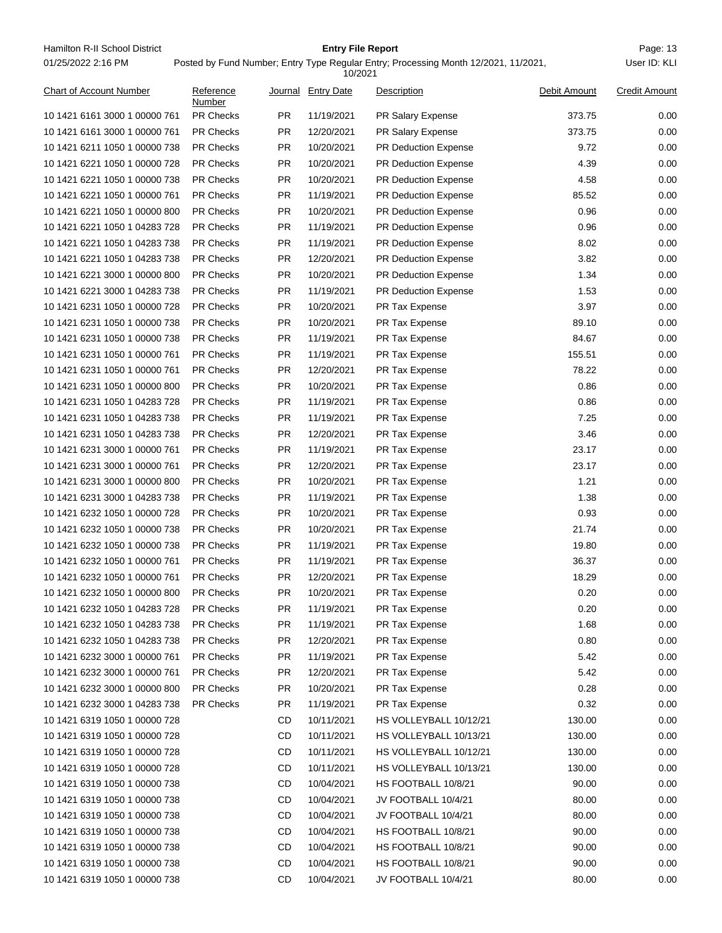Hamilton R-II School District **Entry File Report Entry File Report** Page: 13 01/25/2022 2:16 PM

## **Entry File Report**

### Posted by Fund Number; Entry Type Regular Entry; Processing Month 12/2021, 11/2021,

|                                |                     |           | 10/2021            |                             |              |                      |
|--------------------------------|---------------------|-----------|--------------------|-----------------------------|--------------|----------------------|
| <b>Chart of Account Number</b> | Reference<br>Number |           | Journal Entry Date | Description                 | Debit Amount | <b>Credit Amount</b> |
| 10 1421 6161 3000 1 00000 761  | <b>PR Checks</b>    | <b>PR</b> | 11/19/2021         | PR Salary Expense           | 373.75       | 0.00                 |
| 10 1421 6161 3000 1 00000 761  | <b>PR Checks</b>    | <b>PR</b> | 12/20/2021         | PR Salary Expense           | 373.75       | 0.00                 |
| 10 1421 6211 1050 1 00000 738  | <b>PR Checks</b>    | <b>PR</b> | 10/20/2021         | PR Deduction Expense        | 9.72         | 0.00                 |
| 10 1421 6221 1050 1 00000 728  | <b>PR Checks</b>    | <b>PR</b> | 10/20/2021         | PR Deduction Expense        | 4.39         | 0.00                 |
| 10 1421 6221 1050 1 00000 738  | <b>PR Checks</b>    | <b>PR</b> | 10/20/2021         | <b>PR Deduction Expense</b> | 4.58         | 0.00                 |
| 10 1421 6221 1050 1 00000 761  | <b>PR Checks</b>    | PR        | 11/19/2021         | <b>PR Deduction Expense</b> | 85.52        | 0.00                 |
| 10 1421 6221 1050 1 00000 800  | PR Checks           | <b>PR</b> | 10/20/2021         | PR Deduction Expense        | 0.96         | 0.00                 |
| 10 1421 6221 1050 1 04283 728  | <b>PR Checks</b>    | <b>PR</b> | 11/19/2021         | PR Deduction Expense        | 0.96         | 0.00                 |
| 10 1421 6221 1050 1 04283 738  | <b>PR Checks</b>    | <b>PR</b> | 11/19/2021         | PR Deduction Expense        | 8.02         | 0.00                 |
| 10 1421 6221 1050 1 04283 738  | <b>PR Checks</b>    | <b>PR</b> | 12/20/2021         | PR Deduction Expense        | 3.82         | 0.00                 |
| 10 1421 6221 3000 1 00000 800  | <b>PR Checks</b>    | <b>PR</b> | 10/20/2021         | PR Deduction Expense        | 1.34         | 0.00                 |
| 10 1421 6221 3000 1 04283 738  | <b>PR Checks</b>    | <b>PR</b> | 11/19/2021         | PR Deduction Expense        | 1.53         | 0.00                 |
| 10 1421 6231 1050 1 00000 728  | <b>PR Checks</b>    | <b>PR</b> | 10/20/2021         | PR Tax Expense              | 3.97         | 0.00                 |
| 10 1421 6231 1050 1 00000 738  | <b>PR Checks</b>    | <b>PR</b> | 10/20/2021         | PR Tax Expense              | 89.10        | 0.00                 |
| 10 1421 6231 1050 1 00000 738  | <b>PR Checks</b>    | <b>PR</b> | 11/19/2021         | PR Tax Expense              | 84.67        | 0.00                 |
| 10 1421 6231 1050 1 00000 761  | <b>PR Checks</b>    | <b>PR</b> | 11/19/2021         | PR Tax Expense              | 155.51       | 0.00                 |
| 10 1421 6231 1050 1 00000 761  | <b>PR Checks</b>    | <b>PR</b> | 12/20/2021         | PR Tax Expense              | 78.22        | 0.00                 |
| 10 1421 6231 1050 1 00000 800  | <b>PR Checks</b>    | <b>PR</b> | 10/20/2021         | PR Tax Expense              | 0.86         | 0.00                 |
| 10 1421 6231 1050 1 04283 728  | <b>PR Checks</b>    | <b>PR</b> | 11/19/2021         | PR Tax Expense              | 0.86         | 0.00                 |
| 10 1421 6231 1050 1 04283 738  | <b>PR Checks</b>    | <b>PR</b> | 11/19/2021         | PR Tax Expense              | 7.25         | 0.00                 |
| 10 1421 6231 1050 1 04283 738  | <b>PR Checks</b>    | <b>PR</b> | 12/20/2021         | PR Tax Expense              | 3.46         | 0.00                 |
| 10 1421 6231 3000 1 00000 761  | <b>PR Checks</b>    | <b>PR</b> | 11/19/2021         | PR Tax Expense              | 23.17        | 0.00                 |
| 10 1421 6231 3000 1 00000 761  | <b>PR Checks</b>    | <b>PR</b> | 12/20/2021         | PR Tax Expense              | 23.17        | 0.00                 |
| 10 1421 6231 3000 1 00000 800  | <b>PR Checks</b>    | <b>PR</b> | 10/20/2021         | PR Tax Expense              | 1.21         | 0.00                 |
| 10 1421 6231 3000 1 04283 738  | <b>PR Checks</b>    | <b>PR</b> | 11/19/2021         | PR Tax Expense              | 1.38         | 0.00                 |
| 10 1421 6232 1050 1 00000 728  | <b>PR Checks</b>    | <b>PR</b> | 10/20/2021         | PR Tax Expense              | 0.93         | 0.00                 |
| 10 1421 6232 1050 1 00000 738  | <b>PR Checks</b>    | <b>PR</b> | 10/20/2021         | PR Tax Expense              | 21.74        | 0.00                 |
| 10 1421 6232 1050 1 00000 738  | <b>PR Checks</b>    | <b>PR</b> | 11/19/2021         | PR Tax Expense              | 19.80        | 0.00                 |
| 10 1421 6232 1050 1 00000 761  | <b>PR Checks</b>    | <b>PR</b> | 11/19/2021         | PR Tax Expense              | 36.37        | 0.00                 |
| 10 1421 6232 1050 1 00000 761  | <b>PR Checks</b>    | <b>PR</b> | 12/20/2021         | PR Tax Expense              | 18.29        | 0.00                 |
| 10 1421 6232 1050 1 00000 800  | <b>PR Checks</b>    | PR.       | 10/20/2021         | PR Tax Expense              | 0.20         | 0.00                 |
| 10 1421 6232 1050 1 04283 728  | <b>PR Checks</b>    | PR.       | 11/19/2021         | PR Tax Expense              | 0.20         | 0.00                 |
| 10 1421 6232 1050 1 04283 738  | PR Checks           | <b>PR</b> | 11/19/2021         | PR Tax Expense              | 1.68         | 0.00                 |
| 10 1421 6232 1050 1 04283 738  | PR Checks           | <b>PR</b> | 12/20/2021         | PR Tax Expense              | 0.80         | 0.00                 |
| 10 1421 6232 3000 1 00000 761  | <b>PR Checks</b>    | <b>PR</b> | 11/19/2021         | PR Tax Expense              | 5.42         | 0.00                 |
| 10 1421 6232 3000 1 00000 761  | PR Checks           | PR.       | 12/20/2021         | PR Tax Expense              | 5.42         | 0.00                 |
| 10 1421 6232 3000 1 00000 800  | PR Checks           | <b>PR</b> | 10/20/2021         | PR Tax Expense              | 0.28         | 0.00                 |
| 10 1421 6232 3000 1 04283 738  | PR Checks           | <b>PR</b> | 11/19/2021         | PR Tax Expense              | 0.32         | 0.00                 |
| 10 1421 6319 1050 1 00000 728  |                     | CD        | 10/11/2021         | HS VOLLEYBALL 10/12/21      | 130.00       | 0.00                 |
| 10 1421 6319 1050 1 00000 728  |                     | CD        | 10/11/2021         | HS VOLLEYBALL 10/13/21      | 130.00       | 0.00                 |
| 10 1421 6319 1050 1 00000 728  |                     | CD        | 10/11/2021         | HS VOLLEYBALL 10/12/21      | 130.00       | 0.00                 |
| 10 1421 6319 1050 1 00000 728  |                     | CD        | 10/11/2021         | HS VOLLEYBALL 10/13/21      | 130.00       | 0.00                 |
| 10 1421 6319 1050 1 00000 738  |                     | CD        | 10/04/2021         | HS FOOTBALL 10/8/21         | 90.00        | 0.00                 |
| 10 1421 6319 1050 1 00000 738  |                     | CD        | 10/04/2021         | JV FOOTBALL 10/4/21         | 80.00        | 0.00                 |
| 10 1421 6319 1050 1 00000 738  |                     | CD        | 10/04/2021         | JV FOOTBALL 10/4/21         | 80.00        | 0.00                 |
| 10 1421 6319 1050 1 00000 738  |                     | CD        | 10/04/2021         | HS FOOTBALL 10/8/21         | 90.00        | 0.00                 |
| 10 1421 6319 1050 1 00000 738  |                     | CD        | 10/04/2021         | HS FOOTBALL 10/8/21         | 90.00        | 0.00                 |
| 10 1421 6319 1050 1 00000 738  |                     | CD        | 10/04/2021         | HS FOOTBALL 10/8/21         | 90.00        | 0.00                 |
| 10 1421 6319 1050 1 00000 738  |                     | CD        | 10/04/2021         | JV FOOTBALL 10/4/21         | 80.00        | 0.00                 |
|                                |                     |           |                    |                             |              |                      |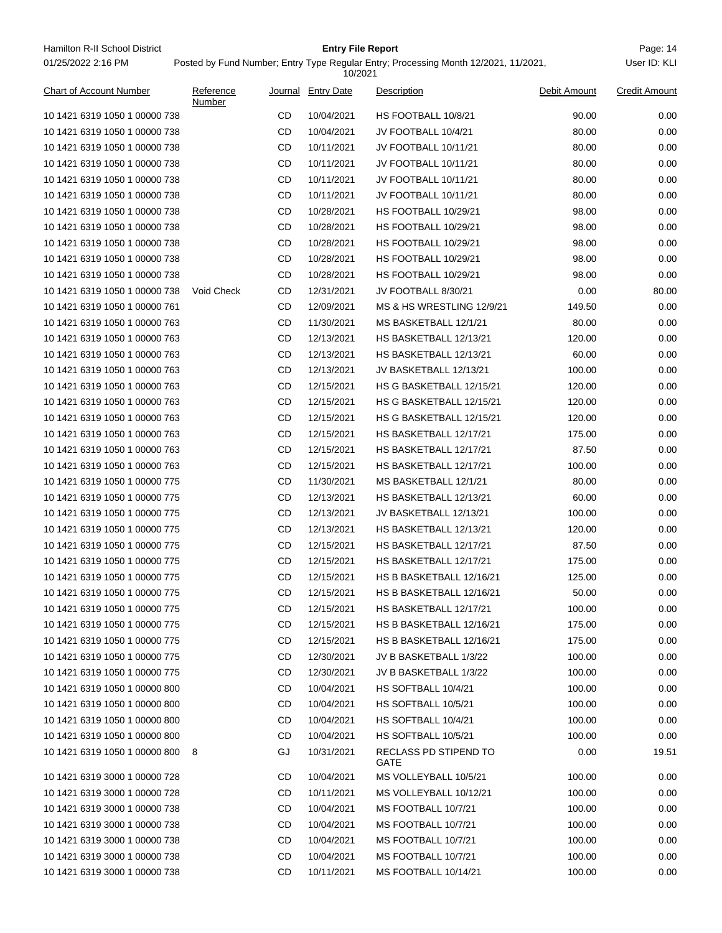| 01/25/2022 2:16 PM             |                     |    | 10/2021            | Posted by Fund Number; Entry Type Regular Entry; Processing Month 12/2021, 11/2021, |              | User ID: KLI         |
|--------------------------------|---------------------|----|--------------------|-------------------------------------------------------------------------------------|--------------|----------------------|
| <b>Chart of Account Number</b> | Reference<br>Number |    | Journal Entry Date | Description                                                                         | Debit Amount | <b>Credit Amount</b> |
| 10 1421 6319 1050 1 00000 738  |                     | CD | 10/04/2021         | HS FOOTBALL 10/8/21                                                                 | 90.00        | 0.00                 |
| 10 1421 6319 1050 1 00000 738  |                     | CD | 10/04/2021         | JV FOOTBALL 10/4/21                                                                 | 80.00        | 0.00                 |
| 10 1421 6319 1050 1 00000 738  |                     | CD | 10/11/2021         | JV FOOTBALL 10/11/21                                                                | 80.00        | 0.00                 |
| 10 1421 6319 1050 1 00000 738  |                     | CD | 10/11/2021         | JV FOOTBALL 10/11/21                                                                | 80.00        | 0.00                 |
| 10 1421 6319 1050 1 00000 738  |                     | CD | 10/11/2021         | JV FOOTBALL 10/11/21                                                                | 80.00        | 0.00                 |
| 10 1421 6319 1050 1 00000 738  |                     | CD | 10/11/2021         | JV FOOTBALL 10/11/21                                                                | 80.00        | 0.00                 |
| 10 1421 6319 1050 1 00000 738  |                     | CD | 10/28/2021         | HS FOOTBALL 10/29/21                                                                | 98.00        | 0.00                 |
| 10 1421 6319 1050 1 00000 738  |                     | CD | 10/28/2021         | HS FOOTBALL 10/29/21                                                                | 98.00        | 0.00                 |
| 10 1421 6319 1050 1 00000 738  |                     | CD | 10/28/2021         | HS FOOTBALL 10/29/21                                                                | 98.00        | 0.00                 |
| 10 1421 6319 1050 1 00000 738  |                     | CD | 10/28/2021         | HS FOOTBALL 10/29/21                                                                | 98.00        | 0.00                 |
| 10 1421 6319 1050 1 00000 738  |                     | CD | 10/28/2021         | HS FOOTBALL 10/29/21                                                                | 98.00        | 0.00                 |
| 10 1421 6319 1050 1 00000 738  | Void Check          | CD | 12/31/2021         | JV FOOTBALL 8/30/21                                                                 | 0.00         | 80.00                |
| 10 1421 6319 1050 1 00000 761  |                     | CD | 12/09/2021         | MS & HS WRESTLING 12/9/21                                                           | 149.50       | 0.00                 |
| 10 1421 6319 1050 1 00000 763  |                     | CD | 11/30/2021         | MS BASKETBALL 12/1/21                                                               | 80.00        | 0.00                 |
| 10 1421 6319 1050 1 00000 763  |                     | CD | 12/13/2021         | HS BASKETBALL 12/13/21                                                              | 120.00       | 0.00                 |
| 10 1421 6319 1050 1 00000 763  |                     | CD | 12/13/2021         | HS BASKETBALL 12/13/21                                                              | 60.00        | 0.00                 |
| 10 1421 6319 1050 1 00000 763  |                     | CD | 12/13/2021         | JV BASKETBALL 12/13/21                                                              | 100.00       | 0.00                 |
| 10 1421 6319 1050 1 00000 763  |                     | CD | 12/15/2021         | HS G BASKETBALL 12/15/21                                                            | 120.00       | 0.00                 |
| 10 1421 6319 1050 1 00000 763  |                     | CD | 12/15/2021         | HS G BASKETBALL 12/15/21                                                            | 120.00       | 0.00                 |
| 10 1421 6319 1050 1 00000 763  |                     | CD | 12/15/2021         | HS G BASKETBALL 12/15/21                                                            | 120.00       | 0.00                 |
| 10 1421 6319 1050 1 00000 763  |                     | CD | 12/15/2021         | HS BASKETBALL 12/17/21                                                              | 175.00       | 0.00                 |
| 10 1421 6319 1050 1 00000 763  |                     | CD | 12/15/2021         | HS BASKETBALL 12/17/21                                                              | 87.50        | 0.00                 |
| 10 1421 6319 1050 1 00000 763  |                     | CD | 12/15/2021         | HS BASKETBALL 12/17/21                                                              | 100.00       | 0.00                 |
| 10 1421 6319 1050 1 00000 775  |                     | CD | 11/30/2021         | MS BASKETBALL 12/1/21                                                               | 80.00        | 0.00                 |
| 10 1421 6319 1050 1 00000 775  |                     | CD | 12/13/2021         | HS BASKETBALL 12/13/21                                                              | 60.00        | 0.00                 |
| 10 1421 6319 1050 1 00000 775  |                     | CD | 12/13/2021         | JV BASKETBALL 12/13/21                                                              | 100.00       | 0.00                 |
| 10 1421 6319 1050 1 00000 775  |                     | CD | 12/13/2021         | HS BASKETBALL 12/13/21                                                              | 120.00       | 0.00                 |
| 10 1421 6319 1050 1 00000 775  |                     | CD | 12/15/2021         | HS BASKETBALL 12/17/21                                                              | 87.50        | 0.00                 |
| 10 1421 6319 1050 1 00000 775  |                     | CD | 12/15/2021         | HS BASKETBALL 12/17/21                                                              | 175.00       | 0.00                 |
| 10 1421 6319 1050 1 00000 775  |                     | CD | 12/15/2021         | HS B BASKETBALL 12/16/21                                                            | 125.00       | 0.00                 |
| 10 1421 6319 1050 1 00000 775  |                     | CD | 12/15/2021         | HS B BASKETBALL 12/16/21                                                            | 50.00        | 0.00                 |
| 10 1421 6319 1050 1 00000 775  |                     | CD | 12/15/2021         | HS BASKETBALL 12/17/21                                                              | 100.00       | 0.00                 |
| 10 1421 6319 1050 1 00000 775  |                     | CD | 12/15/2021         | HS B BASKETBALL 12/16/21                                                            | 175.00       | 0.00                 |
| 10 1421 6319 1050 1 00000 775  |                     | CD | 12/15/2021         | HS B BASKETBALL 12/16/21                                                            | 175.00       | 0.00                 |
| 10 1421 6319 1050 1 00000 775  |                     | CD | 12/30/2021         | JV B BASKETBALL 1/3/22                                                              | 100.00       | 0.00                 |
| 10 1421 6319 1050 1 00000 775  |                     | CD | 12/30/2021         | JV B BASKETBALL 1/3/22                                                              | 100.00       | 0.00                 |
| 10 1421 6319 1050 1 00000 800  |                     | CD | 10/04/2021         | HS SOFTBALL 10/4/21                                                                 | 100.00       | 0.00                 |
| 10 1421 6319 1050 1 00000 800  |                     | CD | 10/04/2021         | HS SOFTBALL 10/5/21                                                                 | 100.00       | 0.00                 |
| 10 1421 6319 1050 1 00000 800  |                     | CD | 10/04/2021         | HS SOFTBALL 10/4/21                                                                 | 100.00       | 0.00                 |
| 10 1421 6319 1050 1 00000 800  |                     | CD | 10/04/2021         | HS SOFTBALL 10/5/21                                                                 | 100.00       | 0.00                 |
|                                |                     |    |                    |                                                                                     |              |                      |
| 10 1421 6319 1050 1 00000 800  | 8                   | GJ | 10/31/2021         | RECLASS PD STIPEND TO<br>GATE                                                       | 0.00         | 19.51                |
| 10 1421 6319 3000 1 00000 728  |                     | CD | 10/04/2021         | MS VOLLEYBALL 10/5/21                                                               | 100.00       | 0.00                 |
| 10 1421 6319 3000 1 00000 728  |                     | CD | 10/11/2021         | MS VOLLEYBALL 10/12/21                                                              | 100.00       | 0.00                 |
| 10 1421 6319 3000 1 00000 738  |                     | CD | 10/04/2021         | MS FOOTBALL 10/7/21                                                                 | 100.00       | 0.00                 |
| 10 1421 6319 3000 1 00000 738  |                     | CD | 10/04/2021         | MS FOOTBALL 10/7/21                                                                 | 100.00       | 0.00                 |
| 10 1421 6319 3000 1 00000 738  |                     | CD | 10/04/2021         | MS FOOTBALL 10/7/21                                                                 | 100.00       | 0.00                 |
| 10 1421 6319 3000 1 00000 738  |                     | CD | 10/04/2021         | MS FOOTBALL 10/7/21                                                                 | 100.00       | 0.00                 |
| 10 1421 6319 3000 1 00000 738  |                     | CD | 10/11/2021         | MS FOOTBALL 10/14/21                                                                | 100.00       | 0.00                 |

Hamilton R-II School District **Entry File Report Entry File Report** Page: 14

**Entry File Report**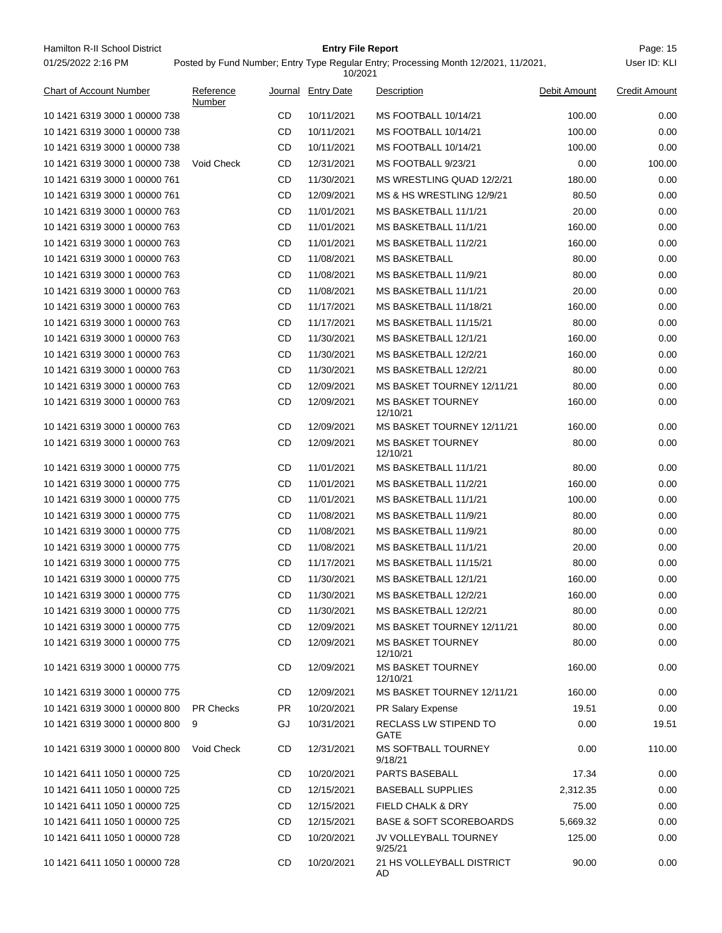| Hamilton R-II School District<br><b>Entry File Report</b><br>01/25/2022 2:16 PM<br>Posted by Fund Number; Entry Type Regular Entry; Processing Month 12/2021, 11/2021,<br>User ID: KLI |                     |           |                    |                                      |              |                      |  |  |  |
|----------------------------------------------------------------------------------------------------------------------------------------------------------------------------------------|---------------------|-----------|--------------------|--------------------------------------|--------------|----------------------|--|--|--|
|                                                                                                                                                                                        | 10/2021             |           |                    |                                      |              |                      |  |  |  |
| <b>Chart of Account Number</b>                                                                                                                                                         | Reference<br>Number |           | Journal Entry Date | Description                          | Debit Amount | <b>Credit Amount</b> |  |  |  |
| 10 1421 6319 3000 1 00000 738                                                                                                                                                          |                     | CD        | 10/11/2021         | MS FOOTBALL 10/14/21                 | 100.00       | 0.00                 |  |  |  |
| 10 1421 6319 3000 1 00000 738                                                                                                                                                          |                     | CD        | 10/11/2021         | MS FOOTBALL 10/14/21                 | 100.00       | 0.00                 |  |  |  |
| 10 1421 6319 3000 1 00000 738                                                                                                                                                          |                     | CD        | 10/11/2021         | MS FOOTBALL 10/14/21                 | 100.00       | 0.00                 |  |  |  |
| 10 1421 6319 3000 1 00000 738                                                                                                                                                          | Void Check          | CD        | 12/31/2021         | MS FOOTBALL 9/23/21                  | 0.00         | 100.00               |  |  |  |
| 10 1421 6319 3000 1 00000 761                                                                                                                                                          |                     | CD        | 11/30/2021         | MS WRESTLING QUAD 12/2/21            | 180.00       | 0.00                 |  |  |  |
| 10 1421 6319 3000 1 00000 761                                                                                                                                                          |                     | CD        | 12/09/2021         | <b>MS &amp; HS WRESTLING 12/9/21</b> | 80.50        | 0.00                 |  |  |  |
| 10 1421 6319 3000 1 00000 763                                                                                                                                                          |                     | CD        | 11/01/2021         | MS BASKETBALL 11/1/21                | 20.00        | 0.00                 |  |  |  |
| 10 1421 6319 3000 1 00000 763                                                                                                                                                          |                     | CD        | 11/01/2021         | MS BASKETBALL 11/1/21                | 160.00       | 0.00                 |  |  |  |
| 10 1421 6319 3000 1 00000 763                                                                                                                                                          |                     | CD        | 11/01/2021         | MS BASKETBALL 11/2/21                | 160.00       | 0.00                 |  |  |  |
| 10 1421 6319 3000 1 00000 763                                                                                                                                                          |                     | CD        | 11/08/2021         | <b>MS BASKETBALL</b>                 | 80.00        | 0.00                 |  |  |  |
| 10 1421 6319 3000 1 00000 763                                                                                                                                                          |                     | CD        | 11/08/2021         | MS BASKETBALL 11/9/21                | 80.00        | 0.00                 |  |  |  |
| 10 1421 6319 3000 1 00000 763                                                                                                                                                          |                     | CD        | 11/08/2021         | MS BASKETBALL 11/1/21                | 20.00        | 0.00                 |  |  |  |
| 10 1421 6319 3000 1 00000 763                                                                                                                                                          |                     | CD        | 11/17/2021         | MS BASKETBALL 11/18/21               | 160.00       | 0.00                 |  |  |  |
| 10 1421 6319 3000 1 00000 763                                                                                                                                                          |                     | CD        | 11/17/2021         | MS BASKETBALL 11/15/21               | 80.00        | 0.00                 |  |  |  |
| 10 1421 6319 3000 1 00000 763                                                                                                                                                          |                     | CD        | 11/30/2021         | MS BASKETBALL 12/1/21                | 160.00       | 0.00                 |  |  |  |
| 10 1421 6319 3000 1 00000 763                                                                                                                                                          |                     | CD        | 11/30/2021         | MS BASKETBALL 12/2/21                | 160.00       | 0.00                 |  |  |  |
| 10 1421 6319 3000 1 00000 763                                                                                                                                                          |                     | CD        | 11/30/2021         | MS BASKETBALL 12/2/21                | 80.00        | 0.00                 |  |  |  |
| 10 1421 6319 3000 1 00000 763                                                                                                                                                          |                     | CD        | 12/09/2021         | MS BASKET TOURNEY 12/11/21           | 80.00        | 0.00                 |  |  |  |
| 10 1421 6319 3000 1 00000 763                                                                                                                                                          |                     | CD        | 12/09/2021         | <b>MS BASKET TOURNEY</b><br>12/10/21 | 160.00       | 0.00                 |  |  |  |
| 10 1421 6319 3000 1 00000 763                                                                                                                                                          |                     | CD        | 12/09/2021         | MS BASKET TOURNEY 12/11/21           | 160.00       | 0.00                 |  |  |  |
| 10 1421 6319 3000 1 00000 763                                                                                                                                                          |                     | CD        | 12/09/2021         | <b>MS BASKET TOURNEY</b><br>12/10/21 | 80.00        | 0.00                 |  |  |  |
| 10 1421 6319 3000 1 00000 775                                                                                                                                                          |                     | CD        | 11/01/2021         | MS BASKETBALL 11/1/21                | 80.00        | 0.00                 |  |  |  |
| 10 1421 6319 3000 1 00000 775                                                                                                                                                          |                     | CD        | 11/01/2021         | MS BASKETBALL 11/2/21                | 160.00       | 0.00                 |  |  |  |
| 10 1421 6319 3000 1 00000 775                                                                                                                                                          |                     | CD        | 11/01/2021         | MS BASKETBALL 11/1/21                | 100.00       | 0.00                 |  |  |  |
| 10 1421 6319 3000 1 00000 775                                                                                                                                                          |                     | CD        | 11/08/2021         | MS BASKETBALL 11/9/21                | 80.00        | 0.00                 |  |  |  |
| 10 1421 6319 3000 1 00000 775                                                                                                                                                          |                     | CD        | 11/08/2021         | MS BASKETBALL 11/9/21                | 80.00        | 0.00                 |  |  |  |
| 10 1421 6319 3000 1 00000 775                                                                                                                                                          |                     | CD        | 11/08/2021         | MS BASKETBALL 11/1/21                | 20.00        | 0.00                 |  |  |  |
| 10 1421 6319 3000 1 00000 775                                                                                                                                                          |                     | <b>CD</b> | 11/17/2021         | MS BASKETBALL 11/15/21               | 80.00        | 0.00                 |  |  |  |
| 10 1421 6319 3000 1 00000 775                                                                                                                                                          |                     | CD        | 11/30/2021         | MS BASKETBALL 12/1/21                | 160.00       | 0.00                 |  |  |  |
| 10 1421 6319 3000 1 00000 775                                                                                                                                                          |                     | CD        | 11/30/2021         | MS BASKETBALL 12/2/21                | 160.00       | 0.00                 |  |  |  |
| 10 1421 6319 3000 1 00000 775                                                                                                                                                          |                     | CD        | 11/30/2021         | MS BASKETBALL 12/2/21                | 80.00        | 0.00                 |  |  |  |
| 10 1421 6319 3000 1 00000 775                                                                                                                                                          |                     | CD        | 12/09/2021         | MS BASKET TOURNEY 12/11/21           | 80.00        | 0.00                 |  |  |  |
| 10 1421 6319 3000 1 00000 775                                                                                                                                                          |                     | CD        | 12/09/2021         | <b>MS BASKET TOURNEY</b><br>12/10/21 | 80.00        | 0.00                 |  |  |  |
| 10 1421 6319 3000 1 00000 775                                                                                                                                                          |                     | CD        | 12/09/2021         | <b>MS BASKET TOURNEY</b><br>12/10/21 | 160.00       | 0.00                 |  |  |  |
| 10 1421 6319 3000 1 00000 775                                                                                                                                                          |                     | CD        | 12/09/2021         | MS BASKET TOURNEY 12/11/21           | 160.00       | 0.00                 |  |  |  |
| 10 1421 6319 3000 1 00000 800                                                                                                                                                          | <b>PR Checks</b>    | PR.       | 10/20/2021         | PR Salary Expense                    | 19.51        | 0.00                 |  |  |  |
| 10 1421 6319 3000 1 00000 800                                                                                                                                                          | 9                   | GJ        | 10/31/2021         | RECLASS LW STIPEND TO<br>GATE        | 0.00         | 19.51                |  |  |  |
| 10 1421 6319 3000 1 00000 800                                                                                                                                                          | Void Check          | CD        | 12/31/2021         | MS SOFTBALL TOURNEY<br>9/18/21       | 0.00         | 110.00               |  |  |  |
| 10 1421 6411 1050 1 00000 725                                                                                                                                                          |                     | CD        | 10/20/2021         | <b>PARTS BASEBALL</b>                | 17.34        | 0.00                 |  |  |  |
| 10 1421 6411 1050 1 00000 725                                                                                                                                                          |                     | CD        | 12/15/2021         | <b>BASEBALL SUPPLIES</b>             | 2,312.35     | 0.00                 |  |  |  |
| 10 1421 6411 1050 1 00000 725                                                                                                                                                          |                     | CD        | 12/15/2021         | FIELD CHALK & DRY                    | 75.00        | 0.00                 |  |  |  |
| 10 1421 6411 1050 1 00000 725                                                                                                                                                          |                     | CD        | 12/15/2021         | <b>BASE &amp; SOFT SCOREBOARDS</b>   | 5,669.32     | 0.00                 |  |  |  |
| 10 1421 6411 1050 1 00000 728                                                                                                                                                          |                     | CD        | 10/20/2021         | JV VOLLEYBALL TOURNEY<br>9/25/21     | 125.00       | 0.00                 |  |  |  |
| 10 1421 6411 1050 1 00000 728                                                                                                                                                          |                     | CD        | 10/20/2021         | 21 HS VOLLEYBALL DISTRICT<br>AD      | 90.00        | 0.00                 |  |  |  |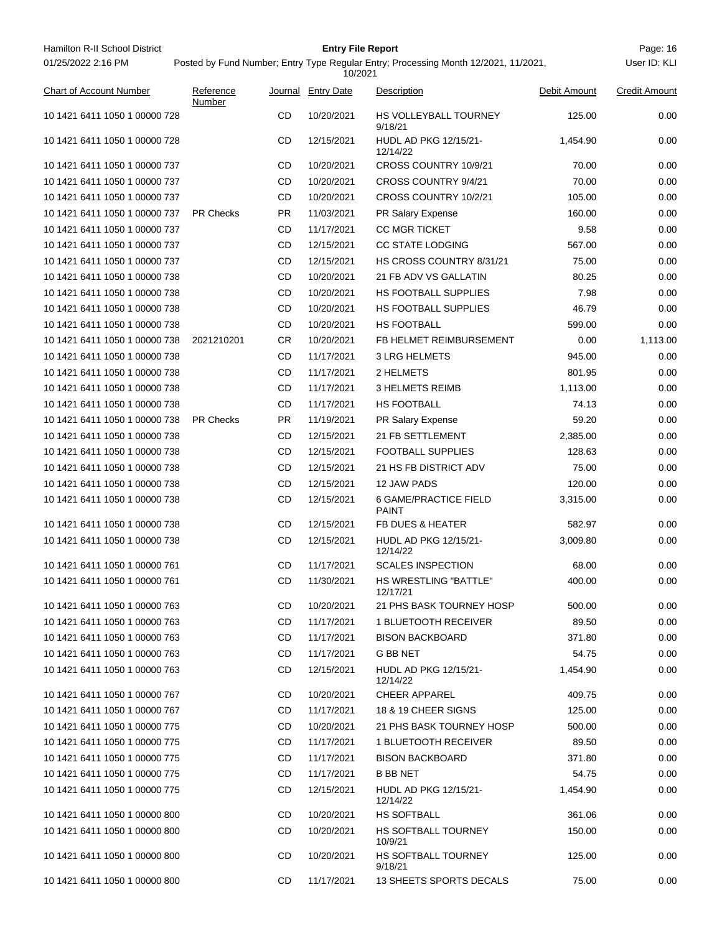| Hamilton R-II School District  |                     |     | <b>Entry File Report</b> |                                                                                     |              | Page: 16             |
|--------------------------------|---------------------|-----|--------------------------|-------------------------------------------------------------------------------------|--------------|----------------------|
| 01/25/2022 2:16 PM             |                     |     | 10/2021                  | Posted by Fund Number; Entry Type Regular Entry; Processing Month 12/2021, 11/2021, |              | User ID: KLI         |
| <b>Chart of Account Number</b> | Reference<br>Number |     | Journal Entry Date       | Description                                                                         | Debit Amount | <b>Credit Amount</b> |
| 10 1421 6411 1050 1 00000 728  |                     | CD  | 10/20/2021               | HS VOLLEYBALL TOURNEY<br>9/18/21                                                    | 125.00       | 0.00                 |
| 10 1421 6411 1050 1 00000 728  |                     | CD  | 12/15/2021               | HUDL AD PKG 12/15/21-<br>12/14/22                                                   | 1,454.90     | 0.00                 |
| 10 1421 6411 1050 1 00000 737  |                     | CD  | 10/20/2021               | CROSS COUNTRY 10/9/21                                                               | 70.00        | 0.00                 |
| 10 1421 6411 1050 1 00000 737  |                     | CD  | 10/20/2021               | CROSS COUNTRY 9/4/21                                                                | 70.00        | 0.00                 |
| 10 1421 6411 1050 1 00000 737  |                     | CD  | 10/20/2021               | CROSS COUNTRY 10/2/21                                                               | 105.00       | 0.00                 |
| 10 1421 6411 1050 1 00000 737  | <b>PR Checks</b>    | PR. | 11/03/2021               | PR Salary Expense                                                                   | 160.00       | 0.00                 |
| 10 1421 6411 1050 1 00000 737  |                     | CD  | 11/17/2021               | <b>CC MGR TICKET</b>                                                                | 9.58         | 0.00                 |
| 10 1421 6411 1050 1 00000 737  |                     | CD  | 12/15/2021               | <b>CC STATE LODGING</b>                                                             | 567.00       | 0.00                 |
| 10 1421 6411 1050 1 00000 737  |                     | CD  | 12/15/2021               | HS CROSS COUNTRY 8/31/21                                                            | 75.00        | 0.00                 |
| 10 1421 6411 1050 1 00000 738  |                     | CD  | 10/20/2021               | 21 FB ADV VS GALLATIN                                                               | 80.25        | 0.00                 |
| 10 1421 6411 1050 1 00000 738  |                     | CD  | 10/20/2021               | <b>HS FOOTBALL SUPPLIES</b>                                                         | 7.98         | 0.00                 |
| 10 1421 6411 1050 1 00000 738  |                     | CD  | 10/20/2021               | <b>HS FOOTBALL SUPPLIES</b>                                                         | 46.79        | 0.00                 |
| 10 1421 6411 1050 1 00000 738  |                     | CD  | 10/20/2021               | HS FOOTBALL                                                                         | 599.00       | 0.00                 |
| 10 1421 6411 1050 1 00000 738  | 2021210201          | CR  | 10/20/2021               | FB HELMET REIMBURSEMENT                                                             | 0.00         | 1,113.00             |
| 10 1421 6411 1050 1 00000 738  |                     | CD  | 11/17/2021               | <b>3 LRG HELMETS</b>                                                                | 945.00       | 0.00                 |
| 10 1421 6411 1050 1 00000 738  |                     | CD  | 11/17/2021               | 2 HELMETS                                                                           | 801.95       | 0.00                 |
| 10 1421 6411 1050 1 00000 738  |                     | CD  | 11/17/2021               | <b>3 HELMETS REIMB</b>                                                              | 1,113.00     | 0.00                 |
| 10 1421 6411 1050 1 00000 738  |                     | CD  | 11/17/2021               | HS FOOTBALL                                                                         | 74.13        | 0.00                 |
| 10 1421 6411 1050 1 00000 738  | <b>PR Checks</b>    | PR. | 11/19/2021               | PR Salary Expense                                                                   | 59.20        | 0.00                 |
| 10 1421 6411 1050 1 00000 738  |                     | CD  | 12/15/2021               | 21 FB SETTLEMENT                                                                    | 2,385.00     | 0.00                 |
| 10 1421 6411 1050 1 00000 738  |                     | CD  | 12/15/2021               | <b>FOOTBALL SUPPLIES</b>                                                            | 128.63       | 0.00                 |
| 10 1421 6411 1050 1 00000 738  |                     | CD  | 12/15/2021               | 21 HS FB DISTRICT ADV                                                               | 75.00        | 0.00                 |
| 10 1421 6411 1050 1 00000 738  |                     | CD  | 12/15/2021               | 12 JAW PADS                                                                         | 120.00       | 0.00                 |
| 10 1421 6411 1050 1 00000 738  |                     | CD  | 12/15/2021               | 6 GAME/PRACTICE FIELD<br><b>PAINT</b>                                               | 3,315.00     | 0.00                 |
| 10 1421 6411 1050 1 00000 738  |                     | CD  | 12/15/2021               | FB DUES & HEATER                                                                    | 582.97       | 0.00                 |
| 10 1421 6411 1050 1 00000 738  |                     | CD  | 12/15/2021               | HUDL AD PKG 12/15/21-<br>12/14/22                                                   | 3,009.80     | 0.00                 |
| 10 1421 6411 1050 1 00000 761  |                     | CD  | 11/17/2021               | <b>SCALES INSPECTION</b>                                                            | 68.00        | 0.00                 |
| 10 1421 6411 1050 1 00000 761  |                     | CD  | 11/30/2021               | <b>HS WRESTLING "BATTLE"</b><br>12/17/21                                            | 400.00       | 0.00                 |
| 10 1421 6411 1050 1 00000 763  |                     | CD  | 10/20/2021               | 21 PHS BASK TOURNEY HOSP                                                            | 500.00       | 0.00                 |
| 10 1421 6411 1050 1 00000 763  |                     | CD  | 11/17/2021               | <b>1 BLUETOOTH RECEIVER</b>                                                         | 89.50        | 0.00                 |
| 10 1421 6411 1050 1 00000 763  |                     | CD  | 11/17/2021               | <b>BISON BACKBOARD</b>                                                              | 371.80       | 0.00                 |
| 10 1421 6411 1050 1 00000 763  |                     | CD  | 11/17/2021               | G BB NET                                                                            | 54.75        | 0.00                 |
| 10 1421 6411 1050 1 00000 763  |                     | CD  | 12/15/2021               | <b>HUDL AD PKG 12/15/21-</b><br>12/14/22                                            | 1,454.90     | 0.00                 |
| 10 1421 6411 1050 1 00000 767  |                     | CD  | 10/20/2021               | <b>CHEER APPAREL</b>                                                                | 409.75       | 0.00                 |
| 10 1421 6411 1050 1 00000 767  |                     | CD  | 11/17/2021               | 18 & 19 CHEER SIGNS                                                                 | 125.00       | 0.00                 |
| 10 1421 6411 1050 1 00000 775  |                     | CD  | 10/20/2021               | 21 PHS BASK TOURNEY HOSP                                                            | 500.00       | 0.00                 |
| 10 1421 6411 1050 1 00000 775  |                     | CD  | 11/17/2021               | <b>1 BLUETOOTH RECEIVER</b>                                                         | 89.50        | 0.00                 |
| 10 1421 6411 1050 1 00000 775  |                     | CD  | 11/17/2021               | <b>BISON BACKBOARD</b>                                                              | 371.80       | 0.00                 |
| 10 1421 6411 1050 1 00000 775  |                     | CD  | 11/17/2021               | B BB NET                                                                            | 54.75        | 0.00                 |
| 10 1421 6411 1050 1 00000 775  |                     | CD  | 12/15/2021               | HUDL AD PKG 12/15/21-<br>12/14/22                                                   | 1,454.90     | 0.00                 |
| 10 1421 6411 1050 1 00000 800  |                     | CD  | 10/20/2021               | HS SOFTBALL                                                                         | 361.06       | 0.00                 |
| 10 1421 6411 1050 1 00000 800  |                     | CD  | 10/20/2021               | HS SOFTBALL TOURNEY<br>10/9/21                                                      | 150.00       | 0.00                 |
| 10 1421 6411 1050 1 00000 800  |                     | CD  | 10/20/2021               | HS SOFTBALL TOURNEY<br>9/18/21                                                      | 125.00       | 0.00                 |
| 10 1421 6411 1050 1 00000 800  |                     | CD  | 11/17/2021               | 13 SHEETS SPORTS DECALS                                                             | 75.00        | 0.00                 |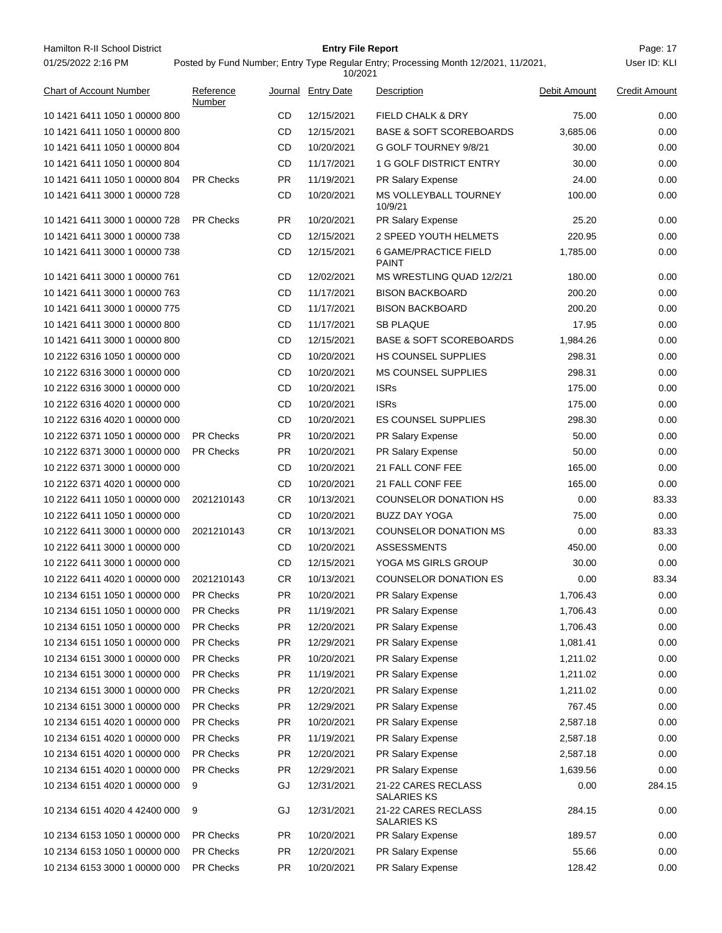| Hamilton R-II School District  |                     |           | <b>Entry File Report</b> |                                                                                     |              | Page: 17             |
|--------------------------------|---------------------|-----------|--------------------------|-------------------------------------------------------------------------------------|--------------|----------------------|
| 01/25/2022 2:16 PM             |                     |           | 10/2021                  | Posted by Fund Number; Entry Type Regular Entry; Processing Month 12/2021, 11/2021, |              | User ID: KLI         |
| <b>Chart of Account Number</b> | Reference<br>Number |           | Journal Entry Date       | Description                                                                         | Debit Amount | <b>Credit Amount</b> |
| 10 1421 6411 1050 1 00000 800  |                     | CD        | 12/15/2021               | <b>FIELD CHALK &amp; DRY</b>                                                        | 75.00        | 0.00                 |
| 10 1421 6411 1050 1 00000 800  |                     | CD        | 12/15/2021               | <b>BASE &amp; SOFT SCOREBOARDS</b>                                                  | 3,685.06     | 0.00                 |
| 10 1421 6411 1050 1 00000 804  |                     | CD        | 10/20/2021               | G GOLF TOURNEY 9/8/21                                                               | 30.00        | 0.00                 |
| 10 1421 6411 1050 1 00000 804  |                     | CD        | 11/17/2021               | 1 G GOLF DISTRICT ENTRY                                                             | 30.00        | 0.00                 |
| 10 1421 6411 1050 1 00000 804  | <b>PR Checks</b>    | PR.       | 11/19/2021               | PR Salary Expense                                                                   | 24.00        | 0.00                 |
| 10 1421 6411 3000 1 00000 728  |                     | CD        | 10/20/2021               | MS VOLLEYBALL TOURNEY<br>10/9/21                                                    | 100.00       | 0.00                 |
| 10 1421 6411 3000 1 00000 728  | <b>PR Checks</b>    | PR        | 10/20/2021               | PR Salary Expense                                                                   | 25.20        | 0.00                 |
| 10 1421 6411 3000 1 00000 738  |                     | CD        | 12/15/2021               | 2 SPEED YOUTH HELMETS                                                               | 220.95       | 0.00                 |
| 10 1421 6411 3000 1 00000 738  |                     | CD        | 12/15/2021               | 6 GAME/PRACTICE FIELD<br><b>PAINT</b>                                               | 1,785.00     | 0.00                 |
| 10 1421 6411 3000 1 00000 761  |                     | CD        | 12/02/2021               | MS WRESTLING QUAD 12/2/21                                                           | 180.00       | 0.00                 |
| 10 1421 6411 3000 1 00000 763  |                     | CD        | 11/17/2021               | <b>BISON BACKBOARD</b>                                                              | 200.20       | 0.00                 |
| 10 1421 6411 3000 1 00000 775  |                     | CD        | 11/17/2021               | <b>BISON BACKBOARD</b>                                                              | 200.20       | 0.00                 |
| 10 1421 6411 3000 1 00000 800  |                     | CD        | 11/17/2021               | <b>SB PLAQUE</b>                                                                    | 17.95        | 0.00                 |
| 10 1421 6411 3000 1 00000 800  |                     | CD        | 12/15/2021               | <b>BASE &amp; SOFT SCOREBOARDS</b>                                                  | 1,984.26     | 0.00                 |
| 10 2122 6316 1050 1 00000 000  |                     | CD        | 10/20/2021               | HS COUNSEL SUPPLIES                                                                 | 298.31       | 0.00                 |
| 10 2122 6316 3000 1 00000 000  |                     | CD        | 10/20/2021               | <b>MS COUNSEL SUPPLIES</b>                                                          | 298.31       | 0.00                 |
| 10 2122 6316 3000 1 00000 000  |                     | CD        | 10/20/2021               | <b>ISRs</b>                                                                         | 175.00       | 0.00                 |
| 10 2122 6316 4020 1 00000 000  |                     | CD        | 10/20/2021               | <b>ISRs</b>                                                                         | 175.00       | 0.00                 |
| 10 2122 6316 4020 1 00000 000  |                     | CD        | 10/20/2021               | <b>ES COUNSEL SUPPLIES</b>                                                          | 298.30       | 0.00                 |
| 10 2122 6371 1050 1 00000 000  | <b>PR Checks</b>    | PR        | 10/20/2021               | PR Salary Expense                                                                   | 50.00        | 0.00                 |
| 10 2122 6371 3000 1 00000 000  | <b>PR Checks</b>    | PR        | 10/20/2021               | PR Salary Expense                                                                   | 50.00        | 0.00                 |
| 10 2122 6371 3000 1 00000 000  |                     | CD        | 10/20/2021               | 21 FALL CONF FEE                                                                    | 165.00       | 0.00                 |
| 10 2122 6371 4020 1 00000 000  |                     | CD        | 10/20/2021               | 21 FALL CONF FEE                                                                    | 165.00       | 0.00                 |
| 10 2122 6411 1050 1 00000 000  | 2021210143          | CR        | 10/13/2021               | <b>COUNSELOR DONATION HS</b>                                                        | 0.00         | 83.33                |
| 10 2122 6411 1050 1 00000 000  |                     | CD        | 10/20/2021               | <b>BUZZ DAY YOGA</b>                                                                | 75.00        | $0.00\,$             |
| 10 2122 6411 3000 1 00000 000  | 2021210143          | CR        | 10/13/2021               | <b>COUNSELOR DONATION MS</b>                                                        | 0.00         | 83.33                |
| 10 2122 6411 3000 1 00000 000  |                     | CD        | 10/20/2021               | <b>ASSESSMENTS</b>                                                                  | 450.00       | 0.00                 |
| 10 2122 6411 3000 1 00000 000  |                     | CD        | 12/15/2021               | YOGA MS GIRLS GROUP                                                                 | 30.00        | 0.00                 |
| 10 2122 6411 4020 1 00000 000  | 2021210143          | CR.       | 10/13/2021               | <b>COUNSELOR DONATION ES</b>                                                        | 0.00         | 83.34                |
| 10 2134 6151 1050 1 00000 000  | PR Checks           | PR.       | 10/20/2021               | PR Salary Expense                                                                   | 1,706.43     | 0.00                 |
| 10 2134 6151 1050 1 00000 000  | PR Checks           | <b>PR</b> | 11/19/2021               | <b>PR Salary Expense</b>                                                            | 1,706.43     | 0.00                 |
| 10 2134 6151 1050 1 00000 000  | PR Checks           | PR        | 12/20/2021               | PR Salary Expense                                                                   | 1,706.43     | 0.00                 |
| 10 2134 6151 1050 1 00000 000  | PR Checks           | PR        | 12/29/2021               | PR Salary Expense                                                                   | 1,081.41     | 0.00                 |
| 10 2134 6151 3000 1 00000 000  | PR Checks           | PR        | 10/20/2021               | PR Salary Expense                                                                   | 1,211.02     | 0.00                 |
| 10 2134 6151 3000 1 00000 000  | PR Checks           | <b>PR</b> | 11/19/2021               | PR Salary Expense                                                                   | 1,211.02     | 0.00                 |
| 10 2134 6151 3000 1 00000 000  | PR Checks           | <b>PR</b> | 12/20/2021               | PR Salary Expense                                                                   | 1,211.02     | 0.00                 |
| 10 2134 6151 3000 1 00000 000  | PR Checks           | PR        | 12/29/2021               | PR Salary Expense                                                                   | 767.45       | 0.00                 |
| 10 2134 6151 4020 1 00000 000  | PR Checks           | PR        | 10/20/2021               | PR Salary Expense                                                                   | 2,587.18     | 0.00                 |
| 10 2134 6151 4020 1 00000 000  | PR Checks           | <b>PR</b> | 11/19/2021               | PR Salary Expense                                                                   | 2,587.18     | 0.00                 |
| 10 2134 6151 4020 1 00000 000  | PR Checks           | PR        | 12/20/2021               | PR Salary Expense                                                                   | 2,587.18     | 0.00                 |
| 10 2134 6151 4020 1 00000 000  | PR Checks           | PR        | 12/29/2021               | PR Salary Expense                                                                   | 1,639.56     | 0.00                 |
| 10 2134 6151 4020 1 00000 000  | 9                   | GJ        | 12/31/2021               | 21-22 CARES RECLASS<br><b>SALARIES KS</b>                                           | 0.00         | 284.15               |
| 10 2134 6151 4020 4 42400 000  | 9                   | GJ        | 12/31/2021               | 21-22 CARES RECLASS<br><b>SALARIES KS</b>                                           | 284.15       | 0.00                 |
| 10 2134 6153 1050 1 00000 000  | <b>PR Checks</b>    | PR        | 10/20/2021               | PR Salary Expense                                                                   | 189.57       | 0.00                 |
| 10 2134 6153 1050 1 00000 000  | PR Checks           | <b>PR</b> | 12/20/2021               | PR Salary Expense                                                                   | 55.66        | 0.00                 |
| 10 2134 6153 3000 1 00000 000  | PR Checks           | PR        | 10/20/2021               | PR Salary Expense                                                                   | 128.42       | 0.00                 |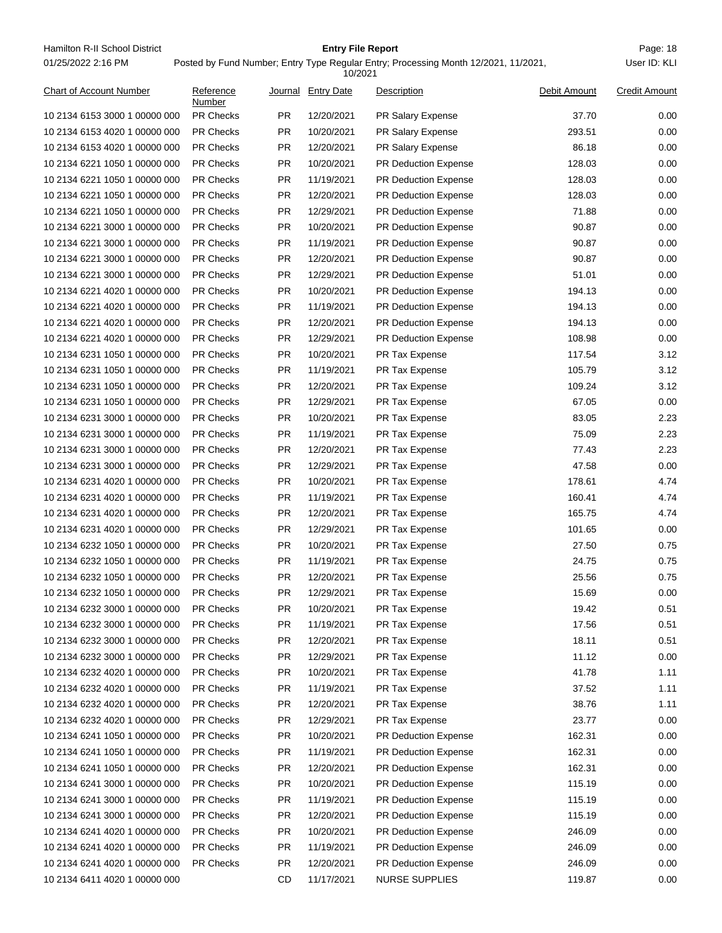Hamilton R-II School District **Entry File Report Entry File Report** Page: 18 01/25/2022 2:16 PM

## **Entry File Report**

Posted by Fund Number; Entry Type Regular Entry; Processing Month 12/2021, 11/2021,

|                                |                     |           | 10/2021            |                             |              |                      |
|--------------------------------|---------------------|-----------|--------------------|-----------------------------|--------------|----------------------|
| <b>Chart of Account Number</b> | Reference<br>Number |           | Journal Entry Date | Description                 | Debit Amount | <b>Credit Amount</b> |
| 10 2134 6153 3000 1 00000 000  | <b>PR Checks</b>    | PR.       | 12/20/2021         | PR Salary Expense           | 37.70        | 0.00                 |
| 10 2134 6153 4020 1 00000 000  | <b>PR Checks</b>    | <b>PR</b> | 10/20/2021         | PR Salary Expense           | 293.51       | 0.00                 |
| 10 2134 6153 4020 1 00000 000  | <b>PR Checks</b>    | <b>PR</b> | 12/20/2021         | PR Salary Expense           | 86.18        | 0.00                 |
| 10 2134 6221 1050 1 00000 000  | <b>PR Checks</b>    | <b>PR</b> | 10/20/2021         | <b>PR Deduction Expense</b> | 128.03       | 0.00                 |
| 10 2134 6221 1050 1 00000 000  | <b>PR Checks</b>    | PR.       | 11/19/2021         | <b>PR Deduction Expense</b> | 128.03       | 0.00                 |
| 10 2134 6221 1050 1 00000 000  | <b>PR Checks</b>    | <b>PR</b> | 12/20/2021         | <b>PR Deduction Expense</b> | 128.03       | 0.00                 |
| 10 2134 6221 1050 1 00000 000  | PR Checks           | <b>PR</b> | 12/29/2021         | PR Deduction Expense        | 71.88        | 0.00                 |
| 10 2134 6221 3000 1 00000 000  | <b>PR Checks</b>    | <b>PR</b> | 10/20/2021         | PR Deduction Expense        | 90.87        | 0.00                 |
| 10 2134 6221 3000 1 00000 000  | <b>PR Checks</b>    | <b>PR</b> | 11/19/2021         | PR Deduction Expense        | 90.87        | 0.00                 |
| 10 2134 6221 3000 1 00000 000  | <b>PR Checks</b>    | <b>PR</b> | 12/20/2021         | <b>PR Deduction Expense</b> | 90.87        | 0.00                 |
| 10 2134 6221 3000 1 00000 000  | <b>PR Checks</b>    | <b>PR</b> | 12/29/2021         | PR Deduction Expense        | 51.01        | 0.00                 |
| 10 2134 6221 4020 1 00000 000  | <b>PR Checks</b>    | <b>PR</b> | 10/20/2021         | PR Deduction Expense        | 194.13       | 0.00                 |
| 10 2134 6221 4020 1 00000 000  | <b>PR Checks</b>    | PR.       | 11/19/2021         | <b>PR Deduction Expense</b> | 194.13       | 0.00                 |
| 10 2134 6221 4020 1 00000 000  | <b>PR Checks</b>    | <b>PR</b> | 12/20/2021         | <b>PR Deduction Expense</b> | 194.13       | 0.00                 |
| 10 2134 6221 4020 1 00000 000  | PR Checks           | <b>PR</b> | 12/29/2021         | PR Deduction Expense        | 108.98       | 0.00                 |
| 10 2134 6231 1050 1 00000 000  | <b>PR Checks</b>    | <b>PR</b> | 10/20/2021         | PR Tax Expense              | 117.54       | 3.12                 |
| 10 2134 6231 1050 1 00000 000  | <b>PR Checks</b>    | <b>PR</b> | 11/19/2021         | PR Tax Expense              | 105.79       | 3.12                 |
| 10 2134 6231 1050 1 00000 000  | <b>PR Checks</b>    | <b>PR</b> | 12/20/2021         | PR Tax Expense              | 109.24       | 3.12                 |
| 10 2134 6231 1050 1 00000 000  | <b>PR Checks</b>    | <b>PR</b> | 12/29/2021         | PR Tax Expense              | 67.05        | 0.00                 |
| 10 2134 6231 3000 1 00000 000  | <b>PR Checks</b>    | <b>PR</b> | 10/20/2021         | PR Tax Expense              | 83.05        | 2.23                 |
| 10 2134 6231 3000 1 00000 000  | <b>PR Checks</b>    | PR.       | 11/19/2021         | PR Tax Expense              | 75.09        | 2.23                 |
| 10 2134 6231 3000 1 00000 000  | <b>PR Checks</b>    | <b>PR</b> | 12/20/2021         | PR Tax Expense              | 77.43        | 2.23                 |
| 10 2134 6231 3000 1 00000 000  | PR Checks           | <b>PR</b> | 12/29/2021         | PR Tax Expense              | 47.58        | 0.00                 |
| 10 2134 6231 4020 1 00000 000  | <b>PR Checks</b>    | <b>PR</b> | 10/20/2021         | PR Tax Expense              | 178.61       | 4.74                 |
| 10 2134 6231 4020 1 00000 000  | <b>PR Checks</b>    | <b>PR</b> | 11/19/2021         | PR Tax Expense              | 160.41       | 4.74                 |
| 10 2134 6231 4020 1 00000 000  | <b>PR Checks</b>    | <b>PR</b> | 12/20/2021         | PR Tax Expense              | 165.75       | 4.74                 |
| 10 2134 6231 4020 1 00000 000  | <b>PR Checks</b>    | <b>PR</b> | 12/29/2021         | PR Tax Expense              | 101.65       | 0.00                 |
| 10 2134 6232 1050 1 00000 000  | <b>PR Checks</b>    | <b>PR</b> | 10/20/2021         | PR Tax Expense              | 27.50        | 0.75                 |
| 10 2134 6232 1050 1 00000 000  | <b>PR Checks</b>    | PR.       | 11/19/2021         | PR Tax Expense              | 24.75        | 0.75                 |
| 10 2134 6232 1050 1 00000 000  | <b>PR Checks</b>    | <b>PR</b> | 12/20/2021         | PR Tax Expense              | 25.56        | 0.75                 |
| 10 2134 6232 1050 1 00000 000  | <b>PR Checks</b>    | <b>PR</b> | 12/29/2021         | PR Tax Expense              | 15.69        | 0.00                 |
| 10 2134 6232 3000 1 00000 000  | <b>PR Checks</b>    | PR.       | 10/20/2021         | PR Tax Expense              | 19.42        | 0.51                 |
| 10 2134 6232 3000 1 00000 000  | PR Checks           | <b>PR</b> | 11/19/2021         | PR Tax Expense              | 17.56        | 0.51                 |
| 10 2134 6232 3000 1 00000 000  | PR Checks           | <b>PR</b> | 12/20/2021         | PR Tax Expense              | 18.11        | 0.51                 |
| 10 2134 6232 3000 1 00000 000  | <b>PR Checks</b>    | <b>PR</b> | 12/29/2021         | PR Tax Expense              | 11.12        | 0.00                 |
| 10 2134 6232 4020 1 00000 000  | PR Checks           | <b>PR</b> | 10/20/2021         | PR Tax Expense              | 41.78        | 1.11                 |
| 10 2134 6232 4020 1 00000 000  | <b>PR Checks</b>    | <b>PR</b> | 11/19/2021         | PR Tax Expense              | 37.52        | 1.11                 |
| 10 2134 6232 4020 1 00000 000  | PR Checks           | <b>PR</b> | 12/20/2021         | PR Tax Expense              | 38.76        | 1.11                 |
| 10 2134 6232 4020 1 00000 000  | PR Checks           | <b>PR</b> | 12/29/2021         | PR Tax Expense              | 23.77        | 0.00                 |
| 10 2134 6241 1050 1 00000 000  | PR Checks           | <b>PR</b> | 10/20/2021         | PR Deduction Expense        | 162.31       | 0.00                 |
| 10 2134 6241 1050 1 00000 000  | PR Checks           | <b>PR</b> | 11/19/2021         | PR Deduction Expense        | 162.31       | 0.00                 |
| 10 2134 6241 1050 1 00000 000  | PR Checks           | <b>PR</b> | 12/20/2021         | PR Deduction Expense        | 162.31       | 0.00                 |
| 10 2134 6241 3000 1 00000 000  | <b>PR Checks</b>    | <b>PR</b> | 10/20/2021         | PR Deduction Expense        | 115.19       | 0.00                 |
| 10 2134 6241 3000 1 00000 000  | PR Checks           | <b>PR</b> | 11/19/2021         | PR Deduction Expense        | 115.19       | 0.00                 |
| 10 2134 6241 3000 1 00000 000  | PR Checks           | <b>PR</b> | 12/20/2021         | PR Deduction Expense        | 115.19       | 0.00                 |
| 10 2134 6241 4020 1 00000 000  | PR Checks           | <b>PR</b> | 10/20/2021         | PR Deduction Expense        | 246.09       | 0.00                 |
| 10 2134 6241 4020 1 00000 000  | PR Checks           | <b>PR</b> | 11/19/2021         | PR Deduction Expense        | 246.09       | 0.00                 |
| 10 2134 6241 4020 1 00000 000  | PR Checks           | <b>PR</b> | 12/20/2021         | PR Deduction Expense        | 246.09       | 0.00                 |
| 10 2134 6411 4020 1 00000 000  |                     | CD        | 11/17/2021         | <b>NURSE SUPPLIES</b>       | 119.87       | 0.00                 |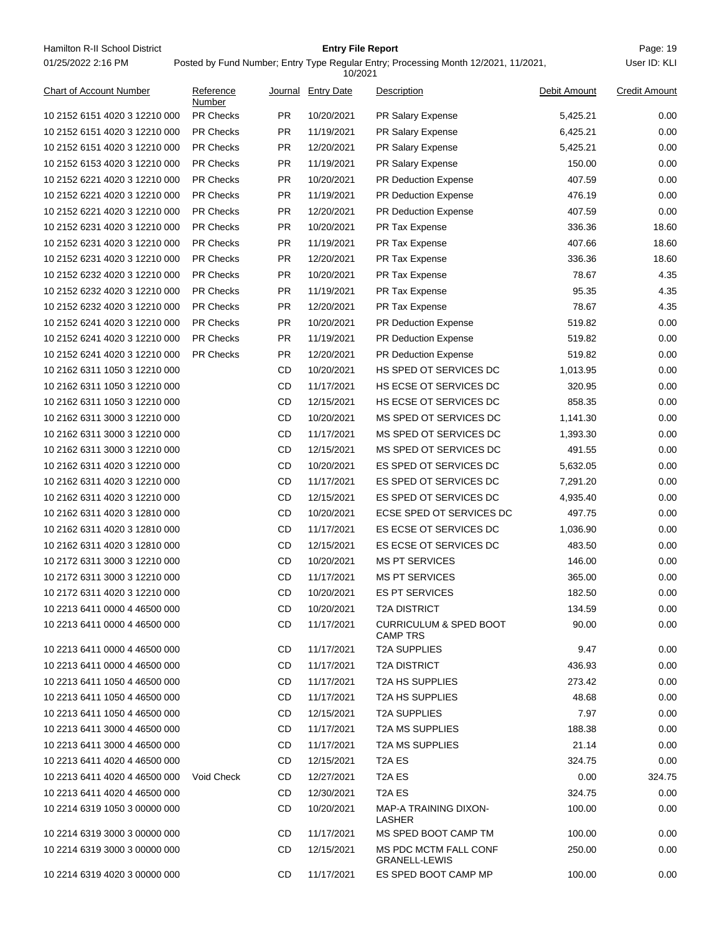Hamilton R-II School District **Entry File Report Entry File Report** Page: 19 01/25/2022 2:16 PM

## **Entry File Report**

|                                |                     |           | 10/2021            |                                                      |              |                      |
|--------------------------------|---------------------|-----------|--------------------|------------------------------------------------------|--------------|----------------------|
| <b>Chart of Account Number</b> | Reference<br>Number |           | Journal Entry Date | Description                                          | Debit Amount | <b>Credit Amount</b> |
| 10 2152 6151 4020 3 12210 000  | <b>PR Checks</b>    | PR.       | 10/20/2021         | PR Salary Expense                                    | 5,425.21     | 0.00                 |
| 10 2152 6151 4020 3 12210 000  | <b>PR Checks</b>    | <b>PR</b> | 11/19/2021         | <b>PR Salary Expense</b>                             | 6,425.21     | 0.00                 |
| 10 2152 6151 4020 3 12210 000  | <b>PR Checks</b>    | PR.       | 12/20/2021         | PR Salary Expense                                    | 5,425.21     | 0.00                 |
| 10 2152 6153 4020 3 12210 000  | <b>PR Checks</b>    | <b>PR</b> | 11/19/2021         | PR Salary Expense                                    | 150.00       | 0.00                 |
| 10 2152 6221 4020 3 12210 000  | <b>PR Checks</b>    | PR.       | 10/20/2021         | <b>PR Deduction Expense</b>                          | 407.59       | 0.00                 |
| 10 2152 6221 4020 3 12210 000  | <b>PR Checks</b>    | <b>PR</b> | 11/19/2021         | <b>PR Deduction Expense</b>                          | 476.19       | 0.00                 |
| 10 2152 6221 4020 3 12210 000  | PR Checks           | <b>PR</b> | 12/20/2021         | PR Deduction Expense                                 | 407.59       | 0.00                 |
| 10 2152 6231 4020 3 12210 000  | <b>PR Checks</b>    | PR.       | 10/20/2021         | PR Tax Expense                                       | 336.36       | 18.60                |
| 10 2152 6231 4020 3 12210 000  | <b>PR Checks</b>    | PR.       | 11/19/2021         | PR Tax Expense                                       | 407.66       | 18.60                |
| 10 2152 6231 4020 3 12210 000  | <b>PR Checks</b>    | <b>PR</b> | 12/20/2021         | PR Tax Expense                                       | 336.36       | 18.60                |
| 10 2152 6232 4020 3 12210 000  | <b>PR Checks</b>    | PR.       | 10/20/2021         | PR Tax Expense                                       | 78.67        | 4.35                 |
| 10 2152 6232 4020 3 12210 000  | <b>PR Checks</b>    | PR.       | 11/19/2021         | PR Tax Expense                                       | 95.35        | 4.35                 |
| 10 2152 6232 4020 3 12210 000  | <b>PR Checks</b>    | PR.       | 12/20/2021         | PR Tax Expense                                       | 78.67        | 4.35                 |
| 10 2152 6241 4020 3 12210 000  | <b>PR Checks</b>    | PR.       | 10/20/2021         | <b>PR Deduction Expense</b>                          | 519.82       | 0.00                 |
| 10 2152 6241 4020 3 12210 000  | <b>PR Checks</b>    | PR.       | 11/19/2021         | <b>PR Deduction Expense</b>                          | 519.82       | 0.00                 |
| 10 2152 6241 4020 3 12210 000  | <b>PR Checks</b>    | PR.       | 12/20/2021         | <b>PR Deduction Expense</b>                          | 519.82       | 0.00                 |
| 10 2162 6311 1050 3 12210 000  |                     | CD        | 10/20/2021         | HS SPED OT SERVICES DC                               | 1,013.95     | 0.00                 |
| 10 2162 6311 1050 3 12210 000  |                     | CD        | 11/17/2021         | HS ECSE OT SERVICES DC                               | 320.95       | 0.00                 |
| 10 2162 6311 1050 3 12210 000  |                     | CD        | 12/15/2021         | HS ECSE OT SERVICES DC                               | 858.35       | 0.00                 |
| 10 2162 6311 3000 3 12210 000  |                     | CD        | 10/20/2021         | MS SPED OT SERVICES DC                               | 1,141.30     | 0.00                 |
| 10 2162 6311 3000 3 12210 000  |                     | CD        | 11/17/2021         | MS SPED OT SERVICES DC                               | 1,393.30     | 0.00                 |
| 10 2162 6311 3000 3 12210 000  |                     | <b>CD</b> | 12/15/2021         | MS SPED OT SERVICES DC                               | 491.55       | 0.00                 |
| 10 2162 6311 4020 3 12210 000  |                     | <b>CD</b> | 10/20/2021         | ES SPED OT SERVICES DC                               | 5,632.05     | 0.00                 |
| 10 2162 6311 4020 3 12210 000  |                     | CD        | 11/17/2021         | ES SPED OT SERVICES DC                               | 7,291.20     | 0.00                 |
| 10 2162 6311 4020 3 12210 000  |                     | CD        | 12/15/2021         | ES SPED OT SERVICES DC                               | 4,935.40     | 0.00                 |
| 10 2162 6311 4020 3 12810 000  |                     | <b>CD</b> | 10/20/2021         | ECSE SPED OT SERVICES DC                             | 497.75       | 0.00                 |
| 10 2162 6311 4020 3 12810 000  |                     | CD        | 11/17/2021         | ES ECSE OT SERVICES DC                               | 1,036.90     | 0.00                 |
| 10 2162 6311 4020 3 12810 000  |                     | CD        | 12/15/2021         | ES ECSE OT SERVICES DC                               | 483.50       | 0.00                 |
| 10 2172 6311 3000 3 12210 000  |                     | CD        | 10/20/2021         | <b>MS PT SERVICES</b>                                | 146.00       | 0.00                 |
| 10 2172 6311 3000 3 12210 000  |                     | <b>CD</b> | 11/17/2021         | <b>MS PT SERVICES</b>                                | 365.00       | 0.00                 |
| 10 2172 6311 4020 3 12210 000  |                     | <b>CD</b> | 10/20/2021         | <b>ES PT SERVICES</b>                                | 182.50       | 0.00                 |
| 10 2213 6411 0000 4 46500 000  |                     | CD        | 10/20/2021         | <b>T2A DISTRICT</b>                                  | 134.59       | 0.00                 |
| 10 2213 6411 0000 4 46500 000  |                     | CD        | 11/17/2021         | <b>CURRICULUM &amp; SPED BOOT</b><br><b>CAMP TRS</b> | 90.00        | 0.00                 |
| 10 2213 6411 0000 4 46500 000  |                     | CD        | 11/17/2021         | <b>T2A SUPPLIES</b>                                  | 9.47         | 0.00                 |
| 10 2213 6411 0000 4 46500 000  |                     | CD        | 11/17/2021         | <b>T2A DISTRICT</b>                                  | 436.93       | 0.00                 |
| 10 2213 6411 1050 4 46500 000  |                     | CD        | 11/17/2021         | <b>T2A HS SUPPLIES</b>                               | 273.42       | 0.00                 |
| 10 2213 6411 1050 4 46500 000  |                     | CD        | 11/17/2021         | <b>T2A HS SUPPLIES</b>                               | 48.68        | 0.00                 |
| 10 2213 6411 1050 4 46500 000  |                     | CD        | 12/15/2021         | <b>T2A SUPPLIES</b>                                  | 7.97         | 0.00                 |
| 10 2213 6411 3000 4 46500 000  |                     | CD        | 11/17/2021         | <b>T2A MS SUPPLIES</b>                               | 188.38       | 0.00                 |
| 10 2213 6411 3000 4 46500 000  |                     | CD        | 11/17/2021         | <b>T2A MS SUPPLIES</b>                               | 21.14        | 0.00                 |
| 10 2213 6411 4020 4 46500 000  |                     | CD        | 12/15/2021         | T2A ES                                               | 324.75       | 0.00                 |
| 10 2213 6411 4020 4 46500 000  | Void Check          | CD        | 12/27/2021         | T <sub>2</sub> A ES                                  | 0.00         | 324.75               |
| 10 2213 6411 4020 4 46500 000  |                     | CD        | 12/30/2021         | T <sub>2</sub> A ES                                  | 324.75       | 0.00                 |
| 10 2214 6319 1050 3 00000 000  |                     | CD        | 10/20/2021         | MAP-A TRAINING DIXON-<br>LASHER                      | 100.00       | 0.00                 |
| 10 2214 6319 3000 3 00000 000  |                     | CD        | 11/17/2021         | MS SPED BOOT CAMP TM                                 | 100.00       | 0.00                 |
| 10 2214 6319 3000 3 00000 000  |                     | CD        | 12/15/2021         | <b>MS PDC MCTM FALL CONF</b><br><b>GRANELL-LEWIS</b> | 250.00       | 0.00                 |
| 10 2214 6319 4020 3 00000 000  |                     | CD        | 11/17/2021         | ES SPED BOOT CAMP MP                                 | 100.00       | 0.00                 |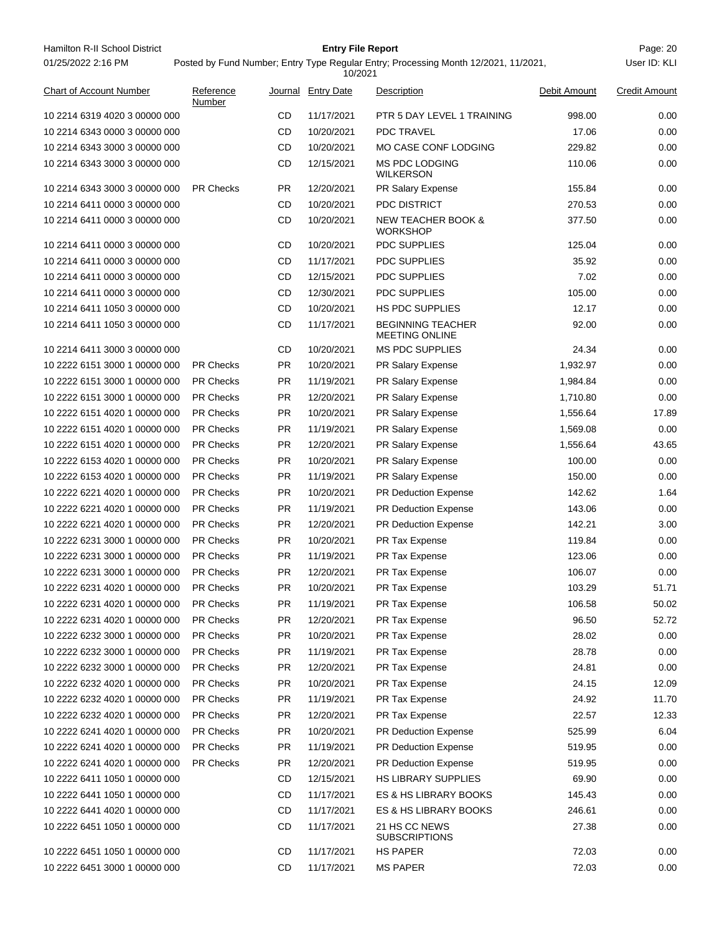10 2214 6319 4020 3 00000 000 CD 11/17/2021 PTR 5 DAY LEVEL 1 TRAINING 998.00 0.00 10 2214 6343 0000 3 00000 000 CD 10/20/2021 PDC TRAVEL 17.06 17.06 0.00 10 2214 6343 3000 3 00000 000 CD 10/20/2021 MO CASE CONF LODGING 229.82 0.00 10 2214 6343 3000 3 00000 000 12/15/2021 MS PDC LODGING 110.06 0.00 WILKERSON CD 10 2214 6343 3000 3 00000 000 PR Checks PR 12/20/2021 PR Salary Expense 155.84 0.00 10 2214 6411 0000 3 00000 000 CD 10/20/2021 PDC DISTRICT 270.53 0.00 10 2214 6411 0000 3 00000 000 10/20/2021 NEW TEACHER BOOK & 377.50 0.00 **WORKSHOP** CD 10 2214 6411 0000 3 00000 000 CD 10/20/2021 PDC SUPPLIES 125.04 125.04 0.00 10 2214 6411 0000 3 00000 000 CD 11/17/2021 PDC SUPPLIES 35.92 0.00 10 2214 6411 0000 3 00000 000 CD 12/15/2021 PDC SUPPLIES 7.02 0.00 10 2214 6411 0000 3 00000 000 CD 12/30/2021 PDC SUPPLIES 105.00 105.00 0.00 10 2214 6411 1050 3 00000 000 CD 10/20/2021 HS PDC SUPPLIES 12.17 12.17 0.00 10 2214 6411 1050 3 00000 000 11/17/2021 BEGINNING TEACHER 92.00 0.00 MEETING ONLINE CD 10 2214 6411 3000 3 00000 000 CD 10/20/2021 MS PDC SUPPLIES 24.34 0.00 10 2222 6151 3000 1 00000 000 PR Checks PR 10/20/2021 PR Salary Expense 1,932.97 0.00 10 2222 6151 3000 1 00000 000 PR Checks PR 11/19/2021 PR Salary Expense 1,984.84 0.00 10 2222 6151 3000 1 00000 000 PR Checks PR 12/20/2021 PR Salary Expense 1,710.80 0.00 10 2222 6151 4020 1 00000 000 PR Checks PR 10/20/2021 PR Salary Expense 1,556.64 17.89 10 2222 6151 4020 1 00000 000 PR Checks PR 11/19/2021 PR Salary Expense 1,569.08 0.00 10 2222 6151 4020 1 00000 000 PR Checks PR 12/20/2021 PR Salary Expense 1,556.64 43.65 10 2222 6153 4020 1 00000 000 PR Checks PR 10/20/2021 PR Salary Expense 100.00 100.00 0.00 10 2222 6153 4020 1 00000 000 PR Checks PR 11/19/2021 PR Salary Expense 150.00 0.00 10 2222 6221 4020 1 00000 000 PR Checks PR 10/20/2021 PR Deduction Expense 142.62 1.64 10 2222 6221 4020 1 00000 000 PR Checks PR 11/19/2021 PR Deduction Expense 143.06 0.00 10 2222 6221 4020 1 00000 000 PR Checks PR 12/20/2021 PR Deduction Expense 142.21 3.00 10 2222 6231 3000 1 00000 000 PR Checks PR 10/20/2021 PR Tax Expense 119.84 119.84 0.00 10 2222 6231 3000 1 00000 000 PR Checks PR 11/19/2021 PR Tax Expense 123.06 123.06 0.00 10 2222 6231 3000 1 00000 000 PR Checks PR 12/20/2021 PR Tax Expense 106.07 106.07 0.00 10 2222 6231 4020 1 00000 000 PR Checks PR 10/20/2021 PR Tax Expense 103.29 51.71 10 2222 6231 4020 1 00000 000 PR Checks PR 11/19/2021 PR Tax Expense 106.58 106.58 50.02 10 2222 6231 4020 1 00000 000 PR Checks PR 12/20/2021 PR Tax Expense 96.50 52.72 10 2222 6232 3000 1 00000 000 PR Checks PR 10/20/2021 PR Tax Expense 28.02 0.00 10 2222 6232 3000 1 00000 000 PR Checks PR 11/19/2021 PR Tax Expense 28.78 0.00 10 2222 6232 3000 1 00000 000 PR Checks PR 12/20/2021 PR Tax Expense 24.81 0.00 10 2222 6232 4020 1 00000 000 PR Checks PR 10/20/2021 PR Tax Expense 24.15 12.09 10 2222 6232 4020 1 00000 000 PR Checks PR 11/19/2021 PR Tax Expense 24.92 11.70 10 2222 6232 4020 1 00000 000 PR Checks PR 12/20/2021 PR Tax Expense 22.57 12.33 10 2222 6241 4020 1 00000 000 PR Checks PR 10/20/2021 PR Deduction Expense 525.99 6.04 10 2222 6241 4020 1 00000 000 PR Checks PR 11/19/2021 PR Deduction Expense 519.95 0.00 10 2222 6241 4020 1 00000 000 PR Checks PR 12/20/2021 PR Deduction Expense 519.95 0.00 10 2222 6411 1050 1 00000 000 CD 12/15/2021 HS LIBRARY SUPPLIES 69.90 0.00 10 2222 6441 1050 1 00000 000 CD 11/17/2021 ES & HS LIBRARY BOOKS 145.43 0.00 10 2222 6441 4020 1 00000 000 CD 11/17/2021 ES & HS LIBRARY BOOKS 246.61 0.00 10 2222 6451 1050 1 00000 000 11/17/2021 21 HS CC NEWS 27.38 0.00 **SUBSCRIPTIONS** CD 10 2222 6451 1050 1 00000 000 CD 11/17/2021 HS PAPER 72.03 0.00 10 2222 6451 3000 1 00000 000 CD 11/17/2021 MS PAPER 72.03 0.00 01/25/2022 2:16 PM Posted by Fund Number; Entry Type Regular Entry; Processing Month 12/2021, 11/2021, 10/2021 User ID: KLI **Reference** Number Chart of Account Number **Chart Account Account Credit Amount Reference Journal Entry Date Description Credit Amount Credit Amount** 

Hamilton R-II School District **Example 20 Entry File Report Contained Account 20 File Report** Page: 20

**Entry File Report**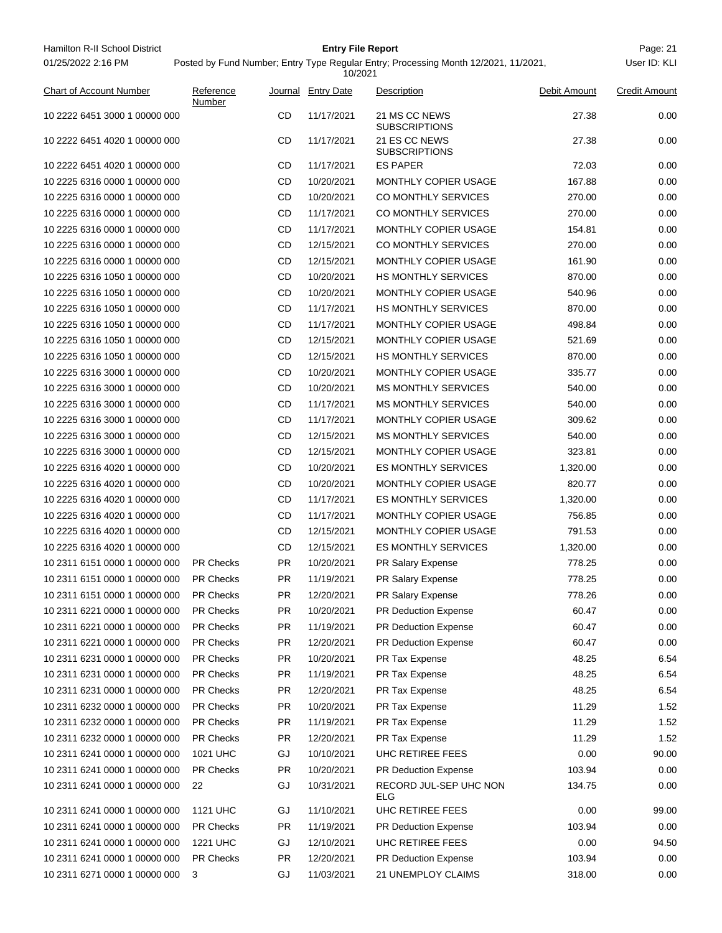| Hamilton R-II School District                                  |                               |           | <b>Entry File Report</b> |                                                                                     |                | Page: 21             |
|----------------------------------------------------------------|-------------------------------|-----------|--------------------------|-------------------------------------------------------------------------------------|----------------|----------------------|
| 01/25/2022 2:16 PM                                             |                               |           | 10/2021                  | Posted by Fund Number; Entry Type Regular Entry; Processing Month 12/2021, 11/2021, |                | User ID: KLI         |
| <b>Chart of Account Number</b>                                 | Reference<br>Number           |           | Journal Entry Date       | Description                                                                         | Debit Amount   | <b>Credit Amount</b> |
| 10 2222 6451 3000 1 00000 000                                  |                               | CD        | 11/17/2021               | 21 MS CC NEWS<br><b>SUBSCRIPTIONS</b>                                               | 27.38          | 0.00                 |
| 10 2222 6451 4020 1 00000 000                                  |                               | CD        | 11/17/2021               | 21 ES CC NEWS<br><b>SUBSCRIPTIONS</b>                                               | 27.38          | 0.00                 |
| 10 2222 6451 4020 1 00000 000                                  |                               | CD        | 11/17/2021               | <b>ES PAPER</b>                                                                     | 72.03          | 0.00                 |
| 10 2225 6316 0000 1 00000 000                                  |                               | CD        | 10/20/2021               | MONTHLY COPIER USAGE                                                                | 167.88         | 0.00                 |
| 10 2225 6316 0000 1 00000 000                                  |                               | CD        | 10/20/2021               | CO MONTHLY SERVICES                                                                 | 270.00         | 0.00                 |
| 10 2225 6316 0000 1 00000 000                                  |                               | CD        | 11/17/2021               | CO MONTHLY SERVICES                                                                 | 270.00         | 0.00                 |
| 10 2225 6316 0000 1 00000 000                                  |                               | CD        | 11/17/2021               | MONTHLY COPIER USAGE                                                                | 154.81         | 0.00                 |
| 10 2225 6316 0000 1 00000 000                                  |                               | CD        | 12/15/2021               | CO MONTHLY SERVICES                                                                 | 270.00         | 0.00                 |
| 10 2225 6316 0000 1 00000 000                                  |                               | CD        | 12/15/2021               | MONTHLY COPIER USAGE                                                                | 161.90         | 0.00                 |
| 10 2225 6316 1050 1 00000 000                                  |                               | CD        | 10/20/2021               | <b>HS MONTHLY SERVICES</b>                                                          | 870.00         | 0.00                 |
| 10 2225 6316 1050 1 00000 000                                  |                               | CD        | 10/20/2021               | <b>MONTHLY COPIER USAGE</b>                                                         | 540.96         | 0.00                 |
| 10 2225 6316 1050 1 00000 000                                  |                               | CD        | 11/17/2021               | <b>HS MONTHLY SERVICES</b>                                                          | 870.00         | 0.00                 |
| 10 2225 6316 1050 1 00000 000                                  |                               | CD        | 11/17/2021               | MONTHLY COPIER USAGE                                                                | 498.84         | 0.00                 |
| 10 2225 6316 1050 1 00000 000                                  |                               | CD        | 12/15/2021               | MONTHLY COPIER USAGE                                                                | 521.69         | 0.00                 |
| 10 2225 6316 1050 1 00000 000                                  |                               | CD        | 12/15/2021               | <b>HS MONTHLY SERVICES</b>                                                          | 870.00         | 0.00                 |
| 10 2225 6316 3000 1 00000 000                                  |                               | CD        | 10/20/2021               | MONTHLY COPIER USAGE                                                                | 335.77         | 0.00                 |
| 10 2225 6316 3000 1 00000 000                                  |                               | CD        | 10/20/2021               | <b>MS MONTHLY SERVICES</b>                                                          | 540.00         | 0.00                 |
| 10 2225 6316 3000 1 00000 000                                  |                               | CD        | 11/17/2021               | <b>MS MONTHLY SERVICES</b>                                                          | 540.00         | 0.00                 |
| 10 2225 6316 3000 1 00000 000                                  |                               | CD        | 11/17/2021               | MONTHLY COPIER USAGE                                                                | 309.62         | 0.00                 |
| 10 2225 6316 3000 1 00000 000                                  |                               | CD        | 12/15/2021               | <b>MS MONTHLY SERVICES</b>                                                          | 540.00         | 0.00                 |
| 10 2225 6316 3000 1 00000 000                                  |                               | CD        | 12/15/2021               | MONTHLY COPIER USAGE                                                                | 323.81         | 0.00                 |
| 10 2225 6316 4020 1 00000 000                                  |                               | CD        | 10/20/2021               | <b>ES MONTHLY SERVICES</b>                                                          | 1,320.00       | 0.00                 |
| 10 2225 6316 4020 1 00000 000                                  |                               | CD        | 10/20/2021               | MONTHLY COPIER USAGE                                                                | 820.77         | 0.00                 |
| 10 2225 6316 4020 1 00000 000                                  |                               | CD        | 11/17/2021               | <b>ES MONTHLY SERVICES</b>                                                          | 1,320.00       | 0.00                 |
| 10 2225 6316 4020 1 00000 000                                  |                               | CD        | 11/17/2021               | MONTHLY COPIER USAGE                                                                | 756.85         | 0.00                 |
| 10 2225 6316 4020 1 00000 000                                  |                               | CD        | 12/15/2021               | MONTHLY COPIER USAGE                                                                | 791.53         | 0.00                 |
| 10 2225 6316 4020 1 00000 000                                  |                               | CD        | 12/15/2021               | <b>ES MONTHLY SERVICES</b>                                                          | 1,320.00       | 0.00                 |
| 10 2311 6151 0000 1 00000 000                                  | <b>PR Checks</b>              | <b>PR</b> | 10/20/2021               | PR Salary Expense                                                                   | 778.25         | 0.00                 |
| 10 2311 6151 0000 1 00000 000                                  | PR Checks                     | <b>PR</b> | 11/19/2021               | PR Salary Expense                                                                   | 778.25         | 0.00                 |
| 10 2311 6151 0000 1 00000 000                                  | PR Checks                     | PR        | 12/20/2021               | PR Salary Expense                                                                   | 778.26         | 0.00                 |
| 10 2311 6221 0000 1 00000 000                                  | <b>PR Checks</b>              | PR        | 10/20/2021               | PR Deduction Expense                                                                | 60.47          | 0.00                 |
| 10 2311 6221 0000 1 00000 000                                  | <b>PR Checks</b>              |           | 11/19/2021               | PR Deduction Expense                                                                | 60.47          | 0.00                 |
|                                                                |                               | PR        |                          |                                                                                     |                |                      |
| 10 2311 6221 0000 1 00000 000<br>10 2311 6231 0000 1 00000 000 | PR Checks                     | PR        | 12/20/2021<br>10/20/2021 | PR Deduction Expense                                                                | 60.47          | 0.00                 |
| 10 2311 6231 0000 1 00000 000                                  | PR Checks<br><b>PR Checks</b> | PR<br>PR  | 11/19/2021               | PR Tax Expense                                                                      | 48.25<br>48.25 | 6.54<br>6.54         |
| 10 2311 6231 0000 1 00000 000                                  |                               |           |                          | PR Tax Expense                                                                      |                |                      |
|                                                                | <b>PR Checks</b>              | PR        | 12/20/2021               | PR Tax Expense                                                                      | 48.25          | 6.54                 |
| 10 2311 6232 0000 1 00000 000                                  | PR Checks                     | PR        | 10/20/2021               | PR Tax Expense                                                                      | 11.29          | 1.52                 |
| 10 2311 6232 0000 1 00000 000                                  | PR Checks                     | PR        | 11/19/2021               | PR Tax Expense                                                                      | 11.29          | 1.52                 |
| 10 2311 6232 0000 1 00000 000                                  | PR Checks                     | PR        | 12/20/2021               | PR Tax Expense                                                                      | 11.29          | 1.52                 |
| 10 2311 6241 0000 1 00000 000                                  | 1021 UHC                      | GJ        | 10/10/2021               | UHC RETIREE FEES                                                                    | 0.00           | 90.00                |
| 10 2311 6241 0000 1 00000 000                                  | PR Checks                     | <b>PR</b> | 10/20/2021               | PR Deduction Expense                                                                | 103.94         | 0.00                 |
| 10 2311 6241 0000 1 00000 000                                  | 22                            | GJ        | 10/31/2021               | RECORD JUL-SEP UHC NON<br>ELG                                                       | 134.75         | 0.00                 |
| 10 2311 6241 0000 1 00000 000                                  | <b>1121 UHC</b>               | GJ        | 11/10/2021               | UHC RETIREE FEES                                                                    | 0.00           | 99.00                |
| 10 2311 6241 0000 1 00000 000                                  | PR Checks                     | <b>PR</b> | 11/19/2021               | PR Deduction Expense                                                                | 103.94         | 0.00                 |
| 10 2311 6241 0000 1 00000 000                                  | <b>1221 UHC</b>               | GJ        | 12/10/2021               | UHC RETIREE FEES                                                                    | 0.00           | 94.50                |
| 10 2311 6241 0000 1 00000 000                                  | PR Checks                     | PR        | 12/20/2021               | PR Deduction Expense                                                                | 103.94         | 0.00                 |
| 10 2311 6271 0000 1 00000 000                                  | 3                             | GJ        | 11/03/2021               | 21 UNEMPLOY CLAIMS                                                                  | 318.00         | 0.00                 |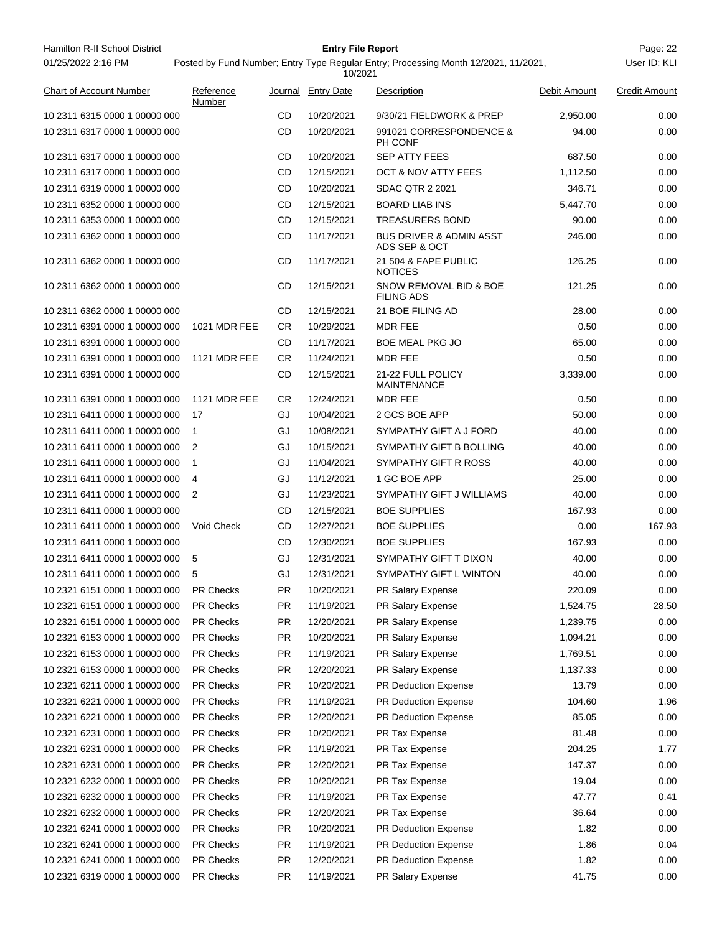| Hamilton R-II School District<br>01/25/2022 2:16 PM |                               |                  | <b>Entry File Report</b>      | Posted by Fund Number; Entry Type Regular Entry; Processing Month 12/2021, 11/2021, |              | Page: 22<br>User ID: KLI |
|-----------------------------------------------------|-------------------------------|------------------|-------------------------------|-------------------------------------------------------------------------------------|--------------|--------------------------|
| <b>Chart of Account Number</b>                      | Reference                     |                  | 10/2021<br>Journal Entry Date | Description                                                                         | Debit Amount | <b>Credit Amount</b>     |
|                                                     | Number                        |                  |                               |                                                                                     |              |                          |
| 10 2311 6315 0000 1 00000 000                       |                               | CD               | 10/20/2021                    | 9/30/21 FIELDWORK & PREP                                                            | 2,950.00     | 0.00                     |
| 10 2311 6317 0000 1 00000 000                       |                               | CD               | 10/20/2021                    | 991021 CORRESPONDENCE &<br>PH CONF                                                  | 94.00        | 0.00                     |
| 10 2311 6317 0000 1 00000 000                       |                               | CD               | 10/20/2021                    | <b>SEP ATTY FEES</b>                                                                | 687.50       | 0.00                     |
| 10 2311 6317 0000 1 00000 000                       |                               | CD               | 12/15/2021                    | <b>OCT &amp; NOV ATTY FEES</b>                                                      | 1,112.50     | 0.00                     |
| 10 2311 6319 0000 1 00000 000                       |                               | CD               | 10/20/2021                    | <b>SDAC QTR 2 2021</b>                                                              | 346.71       | 0.00                     |
| 10 2311 6352 0000 1 00000 000                       |                               | CD               | 12/15/2021                    | <b>BOARD LIAB INS</b>                                                               | 5,447.70     | 0.00                     |
| 10 2311 6353 0000 1 00000 000                       |                               | CD               | 12/15/2021                    | <b>TREASURERS BOND</b>                                                              | 90.00        | 0.00                     |
| 10 2311 6362 0000 1 00000 000                       |                               | CD               | 11/17/2021                    | <b>BUS DRIVER &amp; ADMIN ASST</b><br>ADS SEP & OCT                                 | 246.00       | 0.00                     |
| 10 2311 6362 0000 1 00000 000                       |                               | CD               | 11/17/2021                    | 21 504 & FAPE PUBLIC<br><b>NOTICES</b>                                              | 126.25       | 0.00                     |
| 10 2311 6362 0000 1 00000 000                       |                               | CD               | 12/15/2021                    | SNOW REMOVAL BID & BOE<br><b>FILING ADS</b>                                         | 121.25       | 0.00                     |
| 10 2311 6362 0000 1 00000 000                       |                               | CD               | 12/15/2021                    | 21 BOE FILING AD                                                                    | 28.00        | 0.00                     |
| 10 2311 6391 0000 1 00000 000                       | 1021 MDR FEE                  | CR.              | 10/29/2021                    | <b>MDR FEE</b>                                                                      | 0.50         | 0.00                     |
| 10 2311 6391 0000 1 00000 000                       |                               | CD               | 11/17/2021                    | <b>BOE MEAL PKG JO</b>                                                              | 65.00        | 0.00                     |
| 10 2311 6391 0000 1 00000 000                       | <b>1121 MDR FEE</b>           | CR.              | 11/24/2021                    | <b>MDR FEE</b>                                                                      | 0.50         | 0.00                     |
| 10 2311 6391 0000 1 00000 000                       |                               | CD               | 12/15/2021                    | 21-22 FULL POLICY<br><b>MAINTENANCE</b>                                             | 3,339.00     | 0.00                     |
| 10 2311 6391 0000 1 00000 000                       | <b>1121 MDR FEE</b>           | CR.              | 12/24/2021                    | <b>MDR FEE</b>                                                                      | 0.50         | 0.00                     |
| 10 2311 6411 0000 1 00000 000                       | 17                            | GJ               | 10/04/2021                    | 2 GCS BOE APP                                                                       | 50.00        | 0.00                     |
| 10 2311 6411 0000 1 00000 000                       | 1                             | GJ               | 10/08/2021                    | SYMPATHY GIFT A J FORD                                                              | 40.00        | 0.00                     |
| 10 2311 6411 0000 1 00000 000                       | 2                             | GJ               | 10/15/2021                    | SYMPATHY GIFT B BOLLING                                                             | 40.00        | 0.00                     |
| 10 2311 6411 0000 1 00000 000                       | $\mathbf{1}$                  | GJ               | 11/04/2021                    | SYMPATHY GIFT R ROSS                                                                | 40.00        | 0.00                     |
| 10 2311 6411 0000 1 00000 000                       | 4                             | GJ               | 11/12/2021                    | 1 GC BOE APP                                                                        | 25.00        | 0.00                     |
| 10 2311 6411 0000 1 00000 000                       | 2                             | GJ               | 11/23/2021                    | SYMPATHY GIFT J WILLIAMS                                                            | 40.00        | 0.00                     |
| 10 2311 6411 0000 1 00000 000                       |                               | CD               | 12/15/2021                    | <b>BOE SUPPLIES</b>                                                                 | 167.93       | 0.00                     |
| 10 2311 6411 0000 1 00000 000                       | Void Check                    | CD               | 12/27/2021                    | <b>BOE SUPPLIES</b>                                                                 | 0.00         | 167.93                   |
| 10 2311 6411 0000 1 00000 000                       |                               | CD               | 12/30/2021                    | <b>BOE SUPPLIES</b>                                                                 | 167.93       | 0.00                     |
| 10 2311 6411 0000 1 00000 000                       | 5                             | GJ               | 12/31/2021                    | SYMPATHY GIFT T DIXON                                                               | 40.00        | 0.00                     |
| 10 2311 6411 0000 1 00000 000                       | 5                             | GJ               | 12/31/2021                    | SYMPATHY GIFT L WINTON                                                              | 40.00        | 0.00                     |
| 10 2321 6151 0000 1 00000 000                       |                               |                  | 10/20/2021                    |                                                                                     | 220.09       | 0.00                     |
| 10 2321 6151 0000 1 00000 000                       | <b>PR Checks</b><br>PR Checks | PR.<br><b>PR</b> | 11/19/2021                    | PR Salary Expense                                                                   |              | 28.50                    |
|                                                     |                               |                  |                               | PR Salary Expense                                                                   | 1,524.75     |                          |
| 10 2321 6151 0000 1 00000 000                       | PR Checks                     | <b>PR</b>        | 12/20/2021                    | PR Salary Expense                                                                   | 1,239.75     | 0.00                     |
| 10 2321 6153 0000 1 00000 000                       | <b>PR Checks</b>              | PR.              | 10/20/2021                    | PR Salary Expense                                                                   | 1,094.21     | 0.00                     |
| 10 2321 6153 0000 1 00000 000                       | <b>PR Checks</b>              | <b>PR</b>        | 11/19/2021                    | PR Salary Expense                                                                   | 1,769.51     | 0.00                     |
| 10 2321 6153 0000 1 00000 000                       | PR Checks                     | PR.              | 12/20/2021                    | PR Salary Expense                                                                   | 1,137.33     | 0.00                     |
| 10 2321 6211 0000 1 00000 000                       | PR Checks                     | <b>PR</b>        | 10/20/2021                    | <b>PR Deduction Expense</b>                                                         | 13.79        | 0.00                     |
| 10 2321 6221 0000 1 00000 000                       | <b>PR Checks</b>              | PR.              | 11/19/2021                    | <b>PR Deduction Expense</b>                                                         | 104.60       | 1.96                     |
| 10 2321 6221 0000 1 00000 000                       | PR Checks                     | PR.              | 12/20/2021                    | PR Deduction Expense                                                                | 85.05        | 0.00                     |
| 10 2321 6231 0000 1 00000 000                       | PR Checks                     | PR.              | 10/20/2021                    | PR Tax Expense                                                                      | 81.48        | 0.00                     |
| 10 2321 6231 0000 1 00000 000                       | PR Checks                     | <b>PR</b>        | 11/19/2021                    | PR Tax Expense                                                                      | 204.25       | 1.77                     |
| 10 2321 6231 0000 1 00000 000                       | <b>PR Checks</b>              | <b>PR</b>        | 12/20/2021                    | PR Tax Expense                                                                      | 147.37       | 0.00                     |
| 10 2321 6232 0000 1 00000 000                       | <b>PR Checks</b>              | <b>PR</b>        | 10/20/2021                    | PR Tax Expense                                                                      | 19.04        | 0.00                     |
| 10 2321 6232 0000 1 00000 000                       | PR Checks                     | PR.              | 11/19/2021                    | PR Tax Expense                                                                      | 47.77        | 0.41                     |
| 10 2321 6232 0000 1 00000 000                       | PR Checks                     | <b>PR</b>        | 12/20/2021                    | PR Tax Expense                                                                      | 36.64        | 0.00                     |
| 10 2321 6241 0000 1 00000 000                       | <b>PR Checks</b>              | PR.              | 10/20/2021                    | <b>PR Deduction Expense</b>                                                         | 1.82         | 0.00                     |
| 10 2321 6241 0000 1 00000 000                       | <b>PR Checks</b>              | PR.              | 11/19/2021                    | PR Deduction Expense                                                                | 1.86         | 0.04                     |
| 10 2321 6241 0000 1 00000 000                       | PR Checks                     | PR.              | 12/20/2021                    | PR Deduction Expense                                                                | 1.82         | 0.00                     |
| 10 2321 6319 0000 1 00000 000                       | PR Checks                     | <b>PR</b>        | 11/19/2021                    | PR Salary Expense                                                                   | 41.75        | 0.00                     |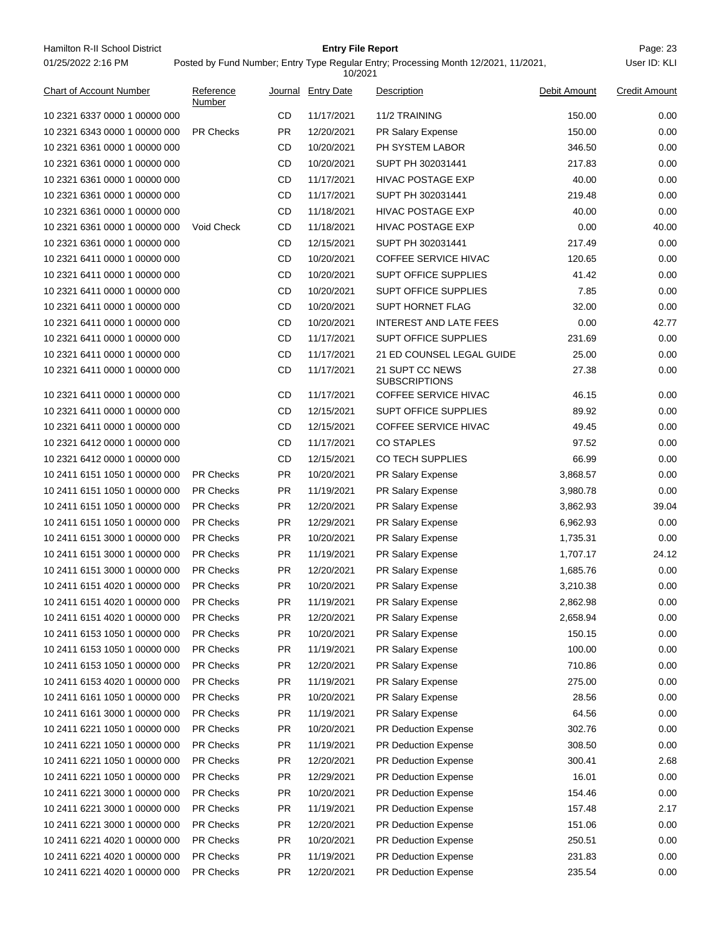Hamilton R-II School District **Entry File Report Entry File Report** Page: 23 01/25/2022 2:16 PM

## **Entry File Report**

Posted by Fund Number; Entry Type Regular Entry; Processing Month 12/2021, 11/2021,

|                                |                     |           | 10/2021            |                                         |              |                      |
|--------------------------------|---------------------|-----------|--------------------|-----------------------------------------|--------------|----------------------|
| <b>Chart of Account Number</b> | Reference<br>Number |           | Journal Entry Date | Description                             | Debit Amount | <b>Credit Amount</b> |
| 10 2321 6337 0000 1 00000 000  |                     | CD        | 11/17/2021         | 11/2 TRAINING                           | 150.00       | 0.00                 |
| 10 2321 6343 0000 1 00000 000  | <b>PR Checks</b>    | <b>PR</b> | 12/20/2021         | PR Salary Expense                       | 150.00       | 0.00                 |
| 10 2321 6361 0000 1 00000 000  |                     | CD        | 10/20/2021         | PH SYSTEM LABOR                         | 346.50       | 0.00                 |
| 10 2321 6361 0000 1 00000 000  |                     | CD        | 10/20/2021         | SUPT PH 302031441                       | 217.83       | 0.00                 |
| 10 2321 6361 0000 1 00000 000  |                     | CD        | 11/17/2021         | <b>HIVAC POSTAGE EXP</b>                | 40.00        | 0.00                 |
| 10 2321 6361 0000 1 00000 000  |                     | CD        | 11/17/2021         | SUPT PH 302031441                       | 219.48       | 0.00                 |
| 10 2321 6361 0000 1 00000 000  |                     | CD        | 11/18/2021         | <b>HIVAC POSTAGE EXP</b>                | 40.00        | 0.00                 |
| 10 2321 6361 0000 1 00000 000  | Void Check          | CD        | 11/18/2021         | <b>HIVAC POSTAGE EXP</b>                | 0.00         | 40.00                |
| 10 2321 6361 0000 1 00000 000  |                     | CD        | 12/15/2021         | SUPT PH 302031441                       | 217.49       | 0.00                 |
| 10 2321 6411 0000 1 00000 000  |                     | CD        | 10/20/2021         | <b>COFFEE SERVICE HIVAC</b>             | 120.65       | 0.00                 |
| 10 2321 6411 0000 1 00000 000  |                     | CD        | 10/20/2021         | <b>SUPT OFFICE SUPPLIES</b>             | 41.42        | 0.00                 |
| 10 2321 6411 0000 1 00000 000  |                     | CD        | 10/20/2021         | <b>SUPT OFFICE SUPPLIES</b>             | 7.85         | 0.00                 |
| 10 2321 6411 0000 1 00000 000  |                     | CD        | 10/20/2021         | <b>SUPT HORNET FLAG</b>                 | 32.00        | 0.00                 |
| 10 2321 6411 0000 1 00000 000  |                     | CD        | 10/20/2021         | <b>INTEREST AND LATE FEES</b>           | 0.00         | 42.77                |
| 10 2321 6411 0000 1 00000 000  |                     | CD        | 11/17/2021         | <b>SUPT OFFICE SUPPLIES</b>             | 231.69       | 0.00                 |
| 10 2321 6411 0000 1 00000 000  |                     | CD        | 11/17/2021         | 21 ED COUNSEL LEGAL GUIDE               | 25.00        | 0.00                 |
| 10 2321 6411 0000 1 00000 000  |                     | CD        | 11/17/2021         | 21 SUPT CC NEWS<br><b>SUBSCRIPTIONS</b> | 27.38        | 0.00                 |
| 10 2321 6411 0000 1 00000 000  |                     | CD        | 11/17/2021         | <b>COFFEE SERVICE HIVAC</b>             | 46.15        | 0.00                 |
| 10 2321 6411 0000 1 00000 000  |                     | CD        | 12/15/2021         | SUPT OFFICE SUPPLIES                    | 89.92        | 0.00                 |
| 10 2321 6411 0000 1 00000 000  |                     | CD        | 12/15/2021         | COFFEE SERVICE HIVAC                    | 49.45        | 0.00                 |
| 10 2321 6412 0000 1 00000 000  |                     | CD        | 11/17/2021         | <b>CO STAPLES</b>                       | 97.52        | 0.00                 |
| 10 2321 6412 0000 1 00000 000  |                     | CD        | 12/15/2021         | CO TECH SUPPLIES                        | 66.99        | 0.00                 |
| 10 2411 6151 1050 1 00000 000  | <b>PR Checks</b>    | PR.       | 10/20/2021         | PR Salary Expense                       | 3,868.57     | 0.00                 |
| 10 2411 6151 1050 1 00000 000  | <b>PR Checks</b>    | PR.       | 11/19/2021         | <b>PR Salary Expense</b>                | 3,980.78     | 0.00                 |
| 10 2411 6151 1050 1 00000 000  | <b>PR Checks</b>    | PR.       | 12/20/2021         | <b>PR Salary Expense</b>                | 3,862.93     | 39.04                |
| 10 2411 6151 1050 1 00000 000  | <b>PR Checks</b>    | PR.       | 12/29/2021         | <b>PR Salary Expense</b>                | 6,962.93     | 0.00                 |
| 10 2411 6151 3000 1 00000 000  | <b>PR Checks</b>    | PR.       | 10/20/2021         | PR Salary Expense                       | 1,735.31     | 0.00                 |
| 10 2411 6151 3000 1 00000 000  | <b>PR Checks</b>    | PR.       | 11/19/2021         | PR Salary Expense                       | 1,707.17     | 24.12                |
| 10 2411 6151 3000 1 00000 000  | <b>PR Checks</b>    | <b>PR</b> | 12/20/2021         | PR Salary Expense                       | 1,685.76     | 0.00                 |
| 10 2411 6151 4020 1 00000 000  | <b>PR Checks</b>    | <b>PR</b> | 10/20/2021         | PR Salary Expense                       | 3,210.38     | 0.00                 |
| 10 2411 6151 4020 1 00000 000  | <b>PR Checks</b>    | PR.       | 11/19/2021         | PR Salary Expense                       | 2,862.98     | 0.00                 |
| 10 2411 6151 4020 1 00000 000  | <b>PR Checks</b>    | <b>PR</b> | 12/20/2021         | PR Salary Expense                       | 2,658.94     | 0.00                 |
| 10 2411 6153 1050 1 00000 000  | PR Checks           | PR        | 10/20/2021         | PR Salary Expense                       | 150.15       | 0.00                 |
| 10 2411 6153 1050 1 00000 000  | <b>PR Checks</b>    | <b>PR</b> | 11/19/2021         | PR Salary Expense                       | 100.00       | 0.00                 |
| 10 2411 6153 1050 1 00000 000  | PR Checks           | <b>PR</b> | 12/20/2021         | PR Salary Expense                       | 710.86       | 0.00                 |
| 10 2411 6153 4020 1 00000 000  | PR Checks           | <b>PR</b> | 11/19/2021         | PR Salary Expense                       | 275.00       | 0.00                 |
| 10 2411 6161 1050 1 00000 000  | PR Checks           | <b>PR</b> | 10/20/2021         | PR Salary Expense                       | 28.56        | 0.00                 |
| 10 2411 6161 3000 1 00000 000  | <b>PR Checks</b>    | <b>PR</b> | 11/19/2021         | PR Salary Expense                       | 64.56        | 0.00                 |
| 10 2411 6221 1050 1 00000 000  | PR Checks           | <b>PR</b> | 10/20/2021         | PR Deduction Expense                    | 302.76       | 0.00                 |
| 10 2411 6221 1050 1 00000 000  | PR Checks           | <b>PR</b> | 11/19/2021         | PR Deduction Expense                    | 308.50       | 0.00                 |
| 10 2411 6221 1050 1 00000 000  | PR Checks           | <b>PR</b> | 12/20/2021         | PR Deduction Expense                    | 300.41       | 2.68                 |
| 10 2411 6221 1050 1 00000 000  | <b>PR Checks</b>    | <b>PR</b> | 12/29/2021         | PR Deduction Expense                    | 16.01        | 0.00                 |
| 10 2411 6221 3000 1 00000 000  | PR Checks           | <b>PR</b> | 10/20/2021         | PR Deduction Expense                    | 154.46       | 0.00                 |
| 10 2411 6221 3000 1 00000 000  | PR Checks           | <b>PR</b> | 11/19/2021         | PR Deduction Expense                    | 157.48       | 2.17                 |
| 10 2411 6221 3000 1 00000 000  | PR Checks           | <b>PR</b> | 12/20/2021         | PR Deduction Expense                    | 151.06       | 0.00                 |
| 10 2411 6221 4020 1 00000 000  | <b>PR Checks</b>    | <b>PR</b> | 10/20/2021         | PR Deduction Expense                    | 250.51       | 0.00                 |
| 10 2411 6221 4020 1 00000 000  | PR Checks           | <b>PR</b> | 11/19/2021         | PR Deduction Expense                    | 231.83       | 0.00                 |
| 10 2411 6221 4020 1 00000 000  | PR Checks           | PR        | 12/20/2021         | PR Deduction Expense                    | 235.54       | 0.00                 |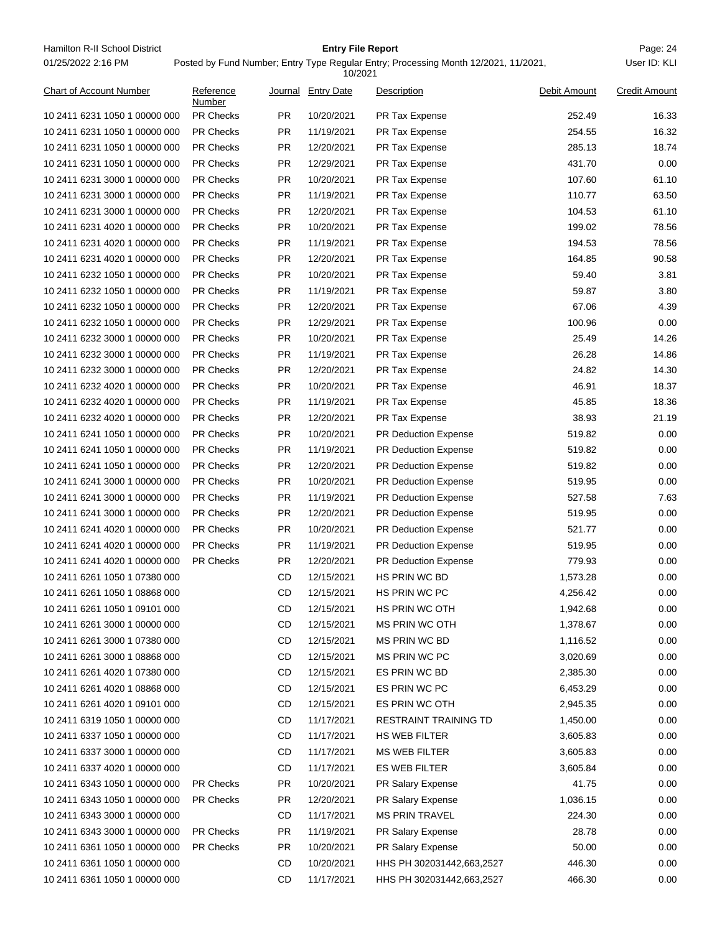Hamilton R-II School District **Entry File Report Entry File Report** Page: 24 01/25/2022 2:16 PM

## **Entry File Report**

Posted by Fund Number; Entry Type Regular Entry; Processing Month 12/2021, 11/2021,

|                                |                     |           | 10/2021            |                             |              |                      |
|--------------------------------|---------------------|-----------|--------------------|-----------------------------|--------------|----------------------|
| <b>Chart of Account Number</b> | Reference<br>Number |           | Journal Entry Date | Description                 | Debit Amount | <b>Credit Amount</b> |
| 10 2411 6231 1050 1 00000 000  | PR Checks           | PR.       | 10/20/2021         | <b>PR Tax Expense</b>       | 252.49       | 16.33                |
| 10 2411 6231 1050 1 00000 000  | <b>PR Checks</b>    | <b>PR</b> | 11/19/2021         | PR Tax Expense              | 254.55       | 16.32                |
| 10 2411 6231 1050 1 00000 000  | <b>PR Checks</b>    | <b>PR</b> | 12/20/2021         | PR Tax Expense              | 285.13       | 18.74                |
| 10 2411 6231 1050 1 00000 000  | <b>PR Checks</b>    | <b>PR</b> | 12/29/2021         | PR Tax Expense              | 431.70       | 0.00                 |
| 10 2411 6231 3000 1 00000 000  | <b>PR Checks</b>    | <b>PR</b> | 10/20/2021         | PR Tax Expense              | 107.60       | 61.10                |
| 10 2411 6231 3000 1 00000 000  | <b>PR Checks</b>    | <b>PR</b> | 11/19/2021         | <b>PR Tax Expense</b>       | 110.77       | 63.50                |
| 10 2411 6231 3000 1 00000 000  | <b>PR Checks</b>    | <b>PR</b> | 12/20/2021         | PR Tax Expense              | 104.53       | 61.10                |
| 10 2411 6231 4020 1 00000 000  | <b>PR Checks</b>    | <b>PR</b> | 10/20/2021         | PR Tax Expense              | 199.02       | 78.56                |
| 10 2411 6231 4020 1 00000 000  | <b>PR Checks</b>    | <b>PR</b> | 11/19/2021         | PR Tax Expense              | 194.53       | 78.56                |
| 10 2411 6231 4020 1 00000 000  | <b>PR Checks</b>    | <b>PR</b> | 12/20/2021         | PR Tax Expense              | 164.85       | 90.58                |
| 10 2411 6232 1050 1 00000 000  | <b>PR Checks</b>    | <b>PR</b> | 10/20/2021         | PR Tax Expense              | 59.40        | 3.81                 |
| 10 2411 6232 1050 1 00000 000  | <b>PR Checks</b>    | <b>PR</b> | 11/19/2021         | PR Tax Expense              | 59.87        | 3.80                 |
| 10 2411 6232 1050 1 00000 000  | <b>PR Checks</b>    | <b>PR</b> | 12/20/2021         | PR Tax Expense              | 67.06        | 4.39                 |
| 10 2411 6232 1050 1 00000 000  | <b>PR Checks</b>    | <b>PR</b> | 12/29/2021         | <b>PR Tax Expense</b>       | 100.96       | 0.00                 |
| 10 2411 6232 3000 1 00000 000  | PR Checks           | <b>PR</b> | 10/20/2021         | PR Tax Expense              | 25.49        | 14.26                |
| 10 2411 6232 3000 1 00000 000  | <b>PR Checks</b>    | <b>PR</b> | 11/19/2021         | PR Tax Expense              | 26.28        | 14.86                |
| 10 2411 6232 3000 1 00000 000  | <b>PR Checks</b>    | <b>PR</b> | 12/20/2021         | PR Tax Expense              | 24.82        | 14.30                |
| 10 2411 6232 4020 1 00000 000  | <b>PR Checks</b>    | <b>PR</b> | 10/20/2021         | PR Tax Expense              | 46.91        | 18.37                |
| 10 2411 6232 4020 1 00000 000  | <b>PR Checks</b>    | <b>PR</b> | 11/19/2021         | PR Tax Expense              | 45.85        | 18.36                |
| 10 2411 6232 4020 1 00000 000  | <b>PR Checks</b>    | <b>PR</b> | 12/20/2021         | PR Tax Expense              | 38.93        | 21.19                |
| 10 2411 6241 1050 1 00000 000  | <b>PR Checks</b>    | <b>PR</b> | 10/20/2021         | <b>PR Deduction Expense</b> | 519.82       | 0.00                 |
| 10 2411 6241 1050 1 00000 000  | <b>PR Checks</b>    | <b>PR</b> | 11/19/2021         | <b>PR Deduction Expense</b> | 519.82       | 0.00                 |
| 10 2411 6241 1050 1 00000 000  | <b>PR Checks</b>    | <b>PR</b> | 12/20/2021         | PR Deduction Expense        | 519.82       | 0.00                 |
| 10 2411 6241 3000 1 00000 000  | <b>PR Checks</b>    | <b>PR</b> | 10/20/2021         | PR Deduction Expense        | 519.95       | 0.00                 |
| 10 2411 6241 3000 1 00000 000  | <b>PR Checks</b>    | <b>PR</b> | 11/19/2021         | PR Deduction Expense        | 527.58       | 7.63                 |
| 10 2411 6241 3000 1 00000 000  | <b>PR Checks</b>    | <b>PR</b> | 12/20/2021         | PR Deduction Expense        | 519.95       | 0.00                 |
| 10 2411 6241 4020 1 00000 000  | <b>PR Checks</b>    | <b>PR</b> | 10/20/2021         | PR Deduction Expense        | 521.77       | 0.00                 |
| 10 2411 6241 4020 1 00000 000  | <b>PR Checks</b>    | <b>PR</b> | 11/19/2021         | PR Deduction Expense        | 519.95       | 0.00                 |
| 10 2411 6241 4020 1 00000 000  | <b>PR Checks</b>    | PR.       | 12/20/2021         | PR Deduction Expense        | 779.93       | 0.00                 |
| 10 2411 6261 1050 1 07380 000  |                     | CD        | 12/15/2021         | HS PRIN WC BD               | 1,573.28     | 0.00                 |
| 10 2411 6261 1050 1 08868 000  |                     | <b>CD</b> | 12/15/2021         | <b>HS PRIN WC PC</b>        | 4,256.42     | 0.00                 |
| 10 2411 6261 1050 1 09101 000  |                     | CD        | 12/15/2021         | HS PRIN WC OTH              | 1,942.68     | 0.00                 |
| 10 2411 6261 3000 1 00000 000  |                     | CD        | 12/15/2021         | MS PRIN WC OTH              | 1,378.67     | 0.00                 |
| 10 2411 6261 3000 1 07380 000  |                     | CD        | 12/15/2021         | MS PRIN WC BD               | 1,116.52     | 0.00                 |
| 10 2411 6261 3000 1 08868 000  |                     | CD        | 12/15/2021         | MS PRIN WC PC               | 3,020.69     | 0.00                 |
| 10 2411 6261 4020 1 07380 000  |                     | CD        | 12/15/2021         | ES PRIN WC BD               | 2,385.30     | 0.00                 |
| 10 2411 6261 4020 1 08868 000  |                     | CD        | 12/15/2021         | ES PRIN WC PC               | 6,453.29     | 0.00                 |
| 10 2411 6261 4020 1 09101 000  |                     | CD        | 12/15/2021         | ES PRIN WC OTH              | 2,945.35     | 0.00                 |
| 10 2411 6319 1050 1 00000 000  |                     | CD        | 11/17/2021         | RESTRAINT TRAINING TD       | 1,450.00     | 0.00                 |
| 10 2411 6337 1050 1 00000 000  |                     | CD        | 11/17/2021         | HS WEB FILTER               | 3,605.83     | 0.00                 |
| 10 2411 6337 3000 1 00000 000  |                     | CD        | 11/17/2021         | <b>MS WEB FILTER</b>        | 3,605.83     | 0.00                 |
| 10 2411 6337 4020 1 00000 000  |                     | CD        | 11/17/2021         | ES WEB FILTER               | 3,605.84     | 0.00                 |
| 10 2411 6343 1050 1 00000 000  | PR Checks           | <b>PR</b> | 10/20/2021         | PR Salary Expense           | 41.75        | 0.00                 |
| 10 2411 6343 1050 1 00000 000  | <b>PR Checks</b>    | PR.       | 12/20/2021         | PR Salary Expense           | 1,036.15     | 0.00                 |
| 10 2411 6343 3000 1 00000 000  |                     | CD        | 11/17/2021         | <b>MS PRIN TRAVEL</b>       | 224.30       | 0.00                 |
| 10 2411 6343 3000 1 00000 000  | <b>PR Checks</b>    | <b>PR</b> | 11/19/2021         | PR Salary Expense           | 28.78        | 0.00                 |
| 10 2411 6361 1050 1 00000 000  | PR Checks           | <b>PR</b> | 10/20/2021         | PR Salary Expense           | 50.00        | 0.00                 |
| 10 2411 6361 1050 1 00000 000  |                     | CD        | 10/20/2021         | HHS PH 302031442,663,2527   | 446.30       | 0.00                 |
| 10 2411 6361 1050 1 00000 000  |                     | CD        | 11/17/2021         | HHS PH 302031442,663,2527   | 466.30       | 0.00                 |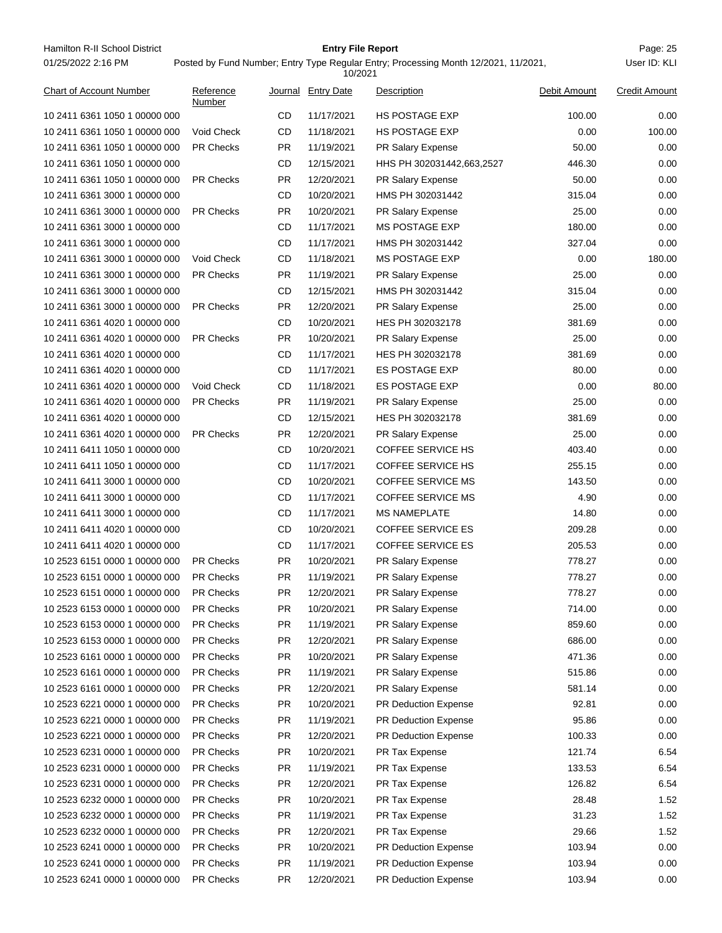Hamilton R-II School District **Entry File Report Entry File Report** Page: 25 01/25/2022 2:16 PM

## **Entry File Report**

Posted by Fund Number; Entry Type Regular Entry; Processing Month 12/2021, 11/2021,

|                               |                     |           | 10/2021            |                           |              |                      |
|-------------------------------|---------------------|-----------|--------------------|---------------------------|--------------|----------------------|
| Chart of Account Number       | Reference<br>Number |           | Journal Entry Date | Description               | Debit Amount | <b>Credit Amount</b> |
| 10 2411 6361 1050 1 00000 000 |                     | CD        | 11/17/2021         | <b>HS POSTAGE EXP</b>     | 100.00       | 0.00                 |
| 10 2411 6361 1050 1 00000 000 | Void Check          | CD        | 11/18/2021         | <b>HS POSTAGE EXP</b>     | 0.00         | 100.00               |
| 10 2411 6361 1050 1 00000 000 | <b>PR Checks</b>    | PR.       | 11/19/2021         | <b>PR Salary Expense</b>  | 50.00        | 0.00                 |
| 10 2411 6361 1050 1 00000 000 |                     | CD        | 12/15/2021         | HHS PH 302031442,663,2527 | 446.30       | 0.00                 |
| 10 2411 6361 1050 1 00000 000 | <b>PR Checks</b>    | <b>PR</b> | 12/20/2021         | <b>PR Salary Expense</b>  | 50.00        | 0.00                 |
| 10 2411 6361 3000 1 00000 000 |                     | CD        | 10/20/2021         | HMS PH 302031442          | 315.04       | 0.00                 |
| 10 2411 6361 3000 1 00000 000 | <b>PR Checks</b>    | <b>PR</b> | 10/20/2021         | PR Salary Expense         | 25.00        | 0.00                 |
| 10 2411 6361 3000 1 00000 000 |                     | CD        | 11/17/2021         | MS POSTAGE EXP            | 180.00       | 0.00                 |
| 10 2411 6361 3000 1 00000 000 |                     | CD        | 11/17/2021         | HMS PH 302031442          | 327.04       | 0.00                 |
| 10 2411 6361 3000 1 00000 000 | Void Check          | CD        | 11/18/2021         | <b>MS POSTAGE EXP</b>     | 0.00         | 180.00               |
| 10 2411 6361 3000 1 00000 000 | <b>PR Checks</b>    | <b>PR</b> | 11/19/2021         | <b>PR Salary Expense</b>  | 25.00        | 0.00                 |
| 10 2411 6361 3000 1 00000 000 |                     | CD        | 12/15/2021         | HMS PH 302031442          | 315.04       | 0.00                 |
| 10 2411 6361 3000 1 00000 000 | <b>PR Checks</b>    | <b>PR</b> | 12/20/2021         | <b>PR Salary Expense</b>  | 25.00        | 0.00                 |
| 10 2411 6361 4020 1 00000 000 |                     | CD        | 10/20/2021         | HES PH 302032178          | 381.69       | 0.00                 |
| 10 2411 6361 4020 1 00000 000 | <b>PR Checks</b>    | <b>PR</b> | 10/20/2021         | PR Salary Expense         | 25.00        | 0.00                 |
| 10 2411 6361 4020 1 00000 000 |                     | CD        | 11/17/2021         | HES PH 302032178          | 381.69       | 0.00                 |
| 10 2411 6361 4020 1 00000 000 |                     | CD        | 11/17/2021         | <b>ES POSTAGE EXP</b>     | 80.00        | 0.00                 |
| 10 2411 6361 4020 1 00000 000 | Void Check          | CD        | 11/18/2021         | <b>ES POSTAGE EXP</b>     | 0.00         | 80.00                |
| 10 2411 6361 4020 1 00000 000 | <b>PR Checks</b>    | PR.       | 11/19/2021         | <b>PR Salary Expense</b>  | 25.00        | 0.00                 |
| 10 2411 6361 4020 1 00000 000 |                     | CD        | 12/15/2021         | HES PH 302032178          | 381.69       | 0.00                 |
| 10 2411 6361 4020 1 00000 000 | <b>PR Checks</b>    | PR.       | 12/20/2021         | PR Salary Expense         | 25.00        | 0.00                 |
| 10 2411 6411 1050 1 00000 000 |                     | CD        | 10/20/2021         | <b>COFFEE SERVICE HS</b>  | 403.40       | 0.00                 |
| 10 2411 6411 1050 1 00000 000 |                     | CD        | 11/17/2021         | COFFEE SERVICE HS         | 255.15       | 0.00                 |
| 10 2411 6411 3000 1 00000 000 |                     | CD        | 10/20/2021         | COFFEE SERVICE MS         | 143.50       | 0.00                 |
| 10 2411 6411 3000 1 00000 000 |                     | CD        | 11/17/2021         | <b>COFFEE SERVICE MS</b>  | 4.90         | 0.00                 |
| 10 2411 6411 3000 1 00000 000 |                     | CD        | 11/17/2021         | <b>MS NAMEPLATE</b>       | 14.80        | 0.00                 |
| 10 2411 6411 4020 1 00000 000 |                     | CD        | 10/20/2021         | <b>COFFEE SERVICE ES</b>  | 209.28       | 0.00                 |
| 10 2411 6411 4020 1 00000 000 |                     | CD        | 11/17/2021         | <b>COFFEE SERVICE ES</b>  | 205.53       | 0.00                 |
| 10 2523 6151 0000 1 00000 000 | <b>PR Checks</b>    | PR.       | 10/20/2021         | PR Salary Expense         | 778.27       | 0.00                 |
| 10 2523 6151 0000 1 00000 000 | <b>PR Checks</b>    | PR.       | 11/19/2021         | <b>PR Salary Expense</b>  | 778.27       | 0.00                 |
| 10 2523 6151 0000 1 00000 000 | PR Checks           | PR.       | 12/20/2021         | PR Salary Expense         | 778.27       | 0.00                 |
| 10 2523 6153 0000 1 00000 000 | <b>PR Checks</b>    | PR        | 10/20/2021         | PR Salary Expense         | 714.00       | 0.00                 |
| 10 2523 6153 0000 1 00000 000 | PR Checks           | <b>PR</b> | 11/19/2021         | PR Salary Expense         | 859.60       | 0.00                 |
| 10 2523 6153 0000 1 00000 000 | PR Checks           | <b>PR</b> | 12/20/2021         | PR Salary Expense         | 686.00       | 0.00                 |
| 10 2523 6161 0000 1 00000 000 | <b>PR Checks</b>    | <b>PR</b> | 10/20/2021         | PR Salary Expense         | 471.36       | 0.00                 |
| 10 2523 6161 0000 1 00000 000 | <b>PR Checks</b>    | <b>PR</b> | 11/19/2021         | PR Salary Expense         | 515.86       | 0.00                 |
| 10 2523 6161 0000 1 00000 000 | <b>PR Checks</b>    | PR.       | 12/20/2021         | PR Salary Expense         | 581.14       | 0.00                 |
| 10 2523 6221 0000 1 00000 000 | <b>PR Checks</b>    | <b>PR</b> | 10/20/2021         | PR Deduction Expense      | 92.81        | 0.00                 |
| 10 2523 6221 0000 1 00000 000 | <b>PR Checks</b>    | <b>PR</b> | 11/19/2021         | PR Deduction Expense      | 95.86        | 0.00                 |
| 10 2523 6221 0000 1 00000 000 | PR Checks           | <b>PR</b> | 12/20/2021         | PR Deduction Expense      | 100.33       | 0.00                 |
| 10 2523 6231 0000 1 00000 000 | PR Checks           | PR.       | 10/20/2021         | PR Tax Expense            | 121.74       | 6.54                 |
| 10 2523 6231 0000 1 00000 000 | PR Checks           | <b>PR</b> | 11/19/2021         | PR Tax Expense            | 133.53       | 6.54                 |
| 10 2523 6231 0000 1 00000 000 | <b>PR Checks</b>    | <b>PR</b> | 12/20/2021         | PR Tax Expense            | 126.82       | 6.54                 |
| 10 2523 6232 0000 1 00000 000 | <b>PR Checks</b>    | <b>PR</b> | 10/20/2021         | PR Tax Expense            | 28.48        | 1.52                 |
| 10 2523 6232 0000 1 00000 000 | <b>PR Checks</b>    | <b>PR</b> | 11/19/2021         | PR Tax Expense            | 31.23        | 1.52                 |
| 10 2523 6232 0000 1 00000 000 | <b>PR Checks</b>    | <b>PR</b> | 12/20/2021         | PR Tax Expense            | 29.66        | 1.52                 |
| 10 2523 6241 0000 1 00000 000 | <b>PR Checks</b>    | <b>PR</b> | 10/20/2021         | PR Deduction Expense      | 103.94       | 0.00                 |
| 10 2523 6241 0000 1 00000 000 | PR Checks           | PR        | 11/19/2021         | PR Deduction Expense      | 103.94       | 0.00                 |
| 10 2523 6241 0000 1 00000 000 | PR Checks           | PR        | 12/20/2021         | PR Deduction Expense      | 103.94       | 0.00                 |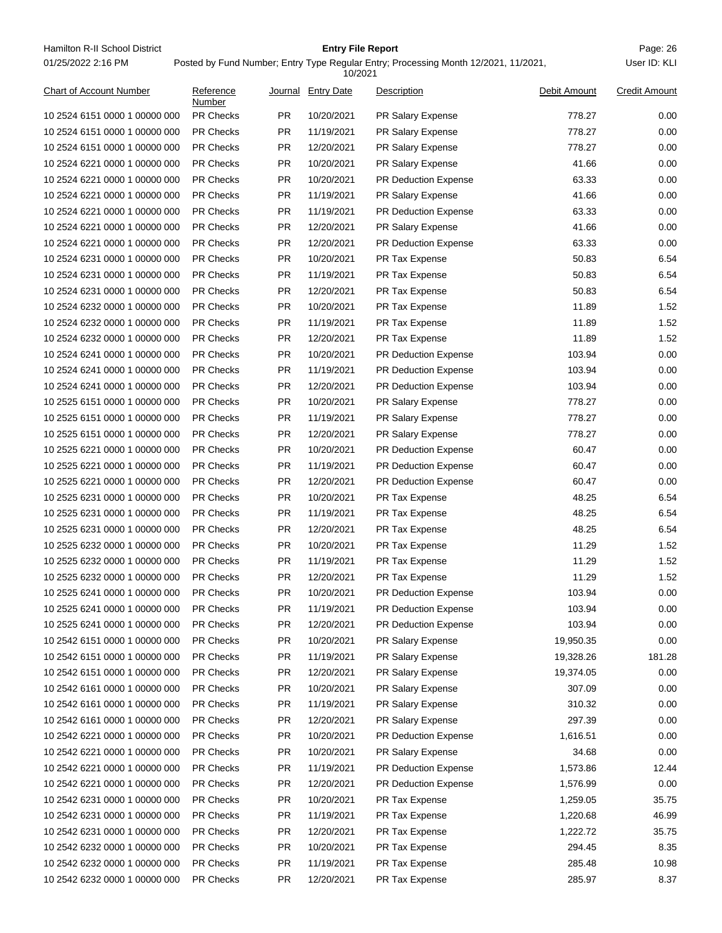Hamilton R-II School District **Entry File Report Entry File Report** Page: 26 01/25/2022 2:16 PM

## **Entry File Report**

### Posted by Fund Number; Entry Type Regular Entry; Processing Month 12/2021, 11/2021,

|                               |                     |           | 10/2021            |                             |              |                      |
|-------------------------------|---------------------|-----------|--------------------|-----------------------------|--------------|----------------------|
| Chart of Account Number       | Reference<br>Number |           | Journal Entry Date | Description                 | Debit Amount | <b>Credit Amount</b> |
| 10 2524 6151 0000 1 00000 000 | PR Checks           | PR.       | 10/20/2021         | PR Salary Expense           | 778.27       | 0.00                 |
| 10 2524 6151 0000 1 00000 000 | <b>PR Checks</b>    | <b>PR</b> | 11/19/2021         | <b>PR Salary Expense</b>    | 778.27       | 0.00                 |
| 10 2524 6151 0000 1 00000 000 | <b>PR Checks</b>    | PR.       | 12/20/2021         | PR Salary Expense           | 778.27       | 0.00                 |
| 10 2524 6221 0000 1 00000 000 | <b>PR Checks</b>    | <b>PR</b> | 10/20/2021         | PR Salary Expense           | 41.66        | 0.00                 |
| 10 2524 6221 0000 1 00000 000 | <b>PR Checks</b>    | PR.       | 10/20/2021         | <b>PR Deduction Expense</b> | 63.33        | 0.00                 |
| 10 2524 6221 0000 1 00000 000 | <b>PR Checks</b>    | <b>PR</b> | 11/19/2021         | <b>PR Salary Expense</b>    | 41.66        | 0.00                 |
| 10 2524 6221 0000 1 00000 000 | <b>PR Checks</b>    | <b>PR</b> | 11/19/2021         | PR Deduction Expense        | 63.33        | 0.00                 |
| 10 2524 6221 0000 1 00000 000 | <b>PR Checks</b>    | PR.       | 12/20/2021         | PR Salary Expense           | 41.66        | 0.00                 |
| 10 2524 6221 0000 1 00000 000 | <b>PR Checks</b>    | <b>PR</b> | 12/20/2021         | PR Deduction Expense        | 63.33        | 0.00                 |
| 10 2524 6231 0000 1 00000 000 | <b>PR Checks</b>    | <b>PR</b> | 10/20/2021         | PR Tax Expense              | 50.83        | 6.54                 |
| 10 2524 6231 0000 1 00000 000 | <b>PR Checks</b>    | PR.       | 11/19/2021         | PR Tax Expense              | 50.83        | 6.54                 |
| 10 2524 6231 0000 1 00000 000 | <b>PR Checks</b>    | <b>PR</b> | 12/20/2021         | PR Tax Expense              | 50.83        | 6.54                 |
| 10 2524 6232 0000 1 00000 000 | <b>PR Checks</b>    | PR.       | 10/20/2021         | PR Tax Expense              | 11.89        | 1.52                 |
| 10 2524 6232 0000 1 00000 000 | <b>PR Checks</b>    | <b>PR</b> | 11/19/2021         | PR Tax Expense              | 11.89        | 1.52                 |
| 10 2524 6232 0000 1 00000 000 | <b>PR Checks</b>    | <b>PR</b> | 12/20/2021         | PR Tax Expense              | 11.89        | 1.52                 |
| 10 2524 6241 0000 1 00000 000 | <b>PR Checks</b>    | PR.       | 10/20/2021         | PR Deduction Expense        | 103.94       | 0.00                 |
| 10 2524 6241 0000 1 00000 000 | <b>PR Checks</b>    | PR.       | 11/19/2021         | PR Deduction Expense        | 103.94       | 0.00                 |
| 10 2524 6241 0000 1 00000 000 | <b>PR Checks</b>    | <b>PR</b> | 12/20/2021         | <b>PR Deduction Expense</b> | 103.94       | 0.00                 |
| 10 2525 6151 0000 1 00000 000 | <b>PR Checks</b>    | PR.       | 10/20/2021         | PR Salary Expense           | 778.27       | 0.00                 |
| 10 2525 6151 0000 1 00000 000 | <b>PR Checks</b>    | <b>PR</b> | 11/19/2021         | PR Salary Expense           | 778.27       | 0.00                 |
| 10 2525 6151 0000 1 00000 000 | <b>PR Checks</b>    | PR.       | 12/20/2021         | PR Salary Expense           | 778.27       | 0.00                 |
| 10 2525 6221 0000 1 00000 000 | <b>PR Checks</b>    | <b>PR</b> | 10/20/2021         | <b>PR Deduction Expense</b> | 60.47        | 0.00                 |
| 10 2525 6221 0000 1 00000 000 | <b>PR Checks</b>    | <b>PR</b> | 11/19/2021         | PR Deduction Expense        | 60.47        | 0.00                 |
| 10 2525 6221 0000 1 00000 000 | <b>PR Checks</b>    | PR.       | 12/20/2021         | PR Deduction Expense        | 60.47        | 0.00                 |
| 10 2525 6231 0000 1 00000 000 | <b>PR Checks</b>    | <b>PR</b> | 10/20/2021         | PR Tax Expense              | 48.25        | 6.54                 |
| 10 2525 6231 0000 1 00000 000 | <b>PR Checks</b>    | <b>PR</b> | 11/19/2021         | PR Tax Expense              | 48.25        | 6.54                 |
| 10 2525 6231 0000 1 00000 000 | <b>PR Checks</b>    | PR.       | 12/20/2021         | PR Tax Expense              | 48.25        | 6.54                 |
| 10 2525 6232 0000 1 00000 000 | <b>PR Checks</b>    | PR.       | 10/20/2021         | PR Tax Expense              | 11.29        | 1.52                 |
| 10 2525 6232 0000 1 00000 000 | <b>PR Checks</b>    | PR.       | 11/19/2021         | PR Tax Expense              | 11.29        | 1.52                 |
| 10 2525 6232 0000 1 00000 000 | <b>PR Checks</b>    | <b>PR</b> | 12/20/2021         | PR Tax Expense              | 11.29        | 1.52                 |
| 10 2525 6241 0000 1 00000 000 | <b>PR Checks</b>    | <b>PR</b> | 10/20/2021         | PR Deduction Expense        | 103.94       | 0.00                 |
| 10 2525 6241 0000 1 00000 000 | PR Checks           | PR.       | 11/19/2021         | <b>PR Deduction Expense</b> | 103.94       | 0.00                 |
| 10 2525 6241 0000 1 00000 000 | PR Checks           | PR        | 12/20/2021         | PR Deduction Expense        | 103.94       | 0.00                 |
| 10 2542 6151 0000 1 00000 000 | PR Checks           | PR        | 10/20/2021         | PR Salary Expense           | 19,950.35    | 0.00                 |
| 10 2542 6151 0000 1 00000 000 | PR Checks           | PR        | 11/19/2021         | PR Salary Expense           | 19,328.26    | 181.28               |
| 10 2542 6151 0000 1 00000 000 | PR Checks           | <b>PR</b> | 12/20/2021         | PR Salary Expense           | 19,374.05    | 0.00                 |
| 10 2542 6161 0000 1 00000 000 | PR Checks           | <b>PR</b> | 10/20/2021         | PR Salary Expense           | 307.09       | 0.00                 |
| 10 2542 6161 0000 1 00000 000 | PR Checks           | <b>PR</b> | 11/19/2021         | PR Salary Expense           | 310.32       | 0.00                 |
| 10 2542 6161 0000 1 00000 000 | PR Checks           | PR        | 12/20/2021         | PR Salary Expense           | 297.39       | 0.00                 |
| 10 2542 6221 0000 1 00000 000 | PR Checks           | <b>PR</b> | 10/20/2021         | PR Deduction Expense        | 1,616.51     | 0.00                 |
| 10 2542 6221 0000 1 00000 000 | PR Checks           | <b>PR</b> | 10/20/2021         | PR Salary Expense           | 34.68        | 0.00                 |
| 10 2542 6221 0000 1 00000 000 | PR Checks           | <b>PR</b> | 11/19/2021         | PR Deduction Expense        | 1,573.86     | 12.44                |
| 10 2542 6221 0000 1 00000 000 | PR Checks           | <b>PR</b> | 12/20/2021         | PR Deduction Expense        | 1,576.99     | 0.00                 |
| 10 2542 6231 0000 1 00000 000 | PR Checks           | <b>PR</b> | 10/20/2021         | PR Tax Expense              | 1,259.05     | 35.75                |
| 10 2542 6231 0000 1 00000 000 | PR Checks           | <b>PR</b> | 11/19/2021         | PR Tax Expense              | 1,220.68     | 46.99                |
| 10 2542 6231 0000 1 00000 000 | PR Checks           | <b>PR</b> | 12/20/2021         | PR Tax Expense              | 1,222.72     | 35.75                |
| 10 2542 6232 0000 1 00000 000 | PR Checks           | <b>PR</b> | 10/20/2021         | PR Tax Expense              | 294.45       | 8.35                 |
| 10 2542 6232 0000 1 00000 000 | PR Checks           | <b>PR</b> | 11/19/2021         | PR Tax Expense              | 285.48       | 10.98                |
| 10 2542 6232 0000 1 00000 000 | PR Checks           | <b>PR</b> | 12/20/2021         | PR Tax Expense              | 285.97       | 8.37                 |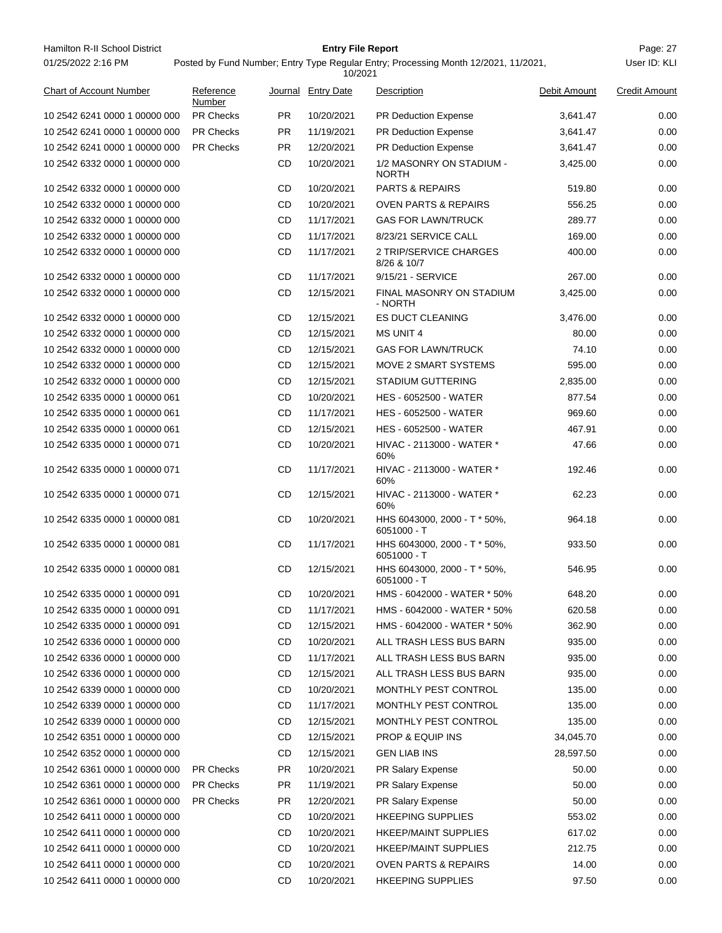Hamilton R-II School District **Entry File Report Entry File Report** Page: 27 01/25/2022 2:16 PM

## **Entry File Report**

Posted by Fund Number; Entry Type Regular Entry; Processing Month 12/2021, 11/2021,

|                                |                     |           | 10/2021            |                                             |              |                      |
|--------------------------------|---------------------|-----------|--------------------|---------------------------------------------|--------------|----------------------|
| <b>Chart of Account Number</b> | Reference<br>Number |           | Journal Entry Date | Description                                 | Debit Amount | <b>Credit Amount</b> |
| 10 2542 6241 0000 1 00000 000  | <b>PR Checks</b>    | PR.       | 10/20/2021         | <b>PR Deduction Expense</b>                 | 3,641.47     | 0.00                 |
| 10 2542 6241 0000 1 00000 000  | <b>PR Checks</b>    | PR        | 11/19/2021         | <b>PR Deduction Expense</b>                 | 3,641.47     | 0.00                 |
| 10 2542 6241 0000 1 00000 000  | <b>PR Checks</b>    | PR.       | 12/20/2021         | <b>PR Deduction Expense</b>                 | 3,641.47     | 0.00                 |
| 10 2542 6332 0000 1 00000 000  |                     | CD        | 10/20/2021         | 1/2 MASONRY ON STADIUM -<br><b>NORTH</b>    | 3,425.00     | 0.00                 |
| 10 2542 6332 0000 1 00000 000  |                     | CD        | 10/20/2021         | <b>PARTS &amp; REPAIRS</b>                  | 519.80       | 0.00                 |
| 10 2542 6332 0000 1 00000 000  |                     | CD        | 10/20/2021         | <b>OVEN PARTS &amp; REPAIRS</b>             | 556.25       | 0.00                 |
| 10 2542 6332 0000 1 00000 000  |                     | CD        | 11/17/2021         | <b>GAS FOR LAWN/TRUCK</b>                   | 289.77       | 0.00                 |
| 10 2542 6332 0000 1 00000 000  |                     | CD        | 11/17/2021         | 8/23/21 SERVICE CALL                        | 169.00       | 0.00                 |
| 10 2542 6332 0000 1 00000 000  |                     | CD        | 11/17/2021         | 2 TRIP/SERVICE CHARGES<br>8/26 & 10/7       | 400.00       | 0.00                 |
| 10 2542 6332 0000 1 00000 000  |                     | CD        | 11/17/2021         | 9/15/21 - SERVICE                           | 267.00       | 0.00                 |
| 10 2542 6332 0000 1 00000 000  |                     | CD        | 12/15/2021         | FINAL MASONRY ON STADIUM<br>- NORTH         | 3,425.00     | 0.00                 |
| 10 2542 6332 0000 1 00000 000  |                     | CD        | 12/15/2021         | <b>ES DUCT CLEANING</b>                     | 3,476.00     | 0.00                 |
| 10 2542 6332 0000 1 00000 000  |                     | CD        | 12/15/2021         | <b>MS UNIT 4</b>                            | 80.00        | 0.00                 |
| 10 2542 6332 0000 1 00000 000  |                     | CD        | 12/15/2021         | <b>GAS FOR LAWN/TRUCK</b>                   | 74.10        | 0.00                 |
| 10 2542 6332 0000 1 00000 000  |                     | CD        | 12/15/2021         | MOVE 2 SMART SYSTEMS                        | 595.00       | 0.00                 |
| 10 2542 6332 0000 1 00000 000  |                     | CD        | 12/15/2021         | <b>STADIUM GUTTERING</b>                    | 2,835.00     | 0.00                 |
| 10 2542 6335 0000 1 00000 061  |                     | CD        | 10/20/2021         | <b>HES - 6052500 - WATER</b>                | 877.54       | 0.00                 |
| 10 2542 6335 0000 1 00000 061  |                     | CD        | 11/17/2021         | <b>HES - 6052500 - WATER</b>                | 969.60       | 0.00                 |
| 10 2542 6335 0000 1 00000 061  |                     | CD        | 12/15/2021         | <b>HES - 6052500 - WATER</b>                | 467.91       | 0.00                 |
| 10 2542 6335 0000 1 00000 071  |                     | CD        | 10/20/2021         | HIVAC - 2113000 - WATER *<br>60%            | 47.66        | 0.00                 |
| 10 2542 6335 0000 1 00000 071  |                     | CD        | 11/17/2021         | HIVAC - 2113000 - WATER *<br>60%            | 192.46       | 0.00                 |
| 10 2542 6335 0000 1 00000 071  |                     | CD        | 12/15/2021         | HIVAC - 2113000 - WATER *<br>60%            | 62.23        | 0.00                 |
| 10 2542 6335 0000 1 00000 081  |                     | CD        | 10/20/2021         | HHS 6043000, 2000 - T * 50%,<br>6051000 - T | 964.18       | 0.00                 |
| 10 2542 6335 0000 1 00000 081  |                     | CD        | 11/17/2021         | HHS 6043000, 2000 - T * 50%,<br>6051000 - T | 933.50       | 0.00                 |
| 10 2542 6335 0000 1 00000 081  |                     | CD        | 12/15/2021         | HHS 6043000, 2000 - T * 50%,<br>6051000 - T | 546.95       | 0.00                 |
| 10 2542 6335 0000 1 00000 091  |                     | CD        | 10/20/2021         | HMS - 6042000 - WATER * 50%                 | 648.20       | 0.00                 |
| 10 2542 6335 0000 1 00000 091  |                     | CD        | 11/17/2021         | HMS - 6042000 - WATER * 50%                 | 620.58       | 0.00                 |
| 10 2542 6335 0000 1 00000 091  |                     | CD        | 12/15/2021         | HMS - 6042000 - WATER * 50%                 | 362.90       | 0.00                 |
| 10 2542 6336 0000 1 00000 000  |                     | CD        | 10/20/2021         | ALL TRASH LESS BUS BARN                     | 935.00       | 0.00                 |
| 10 2542 6336 0000 1 00000 000  |                     | CD        | 11/17/2021         | ALL TRASH LESS BUS BARN                     | 935.00       | 0.00                 |
| 10 2542 6336 0000 1 00000 000  |                     | CD        | 12/15/2021         | ALL TRASH LESS BUS BARN                     | 935.00       | 0.00                 |
| 10 2542 6339 0000 1 00000 000  |                     | CD        | 10/20/2021         | MONTHLY PEST CONTROL                        | 135.00       | 0.00                 |
| 10 2542 6339 0000 1 00000 000  |                     | CD        | 11/17/2021         | MONTHLY PEST CONTROL                        | 135.00       | 0.00                 |
| 10 2542 6339 0000 1 00000 000  |                     | CD        | 12/15/2021         | MONTHLY PEST CONTROL                        | 135.00       | 0.00                 |
| 10 2542 6351 0000 1 00000 000  |                     | CD        | 12/15/2021         | PROP & EQUIP INS                            | 34,045.70    | 0.00                 |
| 10 2542 6352 0000 1 00000 000  |                     | CD        | 12/15/2021         | <b>GEN LIAB INS</b>                         | 28,597.50    | 0.00                 |
| 10 2542 6361 0000 1 00000 000  | <b>PR Checks</b>    | PR        | 10/20/2021         | PR Salary Expense                           | 50.00        | 0.00                 |
| 10 2542 6361 0000 1 00000 000  | PR Checks           | PR        | 11/19/2021         | PR Salary Expense                           | 50.00        | 0.00                 |
| 10 2542 6361 0000 1 00000 000  | <b>PR Checks</b>    | <b>PR</b> | 12/20/2021         | PR Salary Expense                           | 50.00        | 0.00                 |
| 10 2542 6411 0000 1 00000 000  |                     | CD        | 10/20/2021         | <b>HKEEPING SUPPLIES</b>                    | 553.02       | 0.00                 |
| 10 2542 6411 0000 1 00000 000  |                     | CD        | 10/20/2021         | <b>HKEEP/MAINT SUPPLIES</b>                 | 617.02       | 0.00                 |
| 10 2542 6411 0000 1 00000 000  |                     | CD        | 10/20/2021         | <b>HKEEP/MAINT SUPPLIES</b>                 | 212.75       | 0.00                 |
| 10 2542 6411 0000 1 00000 000  |                     | CD        | 10/20/2021         | <b>OVEN PARTS &amp; REPAIRS</b>             | 14.00        | 0.00                 |
| 10 2542 6411 0000 1 00000 000  |                     | CD        | 10/20/2021         | <b>HKEEPING SUPPLIES</b>                    | 97.50        | 0.00                 |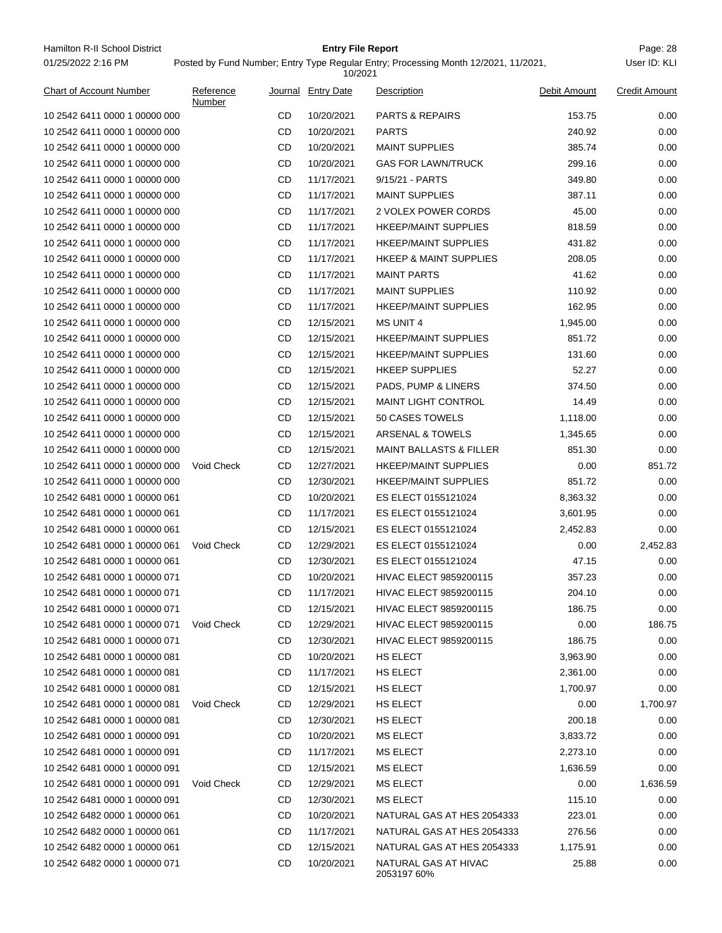Hamilton R-II School District **Entry File Report Entry File Report** Page: 28 01/25/2022 2:16 PM

## **Entry File Report**

10/2021

Posted by Fund Number; Entry Type Regular Entry; Processing Month 12/2021, 11/2021,

| <b>Chart of Account Number</b> | Reference<br>Number |    | Journal Entry Date | Description                         | Debit Amount | <b>Credit Amount</b> |
|--------------------------------|---------------------|----|--------------------|-------------------------------------|--------------|----------------------|
| 10 2542 6411 0000 1 00000 000  |                     | CD | 10/20/2021         | <b>PARTS &amp; REPAIRS</b>          | 153.75       | 0.00                 |
| 10 2542 6411 0000 1 00000 000  |                     | CD | 10/20/2021         | <b>PARTS</b>                        | 240.92       | 0.00                 |
| 10 2542 6411 0000 1 00000 000  |                     | CD | 10/20/2021         | <b>MAINT SUPPLIES</b>               | 385.74       | 0.00                 |
| 10 2542 6411 0000 1 00000 000  |                     | CD | 10/20/2021         | <b>GAS FOR LAWN/TRUCK</b>           | 299.16       | 0.00                 |
| 10 2542 6411 0000 1 00000 000  |                     | CD | 11/17/2021         | 9/15/21 - PARTS                     | 349.80       | 0.00                 |
| 10 2542 6411 0000 1 00000 000  |                     | CD | 11/17/2021         | <b>MAINT SUPPLIES</b>               | 387.11       | 0.00                 |
| 10 2542 6411 0000 1 00000 000  |                     | CD | 11/17/2021         | 2 VOLEX POWER CORDS                 | 45.00        | 0.00                 |
| 10 2542 6411 0000 1 00000 000  |                     | CD | 11/17/2021         | <b>HKEEP/MAINT SUPPLIES</b>         | 818.59       | 0.00                 |
| 10 2542 6411 0000 1 00000 000  |                     | CD | 11/17/2021         | <b>HKEEP/MAINT SUPPLIES</b>         | 431.82       | 0.00                 |
| 10 2542 6411 0000 1 00000 000  |                     | CD | 11/17/2021         | <b>HKEEP &amp; MAINT SUPPLIES</b>   | 208.05       | 0.00                 |
| 10 2542 6411 0000 1 00000 000  |                     | CD | 11/17/2021         | <b>MAINT PARTS</b>                  | 41.62        | 0.00                 |
| 10 2542 6411 0000 1 00000 000  |                     | CD | 11/17/2021         | <b>MAINT SUPPLIES</b>               | 110.92       | 0.00                 |
| 10 2542 6411 0000 1 00000 000  |                     | CD | 11/17/2021         | <b>HKEEP/MAINT SUPPLIES</b>         | 162.95       | 0.00                 |
| 10 2542 6411 0000 1 00000 000  |                     | CD | 12/15/2021         | <b>MS UNIT 4</b>                    | 1,945.00     | 0.00                 |
| 10 2542 6411 0000 1 00000 000  |                     | CD | 12/15/2021         | <b>HKEEP/MAINT SUPPLIES</b>         | 851.72       | 0.00                 |
| 10 2542 6411 0000 1 00000 000  |                     | CD | 12/15/2021         | <b>HKEEP/MAINT SUPPLIES</b>         | 131.60       | 0.00                 |
| 10 2542 6411 0000 1 00000 000  |                     | CD | 12/15/2021         | <b>HKEEP SUPPLIES</b>               | 52.27        | 0.00                 |
| 10 2542 6411 0000 1 00000 000  |                     | CD | 12/15/2021         | PADS, PUMP & LINERS                 | 374.50       | 0.00                 |
| 10 2542 6411 0000 1 00000 000  |                     | CD | 12/15/2021         | <b>MAINT LIGHT CONTROL</b>          | 14.49        | 0.00                 |
| 10 2542 6411 0000 1 00000 000  |                     | CD | 12/15/2021         | 50 CASES TOWELS                     | 1,118.00     | 0.00                 |
| 10 2542 6411 0000 1 00000 000  |                     | CD | 12/15/2021         | ARSENAL & TOWELS                    | 1,345.65     | 0.00                 |
| 10 2542 6411 0000 1 00000 000  |                     | CD | 12/15/2021         | <b>MAINT BALLASTS &amp; FILLER</b>  | 851.30       | 0.00                 |
| 10 2542 6411 0000 1 00000 000  | Void Check          | CD | 12/27/2021         | <b>HKEEP/MAINT SUPPLIES</b>         | 0.00         | 851.72               |
| 10 2542 6411 0000 1 00000 000  |                     | CD | 12/30/2021         | <b>HKEEP/MAINT SUPPLIES</b>         | 851.72       | 0.00                 |
| 10 2542 6481 0000 1 00000 061  |                     | CD | 10/20/2021         | ES ELECT 0155121024                 | 8,363.32     | 0.00                 |
| 10 2542 6481 0000 1 00000 061  |                     | CD | 11/17/2021         | ES ELECT 0155121024                 | 3,601.95     | 0.00                 |
| 10 2542 6481 0000 1 00000 061  |                     | CD | 12/15/2021         | ES ELECT 0155121024                 | 2,452.83     | 0.00                 |
| 10 2542 6481 0000 1 00000 061  | Void Check          | CD | 12/29/2021         | ES ELECT 0155121024                 | 0.00         | 2,452.83             |
| 10 2542 6481 0000 1 00000 061  |                     | CD | 12/30/2021         | ES ELECT 0155121024                 | 47.15        | 0.00                 |
| 10 2542 6481 0000 1 00000 071  |                     | CD | 10/20/2021         | HIVAC ELECT 9859200115              | 357.23       | 0.00                 |
| 10 2542 6481 0000 1 00000 071  |                     | CD | 11/17/2021         | HIVAC ELECT 9859200115              | 204.10       | 0.00                 |
| 10 2542 6481 0000 1 00000 071  |                     | CD | 12/15/2021         | HIVAC ELECT 9859200115              | 186.75       | 0.00                 |
| 10 2542 6481 0000 1 00000 071  | <b>Void Check</b>   | CD | 12/29/2021         | <b>HIVAC ELECT 9859200115</b>       | 0.00         | 186.75               |
| 10 2542 6481 0000 1 00000 071  |                     | CD | 12/30/2021         | <b>HIVAC ELECT 9859200115</b>       | 186.75       | 0.00                 |
| 10 2542 6481 0000 1 00000 081  |                     | CD | 10/20/2021         | HS ELECT                            | 3,963.90     | 0.00                 |
| 10 2542 6481 0000 1 00000 081  |                     | CD | 11/17/2021         | HS ELECT                            | 2,361.00     | 0.00                 |
| 10 2542 6481 0000 1 00000 081  |                     | CD | 12/15/2021         | HS ELECT                            | 1,700.97     | 0.00                 |
| 10 2542 6481 0000 1 00000 081  | Void Check          | CD | 12/29/2021         | HS ELECT                            | 0.00         | 1,700.97             |
| 10 2542 6481 0000 1 00000 081  |                     | CD | 12/30/2021         | HS ELECT                            | 200.18       | 0.00                 |
| 10 2542 6481 0000 1 00000 091  |                     | CD | 10/20/2021         | <b>MS ELECT</b>                     | 3,833.72     | 0.00                 |
| 10 2542 6481 0000 1 00000 091  |                     | CD | 11/17/2021         | MS ELECT                            | 2,273.10     | 0.00                 |
| 10 2542 6481 0000 1 00000 091  |                     | CD | 12/15/2021         | MS ELECT                            | 1,636.59     | 0.00                 |
| 10 2542 6481 0000 1 00000 091  | Void Check          | CD | 12/29/2021         | MS ELECT                            | 0.00         | 1,636.59             |
| 10 2542 6481 0000 1 00000 091  |                     | CD | 12/30/2021         | MS ELECT                            | 115.10       | 0.00                 |
| 10 2542 6482 0000 1 00000 061  |                     | CD | 10/20/2021         | NATURAL GAS AT HES 2054333          | 223.01       | 0.00                 |
| 10 2542 6482 0000 1 00000 061  |                     | CD | 11/17/2021         | NATURAL GAS AT HES 2054333          | 276.56       | 0.00                 |
| 10 2542 6482 0000 1 00000 061  |                     | CD | 12/15/2021         | NATURAL GAS AT HES 2054333          | 1,175.91     | 0.00                 |
| 10 2542 6482 0000 1 00000 071  |                     | CD | 10/20/2021         | NATURAL GAS AT HIVAC<br>2053197 60% | 25.88        | 0.00                 |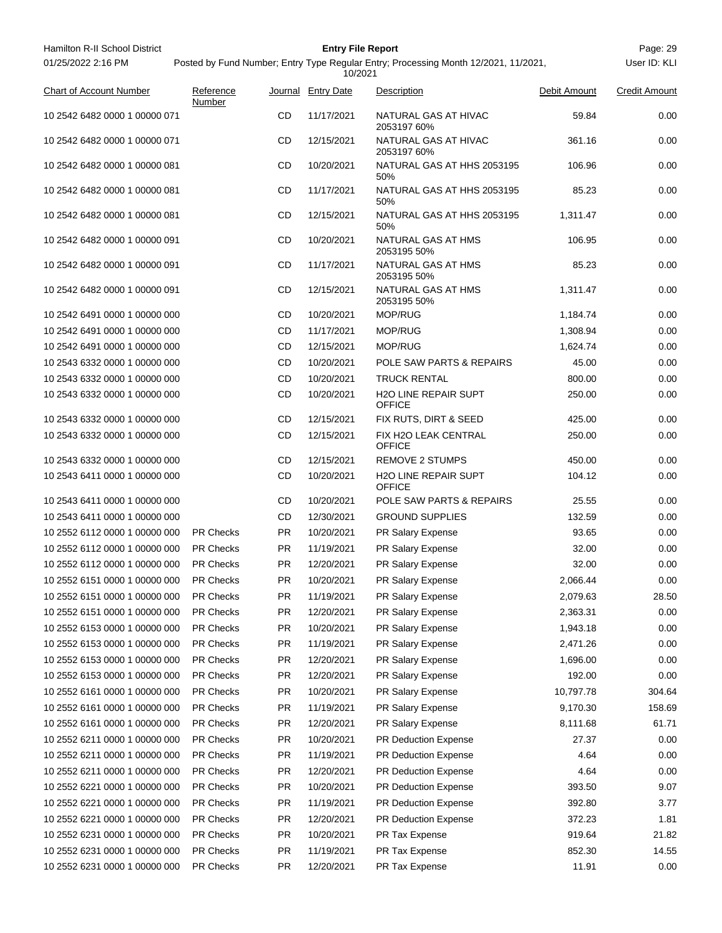| Hamilton R-II School District  |                                                                                                |           | <b>Entry File Report</b> |                                              |              | Page: 29             |  |  |
|--------------------------------|------------------------------------------------------------------------------------------------|-----------|--------------------------|----------------------------------------------|--------------|----------------------|--|--|
| 01/25/2022 2:16 PM             | Posted by Fund Number; Entry Type Regular Entry; Processing Month 12/2021, 11/2021,<br>10/2021 |           |                          |                                              |              |                      |  |  |
| <b>Chart of Account Number</b> | Reference<br>Number                                                                            |           | Journal Entry Date       | Description                                  | Debit Amount | <b>Credit Amount</b> |  |  |
| 10 2542 6482 0000 1 00000 071  |                                                                                                | CD        | 11/17/2021               | NATURAL GAS AT HIVAC<br>2053197 60%          | 59.84        | 0.00                 |  |  |
| 10 2542 6482 0000 1 00000 071  |                                                                                                | CD        | 12/15/2021               | NATURAL GAS AT HIVAC<br>2053197 60%          | 361.16       | 0.00                 |  |  |
| 10 2542 6482 0000 1 00000 081  |                                                                                                | CD        | 10/20/2021               | NATURAL GAS AT HHS 2053195<br>50%            | 106.96       | 0.00                 |  |  |
| 10 2542 6482 0000 1 00000 081  |                                                                                                | CD        | 11/17/2021               | NATURAL GAS AT HHS 2053195<br>50%            | 85.23        | 0.00                 |  |  |
| 10 2542 6482 0000 1 00000 081  |                                                                                                | CD        | 12/15/2021               | NATURAL GAS AT HHS 2053195<br>50%            | 1,311.47     | 0.00                 |  |  |
| 10 2542 6482 0000 1 00000 091  |                                                                                                | CD        | 10/20/2021               | NATURAL GAS AT HMS<br>2053195 50%            | 106.95       | 0.00                 |  |  |
| 10 2542 6482 0000 1 00000 091  |                                                                                                | CD        | 11/17/2021               | NATURAL GAS AT HMS<br>2053195 50%            | 85.23        | 0.00                 |  |  |
| 10 2542 6482 0000 1 00000 091  |                                                                                                | CD        | 12/15/2021               | NATURAL GAS AT HMS<br>2053195 50%            | 1,311.47     | 0.00                 |  |  |
| 10 2542 6491 0000 1 00000 000  |                                                                                                | CD        | 10/20/2021               | MOP/RUG                                      | 1,184.74     | 0.00                 |  |  |
| 10 2542 6491 0000 1 00000 000  |                                                                                                | CD        | 11/17/2021               | <b>MOP/RUG</b>                               | 1,308.94     | 0.00                 |  |  |
| 10 2542 6491 0000 1 00000 000  |                                                                                                | CD        | 12/15/2021               | <b>MOP/RUG</b>                               | 1,624.74     | 0.00                 |  |  |
| 10 2543 6332 0000 1 00000 000  |                                                                                                | CD        | 10/20/2021               | POLE SAW PARTS & REPAIRS                     | 45.00        | 0.00                 |  |  |
| 10 2543 6332 0000 1 00000 000  |                                                                                                | CD        | 10/20/2021               | <b>TRUCK RENTAL</b>                          | 800.00       | 0.00                 |  |  |
| 10 2543 6332 0000 1 00000 000  |                                                                                                | CD        | 10/20/2021               | <b>H2O LINE REPAIR SUPT</b><br><b>OFFICE</b> | 250.00       | 0.00                 |  |  |
| 10 2543 6332 0000 1 00000 000  |                                                                                                | CD        | 12/15/2021               | FIX RUTS, DIRT & SEED                        | 425.00       | 0.00                 |  |  |
| 10 2543 6332 0000 1 00000 000  |                                                                                                | CD        | 12/15/2021               | FIX H2O LEAK CENTRAL<br><b>OFFICE</b>        | 250.00       | 0.00                 |  |  |
| 10 2543 6332 0000 1 00000 000  |                                                                                                | CD        | 12/15/2021               | <b>REMOVE 2 STUMPS</b>                       | 450.00       | 0.00                 |  |  |
| 10 2543 6411 0000 1 00000 000  |                                                                                                | CD        | 10/20/2021               | <b>H2O LINE REPAIR SUPT</b><br><b>OFFICE</b> | 104.12       | 0.00                 |  |  |
| 10 2543 6411 0000 1 00000 000  |                                                                                                | CD        | 10/20/2021               | POLE SAW PARTS & REPAIRS                     | 25.55        | 0.00                 |  |  |
| 10 2543 6411 0000 1 00000 000  |                                                                                                | CD        | 12/30/2021               | <b>GROUND SUPPLIES</b>                       | 132.59       | 0.00                 |  |  |
| 10 2552 6112 0000 1 00000 000  | <b>PR Checks</b>                                                                               | PR.       | 10/20/2021               | PR Salary Expense                            | 93.65        | 0.00                 |  |  |
| 10 2552 6112 0000 1 00000 000  | <b>PR Checks</b>                                                                               | PR.       | 11/19/2021               | PR Salary Expense                            | 32.00        | 0.00                 |  |  |
| 10 2552 6112 0000 1 00000 000  | <b>PR Checks</b>                                                                               | <b>PR</b> | 12/20/2021               | PR Salary Expense                            | 32.00        | 0.00                 |  |  |
| 10 2552 6151 0000 1 00000 000  | PR Checks                                                                                      | PR        | 10/20/2021               | PR Salary Expense                            | 2,066.44     | 0.00                 |  |  |
| 10 2552 6151 0000 1 00000 000  | PR Checks                                                                                      | PR        | 11/19/2021               | PR Salary Expense                            | 2,079.63     | 28.50                |  |  |
| 10 2552 6151 0000 1 00000 000  | PR Checks                                                                                      | PR        | 12/20/2021               | PR Salary Expense                            | 2,363.31     | 0.00                 |  |  |
| 10 2552 6153 0000 1 00000 000  | PR Checks                                                                                      | PR        | 10/20/2021               | PR Salary Expense                            | 1,943.18     | 0.00                 |  |  |
| 10 2552 6153 0000 1 00000 000  | PR Checks                                                                                      | PR        | 11/19/2021               | PR Salary Expense                            | 2,471.26     | 0.00                 |  |  |
| 10 2552 6153 0000 1 00000 000  | PR Checks                                                                                      | PR        | 12/20/2021               | PR Salary Expense                            | 1,696.00     | 0.00                 |  |  |
| 10 2552 6153 0000 1 00000 000  | PR Checks                                                                                      | PR        | 12/20/2021               | PR Salary Expense                            | 192.00       | 0.00                 |  |  |
| 10 2552 6161 0000 1 00000 000  | PR Checks                                                                                      | PR        | 10/20/2021               | PR Salary Expense                            | 10,797.78    | 304.64               |  |  |
| 10 2552 6161 0000 1 00000 000  | PR Checks                                                                                      | PR        | 11/19/2021               | PR Salary Expense                            | 9,170.30     | 158.69               |  |  |
| 10 2552 6161 0000 1 00000 000  | PR Checks                                                                                      | PR        | 12/20/2021               | PR Salary Expense                            | 8,111.68     | 61.71                |  |  |
| 10 2552 6211 0000 1 00000 000  | PR Checks                                                                                      | PR        | 10/20/2021               | PR Deduction Expense                         | 27.37        | 0.00                 |  |  |
| 10 2552 6211 0000 1 00000 000  | PR Checks                                                                                      | PR        | 11/19/2021               | PR Deduction Expense                         | 4.64         | 0.00                 |  |  |
|                                |                                                                                                |           |                          |                                              |              |                      |  |  |
| 10 2552 6211 0000 1 00000 000  | PR Checks                                                                                      | PR        | 12/20/2021               | PR Deduction Expense                         | 4.64         | 0.00                 |  |  |
| 10 2552 6221 0000 1 00000 000  | PR Checks                                                                                      | PR        | 10/20/2021               | PR Deduction Expense                         | 393.50       | 9.07                 |  |  |
| 10 2552 6221 0000 1 00000 000  | PR Checks                                                                                      | PR        | 11/19/2021               | PR Deduction Expense                         | 392.80       | 3.77                 |  |  |
| 10 2552 6221 0000 1 00000 000  | PR Checks                                                                                      | PR        | 12/20/2021               | PR Deduction Expense                         | 372.23       | 1.81                 |  |  |
| 10 2552 6231 0000 1 00000 000  | PR Checks                                                                                      | PR        | 10/20/2021               | PR Tax Expense                               | 919.64       | 21.82                |  |  |
| 10 2552 6231 0000 1 00000 000  | PR Checks                                                                                      | PR        | 11/19/2021               | PR Tax Expense                               | 852.30       | 14.55                |  |  |
| 10 2552 6231 0000 1 00000 000  | PR Checks                                                                                      | PR        | 12/20/2021               | PR Tax Expense                               | 11.91        | 0.00                 |  |  |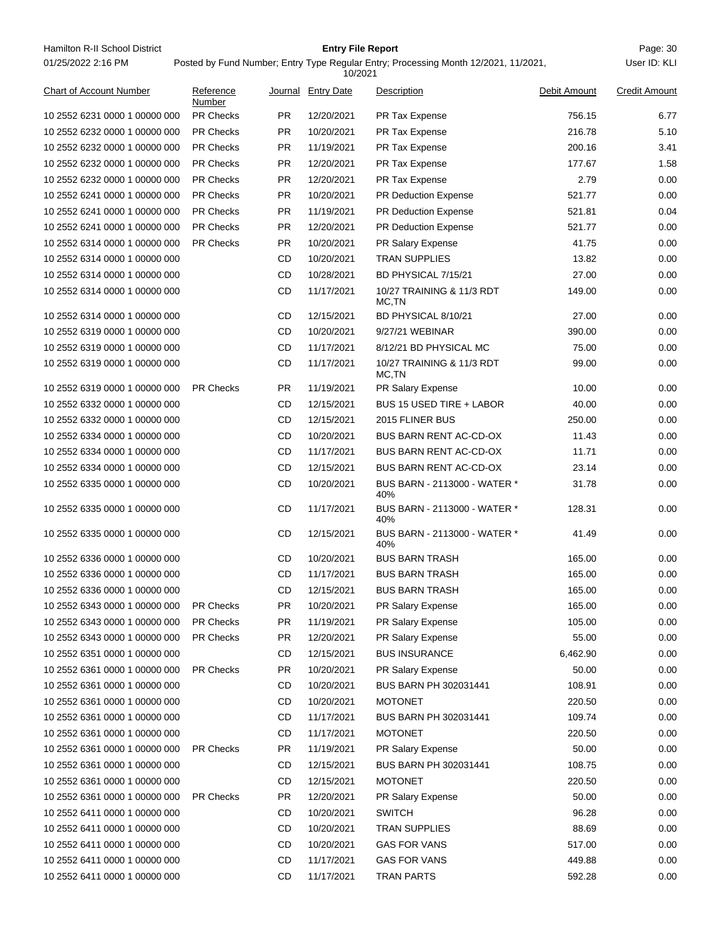Hamilton R-II School District **Entry File Report Entry File Report** Page: 30 01/25/2022 2:16 PM

## **Entry File Report**

Posted by Fund Number; Entry Type Regular Entry; Processing Month 12/2021, 11/2021,

|                                |                     |           | 10/2021            |                                     |              |                      |
|--------------------------------|---------------------|-----------|--------------------|-------------------------------------|--------------|----------------------|
| <b>Chart of Account Number</b> | Reference<br>Number |           | Journal Entry Date | Description                         | Debit Amount | <b>Credit Amount</b> |
| 10 2552 6231 0000 1 00000 000  | <b>PR Checks</b>    | PR.       | 12/20/2021         | PR Tax Expense                      | 756.15       | 6.77                 |
| 10 2552 6232 0000 1 00000 000  | <b>PR Checks</b>    | PR.       | 10/20/2021         | PR Tax Expense                      | 216.78       | 5.10                 |
| 10 2552 6232 0000 1 00000 000  | <b>PR Checks</b>    | PR.       | 11/19/2021         | PR Tax Expense                      | 200.16       | 3.41                 |
| 10 2552 6232 0000 1 00000 000  | <b>PR Checks</b>    | <b>PR</b> | 12/20/2021         | PR Tax Expense                      | 177.67       | 1.58                 |
| 10 2552 6232 0000 1 00000 000  | <b>PR Checks</b>    | PR.       | 12/20/2021         | PR Tax Expense                      | 2.79         | 0.00                 |
| 10 2552 6241 0000 1 00000 000  | <b>PR Checks</b>    | PR.       | 10/20/2021         | <b>PR Deduction Expense</b>         | 521.77       | 0.00                 |
| 10 2552 6241 0000 1 00000 000  | <b>PR Checks</b>    | PR.       | 11/19/2021         | PR Deduction Expense                | 521.81       | 0.04                 |
| 10 2552 6241 0000 1 00000 000  | <b>PR Checks</b>    | PR.       | 12/20/2021         | <b>PR Deduction Expense</b>         | 521.77       | 0.00                 |
| 10 2552 6314 0000 1 00000 000  | <b>PR Checks</b>    | PR.       | 10/20/2021         | <b>PR Salary Expense</b>            | 41.75        | 0.00                 |
| 10 2552 6314 0000 1 00000 000  |                     | CD        | 10/20/2021         | <b>TRAN SUPPLIES</b>                | 13.82        | 0.00                 |
| 10 2552 6314 0000 1 00000 000  |                     | CD        | 10/28/2021         | BD PHYSICAL 7/15/21                 | 27.00        | 0.00                 |
| 10 2552 6314 0000 1 00000 000  |                     | CD        | 11/17/2021         | 10/27 TRAINING & 11/3 RDT<br>MC.TN  | 149.00       | 0.00                 |
| 10 2552 6314 0000 1 00000 000  |                     | CD        | 12/15/2021         | BD PHYSICAL 8/10/21                 | 27.00        | 0.00                 |
| 10 2552 6319 0000 1 00000 000  |                     | CD        | 10/20/2021         | 9/27/21 WEBINAR                     | 390.00       | 0.00                 |
| 10 2552 6319 0000 1 00000 000  |                     | CD        | 11/17/2021         | 8/12/21 BD PHYSICAL MC              | 75.00        | 0.00                 |
| 10 2552 6319 0000 1 00000 000  |                     | CD        | 11/17/2021         | 10/27 TRAINING & 11/3 RDT<br>MC,TN  | 99.00        | 0.00                 |
| 10 2552 6319 0000 1 00000 000  | <b>PR Checks</b>    | PR.       | 11/19/2021         | PR Salary Expense                   | 10.00        | 0.00                 |
| 10 2552 6332 0000 1 00000 000  |                     | CD        | 12/15/2021         | BUS 15 USED TIRE + LABOR            | 40.00        | 0.00                 |
| 10 2552 6332 0000 1 00000 000  |                     | CD        | 12/15/2021         | 2015 FLINER BUS                     | 250.00       | 0.00                 |
| 10 2552 6334 0000 1 00000 000  |                     | CD        | 10/20/2021         | BUS BARN RENT AC-CD-OX              | 11.43        | 0.00                 |
| 10 2552 6334 0000 1 00000 000  |                     | CD        | 11/17/2021         | BUS BARN RENT AC-CD-OX              | 11.71        | 0.00                 |
| 10 2552 6334 0000 1 00000 000  |                     | CD        | 12/15/2021         | BUS BARN RENT AC-CD-OX              | 23.14        | 0.00                 |
| 10 2552 6335 0000 1 00000 000  |                     | CD        | 10/20/2021         | BUS BARN - 2113000 - WATER *<br>40% | 31.78        | 0.00                 |
| 10 2552 6335 0000 1 00000 000  |                     | CD        | 11/17/2021         | BUS BARN - 2113000 - WATER *<br>40% | 128.31       | 0.00                 |
| 10 2552 6335 0000 1 00000 000  |                     | CD        | 12/15/2021         | BUS BARN - 2113000 - WATER *<br>40% | 41.49        | 0.00                 |
| 10 2552 6336 0000 1 00000 000  |                     | CD        | 10/20/2021         | <b>BUS BARN TRASH</b>               | 165.00       | 0.00                 |
| 10 2552 6336 0000 1 00000 000  |                     | CD        | 11/17/2021         | <b>BUS BARN TRASH</b>               | 165.00       | 0.00                 |
| 10 2552 6336 0000 1 00000 000  |                     | <b>CD</b> | 12/15/2021         | <b>BUS BARN TRASH</b>               | 165.00       | 0.00                 |
| 10 2552 6343 0000 1 00000 000  | <b>PR Checks</b>    | <b>PR</b> | 10/20/2021         | PR Salary Expense                   | 165.00       | 0.00                 |
| 10 2552 6343 0000 1 00000 000  | PR Checks           | <b>PR</b> | 11/19/2021         | PR Salary Expense                   | 105.00       | 0.00                 |
| 10 2552 6343 0000 1 00000 000  | PR Checks           | <b>PR</b> | 12/20/2021         | PR Salary Expense                   | 55.00        | 0.00                 |
| 10 2552 6351 0000 1 00000 000  |                     | CD        | 12/15/2021         | <b>BUS INSURANCE</b>                | 6,462.90     | 0.00                 |
| 10 2552 6361 0000 1 00000 000  | PR Checks           | <b>PR</b> | 10/20/2021         | PR Salary Expense                   | 50.00        | 0.00                 |
| 10 2552 6361 0000 1 00000 000  |                     | CD        | 10/20/2021         | BUS BARN PH 302031441               | 108.91       | 0.00                 |
| 10 2552 6361 0000 1 00000 000  |                     | CD        | 10/20/2021         | <b>MOTONET</b>                      | 220.50       | 0.00                 |
| 10 2552 6361 0000 1 00000 000  |                     | CD        | 11/17/2021         | BUS BARN PH 302031441               | 109.74       | 0.00                 |
| 10 2552 6361 0000 1 00000 000  |                     | CD        | 11/17/2021         | <b>MOTONET</b>                      | 220.50       | 0.00                 |
| 10 2552 6361 0000 1 00000 000  | <b>PR Checks</b>    | <b>PR</b> | 11/19/2021         | PR Salary Expense                   | 50.00        | 0.00                 |
| 10 2552 6361 0000 1 00000 000  |                     | CD        | 12/15/2021         | BUS BARN PH 302031441               | 108.75       | 0.00                 |
| 10 2552 6361 0000 1 00000 000  |                     | CD        | 12/15/2021         | <b>MOTONET</b>                      | 220.50       | 0.00                 |
| 10 2552 6361 0000 1 00000 000  | <b>PR Checks</b>    | <b>PR</b> | 12/20/2021         | PR Salary Expense                   | 50.00        | 0.00                 |
| 10 2552 6411 0000 1 00000 000  |                     | CD        | 10/20/2021         | <b>SWITCH</b>                       | 96.28        | 0.00                 |
| 10 2552 6411 0000 1 00000 000  |                     | CD        | 10/20/2021         | <b>TRAN SUPPLIES</b>                | 88.69        | 0.00                 |
| 10 2552 6411 0000 1 00000 000  |                     | CD        | 10/20/2021         | <b>GAS FOR VANS</b>                 | 517.00       | 0.00                 |
| 10 2552 6411 0000 1 00000 000  |                     | CD        | 11/17/2021         | <b>GAS FOR VANS</b>                 | 449.88       | 0.00                 |
| 10 2552 6411 0000 1 00000 000  |                     | CD        | 11/17/2021         | <b>TRAN PARTS</b>                   | 592.28       | 0.00                 |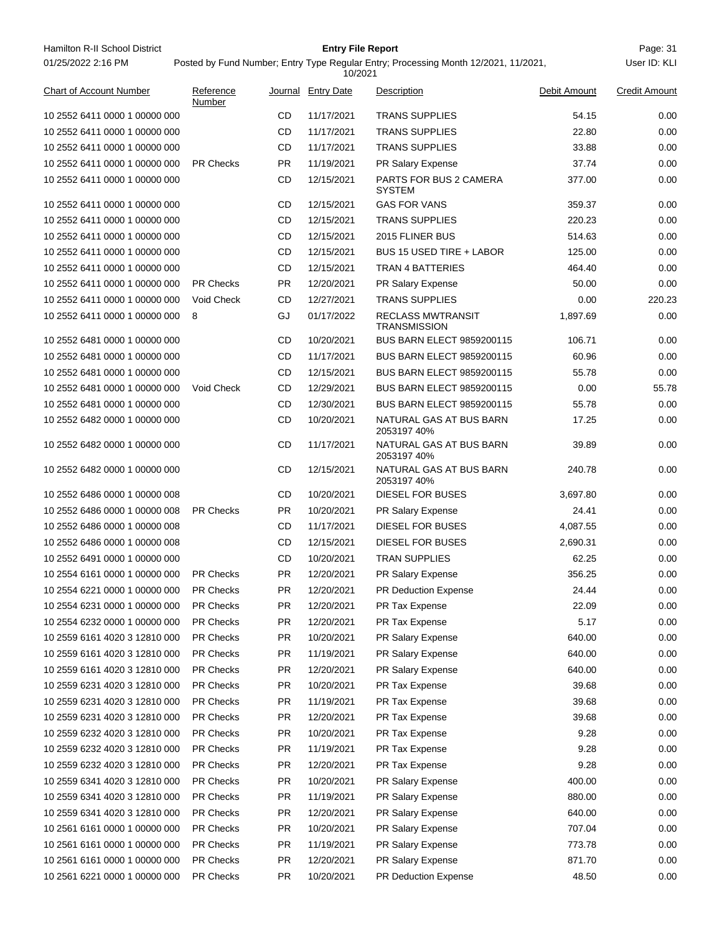| Hamilton R-II School District<br>01/25/2022 2:16 PM |                     |           | <b>Entry File Report</b><br>10/2021 | Posted by Fund Number; Entry Type Regular Entry; Processing Month 12/2021, 11/2021, |              | Page: 31<br>User ID: KLI |
|-----------------------------------------------------|---------------------|-----------|-------------------------------------|-------------------------------------------------------------------------------------|--------------|--------------------------|
| <b>Chart of Account Number</b>                      | Reference<br>Number |           | Journal Entry Date                  | Description                                                                         | Debit Amount | <b>Credit Amount</b>     |
| 10 2552 6411 0000 1 00000 000                       |                     | CD        | 11/17/2021                          | <b>TRANS SUPPLIES</b>                                                               | 54.15        | 0.00                     |
| 10 2552 6411 0000 1 00000 000                       |                     | CD        | 11/17/2021                          | <b>TRANS SUPPLIES</b>                                                               | 22.80        | 0.00                     |
| 10 2552 6411 0000 1 00000 000                       |                     | CD        | 11/17/2021                          | <b>TRANS SUPPLIES</b>                                                               | 33.88        | 0.00                     |
| 10 2552 6411 0000 1 00000 000                       | <b>PR Checks</b>    | <b>PR</b> | 11/19/2021                          | <b>PR Salary Expense</b>                                                            | 37.74        | 0.00                     |
| 10 2552 6411 0000 1 00000 000                       |                     | CD        | 12/15/2021                          | PARTS FOR BUS 2 CAMERA<br><b>SYSTEM</b>                                             | 377.00       | 0.00                     |
| 10 2552 6411 0000 1 00000 000                       |                     | CD        | 12/15/2021                          | <b>GAS FOR VANS</b>                                                                 | 359.37       | 0.00                     |
| 10 2552 6411 0000 1 00000 000                       |                     | CD        | 12/15/2021                          | <b>TRANS SUPPLIES</b>                                                               | 220.23       | 0.00                     |
| 10 2552 6411 0000 1 00000 000                       |                     | CD        | 12/15/2021                          | 2015 FLINER BUS                                                                     | 514.63       | 0.00                     |
| 10 2552 6411 0000 1 00000 000                       |                     | CD        | 12/15/2021                          | BUS 15 USED TIRE + LABOR                                                            | 125.00       | 0.00                     |
| 10 2552 6411 0000 1 00000 000                       |                     | CD        | 12/15/2021                          | <b>TRAN 4 BATTERIES</b>                                                             | 464.40       | 0.00                     |
| 10 2552 6411 0000 1 00000 000                       | <b>PR Checks</b>    | <b>PR</b> | 12/20/2021                          | PR Salary Expense                                                                   | 50.00        | 0.00                     |
| 10 2552 6411 0000 1 00000 000                       | Void Check          | CD        | 12/27/2021                          | <b>TRANS SUPPLIES</b>                                                               | 0.00         | 220.23                   |
| 10 2552 6411 0000 1 00000 000                       | 8                   | GJ        | 01/17/2022                          | <b>RECLASS MWTRANSIT</b><br><b>TRANSMISSION</b>                                     | 1,897.69     | 0.00                     |
| 10 2552 6481 0000 1 00000 000                       |                     | CD        | 10/20/2021                          | <b>BUS BARN ELECT 9859200115</b>                                                    | 106.71       | 0.00                     |
| 10 2552 6481 0000 1 00000 000                       |                     | CD        | 11/17/2021                          | <b>BUS BARN ELECT 9859200115</b>                                                    | 60.96        | 0.00                     |
| 10 2552 6481 0000 1 00000 000                       |                     | CD        | 12/15/2021                          | <b>BUS BARN ELECT 9859200115</b>                                                    | 55.78        | 0.00                     |
| 10 2552 6481 0000 1 00000 000                       | Void Check          | CD        | 12/29/2021                          | <b>BUS BARN ELECT 9859200115</b>                                                    | 0.00         | 55.78                    |
| 10 2552 6481 0000 1 00000 000                       |                     | CD        | 12/30/2021                          | <b>BUS BARN ELECT 9859200115</b>                                                    | 55.78        | 0.00                     |
| 10 2552 6482 0000 1 00000 000                       |                     | CD        | 10/20/2021                          | NATURAL GAS AT BUS BARN<br>205319740%                                               | 17.25        | 0.00                     |
| 10 2552 6482 0000 1 00000 000                       |                     | CD        | 11/17/2021                          | NATURAL GAS AT BUS BARN<br>205319740%                                               | 39.89        | 0.00                     |
| 10 2552 6482 0000 1 00000 000                       |                     | CD        | 12/15/2021                          | NATURAL GAS AT BUS BARN<br>2053197 40%                                              | 240.78       | 0.00                     |
| 10 2552 6486 0000 1 00000 008                       |                     | CD        | 10/20/2021                          | <b>DIESEL FOR BUSES</b>                                                             | 3,697.80     | 0.00                     |
| 10 2552 6486 0000 1 00000 008                       | <b>PR Checks</b>    | PR.       | 10/20/2021                          | <b>PR Salary Expense</b>                                                            | 24.41        | 0.00                     |
| 10 2552 6486 0000 1 00000 008                       |                     | CD        | 11/17/2021                          | DIESEL FOR BUSES                                                                    | 4,087.55     | 0.00                     |
| 10 2552 6486 0000 1 00000 008                       |                     | CD        | 12/15/2021                          | <b>DIESEL FOR BUSES</b>                                                             | 2,690.31     | 0.00                     |
| 10 2552 6491 0000 1 00000 000                       |                     | CD        | 10/20/2021                          | <b>TRAN SUPPLIES</b>                                                                | 62.25        | 0.00                     |
| 10 2554 6161 0000 1 00000 000                       | <b>PR Checks</b>    | PR        | 12/20/2021                          | PR Salary Expense                                                                   | 356.25       | 0.00                     |
| 10 2554 6221 0000 1 00000 000                       | PR Checks           | PR        | 12/20/2021                          | <b>PR Deduction Expense</b>                                                         | 24.44        | 0.00                     |
| 10 2554 6231 0000 1 00000 000                       | PR Checks           | PR        | 12/20/2021                          | PR Tax Expense                                                                      | 22.09        | 0.00                     |
| 10 2554 6232 0000 1 00000 000                       | PR Checks           | PR        | 12/20/2021                          | PR Tax Expense                                                                      | 5.17         | 0.00                     |
| 10 2559 6161 4020 3 12810 000                       | PR Checks           | PR        | 10/20/2021                          | <b>PR Salary Expense</b>                                                            | 640.00       | 0.00                     |
| 10 2559 6161 4020 3 12810 000                       | PR Checks           | PR        | 11/19/2021                          | PR Salary Expense                                                                   | 640.00       | 0.00                     |
| 10 2559 6161 4020 3 12810 000                       | PR Checks           | PR        | 12/20/2021                          | PR Salary Expense                                                                   | 640.00       | 0.00                     |
| 10 2559 6231 4020 3 12810 000                       | PR Checks           | PR        | 10/20/2021                          | PR Tax Expense                                                                      | 39.68        | 0.00                     |
| 10 2559 6231 4020 3 12810 000                       | PR Checks           | PR        | 11/19/2021                          | PR Tax Expense                                                                      | 39.68        | 0.00                     |
| 10 2559 6231 4020 3 12810 000                       | PR Checks           | PR        | 12/20/2021                          | PR Tax Expense                                                                      | 39.68        | 0.00                     |
| 10 2559 6232 4020 3 12810 000                       | PR Checks           | PR        | 10/20/2021                          | PR Tax Expense                                                                      | 9.28         | 0.00                     |
| 10 2559 6232 4020 3 12810 000                       | PR Checks           | PR        | 11/19/2021                          | PR Tax Expense                                                                      | 9.28         | 0.00                     |
| 10 2559 6232 4020 3 12810 000                       | PR Checks           | PR        | 12/20/2021                          | <b>PR Tax Expense</b>                                                               | 9.28         | 0.00                     |
| 10 2559 6341 4020 3 12810 000                       | PR Checks           | PR        | 10/20/2021                          | PR Salary Expense                                                                   | 400.00       | 0.00                     |
| 10 2559 6341 4020 3 12810 000                       | PR Checks           | PR        | 11/19/2021                          | PR Salary Expense                                                                   | 880.00       | 0.00                     |
| 10 2559 6341 4020 3 12810 000                       | PR Checks           | PR        | 12/20/2021                          | PR Salary Expense                                                                   | 640.00       | 0.00                     |
| 10 2561 6161 0000 1 00000 000                       | <b>PR Checks</b>    | PR        | 10/20/2021                          | PR Salary Expense                                                                   | 707.04       | 0.00                     |
| 10 2561 6161 0000 1 00000 000                       | PR Checks           | PR        | 11/19/2021                          | PR Salary Expense                                                                   | 773.78       | 0.00                     |
| 10 2561 6161 0000 1 00000 000                       | PR Checks           | PR        | 12/20/2021                          | PR Salary Expense                                                                   | 871.70       | 0.00                     |
| 10 2561 6221 0000 1 00000 000                       | PR Checks           | PR        | 10/20/2021                          | PR Deduction Expense                                                                | 48.50        | 0.00                     |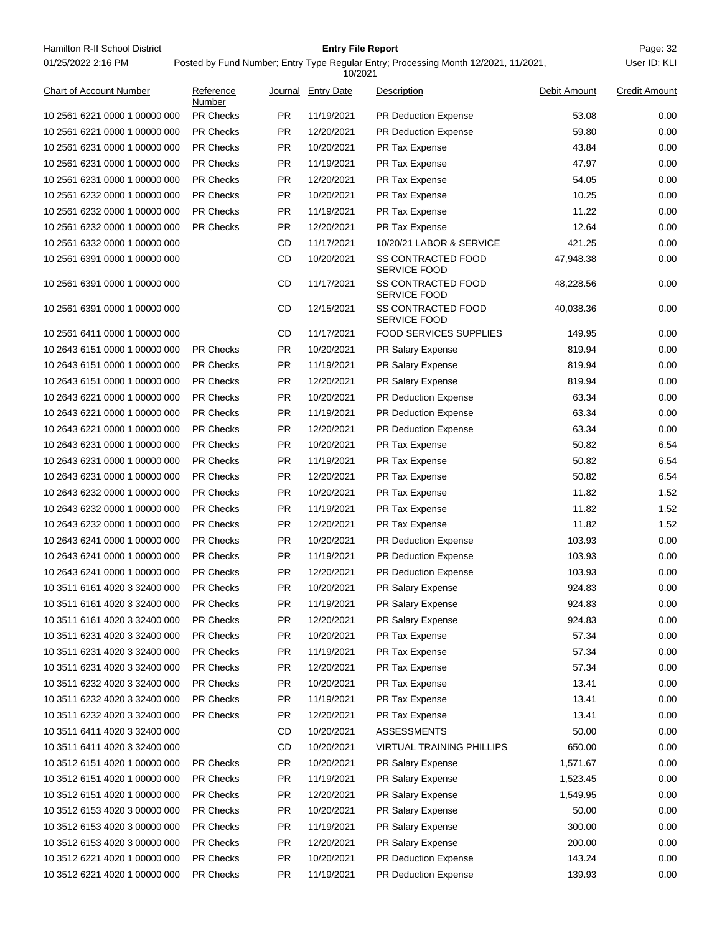Hamilton R-II School District **Entry File Report Entry File Report** Page: 32 01/25/2022 2:16 PM

## **Entry File Report**

|                                |                     |           | 10/2021            |                                                  |              |                      |
|--------------------------------|---------------------|-----------|--------------------|--------------------------------------------------|--------------|----------------------|
| <b>Chart of Account Number</b> | Reference<br>Number |           | Journal Entry Date | Description                                      | Debit Amount | <b>Credit Amount</b> |
| 10 2561 6221 0000 1 00000 000  | <b>PR Checks</b>    | PR.       | 11/19/2021         | <b>PR Deduction Expense</b>                      | 53.08        | 0.00                 |
| 10 2561 6221 0000 1 00000 000  | <b>PR Checks</b>    | <b>PR</b> | 12/20/2021         | <b>PR Deduction Expense</b>                      | 59.80        | 0.00                 |
| 10 2561 6231 0000 1 00000 000  | <b>PR Checks</b>    | PR.       | 10/20/2021         | PR Tax Expense                                   | 43.84        | 0.00                 |
| 10 2561 6231 0000 1 00000 000  | <b>PR Checks</b>    | PR.       | 11/19/2021         | PR Tax Expense                                   | 47.97        | 0.00                 |
| 10 2561 6231 0000 1 00000 000  | <b>PR Checks</b>    | PR.       | 12/20/2021         | PR Tax Expense                                   | 54.05        | 0.00                 |
| 10 2561 6232 0000 1 00000 000  | <b>PR Checks</b>    | PR.       | 10/20/2021         | PR Tax Expense                                   | 10.25        | 0.00                 |
| 10 2561 6232 0000 1 00000 000  | <b>PR Checks</b>    | PR.       | 11/19/2021         | <b>PR Tax Expense</b>                            | 11.22        | 0.00                 |
| 10 2561 6232 0000 1 00000 000  | <b>PR Checks</b>    | PR.       | 12/20/2021         | PR Tax Expense                                   | 12.64        | 0.00                 |
| 10 2561 6332 0000 1 00000 000  |                     | CD        | 11/17/2021         | 10/20/21 LABOR & SERVICE                         | 421.25       | 0.00                 |
| 10 2561 6391 0000 1 00000 000  |                     | CD        | 10/20/2021         | SS CONTRACTED FOOD<br><b>SERVICE FOOD</b>        | 47,948.38    | 0.00                 |
| 10 2561 6391 0000 1 00000 000  |                     | CD        | 11/17/2021         | <b>SS CONTRACTED FOOD</b><br><b>SERVICE FOOD</b> | 48,228.56    | 0.00                 |
| 10 2561 6391 0000 1 00000 000  |                     | CD        | 12/15/2021         | <b>SS CONTRACTED FOOD</b><br><b>SERVICE FOOD</b> | 40,038.36    | 0.00                 |
| 10 2561 6411 0000 1 00000 000  |                     | CD        | 11/17/2021         | <b>FOOD SERVICES SUPPLIES</b>                    | 149.95       | 0.00                 |
| 10 2643 6151 0000 1 00000 000  | <b>PR Checks</b>    | <b>PR</b> | 10/20/2021         | PR Salary Expense                                | 819.94       | 0.00                 |
| 10 2643 6151 0000 1 00000 000  | <b>PR Checks</b>    | PR.       | 11/19/2021         | <b>PR Salary Expense</b>                         | 819.94       | 0.00                 |
| 10 2643 6151 0000 1 00000 000  | <b>PR Checks</b>    | PR.       | 12/20/2021         | <b>PR Salary Expense</b>                         | 819.94       | 0.00                 |
| 10 2643 6221 0000 1 00000 000  | <b>PR Checks</b>    | PR.       | 10/20/2021         | <b>PR Deduction Expense</b>                      | 63.34        | 0.00                 |
| 10 2643 6221 0000 1 00000 000  | <b>PR Checks</b>    | PR.       | 11/19/2021         | <b>PR Deduction Expense</b>                      | 63.34        | 0.00                 |
| 10 2643 6221 0000 1 00000 000  | <b>PR Checks</b>    | PR.       | 12/20/2021         | <b>PR Deduction Expense</b>                      | 63.34        | 0.00                 |
| 10 2643 6231 0000 1 00000 000  | <b>PR Checks</b>    | PR.       | 10/20/2021         | PR Tax Expense                                   | 50.82        | 6.54                 |
| 10 2643 6231 0000 1 00000 000  | <b>PR Checks</b>    | PR.       | 11/19/2021         | PR Tax Expense                                   | 50.82        | 6.54                 |
| 10 2643 6231 0000 1 00000 000  | <b>PR Checks</b>    | PR.       | 12/20/2021         | PR Tax Expense                                   | 50.82        | 6.54                 |
| 10 2643 6232 0000 1 00000 000  | <b>PR Checks</b>    | PR.       | 10/20/2021         | PR Tax Expense                                   | 11.82        | 1.52                 |
| 10 2643 6232 0000 1 00000 000  | <b>PR Checks</b>    | PR.       | 11/19/2021         | PR Tax Expense                                   | 11.82        | 1.52                 |
| 10 2643 6232 0000 1 00000 000  | <b>PR Checks</b>    | PR.       | 12/20/2021         | PR Tax Expense                                   | 11.82        | 1.52                 |
| 10 2643 6241 0000 1 00000 000  | <b>PR Checks</b>    | PR.       | 10/20/2021         | PR Deduction Expense                             | 103.93       | 0.00                 |
| 10 2643 6241 0000 1 00000 000  | <b>PR Checks</b>    | PR.       | 11/19/2021         | <b>PR Deduction Expense</b>                      | 103.93       | 0.00                 |
| 10 2643 6241 0000 1 00000 000  | <b>PR Checks</b>    | PR.       | 12/20/2021         | <b>PR Deduction Expense</b>                      | 103.93       | 0.00                 |
| 10 3511 6161 4020 3 32400 000  | <b>PR Checks</b>    | <b>PR</b> | 10/20/2021         | PR Salary Expense                                | 924.83       | 0.00                 |
| 10 3511 6161 4020 3 32400 000  | <b>PR Checks</b>    | <b>PR</b> | 11/19/2021         | PR Salary Expense                                | 924.83       | 0.00                 |
| 10 3511 6161 4020 3 32400 000  | PR Checks           | <b>PR</b> | 12/20/2021         | PR Salary Expense                                | 924.83       | 0.00                 |
| 10 3511 6231 4020 3 32400 000  | PR Checks           | <b>PR</b> | 10/20/2021         | PR Tax Expense                                   | 57.34        | 0.00                 |
| 10 3511 6231 4020 3 32400 000  | PR Checks           | <b>PR</b> | 11/19/2021         | PR Tax Expense                                   | 57.34        | 0.00                 |
| 10 3511 6231 4020 3 32400 000  | PR Checks           | <b>PR</b> | 12/20/2021         | PR Tax Expense                                   | 57.34        | 0.00                 |
| 10 3511 6232 4020 3 32400 000  | <b>PR Checks</b>    | PR        | 10/20/2021         | PR Tax Expense                                   | 13.41        | 0.00                 |
| 10 3511 6232 4020 3 32400 000  | PR Checks           | <b>PR</b> | 11/19/2021         | PR Tax Expense                                   | 13.41        | 0.00                 |
| 10 3511 6232 4020 3 32400 000  | <b>PR Checks</b>    | <b>PR</b> | 12/20/2021         | PR Tax Expense                                   | 13.41        | 0.00                 |
| 10 3511 6411 4020 3 32400 000  |                     | CD        | 10/20/2021         | <b>ASSESSMENTS</b>                               | 50.00        | 0.00                 |
| 10 3511 6411 4020 3 32400 000  |                     | <b>CD</b> | 10/20/2021         | <b>VIRTUAL TRAINING PHILLIPS</b>                 | 650.00       | 0.00                 |
| 10 3512 6151 4020 1 00000 000  | PR Checks           | <b>PR</b> | 10/20/2021         | PR Salary Expense                                | 1,571.67     | 0.00                 |
| 10 3512 6151 4020 1 00000 000  | PR Checks           | <b>PR</b> | 11/19/2021         | PR Salary Expense                                | 1,523.45     | 0.00                 |
| 10 3512 6151 4020 1 00000 000  | PR Checks           | <b>PR</b> | 12/20/2021         | PR Salary Expense                                | 1,549.95     | 0.00                 |
| 10 3512 6153 4020 3 00000 000  | PR Checks           | <b>PR</b> | 10/20/2021         | PR Salary Expense                                | 50.00        | 0.00                 |
| 10 3512 6153 4020 3 00000 000  | <b>PR Checks</b>    | <b>PR</b> | 11/19/2021         | PR Salary Expense                                | 300.00       | 0.00                 |
| 10 3512 6153 4020 3 00000 000  | PR Checks           | <b>PR</b> | 12/20/2021         | PR Salary Expense                                | 200.00       | 0.00                 |
| 10 3512 6221 4020 1 00000 000  | PR Checks           | <b>PR</b> | 10/20/2021         | PR Deduction Expense                             | 143.24       | 0.00                 |
| 10 3512 6221 4020 1 00000 000  | PR Checks           | <b>PR</b> | 11/19/2021         | PR Deduction Expense                             | 139.93       | 0.00                 |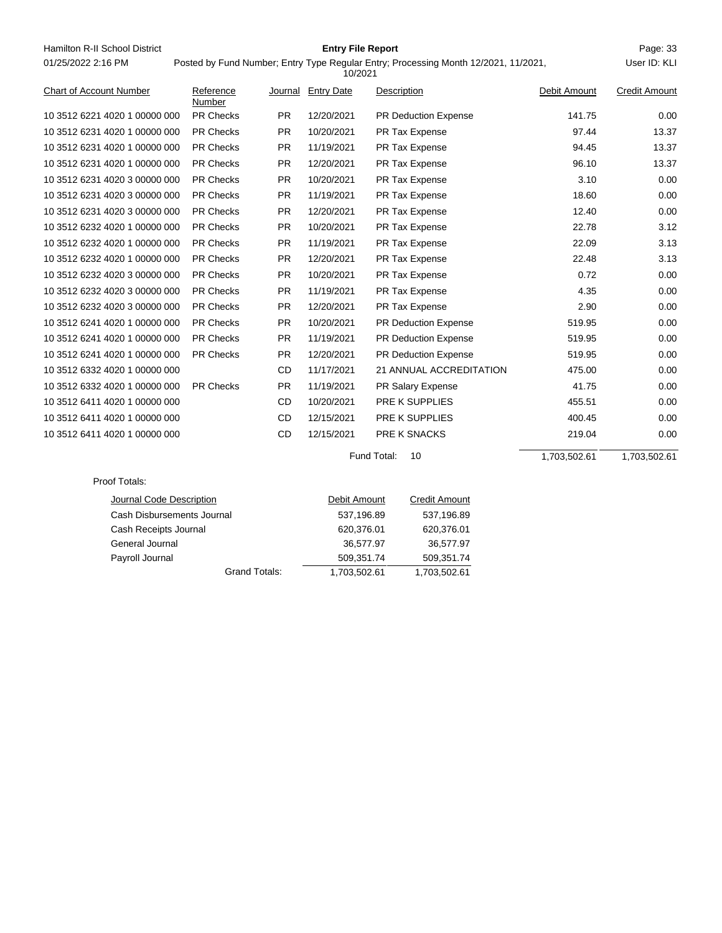| Hamilton R-II School District  |                      |           | <b>Entry File Report</b> |             |                                                                                     |              | Page: 33             |
|--------------------------------|----------------------|-----------|--------------------------|-------------|-------------------------------------------------------------------------------------|--------------|----------------------|
| 01/25/2022 2:16 PM             |                      |           | 10/2021                  |             | Posted by Fund Number; Entry Type Regular Entry; Processing Month 12/2021, 11/2021, |              | User ID: KLI         |
| <b>Chart of Account Number</b> | Reference<br>Number  |           | Journal Entry Date       | Description |                                                                                     | Debit Amount | <b>Credit Amount</b> |
| 10 3512 6221 4020 1 00000 000  | <b>PR Checks</b>     | PR.       | 12/20/2021               |             | <b>PR Deduction Expense</b>                                                         | 141.75       | 0.00                 |
| 10 3512 6231 4020 1 00000 000  | <b>PR Checks</b>     | <b>PR</b> | 10/20/2021               |             | PR Tax Expense                                                                      | 97.44        | 13.37                |
| 10 3512 6231 4020 1 00000 000  | <b>PR Checks</b>     | PR.       | 11/19/2021               |             | PR Tax Expense                                                                      | 94.45        | 13.37                |
| 10 3512 6231 4020 1 00000 000  | <b>PR Checks</b>     | <b>PR</b> | 12/20/2021               |             | PR Tax Expense                                                                      | 96.10        | 13.37                |
| 10 3512 6231 4020 3 00000 000  | <b>PR Checks</b>     | <b>PR</b> | 10/20/2021               |             | PR Tax Expense                                                                      | 3.10         | 0.00                 |
| 10 3512 6231 4020 3 00000 000  | <b>PR Checks</b>     | PR.       | 11/19/2021               |             | PR Tax Expense                                                                      | 18.60        | 0.00                 |
| 10 3512 6231 4020 3 00000 000  | <b>PR Checks</b>     | PR.       | 12/20/2021               |             | PR Tax Expense                                                                      | 12.40        | 0.00                 |
| 10 3512 6232 4020 1 00000 000  | <b>PR Checks</b>     | <b>PR</b> | 10/20/2021               |             | PR Tax Expense                                                                      | 22.78        | 3.12                 |
| 10 3512 6232 4020 1 00000 000  | <b>PR Checks</b>     | PR        | 11/19/2021               |             | PR Tax Expense                                                                      | 22.09        | 3.13                 |
| 10 3512 6232 4020 1 00000 000  | <b>PR Checks</b>     | <b>PR</b> | 12/20/2021               |             | PR Tax Expense                                                                      | 22.48        | 3.13                 |
| 10 3512 6232 4020 3 00000 000  | <b>PR Checks</b>     | <b>PR</b> | 10/20/2021               |             | PR Tax Expense                                                                      | 0.72         | 0.00                 |
| 10 3512 6232 4020 3 00000 000  | PR Checks            | <b>PR</b> | 11/19/2021               |             | PR Tax Expense                                                                      | 4.35         | 0.00                 |
| 10 3512 6232 4020 3 00000 000  | <b>PR Checks</b>     | <b>PR</b> | 12/20/2021               |             | PR Tax Expense                                                                      | 2.90         | 0.00                 |
| 10 3512 6241 4020 1 00000 000  | <b>PR Checks</b>     | <b>PR</b> | 10/20/2021               |             | PR Deduction Expense                                                                | 519.95       | 0.00                 |
| 10 3512 6241 4020 1 00000 000  | <b>PR Checks</b>     | PR        | 11/19/2021               |             | PR Deduction Expense                                                                | 519.95       | 0.00                 |
| 10 3512 6241 4020 1 00000 000  | <b>PR Checks</b>     | <b>PR</b> | 12/20/2021               |             | <b>PR Deduction Expense</b>                                                         | 519.95       | 0.00                 |
| 10 3512 6332 4020 1 00000 000  |                      | <b>CD</b> | 11/17/2021               |             | 21 ANNUAL ACCREDITATION                                                             | 475.00       | 0.00                 |
| 10 3512 6332 4020 1 00000 000  | <b>PR Checks</b>     | <b>PR</b> | 11/19/2021               |             | PR Salary Expense                                                                   | 41.75        | 0.00                 |
| 10 3512 6411 4020 1 00000 000  |                      | CD        | 10/20/2021               |             | PRE K SUPPLIES                                                                      | 455.51       | 0.00                 |
| 10 3512 6411 4020 1 00000 000  |                      | <b>CD</b> | 12/15/2021               |             | PRE K SUPPLIES                                                                      | 400.45       | 0.00                 |
| 10 3512 6411 4020 1 00000 000  |                      | CD        | 12/15/2021               |             | PRE K SNACKS                                                                        | 219.04       | 0.00                 |
|                                |                      |           |                          | Fund Total: | 10                                                                                  | 1,703,502.61 | 1,703,502.61         |
| Proof Totals:                  |                      |           |                          |             |                                                                                     |              |                      |
| Journal Code Description       |                      |           | Debit Amount             |             | <b>Credit Amount</b>                                                                |              |                      |
| Cash Disbursements Journal     |                      |           | 537,196.89               |             | 537,196.89                                                                          |              |                      |
| Cash Receipts Journal          |                      |           | 620,376.01               |             | 620,376.01                                                                          |              |                      |
| General Journal                |                      |           | 36,577.97                |             | 36,577.97                                                                           |              |                      |
| Payroll Journal                |                      |           | 509,351.74               |             | 509,351.74                                                                          |              |                      |
|                                | <b>Grand Totals:</b> |           | 1,703,502.61             |             | 1,703,502.61                                                                        |              |                      |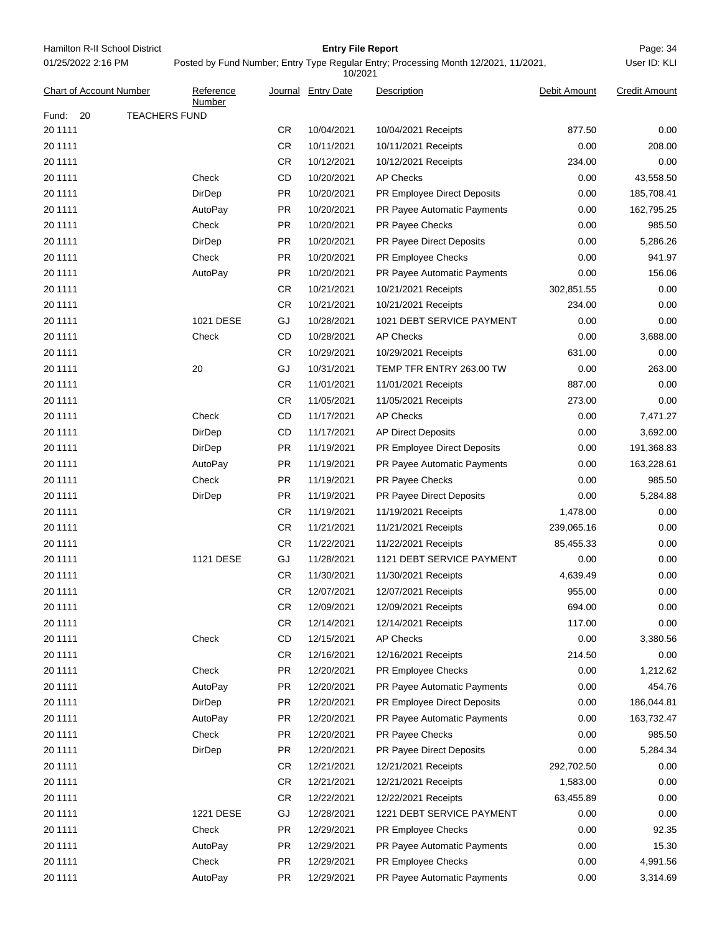Hamilton R-II School District **Entry File Report Entry File Report** Page: 34 01/25/2022 2:16 PM

## **Entry File Report**

User ID: KLI

# Posted by Fund Number; Entry Type Regular Entry; Processing Month 12/2021, 11/2021,

| <b>Chart of Account Number</b> | Reference<br>Number  | Journal   | <b>Entry Date</b> | Description                 | Debit Amount | <b>Credit Amount</b> |
|--------------------------------|----------------------|-----------|-------------------|-----------------------------|--------------|----------------------|
| Fund:<br>20                    | <b>TEACHERS FUND</b> |           |                   |                             |              |                      |
| 20 1111                        |                      | CR        | 10/04/2021        | 10/04/2021 Receipts         | 877.50       | 0.00                 |
| 20 1111                        |                      | <b>CR</b> | 10/11/2021        | 10/11/2021 Receipts         | 0.00         | 208.00               |
| 20 1111                        |                      | CR        | 10/12/2021        | 10/12/2021 Receipts         | 234.00       | 0.00                 |
| 20 1111                        | Check                | CD        | 10/20/2021        | <b>AP Checks</b>            | 0.00         | 43,558.50            |
| 20 1111                        | <b>DirDep</b>        | <b>PR</b> | 10/20/2021        | PR Employee Direct Deposits | 0.00         | 185,708.41           |
| 20 1111                        | AutoPay              | <b>PR</b> | 10/20/2021        | PR Payee Automatic Payments | 0.00         | 162,795.25           |
| 20 1111                        | Check                | <b>PR</b> | 10/20/2021        | PR Payee Checks             | 0.00         | 985.50               |
| 20 1111                        | DirDep               | <b>PR</b> | 10/20/2021        | PR Payee Direct Deposits    | 0.00         | 5,286.26             |
| 20 1111                        | Check                | <b>PR</b> | 10/20/2021        | PR Employee Checks          | 0.00         | 941.97               |
| 20 1111                        | AutoPay              | PR.       | 10/20/2021        | PR Payee Automatic Payments | 0.00         | 156.06               |
| 20 1111                        |                      | CR        | 10/21/2021        | 10/21/2021 Receipts         | 302,851.55   | 0.00                 |
| 20 1111                        |                      | <b>CR</b> | 10/21/2021        | 10/21/2021 Receipts         | 234.00       | 0.00                 |
| 20 1111                        | 1021 DESE            | GJ        | 10/28/2021        | 1021 DEBT SERVICE PAYMENT   | 0.00         | 0.00                 |
| 20 1111                        | Check                | CD        | 10/28/2021        | <b>AP Checks</b>            | 0.00         | 3,688.00             |
| 20 1111                        |                      | CR        | 10/29/2021        | 10/29/2021 Receipts         | 631.00       | 0.00                 |
| 20 1111                        | 20                   | GJ        | 10/31/2021        | TEMP TFR ENTRY 263.00 TW    | 0.00         | 263.00               |
| 20 1111                        |                      | CR        | 11/01/2021        | 11/01/2021 Receipts         | 887.00       | 0.00                 |
| 20 1111                        |                      | <b>CR</b> | 11/05/2021        | 11/05/2021 Receipts         | 273.00       | 0.00                 |
| 20 1111                        | Check                | CD        | 11/17/2021        | <b>AP Checks</b>            | 0.00         | 7,471.27             |
| 20 1111                        | DirDep               | CD        | 11/17/2021        | <b>AP Direct Deposits</b>   | 0.00         | 3,692.00             |
| 20 1111                        | DirDep               | PR.       | 11/19/2021        | PR Employee Direct Deposits | 0.00         | 191,368.83           |
| 20 1111                        | AutoPay              | PR.       | 11/19/2021        | PR Payee Automatic Payments | 0.00         | 163,228.61           |
| 20 1111                        | Check                | <b>PR</b> | 11/19/2021        | PR Payee Checks             | 0.00         | 985.50               |
| 20 1111                        | DirDep               | PR.       | 11/19/2021        | PR Payee Direct Deposits    | 0.00         | 5,284.88             |
| 20 1111                        |                      | CR        | 11/19/2021        | 11/19/2021 Receipts         | 1,478.00     | 0.00                 |
| 20 1111                        |                      | <b>CR</b> | 11/21/2021        | 11/21/2021 Receipts         | 239,065.16   | 0.00                 |
| 20 1111                        |                      | CR        | 11/22/2021        | 11/22/2021 Receipts         | 85,455.33    | 0.00                 |
| 20 1111                        | 1121 DESE            | GJ        | 11/28/2021        | 1121 DEBT SERVICE PAYMENT   | 0.00         | 0.00                 |
| 20 1111                        |                      | CR        | 11/30/2021        | 11/30/2021 Receipts         | 4,639.49     | 0.00                 |
| 20 1111                        |                      | <b>CR</b> | 12/07/2021        | 12/07/2021 Receipts         | 955.00       | 0.00                 |
| 20 1111                        |                      | <b>CR</b> | 12/09/2021        | 12/09/2021 Receipts         | 694.00       | 0.00                 |
| 20 1111                        |                      | <b>CR</b> | 12/14/2021        | 12/14/2021 Receipts         | 117.00       | 0.00                 |
| 20 1111                        | Check                | CD        | 12/15/2021        | <b>AP Checks</b>            | 0.00         | 3,380.56             |
| 20 1111                        |                      | CR        | 12/16/2021        | 12/16/2021 Receipts         | 214.50       | 0.00                 |
| 20 1111                        | Check                | <b>PR</b> | 12/20/2021        | PR Employee Checks          | 0.00         | 1,212.62             |
| 20 1111                        | AutoPay              | <b>PR</b> | 12/20/2021        | PR Payee Automatic Payments | 0.00         | 454.76               |
| 20 1111                        | DirDep               | <b>PR</b> | 12/20/2021        | PR Employee Direct Deposits | 0.00         | 186,044.81           |
| 20 1111                        | AutoPay              | <b>PR</b> | 12/20/2021        | PR Payee Automatic Payments | 0.00         | 163,732.47           |
| 20 1111                        | Check                | <b>PR</b> | 12/20/2021        | PR Payee Checks             | 0.00         | 985.50               |
| 20 1111                        | DirDep               | <b>PR</b> | 12/20/2021        | PR Payee Direct Deposits    | 0.00         | 5,284.34             |
| 20 1111                        |                      | CR.       | 12/21/2021        | 12/21/2021 Receipts         | 292,702.50   | 0.00                 |
| 20 1111                        |                      | CR.       | 12/21/2021        | 12/21/2021 Receipts         | 1,583.00     | 0.00                 |
| 20 1111                        |                      | <b>CR</b> | 12/22/2021        | 12/22/2021 Receipts         | 63,455.89    | 0.00                 |
| 20 1111                        | 1221 DESE            | GJ        | 12/28/2021        | 1221 DEBT SERVICE PAYMENT   | 0.00         | 0.00                 |
| 20 1111                        | Check                | <b>PR</b> | 12/29/2021        | PR Employee Checks          | 0.00         | 92.35                |
| 20 1111                        | AutoPay              | <b>PR</b> | 12/29/2021        | PR Payee Automatic Payments | 0.00         | 15.30                |
| 20 1111                        | Check                | <b>PR</b> | 12/29/2021        | PR Employee Checks          | 0.00         | 4,991.56             |
| 20 1111                        | AutoPay              | <b>PR</b> | 12/29/2021        | PR Payee Automatic Payments | 0.00         | 3,314.69             |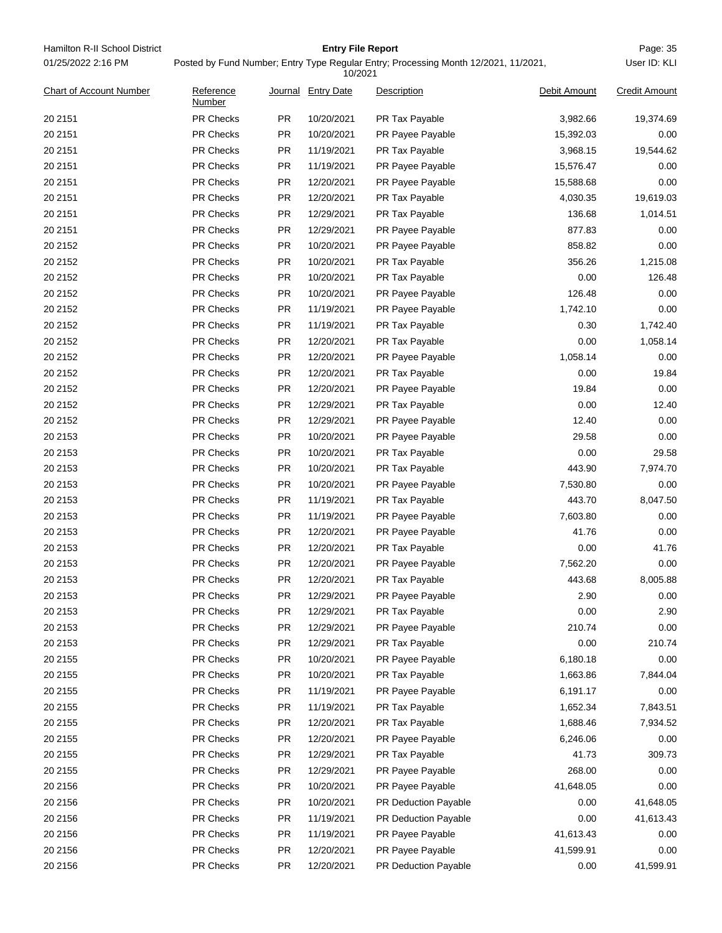| 01/25/2022 2:16 PM<br>Posted by Fund Number; Entry Type Regular Entry; Processing Month 12/2021, 11/2021,<br>10/2021<br><b>Chart of Account Number</b><br>Reference<br>Journal Entry Date<br>Description<br>Debit Amount | User ID: KLI<br><b>Credit Amount</b> |
|--------------------------------------------------------------------------------------------------------------------------------------------------------------------------------------------------------------------------|--------------------------------------|
|                                                                                                                                                                                                                          |                                      |
| Number                                                                                                                                                                                                                   |                                      |
| 20 21 51<br><b>PR Checks</b><br><b>PR</b><br>10/20/2021<br>PR Tax Payable<br>3,982.66                                                                                                                                    | 19,374.69                            |
| PR Checks<br>20 2151<br>PR.<br>10/20/2021<br>PR Payee Payable<br>15,392.03                                                                                                                                               | 0.00                                 |
| PR Checks<br>20 21 51<br>PR.<br>11/19/2021<br>PR Tax Payable<br>3,968.15                                                                                                                                                 | 19,544.62                            |
| 20 2151<br><b>PR Checks</b><br><b>PR</b><br>11/19/2021<br>PR Payee Payable<br>15,576.47                                                                                                                                  | 0.00                                 |
| 20 21 51<br>PR Checks<br>PR<br>12/20/2021<br>15,588.68<br>PR Payee Payable                                                                                                                                               | 0.00                                 |
| 20 21 51<br><b>PR Checks</b><br>PR<br>12/20/2021<br>PR Tax Payable<br>4,030.35                                                                                                                                           | 19,619.03                            |
| PR<br>20 21 51<br>PR Checks<br>12/29/2021<br>PR Tax Payable<br>136.68                                                                                                                                                    | 1,014.51                             |
| 20 2151<br><b>PR Checks</b><br>PR<br>12/29/2021<br>PR Payee Payable<br>877.83                                                                                                                                            | 0.00                                 |
| 20 2152<br>PR Checks<br>PR<br>10/20/2021<br>858.82<br>PR Payee Payable                                                                                                                                                   | 0.00                                 |
| PR Checks<br>20 2152<br>PR.<br>10/20/2021<br>PR Tax Payable<br>356.26                                                                                                                                                    | 1,215.08                             |
| 20 2152<br><b>PR Checks</b><br>PR<br>10/20/2021<br>PR Tax Payable<br>0.00                                                                                                                                                | 126.48                               |
| 20 2152<br><b>PR Checks</b><br><b>PR</b><br>10/20/2021<br>PR Payee Payable<br>126.48                                                                                                                                     | 0.00                                 |
| 20 2152<br>PR Checks<br>PR<br>11/19/2021<br>1,742.10<br>PR Payee Payable                                                                                                                                                 | 0.00                                 |
| 20 2152<br><b>PR Checks</b><br>PR<br>11/19/2021<br>PR Tax Payable<br>0.30                                                                                                                                                | 1,742.40                             |
| PR<br>0.00<br>20 2152<br>PR Checks<br>12/20/2021<br>PR Tax Payable                                                                                                                                                       | 1,058.14                             |
| 20 2152<br><b>PR Checks</b><br>PR<br>12/20/2021<br>1,058.14<br>PR Payee Payable                                                                                                                                          | 0.00                                 |
| 20 2152<br>PR Checks<br>PR<br>12/20/2021<br>PR Tax Payable<br>0.00                                                                                                                                                       | 19.84                                |
| 20 2152<br><b>PR Checks</b><br>PR.<br>12/20/2021<br>PR Payee Payable<br>19.84                                                                                                                                            | 0.00                                 |
| 20 2152<br><b>PR Checks</b><br>PR<br>12/29/2021<br>PR Tax Payable<br>0.00                                                                                                                                                | 12.40                                |
| 20 2152<br><b>PR Checks</b><br>PR<br>12/29/2021<br>PR Payee Payable<br>12.40                                                                                                                                             | 0.00                                 |
| 20 2153<br>PR Checks<br>PR<br>10/20/2021<br>29.58<br>PR Payee Payable                                                                                                                                                    | 0.00                                 |
| 0.00<br>20 2153<br><b>PR Checks</b><br>PR<br>10/20/2021<br>PR Tax Payable                                                                                                                                                | 29.58                                |
| PR<br>20 2153<br>PR Checks<br>10/20/2021<br>PR Tax Payable<br>443.90                                                                                                                                                     | 7,974.70                             |
| 20 2153<br><b>PR Checks</b><br>PR<br>10/20/2021<br>7,530.80<br>PR Payee Payable                                                                                                                                          | 0.00                                 |
| 20 2153<br>PR Checks<br>PR<br>11/19/2021<br>PR Tax Payable<br>443.70                                                                                                                                                     | 8,047.50                             |
| 20 2153<br>PR Checks<br>PR.<br>11/19/2021<br>PR Payee Payable<br>7,603.80                                                                                                                                                | 0.00                                 |
| 20 2153<br>PR Checks<br>PR<br>12/20/2021<br>PR Payee Payable<br>41.76                                                                                                                                                    | 0.00                                 |
| 0.00<br>20 2153<br>PR Checks<br>PR<br>12/20/2021<br>PR Tax Payable                                                                                                                                                       | 41.76                                |
| <b>PR</b><br><b>PR Checks</b><br>12/20/2021<br>7,562.20<br>20 2153<br>PR Payee Payable                                                                                                                                   | 0.00                                 |
| 443.68<br>20 2153<br>PR Checks<br>PR<br>12/20/2021<br>PR Tax Payable                                                                                                                                                     | 8,005.88                             |
| PR Checks<br>PR<br>2.90<br>20 2153<br>12/29/2021<br>PR Payee Payable                                                                                                                                                     | 0.00                                 |
| 0.00<br>20 2153<br>PR Checks<br>PR<br>12/29/2021<br>PR Tax Payable                                                                                                                                                       | 2.90                                 |
| 20 2153<br>PR Checks<br>PR<br>12/29/2021<br>PR Payee Payable<br>210.74                                                                                                                                                   | 0.00                                 |
| PR Checks<br>0.00<br>20 2153<br>PR<br>12/29/2021<br>PR Tax Payable                                                                                                                                                       | 210.74                               |
| PR Checks<br>PR<br>20 2155<br>10/20/2021<br>PR Payee Payable<br>6,180.18                                                                                                                                                 | 0.00                                 |
| 20 2155<br><b>PR Checks</b><br>PR<br>10/20/2021<br>PR Tax Payable<br>1,663.86                                                                                                                                            | 7,844.04                             |
| 20 2155<br>PR Checks<br>PR<br>11/19/2021<br>PR Payee Payable<br>6,191.17                                                                                                                                                 | 0.00                                 |
| PR Checks<br>20 2155<br>PR<br>11/19/2021<br>PR Tax Payable<br>1,652.34                                                                                                                                                   | 7,843.51                             |
| PR Checks<br>20 2155<br>PR<br>12/20/2021<br>PR Tax Payable<br>1,688.46                                                                                                                                                   | 7,934.52                             |
| 20 2155<br>PR Checks<br>PR<br>12/20/2021<br>PR Payee Payable<br>6,246.06                                                                                                                                                 | 0.00                                 |
| 20 2155<br>PR Checks<br>PR<br>12/29/2021<br>PR Tax Payable<br>41.73                                                                                                                                                      | 309.73                               |
| PR Checks<br>20 2155<br>PR<br>12/29/2021<br>PR Payee Payable<br>268.00                                                                                                                                                   | 0.00                                 |
| PR Checks<br>PR<br>20 2156<br>10/20/2021<br>PR Payee Payable<br>41,648.05                                                                                                                                                | 0.00                                 |
| 0.00<br>20 2156<br><b>PR Checks</b><br>PR<br>10/20/2021<br>PR Deduction Payable                                                                                                                                          | 41,648.05                            |
| 20 2156<br>PR Checks<br>PR<br>11/19/2021<br>PR Deduction Payable<br>0.00                                                                                                                                                 | 41,613.43                            |
| PR Checks<br>20 2156<br>PR<br>11/19/2021<br>PR Payee Payable<br>41,613.43                                                                                                                                                | 0.00                                 |
| PR Checks<br>20 2156<br>PR<br>12/20/2021<br>PR Payee Payable<br>41,599.91                                                                                                                                                | 0.00                                 |
| 20 2156<br>PR Checks<br>0.00<br>PR<br>12/20/2021<br>PR Deduction Payable                                                                                                                                                 | 41,599.91                            |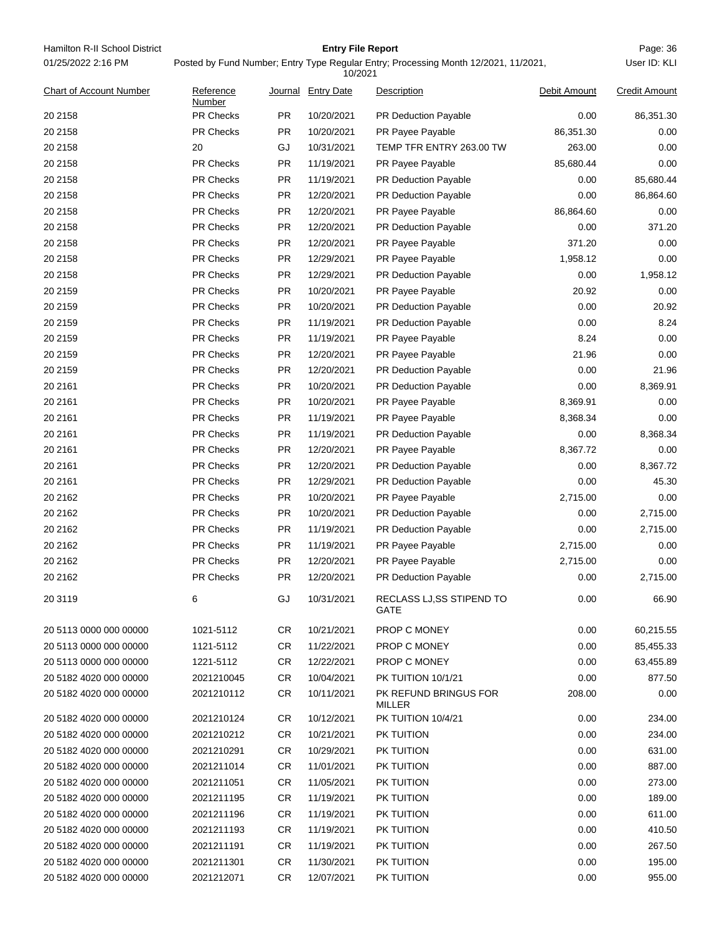| Hamilton R-II School District  |                                                                                                |           | <b>Entry File Report</b> |                                   |              | Page: 36             |  |
|--------------------------------|------------------------------------------------------------------------------------------------|-----------|--------------------------|-----------------------------------|--------------|----------------------|--|
| 01/25/2022 2:16 PM             | Posted by Fund Number; Entry Type Regular Entry; Processing Month 12/2021, 11/2021,<br>10/2021 |           |                          |                                   |              |                      |  |
| <b>Chart of Account Number</b> | Reference<br>Number                                                                            |           | Journal Entry Date       | Description                       | Debit Amount | <b>Credit Amount</b> |  |
| 20 2158                        | PR Checks                                                                                      | <b>PR</b> | 10/20/2021               | PR Deduction Payable              | 0.00         | 86,351.30            |  |
| 20 2158                        | <b>PR Checks</b>                                                                               | <b>PR</b> | 10/20/2021               | PR Payee Payable                  | 86,351.30    | 0.00                 |  |
| 20 2158                        | 20                                                                                             | GJ        | 10/31/2021               | TEMP TFR ENTRY 263.00 TW          | 263.00       | 0.00                 |  |
| 20 2158                        | PR Checks                                                                                      | <b>PR</b> | 11/19/2021               | PR Payee Payable                  | 85,680.44    | 0.00                 |  |
| 20 2158                        | <b>PR Checks</b>                                                                               | <b>PR</b> | 11/19/2021               | PR Deduction Payable              | 0.00         | 85,680.44            |  |
| 20 2158                        | PR Checks                                                                                      | <b>PR</b> | 12/20/2021               | PR Deduction Payable              | 0.00         | 86,864.60            |  |
| 20 2158                        | PR Checks                                                                                      | PR        | 12/20/2021               | PR Payee Payable                  | 86,864.60    | 0.00                 |  |
| 20 2158                        | PR Checks                                                                                      | PR        | 12/20/2021               | <b>PR Deduction Payable</b>       | 0.00         | 371.20               |  |
| 20 2158                        | PR Checks                                                                                      | <b>PR</b> | 12/20/2021               | PR Payee Payable                  | 371.20       | 0.00                 |  |
| 20 2158                        | PR Checks                                                                                      | <b>PR</b> | 12/29/2021               | PR Payee Payable                  | 1,958.12     | 0.00                 |  |
| 20 2158                        | PR Checks                                                                                      | PR        | 12/29/2021               | PR Deduction Payable              | 0.00         | 1,958.12             |  |
| 20 2159                        | PR Checks                                                                                      | PR        | 10/20/2021               | PR Payee Payable                  | 20.92        | 0.00                 |  |
| 20 2159                        | <b>PR Checks</b>                                                                               | <b>PR</b> | 10/20/2021               | PR Deduction Payable              | 0.00         | 20.92                |  |
| 20 2159                        | PR Checks                                                                                      | <b>PR</b> | 11/19/2021               | PR Deduction Payable              | 0.00         | 8.24                 |  |
| 20 2159                        | PR Checks                                                                                      | PR        | 11/19/2021               | PR Payee Payable                  | 8.24         | 0.00                 |  |
| 20 2159                        | PR Checks                                                                                      | PR        | 12/20/2021               | PR Payee Payable                  | 21.96        | 0.00                 |  |
| 20 2159                        | PR Checks                                                                                      | <b>PR</b> | 12/20/2021               | PR Deduction Payable              | 0.00         | 21.96                |  |
| 20 21 61                       | PR Checks                                                                                      | <b>PR</b> | 10/20/2021               | PR Deduction Payable              | 0.00         | 8,369.91             |  |
| 20 21 61                       | PR Checks                                                                                      | PR        | 10/20/2021               | PR Payee Payable                  | 8,369.91     | 0.00                 |  |
| 20 21 61                       | PR Checks                                                                                      | PR        | 11/19/2021               | PR Payee Payable                  | 8,368.34     | 0.00                 |  |
| 20 21 61                       | <b>PR Checks</b>                                                                               | <b>PR</b> | 11/19/2021               | PR Deduction Payable              | 0.00         | 8,368.34             |  |
| 20 21 61                       | PR Checks                                                                                      | <b>PR</b> | 12/20/2021               | PR Payee Payable                  | 8,367.72     | 0.00                 |  |
| 20 21 61                       | PR Checks                                                                                      | PR        | 12/20/2021               | PR Deduction Payable              | 0.00         | 8,367.72             |  |
| 20 21 61                       | PR Checks                                                                                      | PR        | 12/29/2021               | PR Deduction Payable              | 0.00         | 45.30                |  |
| 20 21 62                       | PR Checks                                                                                      | <b>PR</b> | 10/20/2021               | PR Payee Payable                  | 2,715.00     | 0.00                 |  |
| 20 21 62                       | PR Checks                                                                                      | <b>PR</b> | 10/20/2021               | PR Deduction Payable              | 0.00         | 2,715.00             |  |
| 20 21 62                       | PR Checks                                                                                      | <b>PR</b> | 11/19/2021               | PR Deduction Payable              | 0.00         | 2,715.00             |  |
| 20 21 62                       | PR Checks                                                                                      | <b>PR</b> | 11/19/2021               | PR Payee Payable                  | 2,715.00     | 0.00                 |  |
| 20 21 62                       | PR Checks                                                                                      | PR.       | 12/20/2021               | PR Payee Payable                  | 2,715.00     | 0.00                 |  |
| 20 21 62                       | <b>PR Checks</b>                                                                               | PR.       | 12/20/2021               | PR Deduction Payable              | 0.00         | 2,715.00             |  |
| 20 3119                        | 6                                                                                              | GJ        | 10/31/2021               | RECLASS LJ, SS STIPEND TO<br>GATE | 0.00         | 66.90                |  |
| 20 5113 0000 000 00000         | 1021-5112                                                                                      | CR        | 10/21/2021               | PROP C MONEY                      | 0.00         | 60,215.55            |  |
| 20 5113 0000 000 00000         | 1121-5112                                                                                      | CR        | 11/22/2021               | <b>PROP C MONEY</b>               | 0.00         | 85,455.33            |  |
| 20 5113 0000 000 00000         | 1221-5112                                                                                      | CR        | 12/22/2021               | PROP C MONEY                      | 0.00         | 63,455.89            |  |
| 20 5182 4020 000 00000         | 2021210045                                                                                     | CR        | 10/04/2021               | PK TUITION 10/1/21                | 0.00         | 877.50               |  |
| 20 5182 4020 000 00000         | 2021210112                                                                                     | CR.       | 10/11/2021               | PK REFUND BRINGUS FOR<br>MILLER   | 208.00       | 0.00                 |  |
| 20 5182 4020 000 00000         | 2021210124                                                                                     | CR        | 10/12/2021               | PK TUITION 10/4/21                | 0.00         | 234.00               |  |
| 20 5182 4020 000 00000         | 2021210212                                                                                     | CR        | 10/21/2021               | PK TUITION                        | 0.00         | 234.00               |  |
| 20 5182 4020 000 00000         | 2021210291                                                                                     | CR.       | 10/29/2021               | PK TUITION                        | 0.00         | 631.00               |  |
| 20 5182 4020 000 00000         | 2021211014                                                                                     | CR        | 11/01/2021               | PK TUITION                        | 0.00         | 887.00               |  |
| 20 5182 4020 000 00000         | 2021211051                                                                                     | CR        | 11/05/2021               | PK TUITION                        | 0.00         | 273.00               |  |
| 20 5182 4020 000 00000         | 2021211195                                                                                     | CR        | 11/19/2021               | PK TUITION                        | 0.00         | 189.00               |  |
| 20 5182 4020 000 00000         | 2021211196                                                                                     | CR        | 11/19/2021               | PK TUITION                        | 0.00         | 611.00               |  |
| 20 5182 4020 000 00000         | 2021211193                                                                                     | CR        | 11/19/2021               | PK TUITION                        | 0.00         | 410.50               |  |
| 20 5182 4020 000 00000         | 2021211191                                                                                     | CR        | 11/19/2021               | PK TUITION                        | 0.00         | 267.50               |  |
| 20 5182 4020 000 00000         | 2021211301                                                                                     | CR.       | 11/30/2021               | PK TUITION                        | 0.00         | 195.00               |  |
| 20 5182 4020 000 00000         | 2021212071                                                                                     | CR.       | 12/07/2021               | PK TUITION                        | 0.00         | 955.00               |  |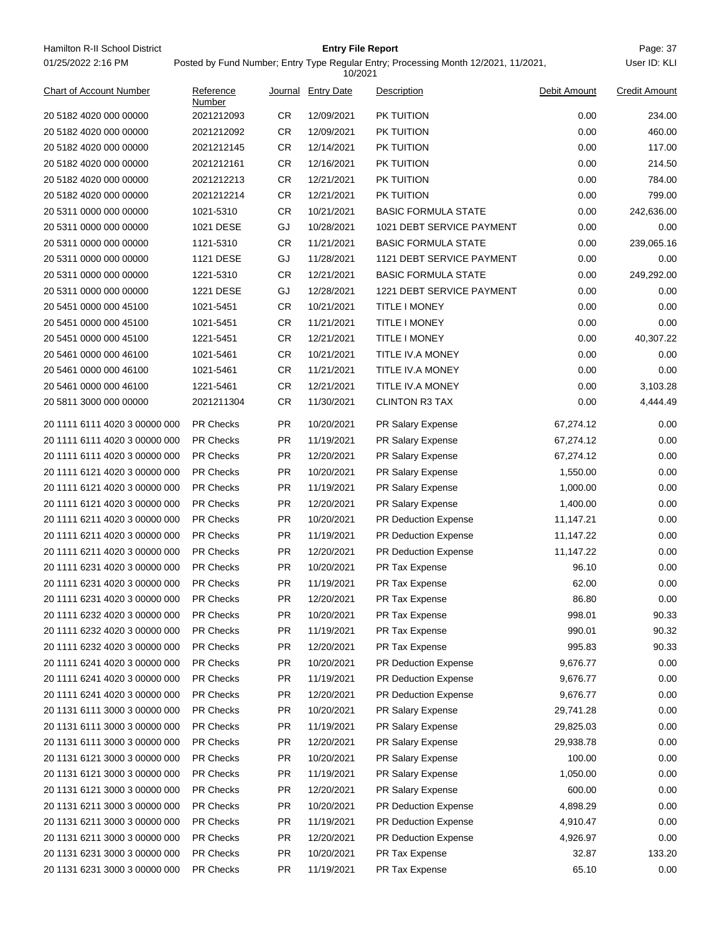Hamilton R-II School District **Entry File Report Entry File Report** Page: 37 01/25/2022 2:16 PM

## **Entry File Report**

Posted by Fund Number; Entry Type Regular Entry; Processing Month 12/2021, 11/2021,

|                               |                     |           | 10/2021            |                             |              |                      |
|-------------------------------|---------------------|-----------|--------------------|-----------------------------|--------------|----------------------|
| Chart of Account Number       | Reference<br>Number |           | Journal Entry Date | Description                 | Debit Amount | <b>Credit Amount</b> |
| 20 5182 4020 000 00000        | 2021212093          | CR.       | 12/09/2021         | PK TUITION                  | 0.00         | 234.00               |
| 20 5182 4020 000 00000        | 2021212092          | <b>CR</b> | 12/09/2021         | PK TUITION                  | 0.00         | 460.00               |
| 20 5182 4020 000 00000        | 2021212145          | <b>CR</b> | 12/14/2021         | PK TUITION                  | 0.00         | 117.00               |
| 20 5182 4020 000 00000        | 2021212161          | CR        | 12/16/2021         | PK TUITION                  | 0.00         | 214.50               |
| 20 5182 4020 000 00000        | 2021212213          | <b>CR</b> | 12/21/2021         | PK TUITION                  | 0.00         | 784.00               |
| 20 5182 4020 000 00000        | 2021212214          | CR.       | 12/21/2021         | PK TUITION                  | 0.00         | 799.00               |
| 20 5311 0000 000 00000        | 1021-5310           | <b>CR</b> | 10/21/2021         | <b>BASIC FORMULA STATE</b>  | 0.00         | 242,636.00           |
| 20 5311 0000 000 00000        | 1021 DESE           | GJ        | 10/28/2021         | 1021 DEBT SERVICE PAYMENT   | 0.00         | 0.00                 |
| 20 5311 0000 000 00000        | 1121-5310           | <b>CR</b> | 11/21/2021         | <b>BASIC FORMULA STATE</b>  | 0.00         | 239,065.16           |
| 20 5311 0000 000 00000        | 1121 DESE           | GJ        | 11/28/2021         | 1121 DEBT SERVICE PAYMENT   | 0.00         | 0.00                 |
| 20 5311 0000 000 00000        | 1221-5310           | <b>CR</b> | 12/21/2021         | <b>BASIC FORMULA STATE</b>  | 0.00         | 249,292.00           |
| 20 5311 0000 000 00000        | 1221 DESE           | GJ        | 12/28/2021         | 1221 DEBT SERVICE PAYMENT   | 0.00         | 0.00                 |
| 20 5451 0000 000 45100        | 1021-5451           | <b>CR</b> | 10/21/2021         | <b>TITLE I MONEY</b>        | 0.00         | 0.00                 |
| 20 5451 0000 000 45100        | 1021-5451           | CR.       | 11/21/2021         | <b>TITLE I MONEY</b>        | 0.00         | 0.00                 |
| 20 5451 0000 000 45100        | 1221-5451           | <b>CR</b> | 12/21/2021         | <b>TITLE I MONEY</b>        | 0.00         | 40,307.22            |
| 20 5461 0000 000 46100        | 1021-5461           | <b>CR</b> | 10/21/2021         | <b>TITLE IV.A MONEY</b>     | 0.00         | 0.00                 |
| 20 5461 0000 000 46100        | 1021-5461           | <b>CR</b> | 11/21/2021         | TITLE IV.A MONEY            | 0.00         | 0.00                 |
| 20 5461 0000 000 46100        | 1221-5461           | CR        | 12/21/2021         | TITLE IV.A MONEY            | 0.00         | 3,103.28             |
| 20 5811 3000 000 00000        | 2021211304          | <b>CR</b> | 11/30/2021         | <b>CLINTON R3 TAX</b>       | 0.00         | 4,444.49             |
| 20 1111 6111 4020 3 00000 000 | <b>PR Checks</b>    | <b>PR</b> | 10/20/2021         | PR Salary Expense           | 67,274.12    | 0.00                 |
| 20 1111 6111 4020 3 00000 000 | <b>PR Checks</b>    | PR.       | 11/19/2021         | PR Salary Expense           | 67,274.12    | 0.00                 |
| 20 1111 6111 4020 3 00000 000 | <b>PR Checks</b>    | <b>PR</b> | 12/20/2021         | PR Salary Expense           | 67,274.12    | 0.00                 |
| 20 1111 6121 4020 3 00000 000 | <b>PR Checks</b>    | <b>PR</b> | 10/20/2021         | PR Salary Expense           | 1,550.00     | 0.00                 |
| 20 1111 6121 4020 3 00000 000 | <b>PR Checks</b>    | <b>PR</b> | 11/19/2021         | PR Salary Expense           | 1,000.00     | 0.00                 |
| 20 1111 6121 4020 3 00000 000 | <b>PR Checks</b>    | <b>PR</b> | 12/20/2021         | PR Salary Expense           | 1,400.00     | 0.00                 |
| 20 1111 6211 4020 3 00000 000 | <b>PR Checks</b>    | <b>PR</b> | 10/20/2021         | <b>PR Deduction Expense</b> | 11,147.21    | 0.00                 |
| 20 1111 6211 4020 3 00000 000 | <b>PR Checks</b>    | <b>PR</b> | 11/19/2021         | <b>PR Deduction Expense</b> | 11,147.22    | 0.00                 |
| 20 1111 6211 4020 3 00000 000 | PR Checks           | <b>PR</b> | 12/20/2021         | PR Deduction Expense        | 11,147.22    | 0.00                 |
| 20 1111 6231 4020 3 00000 000 | <b>PR Checks</b>    | <b>PR</b> | 10/20/2021         | PR Tax Expense              | 96.10        | 0.00                 |
| 20 1111 6231 4020 3 00000 000 | <b>PR Checks</b>    | <b>PR</b> | 11/19/2021         | PR Tax Expense              | 62.00        | 0.00                 |
| 20 1111 6231 4020 3 00000 000 | PR Checks           | <b>PR</b> | 12/20/2021         | PR Tax Expense              | 86.80        | 0.00                 |
| 20 1111 6232 4020 3 00000 000 | PR Checks           | <b>PR</b> | 10/20/2021         | PR Tax Expense              | 998.01       | 90.33                |
| 20 1111 6232 4020 3 00000 000 | PR Checks           | <b>PR</b> | 11/19/2021         | PR Tax Expense              | 990.01       | 90.32                |
| 20 1111 6232 4020 3 00000 000 | PR Checks           | <b>PR</b> | 12/20/2021         | PR Tax Expense              | 995.83       | 90.33                |
| 20 1111 6241 4020 3 00000 000 | <b>PR Checks</b>    | <b>PR</b> | 10/20/2021         | <b>PR Deduction Expense</b> | 9,676.77     | 0.00                 |
| 20 1111 6241 4020 3 00000 000 | PR Checks           | <b>PR</b> | 11/19/2021         | PR Deduction Expense        | 9,676.77     | 0.00                 |
| 20 1111 6241 4020 3 00000 000 | PR Checks           | <b>PR</b> | 12/20/2021         | PR Deduction Expense        | 9,676.77     | 0.00                 |
| 20 1131 6111 3000 3 00000 000 | PR Checks           | <b>PR</b> | 10/20/2021         | PR Salary Expense           | 29,741.28    | 0.00                 |
| 20 1131 6111 3000 3 00000 000 | <b>PR Checks</b>    | <b>PR</b> | 11/19/2021         | PR Salary Expense           | 29,825.03    | 0.00                 |
| 20 1131 6111 3000 3 00000 000 | PR Checks           | <b>PR</b> | 12/20/2021         | PR Salary Expense           | 29,938.78    | 0.00                 |
| 20 1131 6121 3000 3 00000 000 | PR Checks           | <b>PR</b> | 10/20/2021         | PR Salary Expense           | 100.00       | 0.00                 |
| 20 1131 6121 3000 3 00000 000 | PR Checks           | <b>PR</b> | 11/19/2021         | PR Salary Expense           | 1,050.00     | 0.00                 |
| 20 1131 6121 3000 3 00000 000 | <b>PR Checks</b>    | <b>PR</b> | 12/20/2021         | PR Salary Expense           | 600.00       | 0.00                 |
| 20 1131 6211 3000 3 00000 000 | PR Checks           | <b>PR</b> | 10/20/2021         | PR Deduction Expense        | 4,898.29     | 0.00                 |
| 20 1131 6211 3000 3 00000 000 | PR Checks           | PR        | 11/19/2021         | PR Deduction Expense        | 4,910.47     | 0.00                 |
| 20 1131 6211 3000 3 00000 000 | PR Checks           | <b>PR</b> | 12/20/2021         | PR Deduction Expense        | 4,926.97     | 0.00                 |
| 20 1131 6231 3000 3 00000 000 | PR Checks           | <b>PR</b> | 10/20/2021         | PR Tax Expense              | 32.87        | 133.20               |
| 20 1131 6231 3000 3 00000 000 | PR Checks           | <b>PR</b> | 11/19/2021         | PR Tax Expense              | 65.10        | 0.00                 |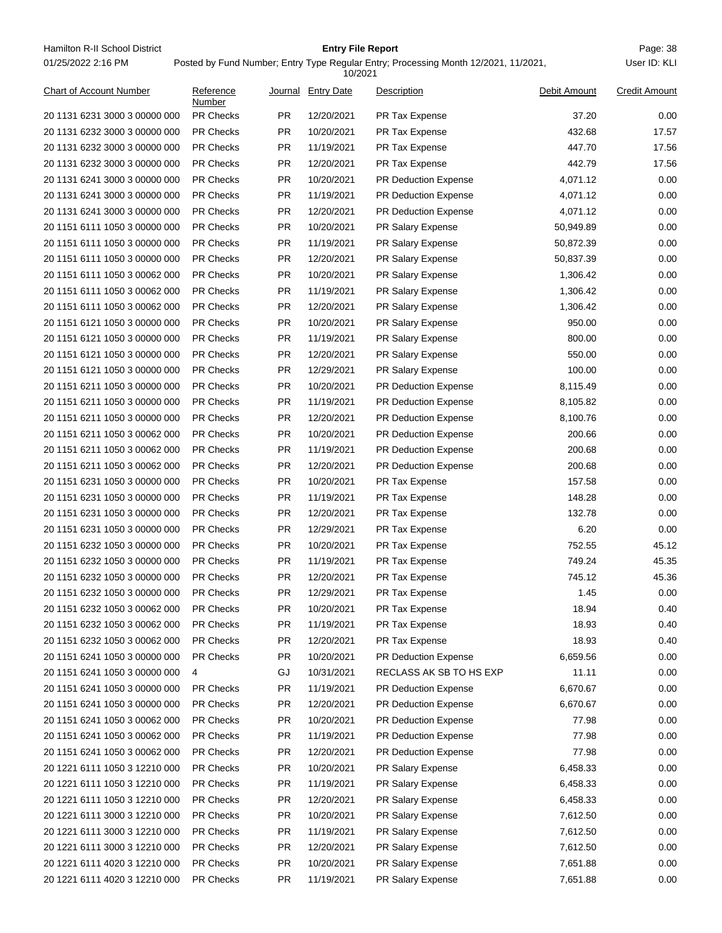Hamilton R-II School District **Entry File Report Entry File Report** Page: 38 01/25/2022 2:16 PM

## **Entry File Report**

# Posted by Fund Number; Entry Type Regular Entry; Processing Month 12/2021, 11/2021,

|                                |                     |           | 10/2021           |                             |              |                      |
|--------------------------------|---------------------|-----------|-------------------|-----------------------------|--------------|----------------------|
| <b>Chart of Account Number</b> | Reference<br>Number | Journal   | <b>Entry Date</b> | Description                 | Debit Amount | <b>Credit Amount</b> |
| 20 1131 6231 3000 3 00000 000  | <b>PR Checks</b>    | <b>PR</b> | 12/20/2021        | PR Tax Expense              | 37.20        | 0.00                 |
| 20 1131 6232 3000 3 00000 000  | <b>PR Checks</b>    | <b>PR</b> | 10/20/2021        | PR Tax Expense              | 432.68       | 17.57                |
| 20 1131 6232 3000 3 00000 000  | <b>PR Checks</b>    | <b>PR</b> | 11/19/2021        | PR Tax Expense              | 447.70       | 17.56                |
| 20 1131 6232 3000 3 00000 000  | <b>PR Checks</b>    | PR.       | 12/20/2021        | PR Tax Expense              | 442.79       | 17.56                |
| 20 1131 6241 3000 3 00000 000  | <b>PR Checks</b>    | PR.       | 10/20/2021        | <b>PR Deduction Expense</b> | 4,071.12     | 0.00                 |
| 20 1131 6241 3000 3 00000 000  | <b>PR Checks</b>    | PR        | 11/19/2021        | <b>PR Deduction Expense</b> | 4,071.12     | 0.00                 |
| 20 1131 6241 3000 3 00000 000  | <b>PR Checks</b>    | <b>PR</b> | 12/20/2021        | PR Deduction Expense        | 4,071.12     | 0.00                 |
| 20 1151 6111 1050 3 00000 000  | <b>PR Checks</b>    | <b>PR</b> | 10/20/2021        | PR Salary Expense           | 50,949.89    | 0.00                 |
| 20 1151 6111 1050 3 00000 000  | <b>PR Checks</b>    | <b>PR</b> | 11/19/2021        | PR Salary Expense           | 50,872.39    | 0.00                 |
| 20 1151 6111 1050 3 00000 000  | <b>PR Checks</b>    | PR        | 12/20/2021        | PR Salary Expense           | 50,837.39    | 0.00                 |
| 20 1151 6111 1050 3 00062 000  | <b>PR Checks</b>    | <b>PR</b> | 10/20/2021        | PR Salary Expense           | 1,306.42     | 0.00                 |
| 20 1151 6111 1050 3 00062 000  | <b>PR Checks</b>    | <b>PR</b> | 11/19/2021        | PR Salary Expense           | 1,306.42     | 0.00                 |
| 20 1151 6111 1050 3 00062 000  | <b>PR Checks</b>    | <b>PR</b> | 12/20/2021        | PR Salary Expense           | 1,306.42     | 0.00                 |
| 20 1151 6121 1050 3 00000 000  | <b>PR Checks</b>    | <b>PR</b> | 10/20/2021        | PR Salary Expense           | 950.00       | 0.00                 |
| 20 1151 6121 1050 3 00000 000  | <b>PR Checks</b>    | <b>PR</b> | 11/19/2021        | PR Salary Expense           | 800.00       | 0.00                 |
| 20 1151 6121 1050 3 00000 000  | <b>PR Checks</b>    | <b>PR</b> | 12/20/2021        | PR Salary Expense           | 550.00       | 0.00                 |
| 20 1151 6121 1050 3 00000 000  | <b>PR Checks</b>    | <b>PR</b> | 12/29/2021        | PR Salary Expense           | 100.00       | 0.00                 |
| 20 1151 6211 1050 3 00000 000  | <b>PR Checks</b>    | PR        | 10/20/2021        | PR Deduction Expense        | 8,115.49     | 0.00                 |
| 20 1151 6211 1050 3 00000 000  | <b>PR Checks</b>    | <b>PR</b> | 11/19/2021        | <b>PR Deduction Expense</b> | 8,105.82     | 0.00                 |
| 20 1151 6211 1050 3 00000 000  | PR Checks           | <b>PR</b> | 12/20/2021        | PR Deduction Expense        | 8,100.76     | 0.00                 |
| 20 1151 6211 1050 3 00062 000  | <b>PR Checks</b>    | <b>PR</b> | 10/20/2021        | <b>PR Deduction Expense</b> | 200.66       | 0.00                 |
| 20 1151 6211 1050 3 00062 000  | <b>PR Checks</b>    | <b>PR</b> | 11/19/2021        | <b>PR Deduction Expense</b> | 200.68       | 0.00                 |
| 20 1151 6211 1050 3 00062 000  | <b>PR Checks</b>    | <b>PR</b> | 12/20/2021        | PR Deduction Expense        | 200.68       | 0.00                 |
| 20 1151 6231 1050 3 00000 000  | <b>PR Checks</b>    | <b>PR</b> | 10/20/2021        | PR Tax Expense              | 157.58       | 0.00                 |
| 20 1151 6231 1050 3 00000 000  | <b>PR Checks</b>    | <b>PR</b> | 11/19/2021        | PR Tax Expense              | 148.28       | 0.00                 |
| 20 1151 6231 1050 3 00000 000  | <b>PR Checks</b>    | PR        | 12/20/2021        | PR Tax Expense              | 132.78       | 0.00                 |
| 20 1151 6231 1050 3 00000 000  | <b>PR Checks</b>    | <b>PR</b> | 12/29/2021        | PR Tax Expense              | 6.20         | 0.00                 |
| 20 1151 6232 1050 3 00000 000  | PR Checks           | <b>PR</b> | 10/20/2021        | PR Tax Expense              | 752.55       | 45.12                |
| 20 1151 6232 1050 3 00000 000  | <b>PR Checks</b>    | <b>PR</b> | 11/19/2021        | PR Tax Expense              | 749.24       | 45.35                |
| 20 1151 6232 1050 3 00000 000  | <b>PR Checks</b>    | PR        | 12/20/2021        | PR Tax Expense              | 745.12       | 45.36                |
| 20 1151 6232 1050 3 00000 000  | <b>PR Checks</b>    | <b>PR</b> | 12/29/2021        | <b>PR Tax Expense</b>       | 1.45         | 0.00                 |
| 20 1151 6232 1050 3 00062 000  | <b>PR Checks</b>    | <b>PR</b> | 10/20/2021        | PR Tax Expense              | 18.94        | 0.40                 |
| 20 1151 6232 1050 3 00062 000  | PR Checks           | <b>PR</b> | 11/19/2021        | PR Tax Expense              | 18.93        | 0.40                 |
| 20 1151 6232 1050 3 00062 000  | PR Checks           | <b>PR</b> | 12/20/2021        | PR Tax Expense              | 18.93        | 0.40                 |
| 20 1151 6241 1050 3 00000 000  | <b>PR Checks</b>    | <b>PR</b> | 10/20/2021        | PR Deduction Expense        | 6,659.56     | 0.00                 |
| 20 1151 6241 1050 3 00000 000  | 4                   | GJ        | 10/31/2021        | RECLASS AK SB TO HS EXP     | 11.11        | 0.00                 |
| 20 1151 6241 1050 3 00000 000  | PR Checks           | <b>PR</b> | 11/19/2021        | PR Deduction Expense        | 6,670.67     | 0.00                 |
| 20 1151 6241 1050 3 00000 000  | PR Checks           | <b>PR</b> | 12/20/2021        | PR Deduction Expense        | 6,670.67     | 0.00                 |
| 20 1151 6241 1050 3 00062 000  | <b>PR Checks</b>    | <b>PR</b> | 10/20/2021        | PR Deduction Expense        | 77.98        | 0.00                 |
| 20 1151 6241 1050 3 00062 000  | PR Checks           | <b>PR</b> | 11/19/2021        | PR Deduction Expense        | 77.98        | 0.00                 |
| 20 1151 6241 1050 3 00062 000  | PR Checks           | <b>PR</b> | 12/20/2021        | PR Deduction Expense        | 77.98        | 0.00                 |
| 20 1221 6111 1050 3 12210 000  | PR Checks           | <b>PR</b> | 10/20/2021        | PR Salary Expense           | 6,458.33     | 0.00                 |
| 20 1221 6111 1050 3 12210 000  | <b>PR Checks</b>    | <b>PR</b> | 11/19/2021        | PR Salary Expense           | 6,458.33     | 0.00                 |
| 20 1221 6111 1050 3 12210 000  | PR Checks           | <b>PR</b> | 12/20/2021        | PR Salary Expense           | 6,458.33     | 0.00                 |
| 20 1221 6111 3000 3 12210 000  | PR Checks           | <b>PR</b> | 10/20/2021        | PR Salary Expense           | 7,612.50     | 0.00                 |
| 20 1221 6111 3000 3 12210 000  | PR Checks           | PR        | 11/19/2021        | PR Salary Expense           | 7,612.50     | 0.00                 |
| 20 1221 6111 3000 3 12210 000  | <b>PR Checks</b>    | <b>PR</b> | 12/20/2021        | PR Salary Expense           | 7,612.50     | 0.00                 |
| 20 1221 6111 4020 3 12210 000  | PR Checks           | <b>PR</b> | 10/20/2021        | PR Salary Expense           | 7,651.88     | 0.00                 |
| 20 1221 6111 4020 3 12210 000  | PR Checks           | PR        | 11/19/2021        | PR Salary Expense           | 7,651.88     | 0.00                 |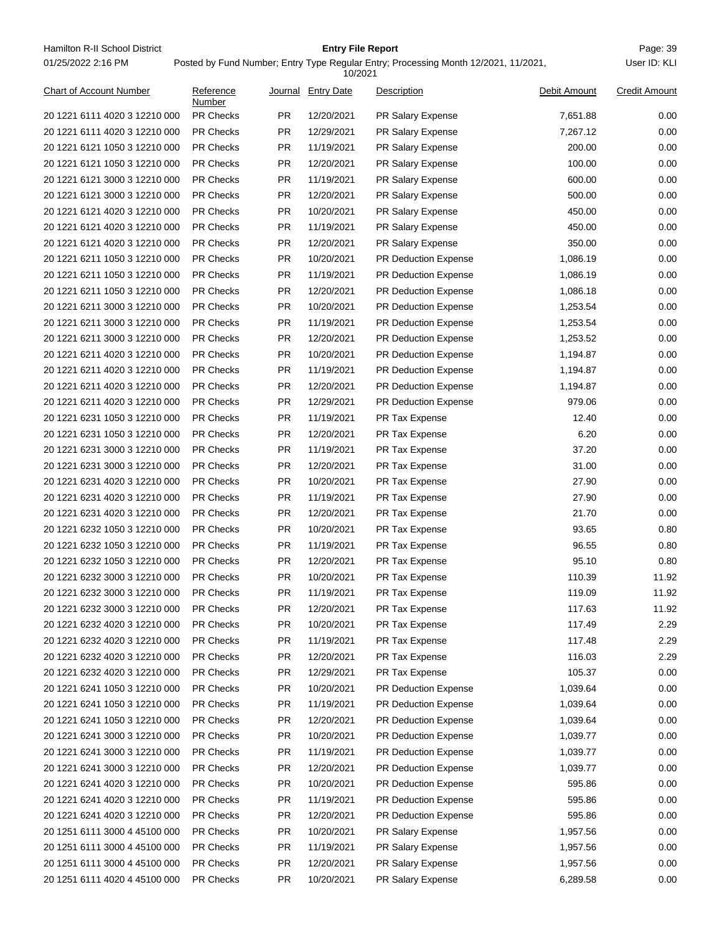Hamilton R-II School District **Entry File Report Entry File Report** Page: 39 01/25/2022 2:16 PM

## **Entry File Report**

Posted by Fund Number; Entry Type Regular Entry; Processing Month 12/2021, 11/2021,

|                                |                     |           | 10/2021            |                             |              |                      |
|--------------------------------|---------------------|-----------|--------------------|-----------------------------|--------------|----------------------|
| <b>Chart of Account Number</b> | Reference<br>Number |           | Journal Entry Date | Description                 | Debit Amount | <b>Credit Amount</b> |
| 20 1221 6111 4020 3 12210 000  | <b>PR Checks</b>    | <b>PR</b> | 12/20/2021         | PR Salary Expense           | 7,651.88     | 0.00                 |
| 20 1221 6111 4020 3 12210 000  | <b>PR Checks</b>    | <b>PR</b> | 12/29/2021         | <b>PR Salary Expense</b>    | 7,267.12     | 0.00                 |
| 20 1221 6121 1050 3 12210 000  | <b>PR Checks</b>    | <b>PR</b> | 11/19/2021         | PR Salary Expense           | 200.00       | 0.00                 |
| 20 1221 6121 1050 3 12210 000  | <b>PR Checks</b>    | <b>PR</b> | 12/20/2021         | PR Salary Expense           | 100.00       | 0.00                 |
| 20 1221 6121 3000 3 12210 000  | <b>PR Checks</b>    | <b>PR</b> | 11/19/2021         | PR Salary Expense           | 600.00       | 0.00                 |
| 20 1221 6121 3000 3 12210 000  | <b>PR Checks</b>    | <b>PR</b> | 12/20/2021         | PR Salary Expense           | 500.00       | 0.00                 |
| 20 1221 6121 4020 3 12210 000  | <b>PR Checks</b>    | <b>PR</b> | 10/20/2021         | PR Salary Expense           | 450.00       | 0.00                 |
| 20 1221 6121 4020 3 12210 000  | <b>PR Checks</b>    | <b>PR</b> | 11/19/2021         | PR Salary Expense           | 450.00       | 0.00                 |
| 20 1221 6121 4020 3 12210 000  | <b>PR Checks</b>    | <b>PR</b> | 12/20/2021         | PR Salary Expense           | 350.00       | 0.00                 |
| 20 1221 6211 1050 3 12210 000  | PR Checks           | <b>PR</b> | 10/20/2021         | <b>PR Deduction Expense</b> | 1,086.19     | 0.00                 |
| 20 1221 6211 1050 3 12210 000  | <b>PR Checks</b>    | <b>PR</b> | 11/19/2021         | <b>PR Deduction Expense</b> | 1,086.19     | 0.00                 |
| 20 1221 6211 1050 3 12210 000  | <b>PR Checks</b>    | <b>PR</b> | 12/20/2021         | <b>PR Deduction Expense</b> | 1,086.18     | 0.00                 |
| 20 1221 6211 3000 3 12210 000  | <b>PR Checks</b>    | <b>PR</b> | 10/20/2021         | <b>PR Deduction Expense</b> | 1,253.54     | 0.00                 |
| 20 1221 6211 3000 3 12210 000  | <b>PR Checks</b>    | <b>PR</b> | 11/19/2021         | <b>PR Deduction Expense</b> | 1,253.54     | 0.00                 |
| 20 1221 6211 3000 3 12210 000  | PR Checks           | <b>PR</b> | 12/20/2021         | PR Deduction Expense        | 1,253.52     | 0.00                 |
| 20 1221 6211 4020 3 12210 000  | <b>PR Checks</b>    | <b>PR</b> | 10/20/2021         | <b>PR Deduction Expense</b> | 1,194.87     | 0.00                 |
| 20 1221 6211 4020 3 12210 000  | <b>PR Checks</b>    | <b>PR</b> | 11/19/2021         | PR Deduction Expense        | 1,194.87     | 0.00                 |
| 20 1221 6211 4020 3 12210 000  | PR Checks           | <b>PR</b> | 12/20/2021         | <b>PR Deduction Expense</b> | 1,194.87     | 0.00                 |
| 20 1221 6211 4020 3 12210 000  | <b>PR Checks</b>    | <b>PR</b> | 12/29/2021         | <b>PR Deduction Expense</b> | 979.06       | 0.00                 |
| 20 1221 6231 1050 3 12210 000  | PR Checks           | <b>PR</b> | 11/19/2021         | PR Tax Expense              | 12.40        | 0.00                 |
| 20 1221 6231 1050 3 12210 000  | <b>PR Checks</b>    | <b>PR</b> | 12/20/2021         | PR Tax Expense              | 6.20         | 0.00                 |
| 20 1221 6231 3000 3 12210 000  | <b>PR Checks</b>    | <b>PR</b> | 11/19/2021         | PR Tax Expense              | 37.20        | 0.00                 |
| 20 1221 6231 3000 3 12210 000  | <b>PR Checks</b>    | <b>PR</b> | 12/20/2021         | PR Tax Expense              | 31.00        | 0.00                 |
| 20 1221 6231 4020 3 12210 000  | <b>PR Checks</b>    | <b>PR</b> | 10/20/2021         | PR Tax Expense              | 27.90        | 0.00                 |
| 20 1221 6231 4020 3 12210 000  | <b>PR Checks</b>    | <b>PR</b> | 11/19/2021         | PR Tax Expense              | 27.90        | 0.00                 |
| 20 1221 6231 4020 3 12210 000  | PR Checks           | <b>PR</b> | 12/20/2021         | PR Tax Expense              | 21.70        | 0.00                 |
| 20 1221 6232 1050 3 12210 000  | <b>PR Checks</b>    | <b>PR</b> | 10/20/2021         | PR Tax Expense              | 93.65        | 0.80                 |
| 20 1221 6232 1050 3 12210 000  | PR Checks           | <b>PR</b> | 11/19/2021         | PR Tax Expense              | 96.55        | 0.80                 |
| 20 1221 6232 1050 3 12210 000  | <b>PR Checks</b>    | <b>PR</b> | 12/20/2021         | PR Tax Expense              | 95.10        | 0.80                 |
| 20 1221 6232 3000 3 12210 000  | <b>PR Checks</b>    | <b>PR</b> | 10/20/2021         | PR Tax Expense              | 110.39       | 11.92                |
| 20 1221 6232 3000 3 12210 000  | <b>PR Checks</b>    | <b>PR</b> | 11/19/2021         | PR Tax Expense              | 119.09       | 11.92                |
| 20 1221 6232 3000 3 12210 000  | <b>PR Checks</b>    | <b>PR</b> | 12/20/2021         | PR Tax Expense              | 117.63       | 11.92                |
| 20 1221 6232 4020 3 12210 000  | PR Checks           | <b>PR</b> | 10/20/2021         | PR Tax Expense              | 117.49       | 2.29                 |
| 20 1221 6232 4020 3 12210 000  | PR Checks           | <b>PR</b> | 11/19/2021         | PR Tax Expense              | 117.48       | 2.29                 |
| 20 1221 6232 4020 3 12210 000  | <b>PR Checks</b>    | <b>PR</b> | 12/20/2021         | PR Tax Expense              | 116.03       | 2.29                 |
| 20 1221 6232 4020 3 12210 000  | PR Checks           | <b>PR</b> | 12/29/2021         | PR Tax Expense              | 105.37       | 0.00                 |
| 20 1221 6241 1050 3 12210 000  | PR Checks           | <b>PR</b> | 10/20/2021         | PR Deduction Expense        | 1,039.64     | 0.00                 |
| 20 1221 6241 1050 3 12210 000  | <b>PR Checks</b>    | <b>PR</b> | 11/19/2021         | <b>PR Deduction Expense</b> | 1,039.64     | 0.00                 |
| 20 1221 6241 1050 3 12210 000  | <b>PR Checks</b>    | <b>PR</b> | 12/20/2021         | PR Deduction Expense        | 1,039.64     | 0.00                 |
| 20 1221 6241 3000 3 12210 000  | PR Checks           | <b>PR</b> | 10/20/2021         | PR Deduction Expense        | 1,039.77     | 0.00                 |
| 20 1221 6241 3000 3 12210 000  | PR Checks           | <b>PR</b> | 11/19/2021         | PR Deduction Expense        | 1,039.77     | 0.00                 |
| 20 1221 6241 3000 3 12210 000  | PR Checks           | <b>PR</b> | 12/20/2021         | <b>PR Deduction Expense</b> | 1,039.77     | 0.00                 |
| 20 1221 6241 4020 3 12210 000  | <b>PR Checks</b>    | <b>PR</b> | 10/20/2021         | PR Deduction Expense        | 595.86       | 0.00                 |
| 20 1221 6241 4020 3 12210 000  | PR Checks           | PR.       | 11/19/2021         | PR Deduction Expense        | 595.86       | 0.00                 |
| 20 1221 6241 4020 3 12210 000  | PR Checks           | <b>PR</b> | 12/20/2021         | PR Deduction Expense        | 595.86       | 0.00                 |
| 20 1251 6111 3000 4 45100 000  | <b>PR Checks</b>    | <b>PR</b> | 10/20/2021         | PR Salary Expense           | 1,957.56     | 0.00                 |
| 20 1251 6111 3000 4 45100 000  | <b>PR Checks</b>    | <b>PR</b> | 11/19/2021         | PR Salary Expense           | 1,957.56     | 0.00                 |
| 20 1251 6111 3000 4 45100 000  | PR Checks           | <b>PR</b> | 12/20/2021         | PR Salary Expense           | 1,957.56     | 0.00                 |
| 20 1251 6111 4020 4 45100 000  | PR Checks           | <b>PR</b> | 10/20/2021         | PR Salary Expense           | 6,289.58     | 0.00                 |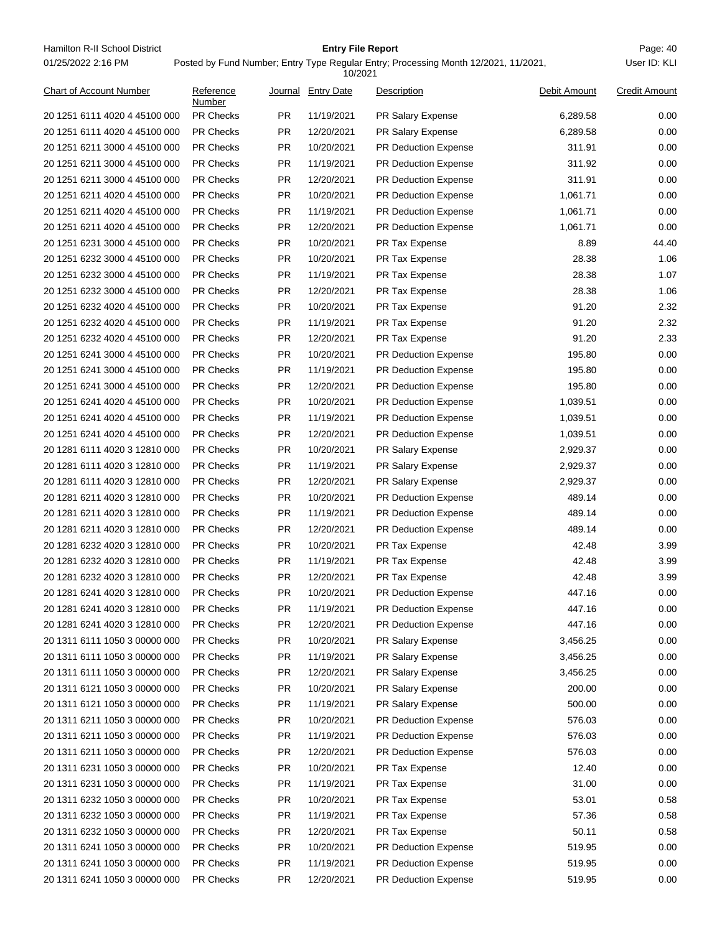Hamilton R-II School District **Entry File Report Entry File Report** Page: 40 01/25/2022 2:16 PM

## **Entry File Report**

Posted by Fund Number; Entry Type Regular Entry; Processing Month 12/2021, 11/2021,

|                                                                |                     |           | 10/2021           |                             |              |                      |
|----------------------------------------------------------------|---------------------|-----------|-------------------|-----------------------------|--------------|----------------------|
| Chart of Account Number                                        | Reference<br>Number | Journal   | <b>Entry Date</b> | Description                 | Debit Amount | <b>Credit Amount</b> |
| 20 1251 6111 4020 4 45100 000                                  | <b>PR Checks</b>    | <b>PR</b> | 11/19/2021        | PR Salary Expense           | 6,289.58     | 0.00                 |
| 20 1251 6111 4020 4 45100 000                                  | <b>PR Checks</b>    | <b>PR</b> | 12/20/2021        | PR Salary Expense           | 6,289.58     | 0.00                 |
| 20 1251 6211 3000 4 45100 000                                  | <b>PR Checks</b>    | PR.       | 10/20/2021        | PR Deduction Expense        | 311.91       | 0.00                 |
| 20 1251 6211 3000 4 45100 000                                  | <b>PR Checks</b>    | PR.       | 11/19/2021        | PR Deduction Expense        | 311.92       | 0.00                 |
| 20 1251 6211 3000 4 45100 000                                  | <b>PR Checks</b>    | PR.       | 12/20/2021        | <b>PR Deduction Expense</b> | 311.91       | 0.00                 |
| 20 1251 6211 4020 4 45100 000                                  | <b>PR Checks</b>    | <b>PR</b> | 10/20/2021        | <b>PR Deduction Expense</b> | 1,061.71     | 0.00                 |
| 20 1251 6211 4020 4 45100 000                                  | <b>PR Checks</b>    | <b>PR</b> | 11/19/2021        | PR Deduction Expense        | 1,061.71     | 0.00                 |
| 20 1251 6211 4020 4 45100 000                                  | <b>PR Checks</b>    | <b>PR</b> | 12/20/2021        | PR Deduction Expense        | 1,061.71     | 0.00                 |
| 20 1251 6231 3000 4 45100 000                                  | <b>PR Checks</b>    | <b>PR</b> | 10/20/2021        | PR Tax Expense              | 8.89         | 44.40                |
| 20 1251 6232 3000 4 45100 000                                  | <b>PR Checks</b>    | <b>PR</b> | 10/20/2021        | PR Tax Expense              | 28.38        | 1.06                 |
| 20 1251 6232 3000 4 45100 000                                  | <b>PR Checks</b>    | <b>PR</b> | 11/19/2021        | PR Tax Expense              | 28.38        | 1.07                 |
| 20 1251 6232 3000 4 45100 000                                  | <b>PR Checks</b>    | PR.       | 12/20/2021        | PR Tax Expense              | 28.38        | 1.06                 |
| 20 1251 6232 4020 4 45100 000                                  | <b>PR Checks</b>    | PR.       | 10/20/2021        | PR Tax Expense              | 91.20        | 2.32                 |
| 20 1251 6232 4020 4 45100 000                                  | <b>PR Checks</b>    | PR.       | 11/19/2021        | PR Tax Expense              | 91.20        | 2.32                 |
| 20 1251 6232 4020 4 45100 000                                  | <b>PR Checks</b>    | <b>PR</b> | 12/20/2021        | PR Tax Expense              | 91.20        | 2.33                 |
| 20 1251 6241 3000 4 45100 000                                  | <b>PR Checks</b>    | PR.       | 10/20/2021        | PR Deduction Expense        | 195.80       | 0.00                 |
| 20 1251 6241 3000 4 45100 000                                  | <b>PR Checks</b>    | <b>PR</b> | 11/19/2021        | PR Deduction Expense        | 195.80       | 0.00                 |
| 20 1251 6241 3000 4 45100 000                                  | <b>PR Checks</b>    | <b>PR</b> | 12/20/2021        | <b>PR Deduction Expense</b> | 195.80       | 0.00                 |
| 20 1251 6241 4020 4 45100 000                                  | <b>PR Checks</b>    | PR.       | 10/20/2021        | PR Deduction Expense        | 1,039.51     | 0.00                 |
| 20 1251 6241 4020 4 45100 000                                  | <b>PR Checks</b>    | PR.       | 11/19/2021        | PR Deduction Expense        | 1,039.51     | 0.00                 |
| 20 1251 6241 4020 4 45100 000                                  | <b>PR Checks</b>    | PR.       | 12/20/2021        | <b>PR Deduction Expense</b> | 1,039.51     | 0.00                 |
| 20 1281 6111 4020 3 12810 000                                  | <b>PR Checks</b>    | <b>PR</b> | 10/20/2021        | PR Salary Expense           | 2,929.37     | 0.00                 |
| 20 1281 6111 4020 3 12810 000                                  | <b>PR Checks</b>    | <b>PR</b> | 11/19/2021        | PR Salary Expense           | 2,929.37     | 0.00                 |
| 20 1281 6111 4020 3 12810 000                                  | <b>PR Checks</b>    | <b>PR</b> | 12/20/2021        | PR Salary Expense           | 2,929.37     | 0.00                 |
| 20 1281 6211 4020 3 12810 000                                  | <b>PR Checks</b>    | <b>PR</b> | 10/20/2021        | PR Deduction Expense        | 489.14       | 0.00                 |
| 20 1281 6211 4020 3 12810 000                                  | <b>PR Checks</b>    | <b>PR</b> | 11/19/2021        | PR Deduction Expense        | 489.14       | 0.00                 |
| 20 1281 6211 4020 3 12810 000                                  | <b>PR Checks</b>    | PR.       | 12/20/2021        | <b>PR Deduction Expense</b> | 489.14       | 0.00                 |
| 20 1281 6232 4020 3 12810 000                                  | <b>PR Checks</b>    | PR.       | 10/20/2021        | PR Tax Expense              | 42.48        | 3.99                 |
| 20 1281 6232 4020 3 12810 000                                  | <b>PR Checks</b>    | PR.       | 11/19/2021        | PR Tax Expense              | 42.48        | 3.99                 |
| 20 1281 6232 4020 3 12810 000                                  | <b>PR Checks</b>    | <b>PR</b> | 12/20/2021        | PR Tax Expense              | 42.48        | 3.99                 |
| 20 1281 6241 4020 3 12810 000                                  | PR Checks           | <b>PR</b> | 10/20/2021        |                             | 447.16       | 0.00                 |
|                                                                |                     | <b>PR</b> |                   | <b>PR Deduction Expense</b> | 447.16       | 0.00                 |
| 20 1281 6241 4020 3 12810 000<br>20 1281 6241 4020 3 12810 000 | <b>PR Checks</b>    |           | 11/19/2021        | PR Deduction Expense        |              |                      |
|                                                                | PR Checks           | <b>PR</b> | 12/20/2021        | PR Deduction Expense        | 447.16       | 0.00                 |
| 20 1311 6111 1050 3 00000 000                                  | PR Checks           | <b>PR</b> | 10/20/2021        | PR Salary Expense           | 3,456.25     | 0.00                 |
| 20 1311 6111 1050 3 00000 000                                  | <b>PR Checks</b>    | <b>PR</b> | 11/19/2021        | PR Salary Expense           | 3,456.25     | 0.00                 |
| 20 1311 6111 1050 3 00000 000                                  | PR Checks           | <b>PR</b> | 12/20/2021        | PR Salary Expense           | 3,456.25     | 0.00                 |
| 20 1311 6121 1050 3 00000 000                                  | PR Checks           | <b>PR</b> | 10/20/2021        | PR Salary Expense           | 200.00       | 0.00                 |
| 20 1311 6121 1050 3 00000 000                                  | PR Checks           | <b>PR</b> | 11/19/2021        | PR Salary Expense           | 500.00       | 0.00                 |
| 20 1311 6211 1050 3 00000 000                                  | <b>PR Checks</b>    | <b>PR</b> | 10/20/2021        | PR Deduction Expense        | 576.03       | 0.00                 |
| 20 1311 6211 1050 3 00000 000                                  | PR Checks           | <b>PR</b> | 11/19/2021        | PR Deduction Expense        | 576.03       | 0.00                 |
| 20 1311 6211 1050 3 00000 000                                  | PR Checks           | <b>PR</b> | 12/20/2021        | PR Deduction Expense        | 576.03       | 0.00                 |
| 20 1311 6231 1050 3 00000 000                                  | PR Checks           | <b>PR</b> | 10/20/2021        | PR Tax Expense              | 12.40        | 0.00                 |
| 20 1311 6231 1050 3 00000 000                                  | <b>PR Checks</b>    | <b>PR</b> | 11/19/2021        | PR Tax Expense              | 31.00        | 0.00                 |
| 20 1311 6232 1050 3 00000 000                                  | PR Checks           | <b>PR</b> | 10/20/2021        | PR Tax Expense              | 53.01        | 0.58                 |
| 20 1311 6232 1050 3 00000 000                                  | PR Checks           | <b>PR</b> | 11/19/2021        | PR Tax Expense              | 57.36        | 0.58                 |
| 20 1311 6232 1050 3 00000 000                                  | <b>PR Checks</b>    | <b>PR</b> | 12/20/2021        | PR Tax Expense              | 50.11        | 0.58                 |
| 20 1311 6241 1050 3 00000 000                                  | <b>PR Checks</b>    | <b>PR</b> | 10/20/2021        | PR Deduction Expense        | 519.95       | 0.00                 |
| 20 1311 6241 1050 3 00000 000                                  | PR Checks           | <b>PR</b> | 11/19/2021        | PR Deduction Expense        | 519.95       | 0.00                 |
| 20 1311 6241 1050 3 00000 000                                  | PR Checks           | <b>PR</b> | 12/20/2021        | PR Deduction Expense        | 519.95       | 0.00                 |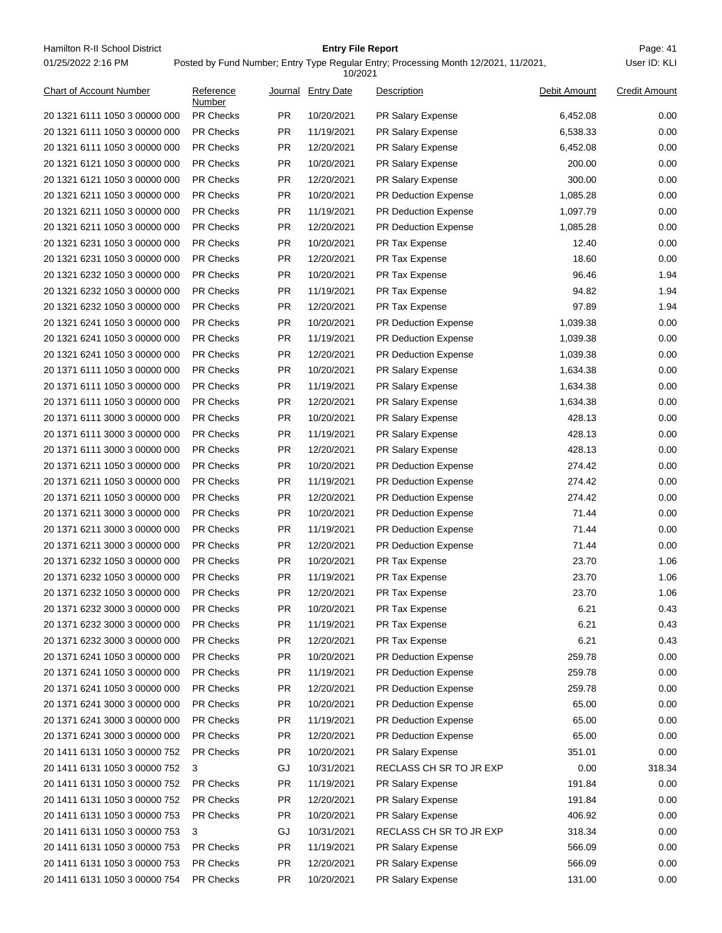Hamilton R-II School District **Entry File Report Entry File Report** Page: 41 01/25/2022 2:16 PM

## **Entry File Report**

Posted by Fund Number; Entry Type Regular Entry; Processing Month 12/2021, 11/2021,

|                               |                     |           | 10/2021                  |                             |              |                      |
|-------------------------------|---------------------|-----------|--------------------------|-----------------------------|--------------|----------------------|
| Chart of Account Number       | Reference<br>Number |           | Journal Entry Date       | Description                 | Debit Amount | <b>Credit Amount</b> |
| 20 1321 6111 1050 3 00000 000 | PR Checks           | PR.       | 10/20/2021               | PR Salary Expense           | 6,452.08     | 0.00                 |
| 20 1321 6111 1050 3 00000 000 | <b>PR Checks</b>    | <b>PR</b> | 11/19/2021               | PR Salary Expense           | 6,538.33     | 0.00                 |
| 20 1321 6111 1050 3 00000 000 | <b>PR Checks</b>    | PR.       | 12/20/2021               | PR Salary Expense           | 6,452.08     | 0.00                 |
| 20 1321 6121 1050 3 00000 000 | <b>PR Checks</b>    | PR.       | 10/20/2021               | PR Salary Expense           | 200.00       | 0.00                 |
| 20 1321 6121 1050 3 00000 000 | <b>PR Checks</b>    | PR.       | 12/20/2021               | PR Salary Expense           | 300.00       | 0.00                 |
| 20 1321 6211 1050 3 00000 000 | <b>PR Checks</b>    | <b>PR</b> | 10/20/2021               | <b>PR Deduction Expense</b> | 1,085.28     | 0.00                 |
| 20 1321 6211 1050 3 00000 000 | PR Checks           | <b>PR</b> | 11/19/2021               | PR Deduction Expense        | 1,097.79     | 0.00                 |
| 20 1321 6211 1050 3 00000 000 | <b>PR Checks</b>    | <b>PR</b> | 12/20/2021               | PR Deduction Expense        | 1,085.28     | 0.00                 |
| 20 1321 6231 1050 3 00000 000 | <b>PR Checks</b>    | <b>PR</b> | 10/20/2021               | PR Tax Expense              | 12.40        | 0.00                 |
| 20 1321 6231 1050 3 00000 000 | <b>PR Checks</b>    | <b>PR</b> | 12/20/2021               | PR Tax Expense              | 18.60        | 0.00                 |
| 20 1321 6232 1050 3 00000 000 | PR Checks           | <b>PR</b> | 10/20/2021               | PR Tax Expense              | 96.46        | 1.94                 |
| 20 1321 6232 1050 3 00000 000 | <b>PR Checks</b>    | <b>PR</b> | 11/19/2021               | PR Tax Expense              | 94.82        | 1.94                 |
| 20 1321 6232 1050 3 00000 000 | <b>PR Checks</b>    | <b>PR</b> | 12/20/2021               | PR Tax Expense              | 97.89        | 1.94                 |
| 20 1321 6241 1050 3 00000 000 | <b>PR Checks</b>    | <b>PR</b> | 10/20/2021               | <b>PR Deduction Expense</b> | 1,039.38     | 0.00                 |
| 20 1321 6241 1050 3 00000 000 | PR Checks           | <b>PR</b> | 11/19/2021               | PR Deduction Expense        | 1,039.38     | 0.00                 |
| 20 1321 6241 1050 3 00000 000 | <b>PR Checks</b>    | <b>PR</b> | 12/20/2021               | PR Deduction Expense        | 1,039.38     | 0.00                 |
| 20 1371 6111 1050 3 00000 000 | <b>PR Checks</b>    | <b>PR</b> | 10/20/2021               | PR Salary Expense           | 1,634.38     | 0.00                 |
| 20 1371 6111 1050 3 00000 000 | <b>PR Checks</b>    | <b>PR</b> | 11/19/2021               | PR Salary Expense           | 1,634.38     | 0.00                 |
| 20 1371 6111 1050 3 00000 000 | <b>PR Checks</b>    | PR.       | 12/20/2021               | PR Salary Expense           | 1,634.38     | 0.00                 |
| 20 1371 6111 3000 3 00000 000 | <b>PR Checks</b>    | PR.       | 10/20/2021               | PR Salary Expense           | 428.13       | 0.00                 |
| 20 1371 6111 3000 3 00000 000 | <b>PR Checks</b>    | PR.       | 11/19/2021               | PR Salary Expense           | 428.13       | 0.00                 |
| 20 1371 6111 3000 3 00000 000 | <b>PR Checks</b>    | <b>PR</b> | 12/20/2021               | PR Salary Expense           | 428.13       | 0.00                 |
| 20 1371 6211 1050 3 00000 000 | PR Checks           | <b>PR</b> | 10/20/2021               | PR Deduction Expense        | 274.42       | 0.00                 |
| 20 1371 6211 1050 3 00000 000 | <b>PR Checks</b>    | <b>PR</b> | 11/19/2021               | PR Deduction Expense        | 274.42       | 0.00                 |
| 20 1371 6211 1050 3 00000 000 | <b>PR Checks</b>    | <b>PR</b> | 12/20/2021               | PR Deduction Expense        | 274.42       | 0.00                 |
| 20 1371 6211 3000 3 00000 000 | <b>PR Checks</b>    | <b>PR</b> | 10/20/2021               | PR Deduction Expense        | 71.44        | 0.00                 |
| 20 1371 6211 3000 3 00000 000 | <b>PR Checks</b>    | PR.       | 11/19/2021               | PR Deduction Expense        | 71.44        | 0.00                 |
| 20 1371 6211 3000 3 00000 000 | <b>PR Checks</b>    | PR.       | 12/20/2021               | PR Deduction Expense        | 71.44        | 0.00                 |
| 20 1371 6232 1050 3 00000 000 | <b>PR Checks</b>    | PR.       | 10/20/2021               | PR Tax Expense              | 23.70        | 1.06                 |
| 20 1371 6232 1050 3 00000 000 | <b>PR Checks</b>    | <b>PR</b> | 11/19/2021               | PR Tax Expense              | 23.70        | 1.06                 |
| 20 1371 6232 1050 3 00000 000 | <b>PR Checks</b>    | <b>PR</b> | 12/20/2021               | PR Tax Expense              | 23.70        | 1.06                 |
| 20 1371 6232 3000 3 00000 000 | <b>PR Checks</b>    | PR        | 10/20/2021               | PR Tax Expense              | 6.21         | 0.43                 |
| 20 1371 6232 3000 3 00000 000 | PR Checks           | <b>PR</b> | 11/19/2021               | PR Tax Expense              | 6.21         | 0.43                 |
| 20 1371 6232 3000 3 00000 000 | PR Checks           | <b>PR</b> | 12/20/2021               | PR Tax Expense              | 6.21         | 0.43                 |
| 20 1371 6241 1050 3 00000 000 | PR Checks           | <b>PR</b> | 10/20/2021               | PR Deduction Expense        | 259.78       | 0.00                 |
| 20 1371 6241 1050 3 00000 000 | <b>PR Checks</b>    | <b>PR</b> | 11/19/2021               | PR Deduction Expense        | 259.78       | 0.00                 |
| 20 1371 6241 1050 3 00000 000 | PR Checks           | <b>PR</b> | 12/20/2021               | PR Deduction Expense        | 259.78       | 0.00                 |
| 20 1371 6241 3000 3 00000 000 | PR Checks           | <b>PR</b> | 10/20/2021               | PR Deduction Expense        | 65.00        | 0.00                 |
| 20 1371 6241 3000 3 00000 000 | <b>PR Checks</b>    | PR        | 11/19/2021               | PR Deduction Expense        | 65.00        | 0.00                 |
|                               | PR Checks           |           |                          |                             | 65.00        | 0.00                 |
| 20 1371 6241 3000 3 00000 000 | PR Checks           | PR        | 12/20/2021<br>10/20/2021 | PR Deduction Expense        |              | 0.00                 |
| 20 1411 6131 1050 3 00000 752 |                     | PR        |                          | PR Salary Expense           | 351.01       |                      |
| 20 1411 6131 1050 3 00000 752 | 3                   | GJ        | 10/31/2021               | RECLASS CH SR TO JR EXP     | 0.00         | 318.34               |
| 20 1411 6131 1050 3 00000 752 | PR Checks           | <b>PR</b> | 11/19/2021               | PR Salary Expense           | 191.84       | 0.00                 |
| 20 1411 6131 1050 3 00000 752 | PR Checks           | <b>PR</b> | 12/20/2021               | PR Salary Expense           | 191.84       | 0.00                 |
| 20 1411 6131 1050 3 00000 753 | PR Checks           | PR        | 10/20/2021               | PR Salary Expense           | 406.92       | 0.00                 |
| 20 1411 6131 1050 3 00000 753 | 3                   | GJ        | 10/31/2021               | RECLASS CH SR TO JR EXP     | 318.34       | 0.00                 |
| 20 1411 6131 1050 3 00000 753 | PR Checks           | <b>PR</b> | 11/19/2021               | PR Salary Expense           | 566.09       | 0.00                 |
| 20 1411 6131 1050 3 00000 753 | PR Checks           | PR        | 12/20/2021               | PR Salary Expense           | 566.09       | 0.00                 |
| 20 1411 6131 1050 3 00000 754 | PR Checks           | <b>PR</b> | 10/20/2021               | PR Salary Expense           | 131.00       | 0.00                 |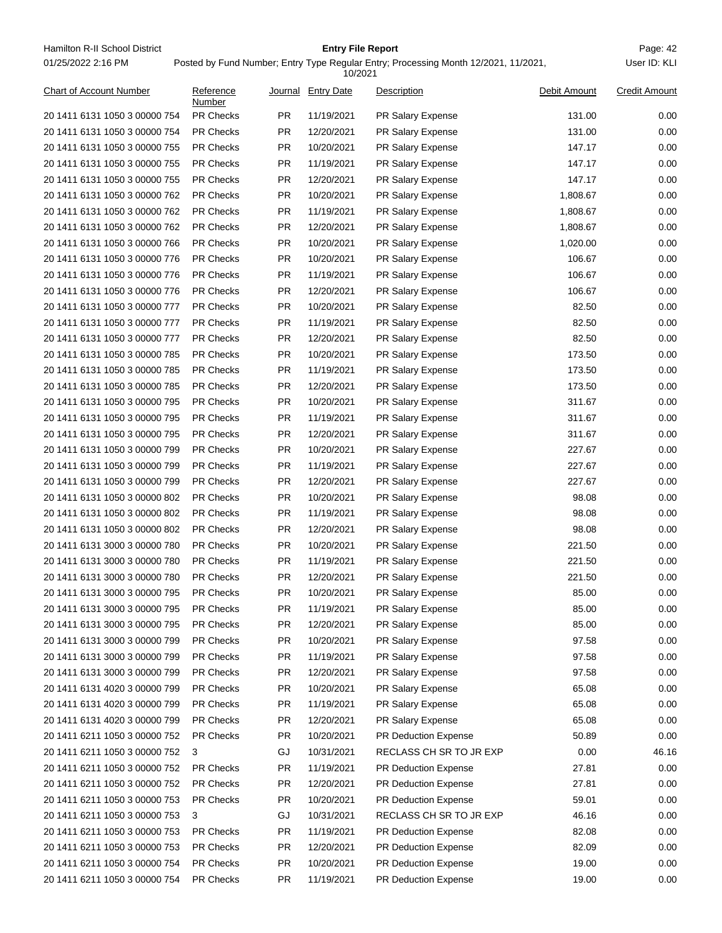Hamilton R-II School District **Entry File Report Entry File Report** Page: 42 01/25/2022 2:16 PM

## **Entry File Report**

### Posted by Fund Number; Entry Type Regular Entry; Processing Month 12/2021, 11/2021,

|                                |                     |           | 10/2021            |                             |              |                      |
|--------------------------------|---------------------|-----------|--------------------|-----------------------------|--------------|----------------------|
| <b>Chart of Account Number</b> | Reference<br>Number |           | Journal Entry Date | Description                 | Debit Amount | <b>Credit Amount</b> |
| 20 1411 6131 1050 3 00000 754  | <b>PR Checks</b>    | <b>PR</b> | 11/19/2021         | PR Salary Expense           | 131.00       | 0.00                 |
| 20 1411 6131 1050 3 00000 754  | <b>PR Checks</b>    | <b>PR</b> | 12/20/2021         | PR Salary Expense           | 131.00       | 0.00                 |
| 20 1411 6131 1050 3 00000 755  | <b>PR Checks</b>    | PR.       | 10/20/2021         | PR Salary Expense           | 147.17       | 0.00                 |
| 20 1411 6131 1050 3 00000 755  | <b>PR Checks</b>    | PR.       | 11/19/2021         | PR Salary Expense           | 147.17       | 0.00                 |
| 20 1411 6131 1050 3 00000 755  | <b>PR Checks</b>    | PR.       | 12/20/2021         | PR Salary Expense           | 147.17       | 0.00                 |
| 20 1411 6131 1050 3 00000 762  | <b>PR Checks</b>    | PR.       | 10/20/2021         | <b>PR Salary Expense</b>    | 1,808.67     | 0.00                 |
| 20 1411 6131 1050 3 00000 762  | <b>PR Checks</b>    | <b>PR</b> | 11/19/2021         | PR Salary Expense           | 1,808.67     | 0.00                 |
| 20 1411 6131 1050 3 00000 762  | <b>PR Checks</b>    | <b>PR</b> | 12/20/2021         | PR Salary Expense           | 1,808.67     | 0.00                 |
| 20 1411 6131 1050 3 00000 766  | <b>PR Checks</b>    | PR.       | 10/20/2021         | PR Salary Expense           | 1,020.00     | 0.00                 |
| 20 1411 6131 1050 3 00000 776  | <b>PR Checks</b>    | <b>PR</b> | 10/20/2021         | PR Salary Expense           | 106.67       | 0.00                 |
| 20 1411 6131 1050 3 00000 776  | <b>PR Checks</b>    | <b>PR</b> | 11/19/2021         | PR Salary Expense           | 106.67       | 0.00                 |
| 20 1411 6131 1050 3 00000 776  | <b>PR Checks</b>    | PR.       | 12/20/2021         | PR Salary Expense           | 106.67       | 0.00                 |
| 20 1411 6131 1050 3 00000 777  | <b>PR Checks</b>    | <b>PR</b> | 10/20/2021         | <b>PR Salary Expense</b>    | 82.50        | 0.00                 |
| 20 1411 6131 1050 3 00000 777  | <b>PR Checks</b>    | <b>PR</b> | 11/19/2021         | PR Salary Expense           | 82.50        | 0.00                 |
| 20 1411 6131 1050 3 00000 777  | <b>PR Checks</b>    | <b>PR</b> | 12/20/2021         | PR Salary Expense           | 82.50        | 0.00                 |
| 20 1411 6131 1050 3 00000 785  | <b>PR Checks</b>    | <b>PR</b> | 10/20/2021         | PR Salary Expense           | 173.50       | 0.00                 |
| 20 1411 6131 1050 3 00000 785  | <b>PR Checks</b>    | <b>PR</b> | 11/19/2021         | PR Salary Expense           | 173.50       | 0.00                 |
| 20 1411 6131 1050 3 00000 785  | <b>PR Checks</b>    | PR        | 12/20/2021         | PR Salary Expense           | 173.50       | 0.00                 |
| 20 1411 6131 1050 3 00000 795  | <b>PR Checks</b>    | <b>PR</b> | 10/20/2021         | PR Salary Expense           | 311.67       | 0.00                 |
| 20 1411 6131 1050 3 00000 795  | PR Checks           | PR.       | 11/19/2021         | PR Salary Expense           | 311.67       | 0.00                 |
| 20 1411 6131 1050 3 00000 795  | <b>PR Checks</b>    | PR.       | 12/20/2021         | PR Salary Expense           | 311.67       | 0.00                 |
| 20 1411 6131 1050 3 00000 799  | <b>PR Checks</b>    | <b>PR</b> | 10/20/2021         | PR Salary Expense           | 227.67       | 0.00                 |
| 20 1411 6131 1050 3 00000 799  | <b>PR Checks</b>    | <b>PR</b> | 11/19/2021         | PR Salary Expense           | 227.67       | 0.00                 |
| 20 1411 6131 1050 3 00000 799  | <b>PR Checks</b>    | <b>PR</b> | 12/20/2021         | PR Salary Expense           | 227.67       | 0.00                 |
| 20 1411 6131 1050 3 00000 802  | <b>PR Checks</b>    | <b>PR</b> | 10/20/2021         | PR Salary Expense           | 98.08        | 0.00                 |
| 20 1411 6131 1050 3 00000 802  | <b>PR Checks</b>    | <b>PR</b> | 11/19/2021         | PR Salary Expense           | 98.08        | 0.00                 |
| 20 1411 6131 1050 3 00000 802  | <b>PR Checks</b>    | <b>PR</b> | 12/20/2021         | PR Salary Expense           | 98.08        | 0.00                 |
| 20 1411 6131 3000 3 00000 780  | PR Checks           | PR.       | 10/20/2021         | PR Salary Expense           | 221.50       | 0.00                 |
| 20 1411 6131 3000 3 00000 780  | <b>PR Checks</b>    | <b>PR</b> | 11/19/2021         | PR Salary Expense           | 221.50       | 0.00                 |
| 20 1411 6131 3000 3 00000 780  | <b>PR Checks</b>    | <b>PR</b> | 12/20/2021         | PR Salary Expense           | 221.50       | 0.00                 |
| 20 1411 6131 3000 3 00000 795  | PR Checks           | <b>PR</b> | 10/20/2021         | PR Salary Expense           | 85.00        | 0.00                 |
| 20 1411 6131 3000 3 00000 795  | <b>PR Checks</b>    | PR        | 11/19/2021         | PR Salary Expense           | 85.00        | 0.00                 |
| 20 1411 6131 3000 3 00000 795  | PR Checks           | <b>PR</b> | 12/20/2021         | PR Salary Expense           | 85.00        | 0.00                 |
| 20 1411 6131 3000 3 00000 799  | PR Checks           | <b>PR</b> | 10/20/2021         | PR Salary Expense           | 97.58        | 0.00                 |
| 20 1411 6131 3000 3 00000 799  | <b>PR Checks</b>    | <b>PR</b> | 11/19/2021         | PR Salary Expense           | 97.58        | 0.00                 |
| 20 1411 6131 3000 3 00000 799  | PR Checks           | <b>PR</b> | 12/20/2021         | PR Salary Expense           | 97.58        | 0.00                 |
| 20 1411 6131 4020 3 00000 799  | <b>PR Checks</b>    | <b>PR</b> | 10/20/2021         | PR Salary Expense           | 65.08        | 0.00                 |
| 20 1411 6131 4020 3 00000 799  | <b>PR Checks</b>    | <b>PR</b> | 11/19/2021         | PR Salary Expense           | 65.08        | 0.00                 |
| 20 1411 6131 4020 3 00000 799  | <b>PR Checks</b>    | <b>PR</b> | 12/20/2021         | PR Salary Expense           | 65.08        | 0.00                 |
| 20 1411 6211 1050 3 00000 752  | PR Checks           | <b>PR</b> | 10/20/2021         | PR Deduction Expense        | 50.89        | 0.00                 |
| 20 1411 6211 1050 3 00000 752  | 3                   | GJ        | 10/31/2021         | RECLASS CH SR TO JR EXP     | 0.00         | 46.16                |
| 20 1411 6211 1050 3 00000 752  | PR Checks           | <b>PR</b> | 11/19/2021         | <b>PR Deduction Expense</b> | 27.81        | 0.00                 |
| 20 1411 6211 1050 3 00000 752  | <b>PR Checks</b>    | <b>PR</b> | 12/20/2021         | PR Deduction Expense        | 27.81        | 0.00                 |
| 20 1411 6211 1050 3 00000 753  | PR Checks           | <b>PR</b> | 10/20/2021         | PR Deduction Expense        | 59.01        | 0.00                 |
| 20 1411 6211 1050 3 00000 753  | 3                   | GJ        | 10/31/2021         | RECLASS CH SR TO JR EXP     | 46.16        | 0.00                 |
| 20 1411 6211 1050 3 00000 753  | <b>PR Checks</b>    | <b>PR</b> | 11/19/2021         | PR Deduction Expense        | 82.08        | 0.00                 |
| 20 1411 6211 1050 3 00000 753  | <b>PR Checks</b>    | <b>PR</b> | 12/20/2021         | PR Deduction Expense        | 82.09        | 0.00                 |
| 20 1411 6211 1050 3 00000 754  | PR Checks           | <b>PR</b> | 10/20/2021         | PR Deduction Expense        | 19.00        | 0.00                 |
| 20 1411 6211 1050 3 00000 754  | PR Checks           | <b>PR</b> | 11/19/2021         | PR Deduction Expense        | 19.00        | 0.00                 |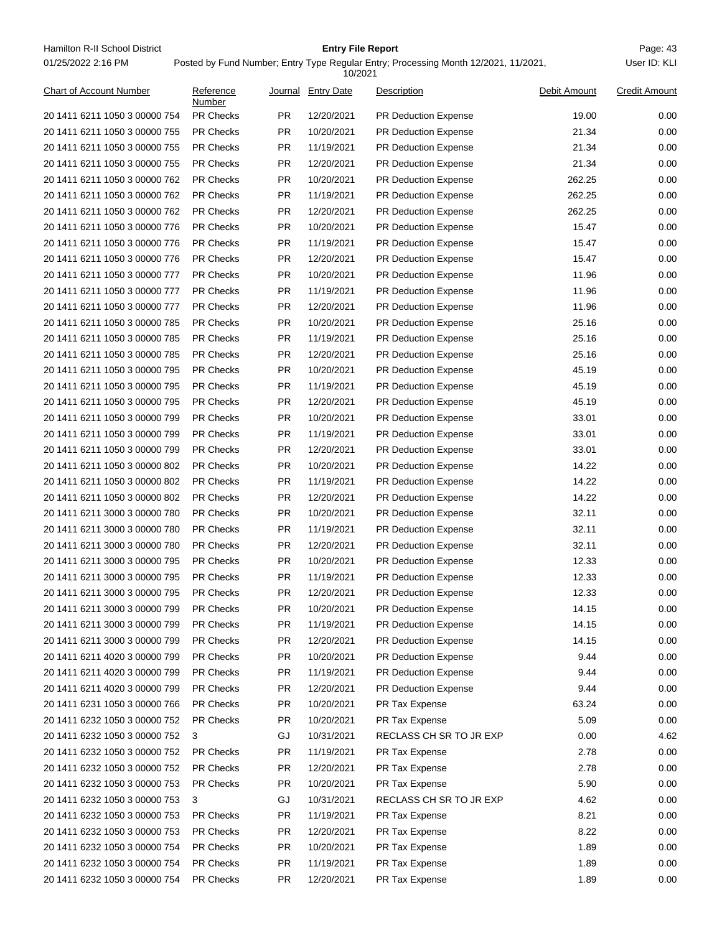Hamilton R-II School District **Entry File Report Entry File Report** Page: 43 01/25/2022 2:16 PM

## **Entry File Report**

#### Posted by Fund Number; Entry Type Regular Entry; Processing Month 12/2021, 11/2021,

|                                |                     |           | 10/2021            |                             |              |                      |
|--------------------------------|---------------------|-----------|--------------------|-----------------------------|--------------|----------------------|
| <b>Chart of Account Number</b> | Reference<br>Number |           | Journal Entry Date | Description                 | Debit Amount | <b>Credit Amount</b> |
| 20 1411 6211 1050 3 00000 754  | <b>PR Checks</b>    | PR.       | 12/20/2021         | <b>PR Deduction Expense</b> | 19.00        | 0.00                 |
| 20 1411 6211 1050 3 00000 755  | <b>PR Checks</b>    | <b>PR</b> | 10/20/2021         | <b>PR Deduction Expense</b> | 21.34        | 0.00                 |
| 20 1411 6211 1050 3 00000 755  | <b>PR Checks</b>    | PR.       | 11/19/2021         | PR Deduction Expense        | 21.34        | 0.00                 |
| 20 1411 6211 1050 3 00000 755  | <b>PR Checks</b>    | <b>PR</b> | 12/20/2021         | <b>PR Deduction Expense</b> | 21.34        | 0.00                 |
| 20 1411 6211 1050 3 00000 762  | <b>PR Checks</b>    | PR.       | 10/20/2021         | <b>PR Deduction Expense</b> | 262.25       | 0.00                 |
| 20 1411 6211 1050 3 00000 762  | <b>PR Checks</b>    | PR.       | 11/19/2021         | <b>PR Deduction Expense</b> | 262.25       | 0.00                 |
| 20 1411 6211 1050 3 00000 762  | <b>PR Checks</b>    | <b>PR</b> | 12/20/2021         | PR Deduction Expense        | 262.25       | 0.00                 |
| 20 1411 6211 1050 3 00000 776  | <b>PR Checks</b>    | PR.       | 10/20/2021         | PR Deduction Expense        | 15.47        | 0.00                 |
| 20 1411 6211 1050 3 00000 776  | <b>PR Checks</b>    | PR.       | 11/19/2021         | PR Deduction Expense        | 15.47        | 0.00                 |
| 20 1411 6211 1050 3 00000 776  | <b>PR Checks</b>    | <b>PR</b> | 12/20/2021         | <b>PR Deduction Expense</b> | 15.47        | 0.00                 |
| 20 1411 6211 1050 3 00000 777  | <b>PR Checks</b>    | <b>PR</b> | 10/20/2021         | PR Deduction Expense        | 11.96        | 0.00                 |
| 20 1411 6211 1050 3 00000 777  | <b>PR Checks</b>    | PR.       | 11/19/2021         | PR Deduction Expense        | 11.96        | 0.00                 |
| 20 1411 6211 1050 3 00000 777  | <b>PR Checks</b>    | PR.       | 12/20/2021         | <b>PR Deduction Expense</b> | 11.96        | 0.00                 |
| 20 1411 6211 1050 3 00000 785  | <b>PR Checks</b>    | PR.       | 10/20/2021         | <b>PR Deduction Expense</b> | 25.16        | 0.00                 |
| 20 1411 6211 1050 3 00000 785  | PR Checks           | <b>PR</b> | 11/19/2021         | <b>PR Deduction Expense</b> | 25.16        | 0.00                 |
| 20 1411 6211 1050 3 00000 785  | <b>PR Checks</b>    | PR.       | 12/20/2021         | PR Deduction Expense        | 25.16        | 0.00                 |
| 20 1411 6211 1050 3 00000 795  | <b>PR Checks</b>    | PR.       | 10/20/2021         | PR Deduction Expense        | 45.19        | 0.00                 |
| 20 1411 6211 1050 3 00000 795  | <b>PR Checks</b>    | <b>PR</b> | 11/19/2021         | <b>PR Deduction Expense</b> | 45.19        | 0.00                 |
| 20 1411 6211 1050 3 00000 795  | <b>PR Checks</b>    | PR.       | 12/20/2021         | PR Deduction Expense        | 45.19        | 0.00                 |
| 20 1411 6211 1050 3 00000 799  | <b>PR Checks</b>    | PR.       | 10/20/2021         | PR Deduction Expense        | 33.01        | 0.00                 |
| 20 1411 6211 1050 3 00000 799  | <b>PR Checks</b>    | PR.       | 11/19/2021         | <b>PR Deduction Expense</b> | 33.01        | 0.00                 |
| 20 1411 6211 1050 3 00000 799  | <b>PR Checks</b>    | PR.       | 12/20/2021         | <b>PR Deduction Expense</b> | 33.01        | 0.00                 |
| 20 1411 6211 1050 3 00000 802  | <b>PR Checks</b>    | <b>PR</b> | 10/20/2021         | <b>PR Deduction Expense</b> | 14.22        | 0.00                 |
| 20 1411 6211 1050 3 00000 802  | <b>PR Checks</b>    | PR.       | 11/19/2021         | PR Deduction Expense        | 14.22        | 0.00                 |
| 20 1411 6211 1050 3 00000 802  | <b>PR Checks</b>    | PR.       | 12/20/2021         | PR Deduction Expense        | 14.22        | 0.00                 |
| 20 1411 6211 3000 3 00000 780  | <b>PR Checks</b>    | <b>PR</b> | 10/20/2021         | <b>PR Deduction Expense</b> | 32.11        | 0.00                 |
| 20 1411 6211 3000 3 00000 780  | <b>PR Checks</b>    | PR.       | 11/19/2021         | PR Deduction Expense        | 32.11        | 0.00                 |
| 20 1411 6211 3000 3 00000 780  | <b>PR Checks</b>    | PR.       | 12/20/2021         | PR Deduction Expense        | 32.11        | 0.00                 |
| 20 1411 6211 3000 3 00000 795  | <b>PR Checks</b>    | PR.       | 10/20/2021         | PR Deduction Expense        | 12.33        | 0.00                 |
| 20 1411 6211 3000 3 00000 795  | <b>PR Checks</b>    | <b>PR</b> | 11/19/2021         | <b>PR Deduction Expense</b> | 12.33        | 0.00                 |
| 20 1411 6211 3000 3 00000 795  | <b>PR Checks</b>    | <b>PR</b> | 12/20/2021         | PR Deduction Expense        | 12.33        | 0.00                 |
| 20 1411 6211 3000 3 00000 799  | <b>PR Checks</b>    | PR.       | 10/20/2021         | <b>PR Deduction Expense</b> | 14.15        | 0.00                 |
| 20 1411 6211 3000 3 00000 799  | PR Checks           | <b>PR</b> | 11/19/2021         | <b>PR Deduction Expense</b> | 14.15        | 0.00                 |
| 20 1411 6211 3000 3 00000 799  | PR Checks           | <b>PR</b> | 12/20/2021         | <b>PR Deduction Expense</b> | 14.15        | 0.00                 |
| 20 1411 6211 4020 3 00000 799  | <b>PR Checks</b>    | <b>PR</b> | 10/20/2021         | PR Deduction Expense        | 9.44         | 0.00                 |
| 20 1411 6211 4020 3 00000 799  | PR Checks           | PR.       | 11/19/2021         | PR Deduction Expense        | 9.44         | 0.00                 |
| 20 1411 6211 4020 3 00000 799  | PR Checks           | <b>PR</b> | 12/20/2021         | PR Deduction Expense        | 9.44         | 0.00                 |
| 20 1411 6231 1050 3 00000 766  | PR Checks           | <b>PR</b> | 10/20/2021         | PR Tax Expense              | 63.24        | 0.00                 |
| 20 1411 6232 1050 3 00000 752  | <b>PR Checks</b>    | PR.       | 10/20/2021         | PR Tax Expense              | 5.09         | 0.00                 |
| 20 1411 6232 1050 3 00000 752  | 3                   | GJ        | 10/31/2021         | RECLASS CH SR TO JR EXP     | 0.00         | 4.62                 |
| 20 1411 6232 1050 3 00000 752  | <b>PR Checks</b>    | PR.       | 11/19/2021         | PR Tax Expense              | 2.78         | 0.00                 |
| 20 1411 6232 1050 3 00000 752  | PR Checks           | <b>PR</b> | 12/20/2021         | PR Tax Expense              | 2.78         | 0.00                 |
| 20 1411 6232 1050 3 00000 753  | <b>PR Checks</b>    | <b>PR</b> | 10/20/2021         | PR Tax Expense              | 5.90         | 0.00                 |
| 20 1411 6232 1050 3 00000 753  | 3                   | GJ        | 10/31/2021         | RECLASS CH SR TO JR EXP     | 4.62         | 0.00                 |
| 20 1411 6232 1050 3 00000 753  | <b>PR Checks</b>    | <b>PR</b> | 11/19/2021         | PR Tax Expense              | 8.21         | 0.00                 |
| 20 1411 6232 1050 3 00000 753  | PR Checks           | <b>PR</b> | 12/20/2021         | PR Tax Expense              | 8.22         | 0.00                 |
| 20 1411 6232 1050 3 00000 754  | <b>PR Checks</b>    | <b>PR</b> | 10/20/2021         | PR Tax Expense              | 1.89         | 0.00                 |
| 20 1411 6232 1050 3 00000 754  | PR Checks           | <b>PR</b> | 11/19/2021         | PR Tax Expense              | 1.89         | 0.00                 |
| 20 1411 6232 1050 3 00000 754  | PR Checks           | <b>PR</b> | 12/20/2021         | PR Tax Expense              | 1.89         | 0.00                 |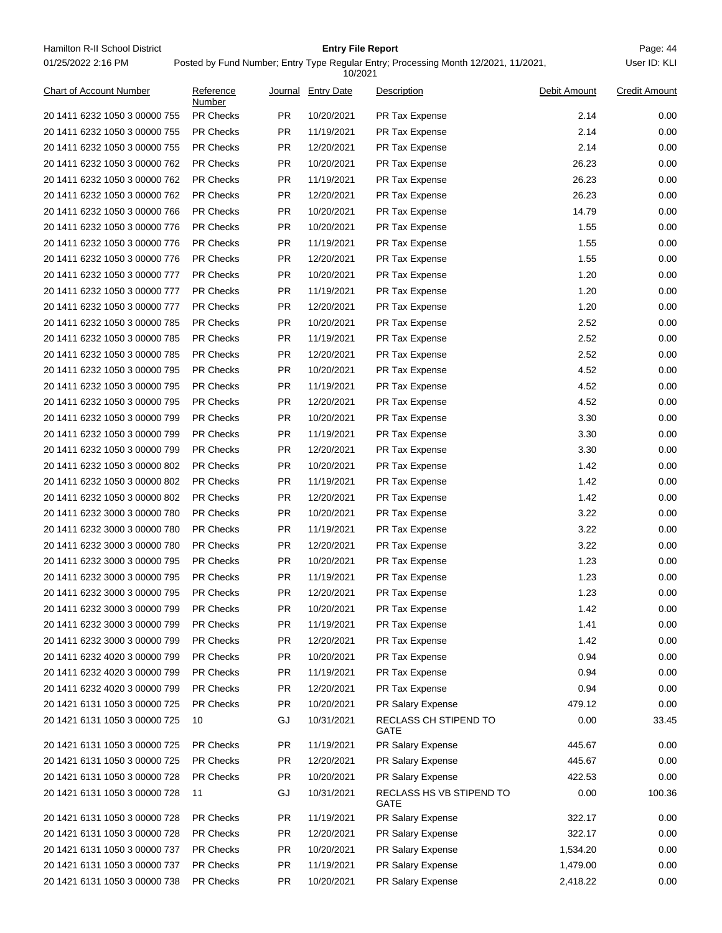Hamilton R-II School District **Entry File Report Entry File Report** Page: 44 01/25/2022 2:16 PM

## **Entry File Report**

|                               |                     |           | 10/2021            |                                  |              |                      |
|-------------------------------|---------------------|-----------|--------------------|----------------------------------|--------------|----------------------|
| Chart of Account Number       | Reference<br>Number |           | Journal Entry Date | Description                      | Debit Amount | <b>Credit Amount</b> |
| 20 1411 6232 1050 3 00000 755 | <b>PR Checks</b>    | <b>PR</b> | 10/20/2021         | PR Tax Expense                   | 2.14         | 0.00                 |
| 20 1411 6232 1050 3 00000 755 | <b>PR Checks</b>    | <b>PR</b> | 11/19/2021         | PR Tax Expense                   | 2.14         | 0.00                 |
| 20 1411 6232 1050 3 00000 755 | <b>PR Checks</b>    | <b>PR</b> | 12/20/2021         | PR Tax Expense                   | 2.14         | 0.00                 |
| 20 1411 6232 1050 3 00000 762 | <b>PR Checks</b>    | <b>PR</b> | 10/20/2021         | PR Tax Expense                   | 26.23        | 0.00                 |
| 20 1411 6232 1050 3 00000 762 | <b>PR Checks</b>    | <b>PR</b> | 11/19/2021         | PR Tax Expense                   | 26.23        | 0.00                 |
| 20 1411 6232 1050 3 00000 762 | PR Checks           | <b>PR</b> | 12/20/2021         | PR Tax Expense                   | 26.23        | 0.00                 |
| 20 1411 6232 1050 3 00000 766 | <b>PR Checks</b>    | PR.       | 10/20/2021         | PR Tax Expense                   | 14.79        | 0.00                 |
| 20 1411 6232 1050 3 00000 776 | <b>PR Checks</b>    | <b>PR</b> | 10/20/2021         | PR Tax Expense                   | 1.55         | 0.00                 |
| 20 1411 6232 1050 3 00000 776 | <b>PR Checks</b>    | <b>PR</b> | 11/19/2021         | PR Tax Expense                   | 1.55         | 0.00                 |
| 20 1411 6232 1050 3 00000 776 | <b>PR Checks</b>    | <b>PR</b> | 12/20/2021         | PR Tax Expense                   | 1.55         | 0.00                 |
| 20 1411 6232 1050 3 00000 777 | <b>PR Checks</b>    | <b>PR</b> | 10/20/2021         | PR Tax Expense                   | 1.20         | 0.00                 |
| 20 1411 6232 1050 3 00000 777 | <b>PR Checks</b>    | <b>PR</b> | 11/19/2021         | PR Tax Expense                   | 1.20         | 0.00                 |
| 20 1411 6232 1050 3 00000 777 | <b>PR Checks</b>    | <b>PR</b> | 12/20/2021         | PR Tax Expense                   | 1.20         | 0.00                 |
| 20 1411 6232 1050 3 00000 785 | PR Checks           | <b>PR</b> | 10/20/2021         | PR Tax Expense                   | 2.52         | 0.00                 |
| 20 1411 6232 1050 3 00000 785 | <b>PR Checks</b>    | PR.       | 11/19/2021         | PR Tax Expense                   | 2.52         | 0.00                 |
| 20 1411 6232 1050 3 00000 785 | <b>PR Checks</b>    | <b>PR</b> | 12/20/2021         | PR Tax Expense                   | 2.52         | 0.00                 |
| 20 1411 6232 1050 3 00000 795 | <b>PR Checks</b>    | <b>PR</b> | 10/20/2021         | PR Tax Expense                   | 4.52         | 0.00                 |
| 20 1411 6232 1050 3 00000 795 | <b>PR Checks</b>    | <b>PR</b> | 11/19/2021         | PR Tax Expense                   | 4.52         | 0.00                 |
| 20 1411 6232 1050 3 00000 795 | <b>PR Checks</b>    | PR.       | 12/20/2021         | PR Tax Expense                   | 4.52         | 0.00                 |
| 20 1411 6232 1050 3 00000 799 | <b>PR Checks</b>    | <b>PR</b> | 10/20/2021         | PR Tax Expense                   | 3.30         | 0.00                 |
| 20 1411 6232 1050 3 00000 799 | <b>PR Checks</b>    | <b>PR</b> | 11/19/2021         | PR Tax Expense                   | 3.30         | 0.00                 |
| 20 1411 6232 1050 3 00000 799 | PR Checks           | <b>PR</b> | 12/20/2021         | PR Tax Expense                   | 3.30         | 0.00                 |
| 20 1411 6232 1050 3 00000 802 | <b>PR Checks</b>    | PR.       | 10/20/2021         | PR Tax Expense                   | 1.42         | 0.00                 |
| 20 1411 6232 1050 3 00000 802 | <b>PR Checks</b>    | <b>PR</b> | 11/19/2021         | PR Tax Expense                   | 1.42         | 0.00                 |
| 20 1411 6232 1050 3 00000 802 | <b>PR Checks</b>    | <b>PR</b> | 12/20/2021         | PR Tax Expense                   | 1.42         | 0.00                 |
| 20 1411 6232 3000 3 00000 780 | <b>PR Checks</b>    | <b>PR</b> | 10/20/2021         | PR Tax Expense                   | 3.22         | 0.00                 |
| 20 1411 6232 3000 3 00000 780 | <b>PR Checks</b>    | PR.       | 11/19/2021         | PR Tax Expense                   | 3.22         | 0.00                 |
| 20 1411 6232 3000 3 00000 780 | <b>PR Checks</b>    | <b>PR</b> | 12/20/2021         | PR Tax Expense                   | 3.22         | 0.00                 |
| 20 1411 6232 3000 3 00000 795 | PR Checks           | <b>PR</b> | 10/20/2021         | PR Tax Expense                   | 1.23         | 0.00                 |
|                               | <b>PR Checks</b>    | <b>PR</b> |                    |                                  | 1.23         | 0.00                 |
| 20 1411 6232 3000 3 00000 795 |                     |           | 11/19/2021         | PR Tax Expense                   |              |                      |
| 20 1411 6232 3000 3 00000 795 | PR Checks           | <b>PR</b> | 12/20/2021         | PR Tax Expense                   | 1.23         | 0.00                 |
| 20 1411 6232 3000 3 00000 799 | <b>PR Checks</b>    | PR.       | 10/20/2021         | PR Tax Expense                   | 1.42         | 0.00                 |
| 20 1411 6232 3000 3 00000 799 | PR Checks           | <b>PR</b> | 11/19/2021         | PR Tax Expense                   | 1.41         | 0.00                 |
| 20 1411 6232 3000 3 00000 799 | PR Checks           | PR.       | 12/20/2021         | PR Tax Expense                   | 1.42         | 0.00                 |
| 20 1411 6232 4020 3 00000 799 | <b>PR Checks</b>    | <b>PR</b> | 10/20/2021         | PR Tax Expense                   | 0.94         | 0.00                 |
| 20 1411 6232 4020 3 00000 799 | PR Checks           | PR.       | 11/19/2021         | PR Tax Expense                   | 0.94         | 0.00                 |
| 20 1411 6232 4020 3 00000 799 | PR Checks           | PR.       | 12/20/2021         | PR Tax Expense                   | 0.94         | 0.00                 |
| 20 1421 6131 1050 3 00000 725 | PR Checks           | <b>PR</b> | 10/20/2021         | PR Salary Expense                | 479.12       | 0.00                 |
| 20 1421 6131 1050 3 00000 725 | 10                  | GJ        | 10/31/2021         | RECLASS CH STIPEND TO<br>GATE    | 0.00         | 33.45                |
| 20 1421 6131 1050 3 00000 725 | <b>PR Checks</b>    | PR.       | 11/19/2021         | PR Salary Expense                | 445.67       | 0.00                 |
| 20 1421 6131 1050 3 00000 725 | PR Checks           | <b>PR</b> | 12/20/2021         | PR Salary Expense                | 445.67       | 0.00                 |
| 20 1421 6131 1050 3 00000 728 | <b>PR Checks</b>    | PR.       | 10/20/2021         | PR Salary Expense                | 422.53       | 0.00                 |
| 20 1421 6131 1050 3 00000 728 | 11                  | GJ        | 10/31/2021         | RECLASS HS VB STIPEND TO<br>GATE | 0.00         | 100.36               |
| 20 1421 6131 1050 3 00000 728 | <b>PR Checks</b>    | <b>PR</b> | 11/19/2021         | PR Salary Expense                | 322.17       | 0.00                 |
| 20 1421 6131 1050 3 00000 728 | PR Checks           | PR.       | 12/20/2021         | PR Salary Expense                | 322.17       | 0.00                 |
| 20 1421 6131 1050 3 00000 737 | PR Checks           | PR.       | 10/20/2021         | PR Salary Expense                | 1,534.20     | 0.00                 |
| 20 1421 6131 1050 3 00000 737 | <b>PR Checks</b>    | <b>PR</b> | 11/19/2021         | PR Salary Expense                | 1,479.00     | 0.00                 |
| 20 1421 6131 1050 3 00000 738 | PR Checks           | <b>PR</b> | 10/20/2021         | PR Salary Expense                | 2,418.22     | 0.00                 |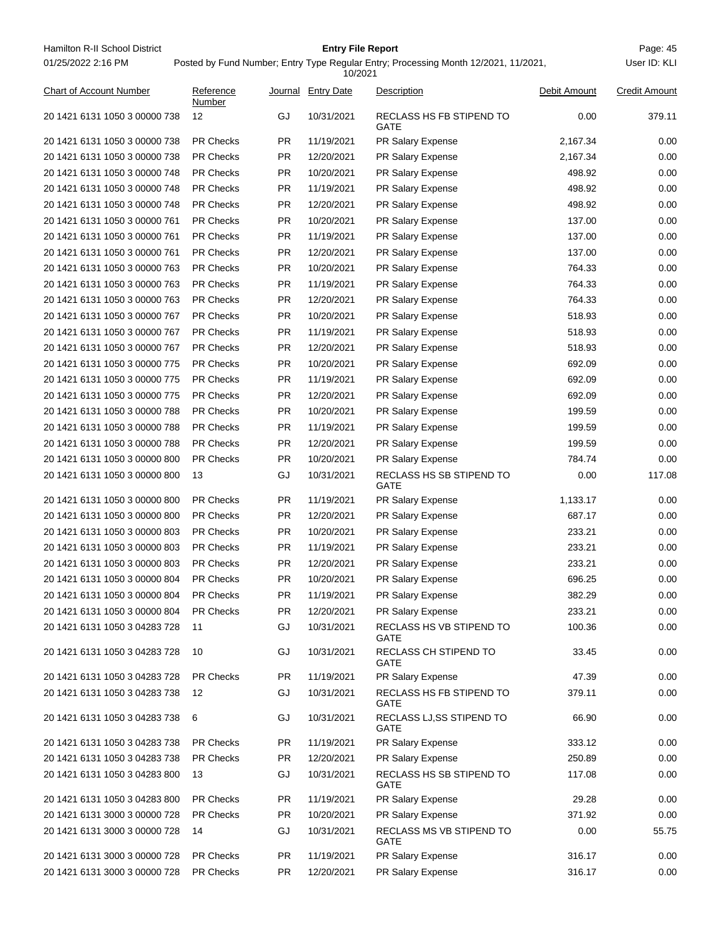Hamilton R-II School District **Entry File Report Entry File Report** Page: 45 01/25/2022 2:16 PM

## **Entry File Report**

User ID: KLI

### Posted by Fund Number; Entry Type Regular Entry; Processing Month 12/2021, 11/2021,

10/2021

| <b>Chart of Account Number</b> | Reference<br>Number |           | Journal Entry Date | Description                       | Debit Amount | <b>Credit Amount</b> |
|--------------------------------|---------------------|-----------|--------------------|-----------------------------------|--------------|----------------------|
| 20 1421 6131 1050 3 00000 738  | 12                  | GJ        | 10/31/2021         | RECLASS HS FB STIPEND TO<br>GATE  | 0.00         | 379.11               |
| 20 1421 6131 1050 3 00000 738  | <b>PR Checks</b>    | <b>PR</b> | 11/19/2021         | PR Salary Expense                 | 2,167.34     | 0.00                 |
| 20 1421 6131 1050 3 00000 738  | <b>PR Checks</b>    | <b>PR</b> | 12/20/2021         | PR Salary Expense                 | 2,167.34     | 0.00                 |
| 20 1421 6131 1050 3 00000 748  | <b>PR Checks</b>    | <b>PR</b> | 10/20/2021         | PR Salary Expense                 | 498.92       | 0.00                 |
| 20 1421 6131 1050 3 00000 748  | <b>PR Checks</b>    | <b>PR</b> | 11/19/2021         | PR Salary Expense                 | 498.92       | 0.00                 |
| 20 1421 6131 1050 3 00000 748  | <b>PR Checks</b>    | <b>PR</b> | 12/20/2021         | PR Salary Expense                 | 498.92       | 0.00                 |
| 20 1421 6131 1050 3 00000 761  | <b>PR Checks</b>    | <b>PR</b> | 10/20/2021         | PR Salary Expense                 | 137.00       | 0.00                 |
| 20 1421 6131 1050 3 00000 761  | <b>PR Checks</b>    | <b>PR</b> | 11/19/2021         | PR Salary Expense                 | 137.00       | 0.00                 |
| 20 1421 6131 1050 3 00000 761  | <b>PR Checks</b>    | PR.       | 12/20/2021         | PR Salary Expense                 | 137.00       | 0.00                 |
| 20 1421 6131 1050 3 00000 763  | <b>PR Checks</b>    | <b>PR</b> | 10/20/2021         | PR Salary Expense                 | 764.33       | 0.00                 |
| 20 1421 6131 1050 3 00000 763  | <b>PR Checks</b>    | <b>PR</b> | 11/19/2021         | PR Salary Expense                 | 764.33       | 0.00                 |
| 20 1421 6131 1050 3 00000 763  | <b>PR Checks</b>    | <b>PR</b> | 12/20/2021         | PR Salary Expense                 | 764.33       | 0.00                 |
| 20 1421 6131 1050 3 00000 767  | <b>PR Checks</b>    | <b>PR</b> | 10/20/2021         | PR Salary Expense                 | 518.93       | 0.00                 |
| 20 1421 6131 1050 3 00000 767  | <b>PR Checks</b>    | <b>PR</b> | 11/19/2021         | PR Salary Expense                 | 518.93       | 0.00                 |
| 20 1421 6131 1050 3 00000 767  | <b>PR Checks</b>    | <b>PR</b> | 12/20/2021         | PR Salary Expense                 | 518.93       | 0.00                 |
| 20 1421 6131 1050 3 00000 775  | <b>PR Checks</b>    | <b>PR</b> | 10/20/2021         | PR Salary Expense                 | 692.09       | 0.00                 |
| 20 1421 6131 1050 3 00000 775  | <b>PR Checks</b>    | PR.       | 11/19/2021         | PR Salary Expense                 | 692.09       | 0.00                 |
| 20 1421 6131 1050 3 00000 775  | <b>PR Checks</b>    | <b>PR</b> | 12/20/2021         | PR Salary Expense                 | 692.09       | 0.00                 |
| 20 1421 6131 1050 3 00000 788  | <b>PR Checks</b>    | <b>PR</b> | 10/20/2021         | PR Salary Expense                 | 199.59       | 0.00                 |
| 20 1421 6131 1050 3 00000 788  | <b>PR Checks</b>    | PR.       | 11/19/2021         | PR Salary Expense                 | 199.59       | 0.00                 |
| 20 1421 6131 1050 3 00000 788  | <b>PR Checks</b>    | <b>PR</b> | 12/20/2021         | PR Salary Expense                 | 199.59       | 0.00                 |
| 20 1421 6131 1050 3 00000 800  | <b>PR Checks</b>    | <b>PR</b> | 10/20/2021         | PR Salary Expense                 | 784.74       | 0.00                 |
| 20 1421 6131 1050 3 00000 800  | 13                  | GJ        | 10/31/2021         | RECLASS HS SB STIPEND TO<br>GATE  | 0.00         | 117.08               |
| 20 1421 6131 1050 3 00000 800  | <b>PR Checks</b>    | PR.       | 11/19/2021         | PR Salary Expense                 | 1,133.17     | 0.00                 |
| 20 1421 6131 1050 3 00000 800  | <b>PR Checks</b>    | <b>PR</b> | 12/20/2021         | PR Salary Expense                 | 687.17       | 0.00                 |
| 20 1421 6131 1050 3 00000 803  | <b>PR Checks</b>    | <b>PR</b> | 10/20/2021         | PR Salary Expense                 | 233.21       | 0.00                 |
| 20 1421 6131 1050 3 00000 803  | <b>PR Checks</b>    | <b>PR</b> | 11/19/2021         | PR Salary Expense                 | 233.21       | 0.00                 |
| 20 1421 6131 1050 3 00000 803  | <b>PR Checks</b>    | PR.       | 12/20/2021         | PR Salary Expense                 | 233.21       | 0.00                 |
| 20 1421 6131 1050 3 00000 804  | <b>PR Checks</b>    | <b>PR</b> | 10/20/2021         | PR Salary Expense                 | 696.25       | 0.00                 |
| 20 1421 6131 1050 3 00000 804  | <b>PR Checks</b>    | <b>PR</b> | 11/19/2021         | PR Salary Expense                 | 382.29       | 0.00                 |
| 20 1421 6131 1050 3 00000 804  | <b>PR Checks</b>    | <b>PR</b> | 12/20/2021         | PR Salary Expense                 | 233.21       | 0.00                 |
| 20 1421 6131 1050 3 04283 728  | -11                 | GJ        | 10/31/2021         | RECLASS HS VB STIPEND TO<br>GATE  | 100.36       | 0.00                 |
| 20 1421 6131 1050 3 04283 728  | 10                  | GJ        | 10/31/2021         | RECLASS CH STIPEND TO<br>GATE     | 33.45        | 0.00                 |
| 20 1421 6131 1050 3 04283 728  | <b>PR Checks</b>    | <b>PR</b> | 11/19/2021         | PR Salary Expense                 | 47.39        | 0.00                 |
| 20 1421 6131 1050 3 04283 738  | 12                  | GJ        | 10/31/2021         | RECLASS HS FB STIPEND TO<br>GATE  | 379.11       | 0.00                 |
| 20 1421 6131 1050 3 04283 738  | 6                   | GJ        | 10/31/2021         | RECLASS LJ, SS STIPEND TO<br>GATE | 66.90        | 0.00                 |
| 20 1421 6131 1050 3 04283 738  | <b>PR Checks</b>    | <b>PR</b> | 11/19/2021         | PR Salary Expense                 | 333.12       | 0.00                 |
| 20 1421 6131 1050 3 04283 738  | PR Checks           | <b>PR</b> | 12/20/2021         | PR Salary Expense                 | 250.89       | 0.00                 |
| 20 1421 6131 1050 3 04283 800  | 13                  | GJ        | 10/31/2021         | RECLASS HS SB STIPEND TO<br>GATE  | 117.08       | 0.00                 |
| 20 1421 6131 1050 3 04283 800  | <b>PR Checks</b>    | <b>PR</b> | 11/19/2021         | PR Salary Expense                 | 29.28        | 0.00                 |
| 20 1421 6131 3000 3 00000 728  | PR Checks           | PR        | 10/20/2021         | PR Salary Expense                 | 371.92       | 0.00                 |
| 20 1421 6131 3000 3 00000 728  | 14                  | GJ        | 10/31/2021         | RECLASS MS VB STIPEND TO<br>GATE  | 0.00         | 55.75                |
| 20 1421 6131 3000 3 00000 728  | <b>PR Checks</b>    | <b>PR</b> | 11/19/2021         | PR Salary Expense                 | 316.17       | 0.00                 |
| 20 1421 6131 3000 3 00000 728  | PR Checks           | PR        | 12/20/2021         | PR Salary Expense                 | 316.17       | 0.00                 |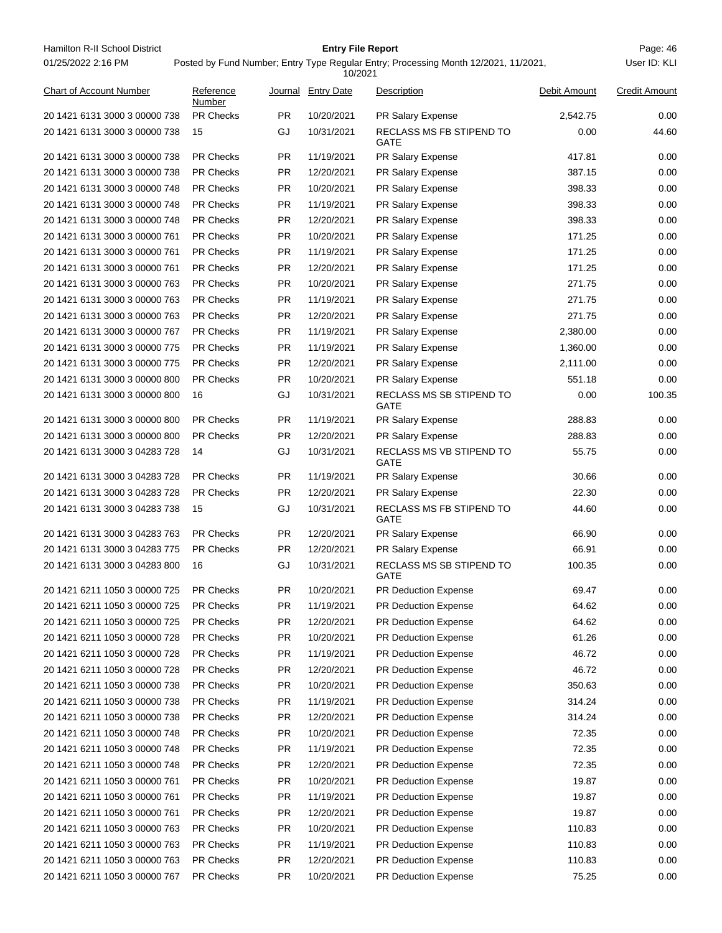| Hamilton R-II School District  |                     |           | <b>Entry File Report</b> |                                                                                     |              | Page: 46             |
|--------------------------------|---------------------|-----------|--------------------------|-------------------------------------------------------------------------------------|--------------|----------------------|
| 01/25/2022 2:16 PM             |                     |           | 10/2021                  | Posted by Fund Number; Entry Type Regular Entry; Processing Month 12/2021, 11/2021, |              | User ID: KLI         |
| <b>Chart of Account Number</b> | Reference<br>Number |           | Journal Entry Date       | Description                                                                         | Debit Amount | <b>Credit Amount</b> |
| 20 1421 6131 3000 3 00000 738  | <b>PR Checks</b>    | <b>PR</b> | 10/20/2021               | PR Salary Expense                                                                   | 2.542.75     | 0.00                 |
| 20 1421 6131 3000 3 00000 738  | 15                  | GJ        | 10/31/2021               | RECLASS MS FB STIPEND TO<br>GATE                                                    | 0.00         | 44.60                |
| 20 1421 6131 3000 3 00000 738  | <b>PR Checks</b>    | PR.       | 11/19/2021               | PR Salary Expense                                                                   | 417.81       | 0.00                 |
| 20 1421 6131 3000 3 00000 738  | <b>PR Checks</b>    | PR.       | 12/20/2021               | PR Salary Expense                                                                   | 387.15       | 0.00                 |
| 20 1421 6131 3000 3 00000 748  | <b>PR Checks</b>    | <b>PR</b> | 10/20/2021               | PR Salary Expense                                                                   | 398.33       | 0.00                 |
| 20 1421 6131 3000 3 00000 748  | <b>PR Checks</b>    | <b>PR</b> | 11/19/2021               | PR Salary Expense                                                                   | 398.33       | 0.00                 |
| 20 1421 6131 3000 3 00000 748  | <b>PR Checks</b>    | <b>PR</b> | 12/20/2021               | PR Salary Expense                                                                   | 398.33       | 0.00                 |
| 20 1421 6131 3000 3 00000 761  | <b>PR Checks</b>    | <b>PR</b> | 10/20/2021               | PR Salary Expense                                                                   | 171.25       | 0.00                 |
| 20 1421 6131 3000 3 00000 761  | <b>PR Checks</b>    | <b>PR</b> | 11/19/2021               | PR Salary Expense                                                                   | 171.25       | 0.00                 |
| 20 1421 6131 3000 3 00000 761  | <b>PR Checks</b>    | <b>PR</b> | 12/20/2021               | PR Salary Expense                                                                   | 171.25       | 0.00                 |
| 20 1421 6131 3000 3 00000 763  | <b>PR Checks</b>    | <b>PR</b> | 10/20/2021               | PR Salary Expense                                                                   | 271.75       | 0.00                 |
| 20 1421 6131 3000 3 00000 763  | <b>PR Checks</b>    | <b>PR</b> | 11/19/2021               | PR Salary Expense                                                                   | 271.75       | 0.00                 |
| 20 1421 6131 3000 3 00000 763  | <b>PR Checks</b>    | <b>PR</b> | 12/20/2021               | PR Salary Expense                                                                   | 271.75       | 0.00                 |
| 20 1421 6131 3000 3 00000 767  | <b>PR Checks</b>    | <b>PR</b> | 11/19/2021               | PR Salary Expense                                                                   | 2,380.00     | 0.00                 |
| 20 1421 6131 3000 3 00000 775  | <b>PR Checks</b>    | <b>PR</b> | 11/19/2021               | PR Salary Expense                                                                   | 1,360.00     | 0.00                 |
| 20 1421 6131 3000 3 00000 775  | <b>PR Checks</b>    | <b>PR</b> | 12/20/2021               | PR Salary Expense                                                                   | 2,111.00     | 0.00                 |
| 20 1421 6131 3000 3 00000 800  | <b>PR Checks</b>    | <b>PR</b> | 10/20/2021               | PR Salary Expense                                                                   | 551.18       | 0.00                 |
| 20 1421 6131 3000 3 00000 800  | 16                  | GJ        | 10/31/2021               | RECLASS MS SB STIPEND TO<br>GATE                                                    | 0.00         | 100.35               |
| 20 1421 6131 3000 3 00000 800  | <b>PR Checks</b>    | <b>PR</b> | 11/19/2021               | PR Salary Expense                                                                   | 288.83       | 0.00                 |
| 20 1421 6131 3000 3 00000 800  | <b>PR Checks</b>    | <b>PR</b> | 12/20/2021               | PR Salary Expense                                                                   | 288.83       | 0.00                 |
| 20 1421 6131 3000 3 04283 728  | 14                  | GJ        | 10/31/2021               | RECLASS MS VB STIPEND TO<br>GATE                                                    | 55.75        | 0.00                 |
| 20 1421 6131 3000 3 04283 728  | <b>PR Checks</b>    | <b>PR</b> | 11/19/2021               | PR Salary Expense                                                                   | 30.66        | 0.00                 |
| 20 1421 6131 3000 3 04283 728  | <b>PR Checks</b>    | <b>PR</b> | 12/20/2021               | PR Salary Expense                                                                   | 22.30        | 0.00                 |
| 20 1421 6131 3000 3 04283 738  | 15                  | GJ        | 10/31/2021               | RECLASS MS FB STIPEND TO<br>GATE                                                    | 44.60        | 0.00                 |
| 20 1421 6131 3000 3 04283 763  | <b>PR Checks</b>    | <b>PR</b> | 12/20/2021               | PR Salary Expense                                                                   | 66.90        | 0.00                 |
| 20 1421 6131 3000 3 04283 775  | <b>PR Checks</b>    | <b>PR</b> | 12/20/2021               | PR Salary Expense                                                                   | 66.91        | 0.00                 |
| 20 1421 6131 3000 3 04283 800  | 16                  | GJ        | 10/31/2021               | RECLASS MS SB STIPEND TO<br>GATE                                                    | 100.35       | 0.00                 |
| 20 1421 6211 1050 3 00000 725  | <b>PR Checks</b>    | PR.       | 10/20/2021               | PR Deduction Expense                                                                | 69.47        | 0.00                 |
| 20 1421 6211 1050 3 00000 725  | PR Checks           | <b>PR</b> | 11/19/2021               | PR Deduction Expense                                                                | 64.62        | 0.00                 |
| 20 1421 6211 1050 3 00000 725  | PR Checks           | <b>PR</b> | 12/20/2021               | PR Deduction Expense                                                                | 64.62        | 0.00                 |
| 20 1421 6211 1050 3 00000 728  | <b>PR Checks</b>    | PR.       | 10/20/2021               | PR Deduction Expense                                                                | 61.26        | 0.00                 |
| 20 1421 6211 1050 3 00000 728  | PR Checks           | <b>PR</b> | 11/19/2021               | PR Deduction Expense                                                                | 46.72        | 0.00                 |
| 20 1421 6211 1050 3 00000 728  | PR Checks           | <b>PR</b> | 12/20/2021               | <b>PR Deduction Expense</b>                                                         | 46.72        | 0.00                 |
| 20 1421 6211 1050 3 00000 738  | PR Checks           | <b>PR</b> | 10/20/2021               | <b>PR Deduction Expense</b>                                                         | 350.63       | 0.00                 |
| 20 1421 6211 1050 3 00000 738  | <b>PR Checks</b>    | <b>PR</b> | 11/19/2021               | PR Deduction Expense                                                                | 314.24       | 0.00                 |
| 20 1421 6211 1050 3 00000 738  | PR Checks           | <b>PR</b> | 12/20/2021               | PR Deduction Expense                                                                | 314.24       | 0.00                 |
| 20 1421 6211 1050 3 00000 748  | PR Checks           | <b>PR</b> | 10/20/2021               | PR Deduction Expense                                                                | 72.35        | 0.00                 |
| 20 1421 6211 1050 3 00000 748  | PR Checks           | <b>PR</b> | 11/19/2021               | PR Deduction Expense                                                                | 72.35        | 0.00                 |
| 20 1421 6211 1050 3 00000 748  | <b>PR Checks</b>    | <b>PR</b> | 12/20/2021               | PR Deduction Expense                                                                | 72.35        | 0.00                 |
| 20 1421 6211 1050 3 00000 761  | PR Checks           | <b>PR</b> | 10/20/2021               | PR Deduction Expense                                                                | 19.87        | 0.00                 |
| 20 1421 6211 1050 3 00000 761  | PR Checks           | PR.       | 11/19/2021               | PR Deduction Expense                                                                | 19.87        | 0.00                 |
| 20 1421 6211 1050 3 00000 761  | PR Checks           | <b>PR</b> | 12/20/2021               | PR Deduction Expense                                                                | 19.87        | 0.00                 |
| 20 1421 6211 1050 3 00000 763  | <b>PR Checks</b>    | <b>PR</b> | 10/20/2021               | PR Deduction Expense                                                                | 110.83       | 0.00                 |
| 20 1421 6211 1050 3 00000 763  | PR Checks           | <b>PR</b> | 11/19/2021               | PR Deduction Expense                                                                | 110.83       | 0.00                 |
| 20 1421 6211 1050 3 00000 763  | PR Checks           | <b>PR</b> | 12/20/2021               | PR Deduction Expense                                                                | 110.83       | 0.00                 |
| 20 1421 6211 1050 3 00000 767  | PR Checks           | <b>PR</b> | 10/20/2021               | PR Deduction Expense                                                                | 75.25        | 0.00                 |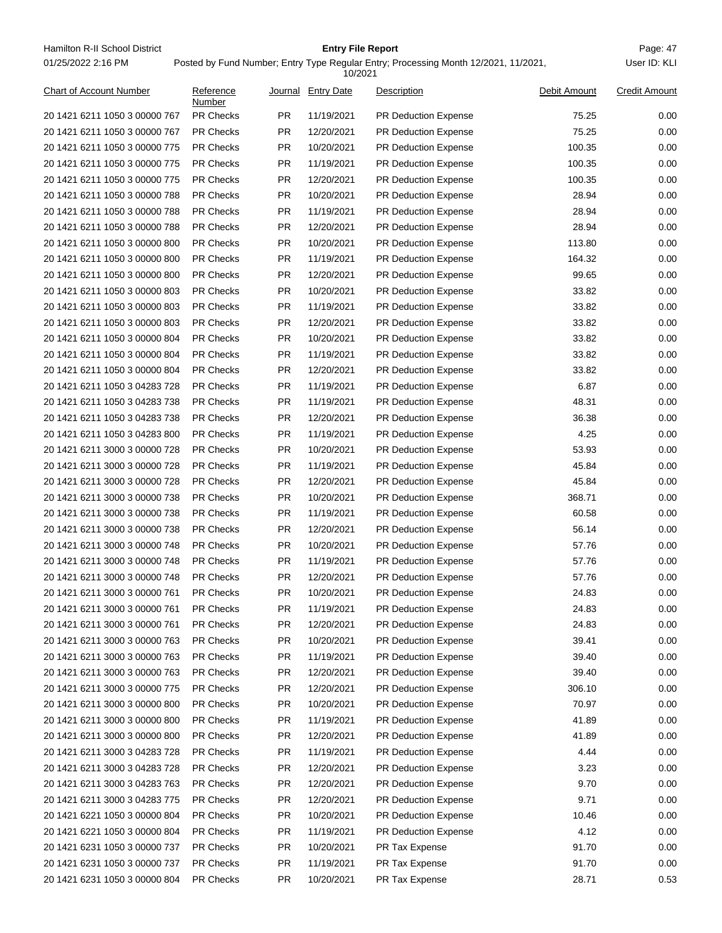Hamilton R-II School District **Entry File Report Entry File Report** Page: 47 01/25/2022 2:16 PM

## **Entry File Report**

Posted by Fund Number; Entry Type Regular Entry; Processing Month 12/2021, 11/2021,

|                                |                     |           | 10/2021            |                             |              |                      |
|--------------------------------|---------------------|-----------|--------------------|-----------------------------|--------------|----------------------|
| <b>Chart of Account Number</b> | Reference<br>Number |           | Journal Entry Date | Description                 | Debit Amount | <b>Credit Amount</b> |
| 20 1421 6211 1050 3 00000 767  | <b>PR Checks</b>    | PR.       | 11/19/2021         | PR Deduction Expense        | 75.25        | 0.00                 |
| 20 1421 6211 1050 3 00000 767  | <b>PR Checks</b>    | <b>PR</b> | 12/20/2021         | <b>PR Deduction Expense</b> | 75.25        | 0.00                 |
| 20 1421 6211 1050 3 00000 775  | <b>PR Checks</b>    | PR.       | 10/20/2021         | PR Deduction Expense        | 100.35       | 0.00                 |
| 20 1421 6211 1050 3 00000 775  | <b>PR Checks</b>    | <b>PR</b> | 11/19/2021         | PR Deduction Expense        | 100.35       | 0.00                 |
| 20 1421 6211 1050 3 00000 775  | <b>PR Checks</b>    | <b>PR</b> | 12/20/2021         | PR Deduction Expense        | 100.35       | 0.00                 |
| 20 1421 6211 1050 3 00000 788  | <b>PR Checks</b>    | <b>PR</b> | 10/20/2021         | <b>PR Deduction Expense</b> | 28.94        | 0.00                 |
| 20 1421 6211 1050 3 00000 788  | <b>PR Checks</b>    | <b>PR</b> | 11/19/2021         | PR Deduction Expense        | 28.94        | 0.00                 |
| 20 1421 6211 1050 3 00000 788  | <b>PR Checks</b>    | <b>PR</b> | 12/20/2021         | PR Deduction Expense        | 28.94        | 0.00                 |
| 20 1421 6211 1050 3 00000 800  | <b>PR Checks</b>    | <b>PR</b> | 10/20/2021         | PR Deduction Expense        | 113.80       | 0.00                 |
| 20 1421 6211 1050 3 00000 800  | <b>PR Checks</b>    | <b>PR</b> | 11/19/2021         | PR Deduction Expense        | 164.32       | 0.00                 |
| 20 1421 6211 1050 3 00000 800  | <b>PR Checks</b>    | <b>PR</b> | 12/20/2021         | PR Deduction Expense        | 99.65        | 0.00                 |
| 20 1421 6211 1050 3 00000 803  | <b>PR Checks</b>    | <b>PR</b> | 10/20/2021         | PR Deduction Expense        | 33.82        | 0.00                 |
| 20 1421 6211 1050 3 00000 803  | <b>PR Checks</b>    | <b>PR</b> | 11/19/2021         | PR Deduction Expense        | 33.82        | 0.00                 |
| 20 1421 6211 1050 3 00000 803  | <b>PR Checks</b>    | <b>PR</b> | 12/20/2021         | <b>PR Deduction Expense</b> | 33.82        | 0.00                 |
| 20 1421 6211 1050 3 00000 804  | <b>PR Checks</b>    | <b>PR</b> | 10/20/2021         | PR Deduction Expense        | 33.82        | 0.00                 |
| 20 1421 6211 1050 3 00000 804  | <b>PR Checks</b>    | <b>PR</b> | 11/19/2021         | PR Deduction Expense        | 33.82        | 0.00                 |
| 20 1421 6211 1050 3 00000 804  | <b>PR Checks</b>    | PR.       | 12/20/2021         | PR Deduction Expense        | 33.82        | 0.00                 |
| 20 1421 6211 1050 3 04283 728  | <b>PR Checks</b>    | <b>PR</b> | 11/19/2021         | PR Deduction Expense        | 6.87         | 0.00                 |
| 20 1421 6211 1050 3 04283 738  | <b>PR Checks</b>    | <b>PR</b> | 11/19/2021         | PR Deduction Expense        | 48.31        | 0.00                 |
| 20 1421 6211 1050 3 04283 738  | <b>PR Checks</b>    | <b>PR</b> | 12/20/2021         | PR Deduction Expense        | 36.38        | 0.00                 |
| 20 1421 6211 1050 3 04283 800  | <b>PR Checks</b>    | <b>PR</b> | 11/19/2021         | PR Deduction Expense        | 4.25         | 0.00                 |
| 20 1421 6211 3000 3 00000 728  | <b>PR Checks</b>    | <b>PR</b> | 10/20/2021         | <b>PR Deduction Expense</b> | 53.93        | 0.00                 |
| 20 1421 6211 3000 3 00000 728  | <b>PR Checks</b>    | <b>PR</b> | 11/19/2021         | <b>PR Deduction Expense</b> | 45.84        | 0.00                 |
| 20 1421 6211 3000 3 00000 728  | <b>PR Checks</b>    | <b>PR</b> | 12/20/2021         | PR Deduction Expense        | 45.84        | 0.00                 |
| 20 1421 6211 3000 3 00000 738  | <b>PR Checks</b>    | <b>PR</b> | 10/20/2021         | PR Deduction Expense        | 368.71       | 0.00                 |
| 20 1421 6211 3000 3 00000 738  | <b>PR Checks</b>    | <b>PR</b> | 11/19/2021         | PR Deduction Expense        | 60.58        | 0.00                 |
| 20 1421 6211 3000 3 00000 738  | <b>PR Checks</b>    | <b>PR</b> | 12/20/2021         | PR Deduction Expense        | 56.14        | 0.00                 |
| 20 1421 6211 3000 3 00000 748  | <b>PR Checks</b>    | <b>PR</b> | 10/20/2021         | <b>PR Deduction Expense</b> | 57.76        | 0.00                 |
| 20 1421 6211 3000 3 00000 748  | <b>PR Checks</b>    | <b>PR</b> | 11/19/2021         | PR Deduction Expense        | 57.76        | 0.00                 |
| 20 1421 6211 3000 3 00000 748  | <b>PR Checks</b>    | <b>PR</b> | 12/20/2021         | PR Deduction Expense        | 57.76        | 0.00                 |
| 20 1421 6211 3000 3 00000 761  | <b>PR Checks</b>    | PR.       | 10/20/2021         | PR Deduction Expense        | 24.83        | 0.00                 |
| 20 1421 6211 3000 3 00000 761  | <b>PR Checks</b>    | PR.       | 11/19/2021         | PR Deduction Expense        | 24.83        | 0.00                 |
| 20 1421 6211 3000 3 00000 761  | PR Checks           | <b>PR</b> | 12/20/2021         | PR Deduction Expense        | 24.83        | 0.00                 |
| 20 1421 6211 3000 3 00000 763  | PR Checks           | <b>PR</b> | 10/20/2021         | <b>PR Deduction Expense</b> | 39.41        | 0.00                 |
| 20 1421 6211 3000 3 00000 763  | <b>PR Checks</b>    | <b>PR</b> | 11/19/2021         | PR Deduction Expense        | 39.40        | 0.00                 |
| 20 1421 6211 3000 3 00000 763  | PR Checks           | <b>PR</b> | 12/20/2021         | PR Deduction Expense        | 39.40        | 0.00                 |
| 20 1421 6211 3000 3 00000 775  | PR Checks           | <b>PR</b> | 12/20/2021         | PR Deduction Expense        | 306.10       | 0.00                 |
| 20 1421 6211 3000 3 00000 800  | PR Checks           | <b>PR</b> | 10/20/2021         | PR Deduction Expense        | 70.97        | 0.00                 |
| 20 1421 6211 3000 3 00000 800  | PR Checks           | PR        | 11/19/2021         | PR Deduction Expense        | 41.89        | 0.00                 |
| 20 1421 6211 3000 3 00000 800  | PR Checks           | <b>PR</b> | 12/20/2021         | PR Deduction Expense        | 41.89        | 0.00                 |
| 20 1421 6211 3000 3 04283 728  | PR Checks           | <b>PR</b> | 11/19/2021         | PR Deduction Expense        | 4.44         | 0.00                 |
| 20 1421 6211 3000 3 04283 728  | PR Checks           | <b>PR</b> | 12/20/2021         | PR Deduction Expense        | 3.23         | 0.00                 |
| 20 1421 6211 3000 3 04283 763  | <b>PR Checks</b>    | <b>PR</b> | 12/20/2021         | PR Deduction Expense        | 9.70         | 0.00                 |
| 20 1421 6211 3000 3 04283 775  | PR Checks           | <b>PR</b> | 12/20/2021         | PR Deduction Expense        | 9.71         | 0.00                 |
| 20 1421 6221 1050 3 00000 804  | PR Checks           | <b>PR</b> | 10/20/2021         | PR Deduction Expense        | 10.46        | 0.00                 |
| 20 1421 6221 1050 3 00000 804  | PR Checks           | <b>PR</b> | 11/19/2021         | PR Deduction Expense        | 4.12         | 0.00                 |
| 20 1421 6231 1050 3 00000 737  | <b>PR Checks</b>    | <b>PR</b> | 10/20/2021         | PR Tax Expense              | 91.70        | 0.00                 |
| 20 1421 6231 1050 3 00000 737  | PR Checks           | <b>PR</b> | 11/19/2021         | PR Tax Expense              | 91.70        | 0.00                 |
| 20 1421 6231 1050 3 00000 804  | PR Checks           | <b>PR</b> | 10/20/2021         | PR Tax Expense              | 28.71        | 0.53                 |
|                                |                     |           |                    |                             |              |                      |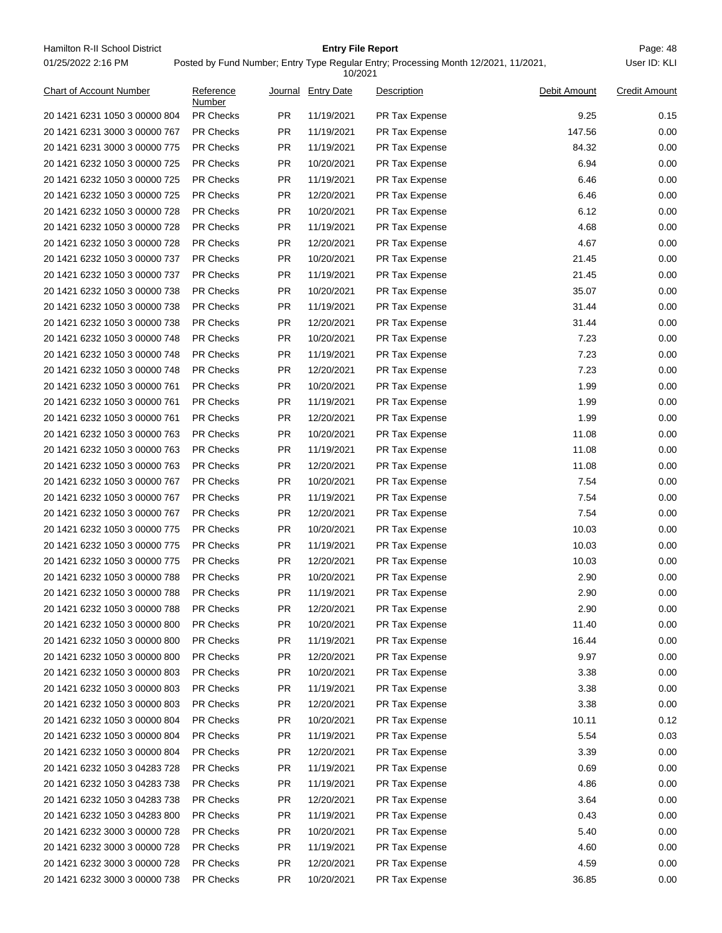Hamilton R-II School District **Entry File Report Entry File Report** Page: 48 01/25/2022 2:16 PM

## **Entry File Report**

Posted by Fund Number; Entry Type Regular Entry; Processing Month 12/2021, 11/2021,

|                               |                     |           | 10/2021            |                |              |                      |
|-------------------------------|---------------------|-----------|--------------------|----------------|--------------|----------------------|
| Chart of Account Number       | Reference<br>Number |           | Journal Entry Date | Description    | Debit Amount | <b>Credit Amount</b> |
| 20 1421 6231 1050 3 00000 804 | <b>PR Checks</b>    | PR.       | 11/19/2021         | PR Tax Expense | 9.25         | 0.15                 |
| 20 1421 6231 3000 3 00000 767 | <b>PR Checks</b>    | <b>PR</b> | 11/19/2021         | PR Tax Expense | 147.56       | 0.00                 |
| 20 1421 6231 3000 3 00000 775 | <b>PR Checks</b>    | <b>PR</b> | 11/19/2021         | PR Tax Expense | 84.32        | 0.00                 |
| 20 1421 6232 1050 3 00000 725 | <b>PR Checks</b>    | PR.       | 10/20/2021         | PR Tax Expense | 6.94         | 0.00                 |
| 20 1421 6232 1050 3 00000 725 | <b>PR Checks</b>    | PR.       | 11/19/2021         | PR Tax Expense | 6.46         | 0.00                 |
| 20 1421 6232 1050 3 00000 725 | <b>PR Checks</b>    | <b>PR</b> | 12/20/2021         | PR Tax Expense | 6.46         | 0.00                 |
| 20 1421 6232 1050 3 00000 728 | PR Checks           | <b>PR</b> | 10/20/2021         | PR Tax Expense | 6.12         | 0.00                 |
| 20 1421 6232 1050 3 00000 728 | <b>PR Checks</b>    | <b>PR</b> | 11/19/2021         | PR Tax Expense | 4.68         | 0.00                 |
| 20 1421 6232 1050 3 00000 728 | <b>PR Checks</b>    | PR.       | 12/20/2021         | PR Tax Expense | 4.67         | 0.00                 |
| 20 1421 6232 1050 3 00000 737 | <b>PR Checks</b>    | <b>PR</b> | 10/20/2021         | PR Tax Expense | 21.45        | 0.00                 |
| 20 1421 6232 1050 3 00000 737 | <b>PR Checks</b>    | PR.       | 11/19/2021         | PR Tax Expense | 21.45        | 0.00                 |
| 20 1421 6232 1050 3 00000 738 | <b>PR Checks</b>    | PR.       | 10/20/2021         | PR Tax Expense | 35.07        | 0.00                 |
| 20 1421 6232 1050 3 00000 738 | <b>PR Checks</b>    | PR.       | 11/19/2021         | PR Tax Expense | 31.44        | 0.00                 |
| 20 1421 6232 1050 3 00000 738 | <b>PR Checks</b>    | <b>PR</b> | 12/20/2021         | PR Tax Expense | 31.44        | 0.00                 |
| 20 1421 6232 1050 3 00000 748 | PR Checks           | <b>PR</b> | 10/20/2021         | PR Tax Expense | 7.23         | 0.00                 |
| 20 1421 6232 1050 3 00000 748 | <b>PR Checks</b>    | <b>PR</b> | 11/19/2021         | PR Tax Expense | 7.23         | 0.00                 |
| 20 1421 6232 1050 3 00000 748 | <b>PR Checks</b>    | PR.       | 12/20/2021         | PR Tax Expense | 7.23         | 0.00                 |
| 20 1421 6232 1050 3 00000 761 | <b>PR Checks</b>    | <b>PR</b> | 10/20/2021         | PR Tax Expense | 1.99         | 0.00                 |
| 20 1421 6232 1050 3 00000 761 | <b>PR Checks</b>    | <b>PR</b> | 11/19/2021         | PR Tax Expense | 1.99         | 0.00                 |
| 20 1421 6232 1050 3 00000 761 | <b>PR Checks</b>    | PR.       | 12/20/2021         | PR Tax Expense | 1.99         | 0.00                 |
| 20 1421 6232 1050 3 00000 763 | <b>PR Checks</b>    | PR.       | 10/20/2021         | PR Tax Expense | 11.08        | 0.00                 |
| 20 1421 6232 1050 3 00000 763 | <b>PR Checks</b>    | PR.       | 11/19/2021         | PR Tax Expense | 11.08        | 0.00                 |
| 20 1421 6232 1050 3 00000 763 | <b>PR Checks</b>    | <b>PR</b> | 12/20/2021         | PR Tax Expense | 11.08        | 0.00                 |
| 20 1421 6232 1050 3 00000 767 | <b>PR Checks</b>    | <b>PR</b> | 10/20/2021         | PR Tax Expense | 7.54         | 0.00                 |
| 20 1421 6232 1050 3 00000 767 | <b>PR Checks</b>    | <b>PR</b> | 11/19/2021         | PR Tax Expense | 7.54         | 0.00                 |
| 20 1421 6232 1050 3 00000 767 | <b>PR Checks</b>    | PR        | 12/20/2021         | PR Tax Expense | 7.54         | 0.00                 |
| 20 1421 6232 1050 3 00000 775 | <b>PR Checks</b>    | <b>PR</b> | 10/20/2021         | PR Tax Expense | 10.03        | 0.00                 |
| 20 1421 6232 1050 3 00000 775 | <b>PR Checks</b>    | PR.       | 11/19/2021         | PR Tax Expense | 10.03        | 0.00                 |
| 20 1421 6232 1050 3 00000 775 | <b>PR Checks</b>    | PR.       | 12/20/2021         | PR Tax Expense | 10.03        | 0.00                 |
| 20 1421 6232 1050 3 00000 788 | <b>PR Checks</b>    | PR.       | 10/20/2021         | PR Tax Expense | 2.90         | 0.00                 |
| 20 1421 6232 1050 3 00000 788 | PR Checks           | PR.       | 11/19/2021         | PR Tax Expense | 2.90         | 0.00                 |
| 20 1421 6232 1050 3 00000 788 | PR Checks           | PR        | 12/20/2021         | PR Tax Expense | 2.90         | 0.00                 |
| 20 1421 6232 1050 3 00000 800 | PR Checks           | <b>PR</b> | 10/20/2021         | PR Tax Expense | 11.40        | 0.00                 |
| 20 1421 6232 1050 3 00000 800 | PR Checks           | <b>PR</b> | 11/19/2021         | PR Tax Expense | 16.44        | 0.00                 |
| 20 1421 6232 1050 3 00000 800 | <b>PR Checks</b>    | <b>PR</b> | 12/20/2021         | PR Tax Expense | 9.97         | 0.00                 |
| 20 1421 6232 1050 3 00000 803 | PR Checks           | <b>PR</b> | 10/20/2021         | PR Tax Expense | 3.38         | 0.00                 |
| 20 1421 6232 1050 3 00000 803 | PR Checks           | <b>PR</b> | 11/19/2021         | PR Tax Expense | 3.38         | 0.00                 |
| 20 1421 6232 1050 3 00000 803 | PR Checks           | <b>PR</b> | 12/20/2021         | PR Tax Expense | 3.38         | 0.00                 |
| 20 1421 6232 1050 3 00000 804 | <b>PR Checks</b>    | <b>PR</b> | 10/20/2021         | PR Tax Expense | 10.11        | 0.12                 |
| 20 1421 6232 1050 3 00000 804 | PR Checks           | <b>PR</b> | 11/19/2021         | PR Tax Expense | 5.54         | 0.03                 |
| 20 1421 6232 1050 3 00000 804 | PR Checks           | <b>PR</b> | 12/20/2021         | PR Tax Expense | 3.39         | 0.00                 |
| 20 1421 6232 1050 3 04283 728 | PR Checks           | <b>PR</b> | 11/19/2021         | PR Tax Expense | 0.69         | 0.00                 |
| 20 1421 6232 1050 3 04283 738 | <b>PR Checks</b>    | <b>PR</b> | 11/19/2021         | PR Tax Expense | 4.86         | 0.00                 |
| 20 1421 6232 1050 3 04283 738 | PR Checks           | <b>PR</b> | 12/20/2021         | PR Tax Expense | 3.64         | 0.00                 |
| 20 1421 6232 1050 3 04283 800 | PR Checks           | <b>PR</b> | 11/19/2021         | PR Tax Expense | 0.43         | 0.00                 |
| 20 1421 6232 3000 3 00000 728 | PR Checks           | <b>PR</b> | 10/20/2021         | PR Tax Expense | 5.40         | 0.00                 |
| 20 1421 6232 3000 3 00000 728 | <b>PR Checks</b>    | <b>PR</b> | 11/19/2021         | PR Tax Expense | 4.60         | 0.00                 |
| 20 1421 6232 3000 3 00000 728 | PR Checks           | <b>PR</b> | 12/20/2021         | PR Tax Expense | 4.59         | 0.00                 |
| 20 1421 6232 3000 3 00000 738 | PR Checks           | <b>PR</b> | 10/20/2021         | PR Tax Expense | 36.85        | 0.00                 |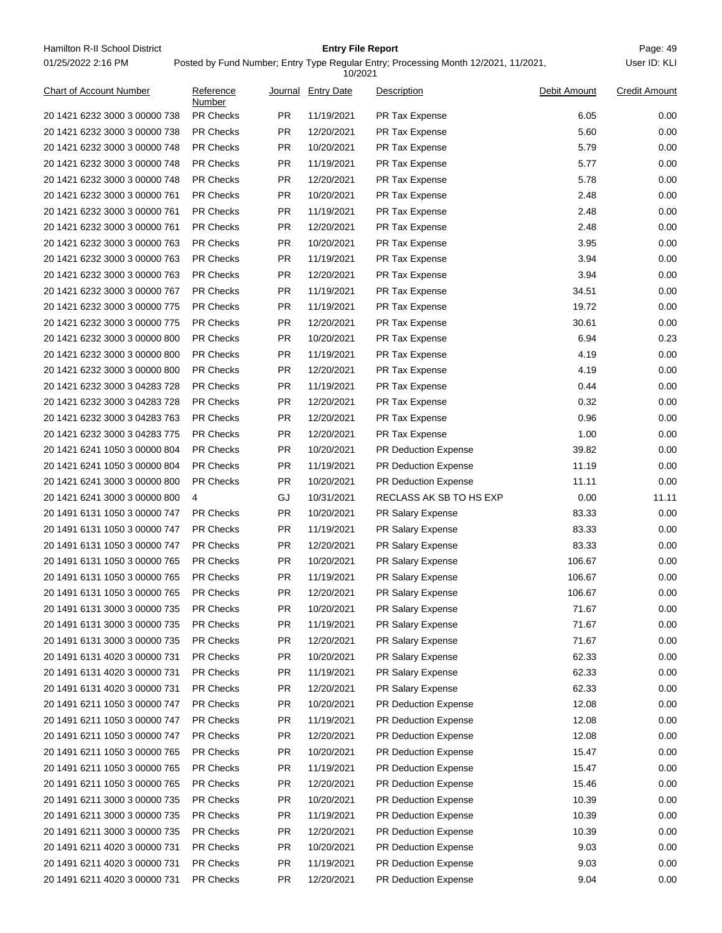Hamilton R-II School District **Entry File Report Entry File Report** Page: 49 01/25/2022 2:16 PM

## **Entry File Report**

|                               |                     |           | 10/2021            |                         |              |                      |
|-------------------------------|---------------------|-----------|--------------------|-------------------------|--------------|----------------------|
| Chart of Account Number       | Reference<br>Number |           | Journal Entry Date | Description             | Debit Amount | <b>Credit Amount</b> |
| 20 1421 6232 3000 3 00000 738 | <b>PR Checks</b>    | PR.       | 11/19/2021         | PR Tax Expense          | 6.05         | 0.00                 |
| 20 1421 6232 3000 3 00000 738 | <b>PR Checks</b>    | <b>PR</b> | 12/20/2021         | PR Tax Expense          | 5.60         | 0.00                 |
| 20 1421 6232 3000 3 00000 748 | <b>PR Checks</b>    | <b>PR</b> | 10/20/2021         | PR Tax Expense          | 5.79         | 0.00                 |
| 20 1421 6232 3000 3 00000 748 | <b>PR Checks</b>    | PR.       | 11/19/2021         | PR Tax Expense          | 5.77         | 0.00                 |
| 20 1421 6232 3000 3 00000 748 | <b>PR Checks</b>    | PR.       | 12/20/2021         | PR Tax Expense          | 5.78         | 0.00                 |
| 20 1421 6232 3000 3 00000 761 | <b>PR Checks</b>    | PR        | 10/20/2021         | PR Tax Expense          | 2.48         | 0.00                 |
| 20 1421 6232 3000 3 00000 761 | <b>PR Checks</b>    | <b>PR</b> | 11/19/2021         | PR Tax Expense          | 2.48         | 0.00                 |
| 20 1421 6232 3000 3 00000 761 | <b>PR Checks</b>    | <b>PR</b> | 12/20/2021         | PR Tax Expense          | 2.48         | 0.00                 |
| 20 1421 6232 3000 3 00000 763 | <b>PR Checks</b>    | PR        | 10/20/2021         | PR Tax Expense          | 3.95         | 0.00                 |
| 20 1421 6232 3000 3 00000 763 | <b>PR Checks</b>    | PR        | 11/19/2021         | PR Tax Expense          | 3.94         | 0.00                 |
| 20 1421 6232 3000 3 00000 763 | <b>PR Checks</b>    | <b>PR</b> | 12/20/2021         | PR Tax Expense          | 3.94         | 0.00                 |
| 20 1421 6232 3000 3 00000 767 | <b>PR Checks</b>    | PR.       | 11/19/2021         | PR Tax Expense          | 34.51        | 0.00                 |
| 20 1421 6232 3000 3 00000 775 | <b>PR Checks</b>    | PR.       | 11/19/2021         | PR Tax Expense          | 19.72        | 0.00                 |
| 20 1421 6232 3000 3 00000 775 | <b>PR Checks</b>    | PR        | 12/20/2021         | PR Tax Expense          | 30.61        | 0.00                 |
| 20 1421 6232 3000 3 00000 800 | <b>PR Checks</b>    | <b>PR</b> | 10/20/2021         | PR Tax Expense          | 6.94         | 0.23                 |
| 20 1421 6232 3000 3 00000 800 | <b>PR Checks</b>    | <b>PR</b> | 11/19/2021         | PR Tax Expense          | 4.19         | 0.00                 |
| 20 1421 6232 3000 3 00000 800 | <b>PR Checks</b>    | PR        | 12/20/2021         | PR Tax Expense          | 4.19         | 0.00                 |
| 20 1421 6232 3000 3 04283 728 | <b>PR Checks</b>    | PR        | 11/19/2021         | PR Tax Expense          | 0.44         | 0.00                 |
| 20 1421 6232 3000 3 04283 728 | <b>PR Checks</b>    | <b>PR</b> | 12/20/2021         | PR Tax Expense          | 0.32         | 0.00                 |
| 20 1421 6232 3000 3 04283 763 | <b>PR Checks</b>    | PR.       | 12/20/2021         | PR Tax Expense          | 0.96         | 0.00                 |
| 20 1421 6232 3000 3 04283 775 | <b>PR Checks</b>    | PR.       | 12/20/2021         | PR Tax Expense          | 1.00         | 0.00                 |
| 20 1421 6241 1050 3 00000 804 | <b>PR Checks</b>    | <b>PR</b> | 10/20/2021         | PR Deduction Expense    | 39.82        | 0.00                 |
| 20 1421 6241 1050 3 00000 804 | <b>PR Checks</b>    | <b>PR</b> | 11/19/2021         | PR Deduction Expense    | 11.19        | 0.00                 |
| 20 1421 6241 3000 3 00000 800 | <b>PR Checks</b>    | <b>PR</b> | 10/20/2021         | PR Deduction Expense    | 11.11        | 0.00                 |
| 20 1421 6241 3000 3 00000 800 | 4                   | GJ        | 10/31/2021         | RECLASS AK SB TO HS EXP | 0.00         | 11.11                |
| 20 1491 6131 1050 3 00000 747 | <b>PR Checks</b>    | <b>PR</b> | 10/20/2021         | PR Salary Expense       | 83.33        | 0.00                 |
| 20 1491 6131 1050 3 00000 747 | <b>PR Checks</b>    | PR.       | 11/19/2021         | PR Salary Expense       | 83.33        | 0.00                 |
| 20 1491 6131 1050 3 00000 747 | <b>PR Checks</b>    | PR.       | 12/20/2021         | PR Salary Expense       | 83.33        | 0.00                 |
| 20 1491 6131 1050 3 00000 765 | <b>PR Checks</b>    | PR.       | 10/20/2021         | PR Salary Expense       | 106.67       | 0.00                 |
| 20 1491 6131 1050 3 00000 765 | <b>PR Checks</b>    | PR        | 11/19/2021         | PR Salary Expense       | 106.67       | 0.00                 |
| 20 1491 6131 1050 3 00000 765 | PR Checks           | <b>PR</b> | 12/20/2021         | PR Salary Expense       | 106.67       | 0.00                 |
| 20 1491 6131 3000 3 00000 735 | <b>PR Checks</b>    | <b>PR</b> | 10/20/2021         | PR Salary Expense       | 71.67        | 0.00                 |
| 20 1491 6131 3000 3 00000 735 | PR Checks           | <b>PR</b> | 11/19/2021         | PR Salary Expense       | 71.67        | 0.00                 |
| 20 1491 6131 3000 3 00000 735 | PR Checks           | <b>PR</b> | 12/20/2021         | PR Salary Expense       | 71.67        | 0.00                 |
| 20 1491 6131 4020 3 00000 731 | <b>PR Checks</b>    | <b>PR</b> | 10/20/2021         | PR Salary Expense       | 62.33        | 0.00                 |
| 20 1491 6131 4020 3 00000 731 | PR Checks           | <b>PR</b> | 11/19/2021         | PR Salary Expense       | 62.33        | 0.00                 |
| 20 1491 6131 4020 3 00000 731 | PR Checks           | <b>PR</b> | 12/20/2021         | PR Salary Expense       | 62.33        | 0.00                 |
| 20 1491 6211 1050 3 00000 747 | <b>PR Checks</b>    | <b>PR</b> | 10/20/2021         | PR Deduction Expense    | 12.08        | 0.00                 |
| 20 1491 6211 1050 3 00000 747 | <b>PR Checks</b>    | <b>PR</b> | 11/19/2021         | PR Deduction Expense    | 12.08        | 0.00                 |
| 20 1491 6211 1050 3 00000 747 | PR Checks           | <b>PR</b> | 12/20/2021         | PR Deduction Expense    | 12.08        | 0.00                 |
| 20 1491 6211 1050 3 00000 765 | PR Checks           | <b>PR</b> | 10/20/2021         | PR Deduction Expense    | 15.47        | 0.00                 |
| 20 1491 6211 1050 3 00000 765 | PR Checks           | <b>PR</b> | 11/19/2021         | PR Deduction Expense    | 15.47        | 0.00                 |
| 20 1491 6211 1050 3 00000 765 | <b>PR Checks</b>    | <b>PR</b> | 12/20/2021         | PR Deduction Expense    | 15.46        | 0.00                 |
| 20 1491 6211 3000 3 00000 735 | PR Checks           | <b>PR</b> | 10/20/2021         | PR Deduction Expense    | 10.39        | 0.00                 |
| 20 1491 6211 3000 3 00000 735 | <b>PR Checks</b>    | <b>PR</b> | 11/19/2021         | PR Deduction Expense    | 10.39        | 0.00                 |
| 20 1491 6211 3000 3 00000 735 | <b>PR Checks</b>    | <b>PR</b> | 12/20/2021         | PR Deduction Expense    | 10.39        | 0.00                 |
| 20 1491 6211 4020 3 00000 731 | <b>PR Checks</b>    | <b>PR</b> | 10/20/2021         | PR Deduction Expense    | 9.03         | 0.00                 |
| 20 1491 6211 4020 3 00000 731 | PR Checks           | <b>PR</b> | 11/19/2021         | PR Deduction Expense    | 9.03         | 0.00                 |
| 20 1491 6211 4020 3 00000 731 | PR Checks           | PR        | 12/20/2021         | PR Deduction Expense    | 9.04         | 0.00                 |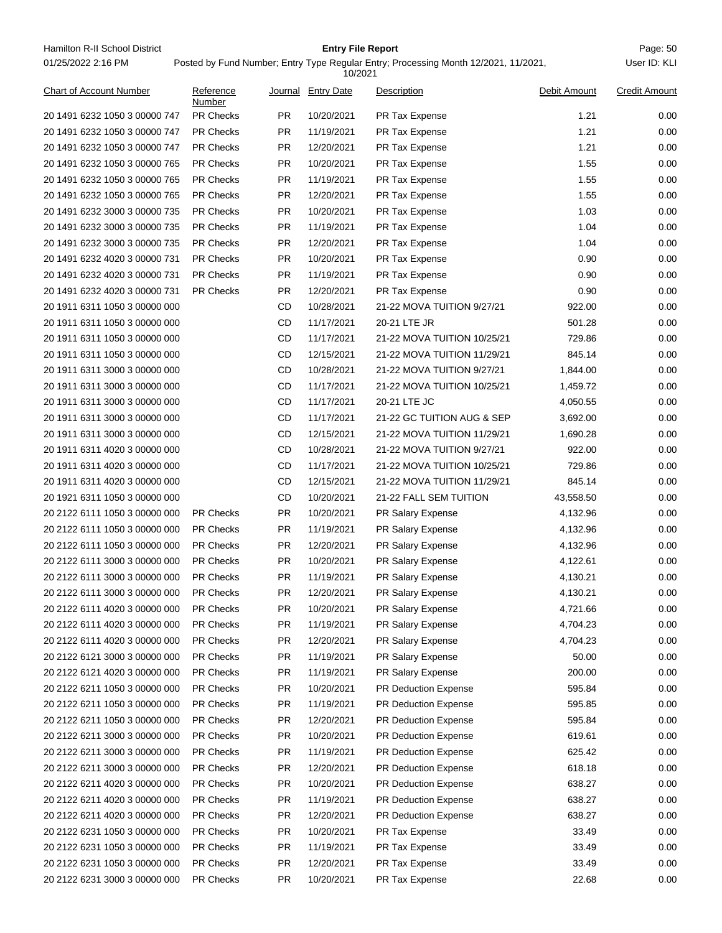Hamilton R-II School District **Entry File Report Entry File Report** Page: 50 01/25/2022 2:16 PM

## **Entry File Report**

|                               |                     |           | 10/2021            |                             |              |                      |
|-------------------------------|---------------------|-----------|--------------------|-----------------------------|--------------|----------------------|
| Chart of Account Number       | Reference<br>Number |           | Journal Entry Date | Description                 | Debit Amount | <b>Credit Amount</b> |
| 20 1491 6232 1050 3 00000 747 | <b>PR Checks</b>    | <b>PR</b> | 10/20/2021         | PR Tax Expense              | 1.21         | 0.00                 |
| 20 1491 6232 1050 3 00000 747 | <b>PR Checks</b>    | <b>PR</b> | 11/19/2021         | PR Tax Expense              | 1.21         | 0.00                 |
| 20 1491 6232 1050 3 00000 747 | <b>PR Checks</b>    | <b>PR</b> | 12/20/2021         | PR Tax Expense              | 1.21         | 0.00                 |
| 20 1491 6232 1050 3 00000 765 | <b>PR Checks</b>    | <b>PR</b> | 10/20/2021         | PR Tax Expense              | 1.55         | 0.00                 |
| 20 1491 6232 1050 3 00000 765 | <b>PR Checks</b>    | <b>PR</b> | 11/19/2021         | PR Tax Expense              | 1.55         | 0.00                 |
| 20 1491 6232 1050 3 00000 765 | <b>PR Checks</b>    | <b>PR</b> | 12/20/2021         | <b>PR Tax Expense</b>       | 1.55         | 0.00                 |
| 20 1491 6232 3000 3 00000 735 | <b>PR Checks</b>    | <b>PR</b> | 10/20/2021         | PR Tax Expense              | 1.03         | 0.00                 |
| 20 1491 6232 3000 3 00000 735 | <b>PR Checks</b>    | <b>PR</b> | 11/19/2021         | PR Tax Expense              | 1.04         | 0.00                 |
| 20 1491 6232 3000 3 00000 735 | <b>PR Checks</b>    | <b>PR</b> | 12/20/2021         | PR Tax Expense              | 1.04         | 0.00                 |
| 20 1491 6232 4020 3 00000 731 | <b>PR Checks</b>    | <b>PR</b> | 10/20/2021         | PR Tax Expense              | 0.90         | 0.00                 |
| 20 1491 6232 4020 3 00000 731 | <b>PR Checks</b>    | <b>PR</b> | 11/19/2021         | PR Tax Expense              | 0.90         | 0.00                 |
| 20 1491 6232 4020 3 00000 731 | <b>PR Checks</b>    | <b>PR</b> | 12/20/2021         | PR Tax Expense              | 0.90         | 0.00                 |
| 20 1911 6311 1050 3 00000 000 |                     | CD        | 10/28/2021         | 21-22 MOVA TUITION 9/27/21  | 922.00       | 0.00                 |
| 20 1911 6311 1050 3 00000 000 |                     | CD        | 11/17/2021         | 20-21 LTE JR                | 501.28       | 0.00                 |
| 20 1911 6311 1050 3 00000 000 |                     | CD        | 11/17/2021         | 21-22 MOVA TUITION 10/25/21 | 729.86       | 0.00                 |
| 20 1911 6311 1050 3 00000 000 |                     | CD        | 12/15/2021         | 21-22 MOVA TUITION 11/29/21 | 845.14       | 0.00                 |
| 20 1911 6311 3000 3 00000 000 |                     | CD        | 10/28/2021         | 21-22 MOVA TUITION 9/27/21  | 1,844.00     | 0.00                 |
| 20 1911 6311 3000 3 00000 000 |                     | CD        | 11/17/2021         | 21-22 MOVA TUITION 10/25/21 | 1,459.72     | 0.00                 |
| 20 1911 6311 3000 3 00000 000 |                     | CD        | 11/17/2021         | 20-21 LTE JC                | 4,050.55     | 0.00                 |
| 20 1911 6311 3000 3 00000 000 |                     | CD        | 11/17/2021         | 21-22 GC TUITION AUG & SEP  | 3,692.00     | 0.00                 |
| 20 1911 6311 3000 3 00000 000 |                     | CD        | 12/15/2021         | 21-22 MOVA TUITION 11/29/21 | 1,690.28     | 0.00                 |
| 20 1911 6311 4020 3 00000 000 |                     | CD        | 10/28/2021         | 21-22 MOVA TUITION 9/27/21  | 922.00       | 0.00                 |
| 20 1911 6311 4020 3 00000 000 |                     | CD        | 11/17/2021         | 21-22 MOVA TUITION 10/25/21 | 729.86       | 0.00                 |
| 20 1911 6311 4020 3 00000 000 |                     | CD        | 12/15/2021         | 21-22 MOVA TUITION 11/29/21 | 845.14       | 0.00                 |
| 20 1921 6311 1050 3 00000 000 |                     | CD        | 10/20/2021         | 21-22 FALL SEM TUITION      | 43,558.50    | 0.00                 |
| 20 2122 6111 1050 3 00000 000 | <b>PR Checks</b>    | <b>PR</b> | 10/20/2021         | PR Salary Expense           | 4,132.96     | 0.00                 |
| 20 2122 6111 1050 3 00000 000 | <b>PR Checks</b>    | <b>PR</b> | 11/19/2021         | PR Salary Expense           | 4,132.96     | 0.00                 |
| 20 2122 6111 1050 3 00000 000 | <b>PR Checks</b>    | <b>PR</b> | 12/20/2021         | PR Salary Expense           | 4,132.96     | 0.00                 |
| 20 2122 6111 3000 3 00000 000 | <b>PR Checks</b>    | <b>PR</b> | 10/20/2021         | PR Salary Expense           | 4,122.61     | 0.00                 |
| 20 2122 6111 3000 3 00000 000 | <b>PR Checks</b>    | <b>PR</b> | 11/19/2021         | PR Salary Expense           | 4,130.21     | 0.00                 |
| 20 2122 6111 3000 3 00000 000 | <b>PR Checks</b>    | <b>PR</b> | 12/20/2021         | PR Salary Expense           | 4,130.21     | 0.00                 |
| 20 2122 6111 4020 3 00000 000 | <b>PR Checks</b>    | <b>PR</b> | 10/20/2021         | PR Salary Expense           | 4,721.66     | 0.00                 |
| 20 2122 6111 4020 3 00000 000 | PR Checks           | <b>PR</b> | 11/19/2021         | PR Salary Expense           | 4,704.23     | 0.00                 |
| 20 2122 6111 4020 3 00000 000 | PR Checks           | <b>PR</b> | 12/20/2021         | PR Salary Expense           | 4,704.23     | 0.00                 |
| 20 2122 6121 3000 3 00000 000 | PR Checks           | <b>PR</b> | 11/19/2021         | PR Salary Expense           | 50.00        | 0.00                 |
| 20 2122 6121 4020 3 00000 000 | <b>PR Checks</b>    | <b>PR</b> | 11/19/2021         | PR Salary Expense           | 200.00       | 0.00                 |
| 20 2122 6211 1050 3 00000 000 | <b>PR Checks</b>    | <b>PR</b> | 10/20/2021         | PR Deduction Expense        | 595.84       | 0.00                 |
| 20 2122 6211 1050 3 00000 000 | PR Checks           | <b>PR</b> | 11/19/2021         | PR Deduction Expense        | 595.85       | 0.00                 |
| 20 2122 6211 1050 3 00000 000 | <b>PR Checks</b>    | <b>PR</b> | 12/20/2021         | PR Deduction Expense        | 595.84       | 0.00                 |
| 20 2122 6211 3000 3 00000 000 | PR Checks           | <b>PR</b> | 10/20/2021         | PR Deduction Expense        | 619.61       | 0.00                 |
| 20 2122 6211 3000 3 00000 000 | <b>PR Checks</b>    | <b>PR</b> | 11/19/2021         | PR Deduction Expense        | 625.42       | 0.00                 |
| 20 2122 6211 3000 3 00000 000 | PR Checks           | <b>PR</b> | 12/20/2021         | PR Deduction Expense        | 618.18       | 0.00                 |
| 20 2122 6211 4020 3 00000 000 | <b>PR Checks</b>    | <b>PR</b> | 10/20/2021         | PR Deduction Expense        | 638.27       | 0.00                 |
| 20 2122 6211 4020 3 00000 000 | <b>PR Checks</b>    | <b>PR</b> | 11/19/2021         | PR Deduction Expense        | 638.27       | 0.00                 |
| 20 2122 6211 4020 3 00000 000 | <b>PR Checks</b>    | <b>PR</b> | 12/20/2021         | PR Deduction Expense        | 638.27       | 0.00                 |
| 20 2122 6231 1050 3 00000 000 | PR Checks           | <b>PR</b> | 10/20/2021         | PR Tax Expense              | 33.49        | 0.00                 |
| 20 2122 6231 1050 3 00000 000 | <b>PR Checks</b>    | <b>PR</b> | 11/19/2021         | PR Tax Expense              | 33.49        | 0.00                 |
| 20 2122 6231 1050 3 00000 000 | PR Checks           | <b>PR</b> | 12/20/2021         | PR Tax Expense              | 33.49        | 0.00                 |
| 20 2122 6231 3000 3 00000 000 | PR Checks           | <b>PR</b> | 10/20/2021         | PR Tax Expense              | 22.68        | 0.00                 |
|                               |                     |           |                    |                             |              |                      |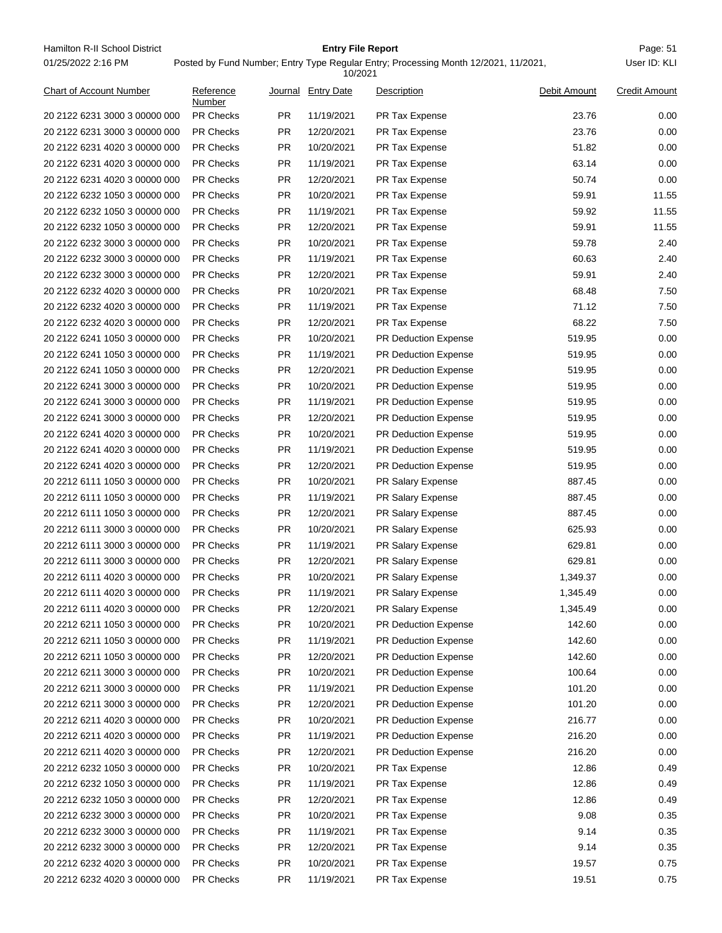Hamilton R-II School District **Example 2018** Entry File Report **Entry File Report** Page: 51 01/25/2022 2:16 PM

## **Entry File Report**

|                                |                     |           | 10/2021           |                             |              |                      |
|--------------------------------|---------------------|-----------|-------------------|-----------------------------|--------------|----------------------|
| <b>Chart of Account Number</b> | Reference<br>Number | Journal   | <b>Entry Date</b> | Description                 | Debit Amount | <b>Credit Amount</b> |
| 20 2122 6231 3000 3 00000 000  | <b>PR Checks</b>    | PR        | 11/19/2021        | PR Tax Expense              | 23.76        | 0.00                 |
| 20 2122 6231 3000 3 00000 000  | <b>PR Checks</b>    | <b>PR</b> | 12/20/2021        | PR Tax Expense              | 23.76        | 0.00                 |
| 20 2122 6231 4020 3 00000 000  | <b>PR Checks</b>    | <b>PR</b> | 10/20/2021        | PR Tax Expense              | 51.82        | 0.00                 |
| 20 2122 6231 4020 3 00000 000  | <b>PR Checks</b>    | PR.       | 11/19/2021        | PR Tax Expense              | 63.14        | 0.00                 |
| 20 2122 6231 4020 3 00000 000  | <b>PR Checks</b>    | PR.       | 12/20/2021        | PR Tax Expense              | 50.74        | 0.00                 |
| 20 2122 6232 1050 3 00000 000  | <b>PR Checks</b>    | <b>PR</b> | 10/20/2021        | PR Tax Expense              | 59.91        | 11.55                |
| 20 2122 6232 1050 3 00000 000  | PR Checks           | <b>PR</b> | 11/19/2021        | PR Tax Expense              | 59.92        | 11.55                |
| 20 2122 6232 1050 3 00000 000  | <b>PR Checks</b>    | <b>PR</b> | 12/20/2021        | PR Tax Expense              | 59.91        | 11.55                |
| 20 2122 6232 3000 3 00000 000  | <b>PR Checks</b>    | <b>PR</b> | 10/20/2021        | PR Tax Expense              | 59.78        | 2.40                 |
| 20 2122 6232 3000 3 00000 000  | <b>PR Checks</b>    | PR        | 11/19/2021        | PR Tax Expense              | 60.63        | 2.40                 |
| 20 2122 6232 3000 3 00000 000  | <b>PR Checks</b>    | PR.       | 12/20/2021        | PR Tax Expense              | 59.91        | 2.40                 |
| 20 2122 6232 4020 3 00000 000  | <b>PR Checks</b>    | PR.       | 10/20/2021        | PR Tax Expense              | 68.48        | 7.50                 |
| 20 2122 6232 4020 3 00000 000  | <b>PR Checks</b>    | PR        | 11/19/2021        | PR Tax Expense              | 71.12        | 7.50                 |
| 20 2122 6232 4020 3 00000 000  | <b>PR Checks</b>    | PR        | 12/20/2021        | PR Tax Expense              | 68.22        | 7.50                 |
| 20 2122 6241 1050 3 00000 000  | <b>PR Checks</b>    | <b>PR</b> | 10/20/2021        | PR Deduction Expense        | 519.95       | 0.00                 |
| 20 2122 6241 1050 3 00000 000  | <b>PR Checks</b>    | <b>PR</b> | 11/19/2021        | PR Deduction Expense        | 519.95       | 0.00                 |
| 20 2122 6241 1050 3 00000 000  | <b>PR Checks</b>    | <b>PR</b> | 12/20/2021        | PR Deduction Expense        | 519.95       | 0.00                 |
| 20 2122 6241 3000 3 00000 000  | <b>PR Checks</b>    | <b>PR</b> | 10/20/2021        | <b>PR Deduction Expense</b> | 519.95       | 0.00                 |
| 20 2122 6241 3000 3 00000 000  | <b>PR Checks</b>    | PR.       | 11/19/2021        | PR Deduction Expense        | 519.95       | 0.00                 |
| 20 2122 6241 3000 3 00000 000  | <b>PR Checks</b>    | PR.       | 12/20/2021        | <b>PR Deduction Expense</b> | 519.95       | 0.00                 |
| 20 2122 6241 4020 3 00000 000  | <b>PR Checks</b>    | PR        | 10/20/2021        | <b>PR Deduction Expense</b> | 519.95       | 0.00                 |
| 20 2122 6241 4020 3 00000 000  | <b>PR Checks</b>    | <b>PR</b> | 11/19/2021        | <b>PR Deduction Expense</b> | 519.95       | 0.00                 |
| 20 2122 6241 4020 3 00000 000  | <b>PR Checks</b>    | <b>PR</b> | 12/20/2021        | PR Deduction Expense        | 519.95       | 0.00                 |
| 20 2212 6111 1050 3 00000 000  | <b>PR Checks</b>    | <b>PR</b> | 10/20/2021        | PR Salary Expense           | 887.45       | 0.00                 |
| 20 2212 6111 1050 3 00000 000  | <b>PR Checks</b>    | <b>PR</b> | 11/19/2021        | PR Salary Expense           | 887.45       | 0.00                 |
| 20 2212 6111 1050 3 00000 000  | <b>PR Checks</b>    | <b>PR</b> | 12/20/2021        | PR Salary Expense           | 887.45       | 0.00                 |
| 20 2212 6111 3000 3 00000 000  | <b>PR Checks</b>    | PR.       | 10/20/2021        | PR Salary Expense           | 625.93       | 0.00                 |
| 20 2212 6111 3000 3 00000 000  | <b>PR Checks</b>    | PR.       | 11/19/2021        | PR Salary Expense           | 629.81       | 0.00                 |
| 20 2212 6111 3000 3 00000 000  | <b>PR Checks</b>    | <b>PR</b> | 12/20/2021        | PR Salary Expense           | 629.81       | 0.00                 |
| 20 2212 6111 4020 3 00000 000  | <b>PR Checks</b>    | <b>PR</b> | 10/20/2021        | PR Salary Expense           | 1,349.37     | 0.00                 |
| 20 2212 6111 4020 3 00000 000  | PR Checks           | <b>PR</b> | 11/19/2021        | PR Salary Expense           | 1,345.49     | 0.00                 |
| 20 2212 6111 4020 3 00000 000  | <b>PR Checks</b>    | <b>PR</b> | 12/20/2021        | PR Salary Expense           | 1,345.49     | 0.00                 |
| 20 2212 6211 1050 3 00000 000  | PR Checks           | <b>PR</b> | 10/20/2021        | PR Deduction Expense        | 142.60       | 0.00                 |
| 20 2212 6211 1050 3 00000 000  | PR Checks           | <b>PR</b> | 11/19/2021        | PR Deduction Expense        | 142.60       | 0.00                 |
| 20 2212 6211 1050 3 00000 000  | <b>PR Checks</b>    | <b>PR</b> | 12/20/2021        | PR Deduction Expense        | 142.60       | 0.00                 |
| 20 2212 6211 3000 3 00000 000  | PR Checks           | <b>PR</b> | 10/20/2021        | PR Deduction Expense        | 100.64       | 0.00                 |
| 20 2212 6211 3000 3 00000 000  | PR Checks           | <b>PR</b> | 11/19/2021        | PR Deduction Expense        | 101.20       | 0.00                 |
| 20 2212 6211 3000 3 00000 000  | PR Checks           | <b>PR</b> | 12/20/2021        | PR Deduction Expense        | 101.20       | 0.00                 |
| 20 2212 6211 4020 3 00000 000  | <b>PR Checks</b>    | <b>PR</b> | 10/20/2021        | PR Deduction Expense        | 216.77       | 0.00                 |
| 20 2212 6211 4020 3 00000 000  | <b>PR Checks</b>    | <b>PR</b> | 11/19/2021        | PR Deduction Expense        | 216.20       | 0.00                 |
| 20 2212 6211 4020 3 00000 000  | PR Checks           | <b>PR</b> | 12/20/2021        | PR Deduction Expense        | 216.20       | 0.00                 |
| 20 2212 6232 1050 3 00000 000  | PR Checks           | <b>PR</b> | 10/20/2021        | PR Tax Expense              | 12.86        | 0.49                 |
| 20 2212 6232 1050 3 00000 000  | <b>PR Checks</b>    | <b>PR</b> | 11/19/2021        | PR Tax Expense              | 12.86        | 0.49                 |
| 20 2212 6232 1050 3 00000 000  | PR Checks           | <b>PR</b> | 12/20/2021        | PR Tax Expense              | 12.86        | 0.49                 |
| 20 2212 6232 3000 3 00000 000  | PR Checks           | <b>PR</b> | 10/20/2021        | PR Tax Expense              | 9.08         | 0.35                 |
| 20 2212 6232 3000 3 00000 000  | PR Checks           | <b>PR</b> | 11/19/2021        | PR Tax Expense              | 9.14         | 0.35                 |
| 20 2212 6232 3000 3 00000 000  | <b>PR Checks</b>    | <b>PR</b> | 12/20/2021        | PR Tax Expense              | 9.14         | 0.35                 |
| 20 2212 6232 4020 3 00000 000  | PR Checks           | <b>PR</b> | 10/20/2021        | PR Tax Expense              | 19.57        | 0.75                 |
| 20 2212 6232 4020 3 00000 000  | PR Checks           | <b>PR</b> | 11/19/2021        | PR Tax Expense              | 19.51        | 0.75                 |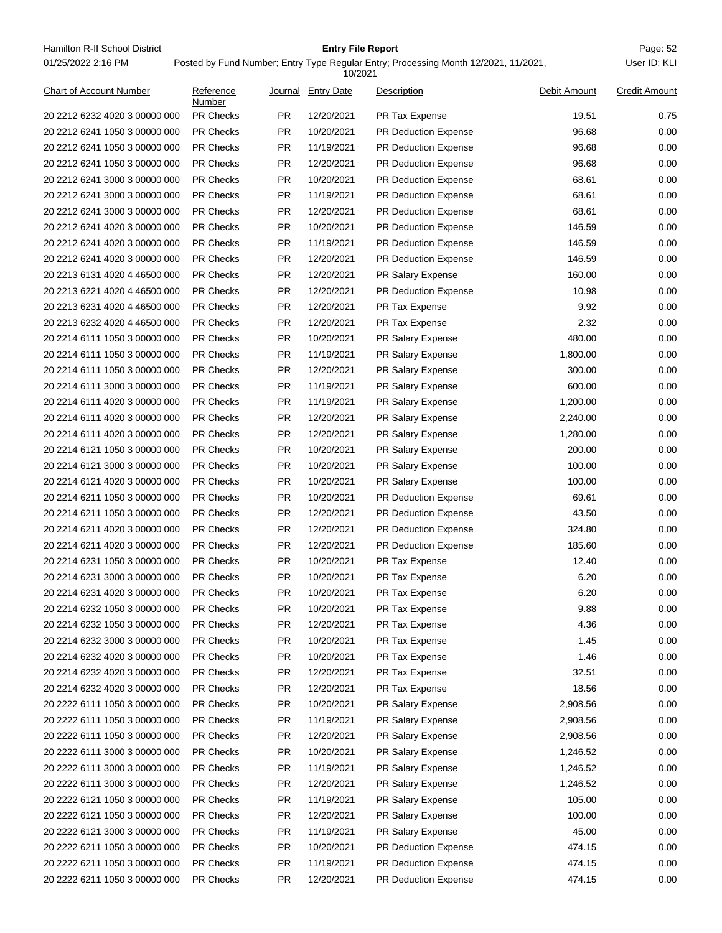Hamilton R-II School District **Entry File Report Entry File Report** Page: 52 01/25/2022 2:16 PM

## **Entry File Report**

| 10/2021                        |                     |           |                   |                             |              |                      |
|--------------------------------|---------------------|-----------|-------------------|-----------------------------|--------------|----------------------|
| <b>Chart of Account Number</b> | Reference<br>Number | Journal   | <b>Entry Date</b> | Description                 | Debit Amount | <b>Credit Amount</b> |
| 20 2212 6232 4020 3 00000 000  | <b>PR Checks</b>    | <b>PR</b> | 12/20/2021        | PR Tax Expense              | 19.51        | 0.75                 |
| 20 2212 6241 1050 3 00000 000  | <b>PR Checks</b>    | <b>PR</b> | 10/20/2021        | <b>PR Deduction Expense</b> | 96.68        | 0.00                 |
| 20 2212 6241 1050 3 00000 000  | <b>PR Checks</b>    | PR.       | 11/19/2021        | PR Deduction Expense        | 96.68        | 0.00                 |
| 20 2212 6241 1050 3 00000 000  | <b>PR Checks</b>    | <b>PR</b> | 12/20/2021        | <b>PR Deduction Expense</b> | 96.68        | 0.00                 |
| 20 2212 6241 3000 3 00000 000  | <b>PR Checks</b>    | <b>PR</b> | 10/20/2021        | <b>PR Deduction Expense</b> | 68.61        | 0.00                 |
| 20 2212 6241 3000 3 00000 000  | <b>PR Checks</b>    | <b>PR</b> | 11/19/2021        | <b>PR Deduction Expense</b> | 68.61        | 0.00                 |
| 20 2212 6241 3000 3 00000 000  | <b>PR Checks</b>    | <b>PR</b> | 12/20/2021        | PR Deduction Expense        | 68.61        | 0.00                 |
| 20 2212 6241 4020 3 00000 000  | <b>PR Checks</b>    | <b>PR</b> | 10/20/2021        | <b>PR Deduction Expense</b> | 146.59       | 0.00                 |
| 20 2212 6241 4020 3 00000 000  | <b>PR Checks</b>    | <b>PR</b> | 11/19/2021        | PR Deduction Expense        | 146.59       | 0.00                 |
| 20 2212 6241 4020 3 00000 000  | <b>PR Checks</b>    | <b>PR</b> | 12/20/2021        | <b>PR Deduction Expense</b> | 146.59       | 0.00                 |
| 20 2213 6131 4020 4 46500 000  | <b>PR Checks</b>    | <b>PR</b> | 12/20/2021        | PR Salary Expense           | 160.00       | 0.00                 |
| 20 2213 6221 4020 4 46500 000  | <b>PR Checks</b>    | PR.       | 12/20/2021        | PR Deduction Expense        | 10.98        | 0.00                 |
| 20 2213 6231 4020 4 46500 000  | <b>PR Checks</b>    | PR.       | 12/20/2021        | PR Tax Expense              | 9.92         | 0.00                 |
| 20 2213 6232 4020 4 46500 000  | <b>PR Checks</b>    | <b>PR</b> | 12/20/2021        | PR Tax Expense              | 2.32         | 0.00                 |
| 20 2214 6111 1050 3 00000 000  | <b>PR Checks</b>    | <b>PR</b> | 10/20/2021        | PR Salary Expense           | 480.00       | 0.00                 |
| 20 2214 6111 1050 3 00000 000  | <b>PR Checks</b>    | <b>PR</b> | 11/19/2021        | PR Salary Expense           | 1,800.00     | 0.00                 |
| 20 2214 6111 1050 3 00000 000  | <b>PR Checks</b>    | <b>PR</b> | 12/20/2021        | PR Salary Expense           | 300.00       | 0.00                 |
| 20 2214 6111 3000 3 00000 000  | <b>PR Checks</b>    | <b>PR</b> | 11/19/2021        | PR Salary Expense           | 600.00       | 0.00                 |
| 20 2214 6111 4020 3 00000 000  | <b>PR Checks</b>    | PR.       | 11/19/2021        | PR Salary Expense           | 1,200.00     | 0.00                 |
| 20 2214 6111 4020 3 00000 000  | <b>PR Checks</b>    | PR.       | 12/20/2021        | PR Salary Expense           | 2,240.00     | 0.00                 |
| 20 2214 6111 4020 3 00000 000  | <b>PR Checks</b>    | PR.       | 12/20/2021        | PR Salary Expense           | 1,280.00     | 0.00                 |
| 20 2214 6121 1050 3 00000 000  | <b>PR Checks</b>    | <b>PR</b> | 10/20/2021        | PR Salary Expense           | 200.00       | 0.00                 |
| 20 2214 6121 3000 3 00000 000  | <b>PR Checks</b>    | <b>PR</b> | 10/20/2021        | PR Salary Expense           | 100.00       | 0.00                 |
| 20 2214 6121 4020 3 00000 000  | <b>PR Checks</b>    | <b>PR</b> | 10/20/2021        | PR Salary Expense           | 100.00       | 0.00                 |
| 20 2214 6211 1050 3 00000 000  | <b>PR Checks</b>    | <b>PR</b> | 10/20/2021        | PR Deduction Expense        | 69.61        | 0.00                 |
| 20 2214 6211 1050 3 00000 000  | <b>PR Checks</b>    | <b>PR</b> | 12/20/2021        | <b>PR Deduction Expense</b> | 43.50        | 0.00                 |
| 20 2214 6211 4020 3 00000 000  | <b>PR Checks</b>    | PR.       | 12/20/2021        | PR Deduction Expense        | 324.80       | 0.00                 |
| 20 2214 6211 4020 3 00000 000  | <b>PR Checks</b>    | PR.       | 12/20/2021        | PR Deduction Expense        | 185.60       | 0.00                 |
| 20 2214 6231 1050 3 00000 000  | <b>PR Checks</b>    | PR.       | 10/20/2021        | PR Tax Expense              | 12.40        | 0.00                 |
| 20 2214 6231 3000 3 00000 000  | <b>PR Checks</b>    | <b>PR</b> | 10/20/2021        | PR Tax Expense              | 6.20         | 0.00                 |
| 20 2214 6231 4020 3 00000 000  | PR Checks           | <b>PR</b> | 10/20/2021        | PR Tax Expense              | 6.20         | 0.00                 |
| 20 2214 6232 1050 3 00000 000  | <b>PR Checks</b>    | <b>PR</b> | 10/20/2021        | PR Tax Expense              | 9.88         | 0.00                 |
| 20 2214 6232 1050 3 00000 000  | PR Checks           | <b>PR</b> | 12/20/2021        | PR Tax Expense              | 4.36         | 0.00                 |
| 20 2214 6232 3000 3 00000 000  | PR Checks           | <b>PR</b> | 10/20/2021        | PR Tax Expense              | 1.45         | 0.00                 |
| 20 2214 6232 4020 3 00000 000  | <b>PR Checks</b>    | <b>PR</b> | 10/20/2021        | PR Tax Expense              | 1.46         | 0.00                 |
| 20 2214 6232 4020 3 00000 000  | PR Checks           | <b>PR</b> | 12/20/2021        | PR Tax Expense              | 32.51        | 0.00                 |
| 20 2214 6232 4020 3 00000 000  | PR Checks           | <b>PR</b> | 12/20/2021        | PR Tax Expense              | 18.56        | 0.00                 |
| 20 2222 6111 1050 3 00000 000  | PR Checks           | <b>PR</b> | 10/20/2021        | PR Salary Expense           | 2,908.56     | 0.00                 |
| 20 2222 6111 1050 3 00000 000  | <b>PR Checks</b>    | <b>PR</b> | 11/19/2021        | PR Salary Expense           | 2,908.56     | 0.00                 |
| 20 2222 6111 1050 3 00000 000  | PR Checks           | <b>PR</b> | 12/20/2021        | PR Salary Expense           | 2,908.56     | 0.00                 |
| 20 2222 6111 3000 3 00000 000  | PR Checks           | <b>PR</b> | 10/20/2021        | PR Salary Expense           | 1,246.52     | 0.00                 |
| 20 2222 6111 3000 3 00000 000  | PR Checks           | <b>PR</b> | 11/19/2021        | PR Salary Expense           | 1,246.52     | 0.00                 |
| 20 2222 6111 3000 3 00000 000  | <b>PR Checks</b>    | <b>PR</b> | 12/20/2021        | PR Salary Expense           | 1,246.52     | 0.00                 |
| 20 2222 6121 1050 3 00000 000  | PR Checks           | <b>PR</b> | 11/19/2021        | PR Salary Expense           | 105.00       | 0.00                 |
| 20 2222 6121 1050 3 00000 000  | PR Checks           | <b>PR</b> | 12/20/2021        | PR Salary Expense           | 100.00       | 0.00                 |
| 20 2222 6121 3000 3 00000 000  | <b>PR Checks</b>    | <b>PR</b> | 11/19/2021        | PR Salary Expense           | 45.00        | 0.00                 |
| 20 2222 6211 1050 3 00000 000  | <b>PR Checks</b>    | <b>PR</b> | 10/20/2021        | PR Deduction Expense        | 474.15       | 0.00                 |
| 20 2222 6211 1050 3 00000 000  | PR Checks           | <b>PR</b> | 11/19/2021        | PR Deduction Expense        | 474.15       | 0.00                 |
| 20 2222 6211 1050 3 00000 000  | PR Checks           | <b>PR</b> | 12/20/2021        | PR Deduction Expense        | 474.15       | 0.00                 |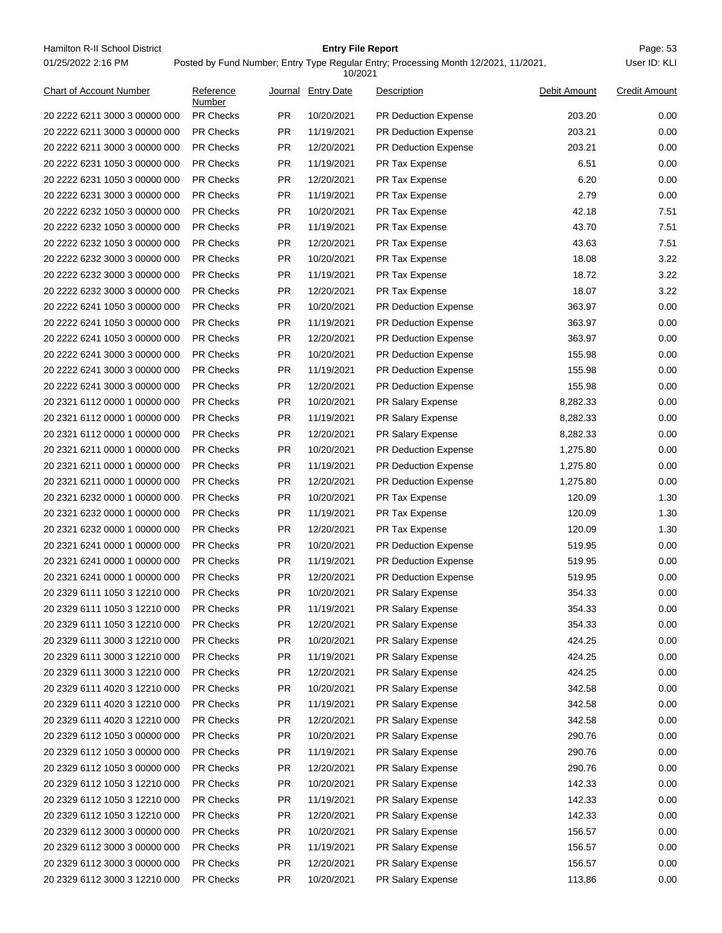Hamilton R-II School District **Entry File Report Entry File Report** Page: 53 01/25/2022 2:16 PM

## **Entry File Report**

Posted by Fund Number; Entry Type Regular Entry; Processing Month 12/2021, 11/2021,

|                                |                     |           | 10/2021            |                             |              |                      |
|--------------------------------|---------------------|-----------|--------------------|-----------------------------|--------------|----------------------|
| <b>Chart of Account Number</b> | Reference<br>Number |           | Journal Entry Date | Description                 | Debit Amount | <b>Credit Amount</b> |
| 20 2222 6211 3000 3 00000 000  | <b>PR Checks</b>    | PR.       | 10/20/2021         | <b>PR Deduction Expense</b> | 203.20       | 0.00                 |
| 20 2222 6211 3000 3 00000 000  | <b>PR Checks</b>    | <b>PR</b> | 11/19/2021         | <b>PR Deduction Expense</b> | 203.21       | 0.00                 |
| 20 2222 6211 3000 3 00000 000  | <b>PR Checks</b>    | PR.       | 12/20/2021         | PR Deduction Expense        | 203.21       | 0.00                 |
| 20 2222 6231 1050 3 00000 000  | <b>PR Checks</b>    | <b>PR</b> | 11/19/2021         | PR Tax Expense              | 6.51         | 0.00                 |
| 20 2222 6231 1050 3 00000 000  | <b>PR Checks</b>    | PR.       | 12/20/2021         | PR Tax Expense              | 6.20         | 0.00                 |
| 20 2222 6231 3000 3 00000 000  | <b>PR Checks</b>    | PR.       | 11/19/2021         | PR Tax Expense              | 2.79         | 0.00                 |
| 20 2222 6232 1050 3 00000 000  | <b>PR Checks</b>    | <b>PR</b> | 10/20/2021         | PR Tax Expense              | 42.18        | 7.51                 |
| 20 2222 6232 1050 3 00000 000  | <b>PR Checks</b>    | PR.       | 11/19/2021         | PR Tax Expense              | 43.70        | 7.51                 |
| 20 2222 6232 1050 3 00000 000  | <b>PR Checks</b>    | PR.       | 12/20/2021         | PR Tax Expense              | 43.63        | 7.51                 |
| 20 2222 6232 3000 3 00000 000  | <b>PR Checks</b>    | <b>PR</b> | 10/20/2021         | PR Tax Expense              | 18.08        | 3.22                 |
| 20 2222 6232 3000 3 00000 000  | <b>PR Checks</b>    | PR.       | 11/19/2021         | PR Tax Expense              | 18.72        | 3.22                 |
| 20 2222 6232 3000 3 00000 000  | <b>PR Checks</b>    | <b>PR</b> | 12/20/2021         | PR Tax Expense              | 18.07        | 3.22                 |
| 20 2222 6241 1050 3 00000 000  | <b>PR Checks</b>    | PR.       | 10/20/2021         | <b>PR Deduction Expense</b> | 363.97       | 0.00                 |
| 20 2222 6241 1050 3 00000 000  | <b>PR Checks</b>    | PR.       | 11/19/2021         | <b>PR Deduction Expense</b> | 363.97       | 0.00                 |
| 20 2222 6241 1050 3 00000 000  | PR Checks           | <b>PR</b> | 12/20/2021         | <b>PR Deduction Expense</b> | 363.97       | 0.00                 |
| 20 2222 6241 3000 3 00000 000  | <b>PR Checks</b>    | PR.       | 10/20/2021         | PR Deduction Expense        | 155.98       | 0.00                 |
| 20 2222 6241 3000 3 00000 000  | <b>PR Checks</b>    | PR.       | 11/19/2021         | PR Deduction Expense        | 155.98       | 0.00                 |
| 20 2222 6241 3000 3 00000 000  | <b>PR Checks</b>    | <b>PR</b> | 12/20/2021         | <b>PR Deduction Expense</b> | 155.98       | 0.00                 |
| 20 2321 6112 0000 1 00000 000  | <b>PR Checks</b>    | PR.       | 10/20/2021         | PR Salary Expense           | 8,282.33     | 0.00                 |
| 20 2321 6112 0000 1 00000 000  | <b>PR Checks</b>    | PR.       | 11/19/2021         | PR Salary Expense           | 8,282.33     | 0.00                 |
| 20 2321 6112 0000 1 00000 000  | <b>PR Checks</b>    | PR.       | 12/20/2021         | PR Salary Expense           | 8,282.33     | 0.00                 |
| 20 2321 6211 0000 1 00000 000  | <b>PR Checks</b>    | <b>PR</b> | 10/20/2021         | <b>PR Deduction Expense</b> | 1,275.80     | 0.00                 |
| 20 2321 6211 0000 1 00000 000  | <b>PR Checks</b>    | <b>PR</b> | 11/19/2021         | PR Deduction Expense        | 1,275.80     | 0.00                 |
| 20 2321 6211 0000 1 00000 000  | <b>PR Checks</b>    | PR.       | 12/20/2021         | PR Deduction Expense        | 1,275.80     | 0.00                 |
| 20 2321 6232 0000 1 00000 000  | <b>PR Checks</b>    | <b>PR</b> | 10/20/2021         | PR Tax Expense              | 120.09       | 1.30                 |
| 20 2321 6232 0000 1 00000 000  | <b>PR Checks</b>    | <b>PR</b> | 11/19/2021         | PR Tax Expense              | 120.09       | 1.30                 |
| 20 2321 6232 0000 1 00000 000  | <b>PR Checks</b>    | PR.       | 12/20/2021         | PR Tax Expense              | 120.09       | 1.30                 |
| 20 2321 6241 0000 1 00000 000  | <b>PR Checks</b>    | PR.       | 10/20/2021         | PR Deduction Expense        | 519.95       | 0.00                 |
| 20 2321 6241 0000 1 00000 000  | <b>PR Checks</b>    | PR.       | 11/19/2021         | PR Deduction Expense        | 519.95       | 0.00                 |
| 20 2321 6241 0000 1 00000 000  | <b>PR Checks</b>    | <b>PR</b> | 12/20/2021         | <b>PR Deduction Expense</b> | 519.95       | 0.00                 |
| 20 2329 6111 1050 3 12210 000  | <b>PR Checks</b>    | PR.       | 10/20/2021         | PR Salary Expense           | 354.33       | 0.00                 |
| 20 2329 6111 1050 3 12210 000  | PR Checks           | PR.       | 11/19/2021         | PR Salary Expense           | 354.33       | 0.00                 |
| 20 2329 6111 1050 3 12210 000  | PR Checks           | PR        | 12/20/2021         | PR Salary Expense           | 354.33       | 0.00                 |
|                                | PR Checks           | PR        |                    | <b>PR Salary Expense</b>    | 424.25       | 0.00                 |
| 20 2329 6111 3000 3 12210 000  |                     |           | 10/20/2021         | PR Salary Expense           | 424.25       | 0.00                 |
| 20 2329 6111 3000 3 12210 000  | <b>PR Checks</b>    | PR        | 11/19/2021         |                             |              |                      |
| 20 2329 6111 3000 3 12210 000  | PR Checks           | <b>PR</b> | 12/20/2021         | PR Salary Expense           | 424.25       | 0.00                 |
| 20 2329 6111 4020 3 12210 000  | PR Checks           | <b>PR</b> | 10/20/2021         | PR Salary Expense           | 342.58       | 0.00                 |
| 20 2329 6111 4020 3 12210 000  | PR Checks           | <b>PR</b> | 11/19/2021         | PR Salary Expense           | 342.58       | 0.00                 |
| 20 2329 6111 4020 3 12210 000  | <b>PR Checks</b>    | PR        | 12/20/2021         | PR Salary Expense           | 342.58       | 0.00                 |
| 20 2329 6112 1050 3 00000 000  | PR Checks           | <b>PR</b> | 10/20/2021         | PR Salary Expense           | 290.76       | 0.00                 |
| 20 2329 6112 1050 3 00000 000  | PR Checks           | <b>PR</b> | 11/19/2021         | PR Salary Expense           | 290.76       | 0.00                 |
| 20 2329 6112 1050 3 00000 000  | PR Checks           | <b>PR</b> | 12/20/2021         | PR Salary Expense           | 290.76       | 0.00                 |
| 20 2329 6112 1050 3 12210 000  | <b>PR Checks</b>    | <b>PR</b> | 10/20/2021         | PR Salary Expense           | 142.33       | 0.00                 |
| 20 2329 6112 1050 3 12210 000  | PR Checks           | <b>PR</b> | 11/19/2021         | PR Salary Expense           | 142.33       | 0.00                 |
| 20 2329 6112 1050 3 12210 000  | PR Checks           | <b>PR</b> | 12/20/2021         | PR Salary Expense           | 142.33       | 0.00                 |
| 20 2329 6112 3000 3 00000 000  | PR Checks           | <b>PR</b> | 10/20/2021         | PR Salary Expense           | 156.57       | 0.00                 |
| 20 2329 6112 3000 3 00000 000  | <b>PR Checks</b>    | PR        | 11/19/2021         | PR Salary Expense           | 156.57       | 0.00                 |
| 20 2329 6112 3000 3 00000 000  | PR Checks           | <b>PR</b> | 12/20/2021         | PR Salary Expense           | 156.57       | 0.00                 |
| 20 2329 6112 3000 3 12210 000  | PR Checks           | <b>PR</b> | 10/20/2021         | PR Salary Expense           | 113.86       | 0.00                 |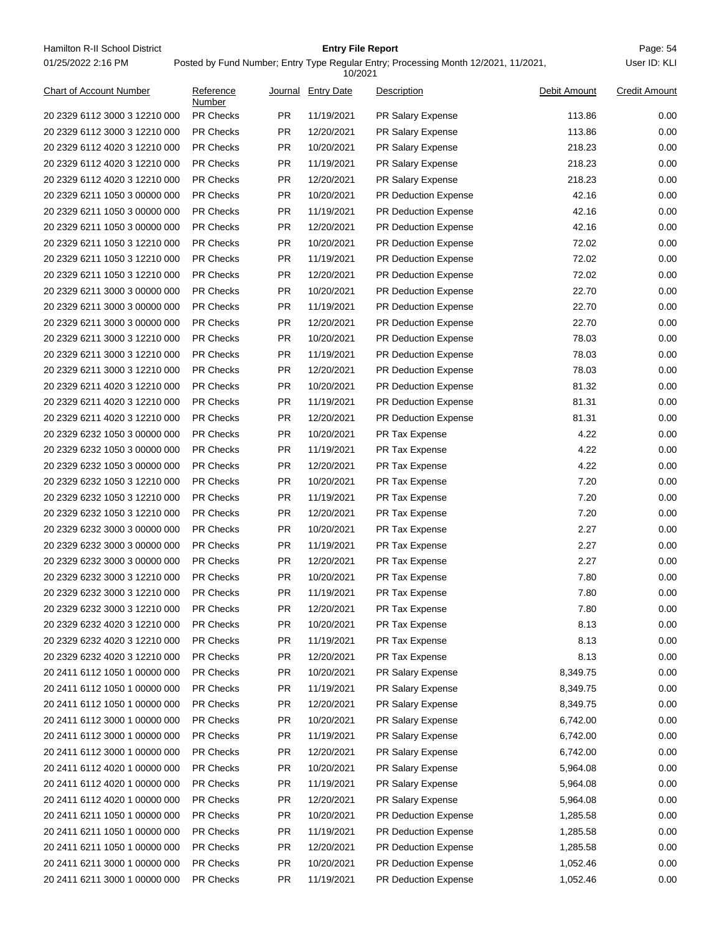Hamilton R-II School District **Entry File Report Entry File Report** Page: 54 01/25/2022 2:16 PM

## **Entry File Report**

| 10/2021                       |                     |           |                    |                             |              |                      |
|-------------------------------|---------------------|-----------|--------------------|-----------------------------|--------------|----------------------|
| Chart of Account Number       | Reference<br>Number |           | Journal Entry Date | Description                 | Debit Amount | <b>Credit Amount</b> |
| 20 2329 6112 3000 3 12210 000 | <b>PR Checks</b>    | PR.       | 11/19/2021         | PR Salary Expense           | 113.86       | 0.00                 |
| 20 2329 6112 3000 3 12210 000 | <b>PR Checks</b>    | <b>PR</b> | 12/20/2021         | <b>PR Salary Expense</b>    | 113.86       | 0.00                 |
| 20 2329 6112 4020 3 12210 000 | <b>PR Checks</b>    | <b>PR</b> | 10/20/2021         | PR Salary Expense           | 218.23       | 0.00                 |
| 20 2329 6112 4020 3 12210 000 | <b>PR Checks</b>    | PR.       | 11/19/2021         | PR Salary Expense           | 218.23       | 0.00                 |
| 20 2329 6112 4020 3 12210 000 | <b>PR Checks</b>    | PR.       | 12/20/2021         | PR Salary Expense           | 218.23       | 0.00                 |
| 20 2329 6211 1050 3 00000 000 | <b>PR Checks</b>    | PR.       | 10/20/2021         | <b>PR Deduction Expense</b> | 42.16        | 0.00                 |
| 20 2329 6211 1050 3 00000 000 | PR Checks           | <b>PR</b> | 11/19/2021         | PR Deduction Expense        | 42.16        | 0.00                 |
| 20 2329 6211 1050 3 00000 000 | <b>PR Checks</b>    | PR.       | 12/20/2021         | PR Deduction Expense        | 42.16        | 0.00                 |
| 20 2329 6211 1050 3 12210 000 | <b>PR Checks</b>    | <b>PR</b> | 10/20/2021         | PR Deduction Expense        | 72.02        | 0.00                 |
| 20 2329 6211 1050 3 12210 000 | <b>PR Checks</b>    | <b>PR</b> | 11/19/2021         | <b>PR Deduction Expense</b> | 72.02        | 0.00                 |
| 20 2329 6211 1050 3 12210 000 | <b>PR Checks</b>    | PR.       | 12/20/2021         | PR Deduction Expense        | 72.02        | 0.00                 |
| 20 2329 6211 3000 3 00000 000 | <b>PR Checks</b>    | PR.       | 10/20/2021         | PR Deduction Expense        | 22.70        | 0.00                 |
| 20 2329 6211 3000 3 00000 000 | <b>PR Checks</b>    | PR.       | 11/19/2021         | <b>PR Deduction Expense</b> | 22.70        | 0.00                 |
| 20 2329 6211 3000 3 00000 000 | <b>PR Checks</b>    | PR.       | 12/20/2021         | <b>PR Deduction Expense</b> | 22.70        | 0.00                 |
| 20 2329 6211 3000 3 12210 000 | PR Checks           | <b>PR</b> | 10/20/2021         | PR Deduction Expense        | 78.03        | 0.00                 |
| 20 2329 6211 3000 3 12210 000 | <b>PR Checks</b>    | PR.       | 11/19/2021         | <b>PR Deduction Expense</b> | 78.03        | 0.00                 |
| 20 2329 6211 3000 3 12210 000 | <b>PR Checks</b>    | <b>PR</b> | 12/20/2021         | PR Deduction Expense        | 78.03        | 0.00                 |
| 20 2329 6211 4020 3 12210 000 | <b>PR Checks</b>    | <b>PR</b> | 10/20/2021         | <b>PR Deduction Expense</b> | 81.32        | 0.00                 |
| 20 2329 6211 4020 3 12210 000 | <b>PR Checks</b>    | PR.       | 11/19/2021         | PR Deduction Expense        | 81.31        | 0.00                 |
| 20 2329 6211 4020 3 12210 000 | <b>PR Checks</b>    | PR.       | 12/20/2021         | PR Deduction Expense        | 81.31        | 0.00                 |
| 20 2329 6232 1050 3 00000 000 | <b>PR Checks</b>    | PR.       | 10/20/2021         | PR Tax Expense              | 4.22         | 0.00                 |
| 20 2329 6232 1050 3 00000 000 | <b>PR Checks</b>    | PR.       | 11/19/2021         | PR Tax Expense              | 4.22         | 0.00                 |
| 20 2329 6232 1050 3 00000 000 | PR Checks           | <b>PR</b> | 12/20/2021         | PR Tax Expense              | 4.22         | 0.00                 |
| 20 2329 6232 1050 3 12210 000 | <b>PR Checks</b>    | PR.       | 10/20/2021         | PR Tax Expense              | 7.20         | 0.00                 |
| 20 2329 6232 1050 3 12210 000 | <b>PR Checks</b>    | <b>PR</b> | 11/19/2021         | PR Tax Expense              | 7.20         | 0.00                 |
| 20 2329 6232 1050 3 12210 000 | <b>PR Checks</b>    | <b>PR</b> | 12/20/2021         | PR Tax Expense              | 7.20         | 0.00                 |
| 20 2329 6232 3000 3 00000 000 | <b>PR Checks</b>    | PR.       | 10/20/2021         | PR Tax Expense              | 2.27         | 0.00                 |
| 20 2329 6232 3000 3 00000 000 | <b>PR Checks</b>    | PR.       | 11/19/2021         | PR Tax Expense              | 2.27         | 0.00                 |
| 20 2329 6232 3000 3 00000 000 | <b>PR Checks</b>    | PR.       | 12/20/2021         | PR Tax Expense              | 2.27         | 0.00                 |
| 20 2329 6232 3000 3 12210 000 | <b>PR Checks</b>    | PR.       | 10/20/2021         | PR Tax Expense              | 7.80         | 0.00                 |
| 20 2329 6232 3000 3 12210 000 | PR Checks           | <b>PR</b> | 11/19/2021         | PR Tax Expense              | 7.80         | 0.00                 |
| 20 2329 6232 3000 3 12210 000 | PR Checks           | <b>PR</b> | 12/20/2021         | PR Tax Expense              | 7.80         | 0.00                 |
| 20 2329 6232 4020 3 12210 000 | <b>PR Checks</b>    | <b>PR</b> | 10/20/2021         | PR Tax Expense              | 8.13         | 0.00                 |
| 20 2329 6232 4020 3 12210 000 | PR Checks           | <b>PR</b> | 11/19/2021         | PR Tax Expense              | 8.13         | 0.00                 |
| 20 2329 6232 4020 3 12210 000 | <b>PR Checks</b>    | <b>PR</b> | 12/20/2021         | PR Tax Expense              | 8.13         | 0.00                 |
| 20 2411 6112 1050 1 00000 000 | PR Checks           | <b>PR</b> | 10/20/2021         | PR Salary Expense           | 8,349.75     | 0.00                 |
| 20 2411 6112 1050 1 00000 000 | <b>PR Checks</b>    | <b>PR</b> | 11/19/2021         | PR Salary Expense           | 8,349.75     | 0.00                 |
| 20 2411 6112 1050 1 00000 000 | PR Checks           | <b>PR</b> | 12/20/2021         | PR Salary Expense           | 8,349.75     | 0.00                 |
| 20 2411 6112 3000 1 00000 000 | <b>PR Checks</b>    | <b>PR</b> | 10/20/2021         | PR Salary Expense           | 6,742.00     | 0.00                 |
| 20 2411 6112 3000 1 00000 000 | PR Checks           | <b>PR</b> | 11/19/2021         | PR Salary Expense           | 6,742.00     | 0.00                 |
| 20 2411 6112 3000 1 00000 000 | PR Checks           | <b>PR</b> | 12/20/2021         | PR Salary Expense           | 6,742.00     | 0.00                 |
| 20 2411 6112 4020 1 00000 000 | PR Checks           | <b>PR</b> | 10/20/2021         | PR Salary Expense           | 5,964.08     | 0.00                 |
| 20 2411 6112 4020 1 00000 000 | <b>PR Checks</b>    | <b>PR</b> | 11/19/2021         | PR Salary Expense           | 5,964.08     | 0.00                 |
| 20 2411 6112 4020 1 00000 000 | PR Checks           | <b>PR</b> | 12/20/2021         | PR Salary Expense           | 5,964.08     | 0.00                 |
| 20 2411 6211 1050 1 00000 000 | PR Checks           | <b>PR</b> | 10/20/2021         | PR Deduction Expense        | 1,285.58     | 0.00                 |
| 20 2411 6211 1050 1 00000 000 | PR Checks           | <b>PR</b> | 11/19/2021         | PR Deduction Expense        | 1,285.58     | 0.00                 |
| 20 2411 6211 1050 1 00000 000 | <b>PR Checks</b>    | <b>PR</b> | 12/20/2021         | PR Deduction Expense        | 1,285.58     | 0.00                 |
| 20 2411 6211 3000 1 00000 000 | PR Checks           | <b>PR</b> | 10/20/2021         | PR Deduction Expense        | 1,052.46     | 0.00                 |
| 20 2411 6211 3000 1 00000 000 | PR Checks           | <b>PR</b> | 11/19/2021         | PR Deduction Expense        | 1,052.46     | 0.00                 |
|                               |                     |           |                    |                             |              |                      |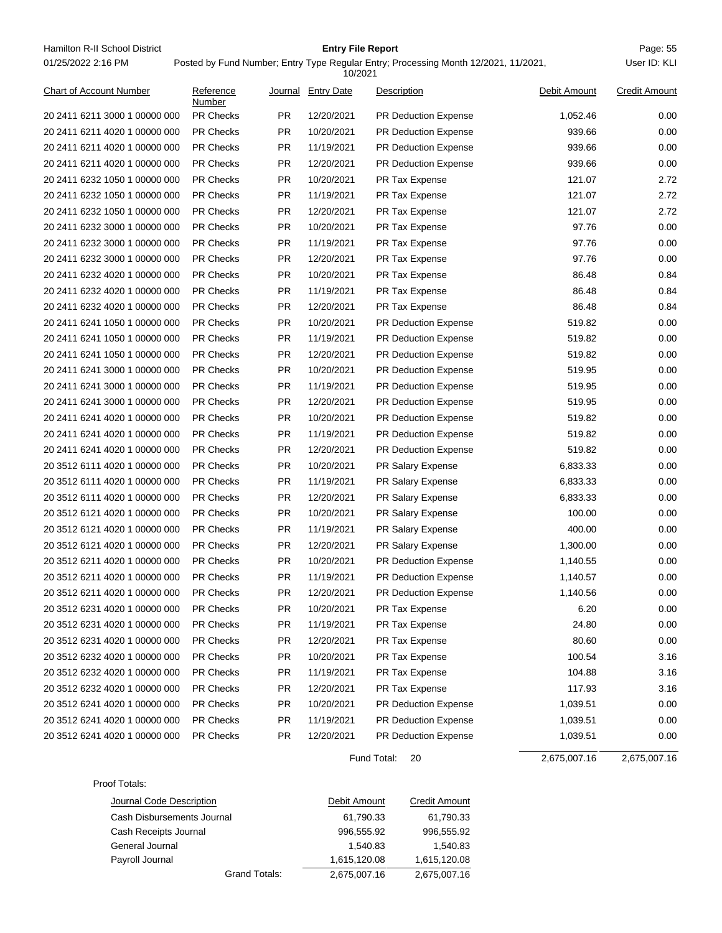Hamilton R-II School District **Entry File Report Entry File Report** Page: 55 01/25/2022 2:16 PM

## **Entry File Report**

Posted by Fund Number; Entry Type Regular Entry; Processing Month 12/2021, 11/2021,

User ID: KLI

|                                |                     |           | 10/2021           |                             |              |                      |
|--------------------------------|---------------------|-----------|-------------------|-----------------------------|--------------|----------------------|
| <b>Chart of Account Number</b> | Reference<br>Number | Journal   | <b>Entry Date</b> | Description                 | Debit Amount | <b>Credit Amount</b> |
| 20 2411 6211 3000 1 00000 000  | <b>PR Checks</b>    | <b>PR</b> | 12/20/2021        | <b>PR Deduction Expense</b> | 1,052.46     | 0.00                 |
| 20 2411 6211 4020 1 00000 000  | <b>PR Checks</b>    | <b>PR</b> | 10/20/2021        | <b>PR Deduction Expense</b> | 939.66       | 0.00                 |
| 20 2411 6211 4020 1 00000 000  | <b>PR Checks</b>    | PR.       | 11/19/2021        | PR Deduction Expense        | 939.66       | 0.00                 |
| 20 2411 6211 4020 1 00000 000  | <b>PR Checks</b>    | PR.       | 12/20/2021        | PR Deduction Expense        | 939.66       | 0.00                 |
| 20 2411 6232 1050 1 00000 000  | <b>PR Checks</b>    | PR.       | 10/20/2021        | PR Tax Expense              | 121.07       | 2.72                 |
| 20 2411 6232 1050 1 00000 000  | <b>PR Checks</b>    | <b>PR</b> | 11/19/2021        | PR Tax Expense              | 121.07       | 2.72                 |
| 20 2411 6232 1050 1 00000 000  | <b>PR Checks</b>    | <b>PR</b> | 12/20/2021        | PR Tax Expense              | 121.07       | 2.72                 |
| 20 2411 6232 3000 1 00000 000  | <b>PR Checks</b>    | <b>PR</b> | 10/20/2021        | PR Tax Expense              | 97.76        | 0.00                 |
| 20 2411 6232 3000 1 00000 000  | <b>PR Checks</b>    | <b>PR</b> | 11/19/2021        | PR Tax Expense              | 97.76        | 0.00                 |
| 20 2411 6232 3000 1 00000 000  | <b>PR Checks</b>    | <b>PR</b> | 12/20/2021        | PR Tax Expense              | 97.76        | 0.00                 |
| 20 2411 6232 4020 1 00000 000  | <b>PR Checks</b>    | PR.       | 10/20/2021        | PR Tax Expense              | 86.48        | 0.84                 |
| 20 2411 6232 4020 1 00000 000  | <b>PR Checks</b>    | <b>PR</b> | 11/19/2021        | PR Tax Expense              | 86.48        | 0.84                 |
| 20 2411 6232 4020 1 00000 000  | <b>PR Checks</b>    | PR.       | 12/20/2021        | PR Tax Expense              | 86.48        | 0.84                 |
| 20 2411 6241 1050 1 00000 000  | <b>PR Checks</b>    | PR        | 10/20/2021        | <b>PR Deduction Expense</b> | 519.82       | 0.00                 |
| 20 2411 6241 1050 1 00000 000  | <b>PR Checks</b>    | <b>PR</b> | 11/19/2021        | PR Deduction Expense        | 519.82       | 0.00                 |
| 20 2411 6241 1050 1 00000 000  | <b>PR Checks</b>    | <b>PR</b> | 12/20/2021        | PR Deduction Expense        | 519.82       | 0.00                 |
| 20 2411 6241 3000 1 00000 000  | <b>PR Checks</b>    | PR        | 10/20/2021        | PR Deduction Expense        | 519.95       | 0.00                 |
| 20 2411 6241 3000 1 00000 000  | <b>PR Checks</b>    | <b>PR</b> | 11/19/2021        | <b>PR Deduction Expense</b> | 519.95       | 0.00                 |
| 20 2411 6241 3000 1 00000 000  | <b>PR Checks</b>    | PR.       | 12/20/2021        | PR Deduction Expense        | 519.95       | 0.00                 |
| 20 2411 6241 4020 1 00000 000  | <b>PR Checks</b>    | PR.       | 10/20/2021        | PR Deduction Expense        | 519.82       | 0.00                 |
| 20 2411 6241 4020 1 00000 000  | <b>PR Checks</b>    | PR.       | 11/19/2021        | <b>PR Deduction Expense</b> | 519.82       | 0.00                 |
| 20 2411 6241 4020 1 00000 000  | <b>PR Checks</b>    | <b>PR</b> | 12/20/2021        | <b>PR Deduction Expense</b> | 519.82       | 0.00                 |
| 20 3512 6111 4020 1 00000 000  | <b>PR Checks</b>    | <b>PR</b> | 10/20/2021        | PR Salary Expense           | 6,833.33     | 0.00                 |
| 20 3512 6111 4020 1 00000 000  | <b>PR Checks</b>    | <b>PR</b> | 11/19/2021        | PR Salary Expense           | 6,833.33     | 0.00                 |
| 20 3512 6111 4020 1 00000 000  | <b>PR Checks</b>    | PR        | 12/20/2021        | PR Salary Expense           | 6,833.33     | 0.00                 |
| 20 3512 6121 4020 1 00000 000  | <b>PR Checks</b>    | PR        | 10/20/2021        | PR Salary Expense           | 100.00       | 0.00                 |
| 20 3512 6121 4020 1 00000 000  | <b>PR Checks</b>    | PR.       | 11/19/2021        | PR Salary Expense           | 400.00       | 0.00                 |
| 20 3512 6121 4020 1 00000 000  | <b>PR Checks</b>    | PR.       | 12/20/2021        | PR Salary Expense           | 1,300.00     | 0.00                 |
| 20 3512 6211 4020 1 00000 000  | <b>PR Checks</b>    | PR.       | 10/20/2021        | PR Deduction Expense        | 1,140.55     | 0.00                 |
| 20 3512 6211 4020 1 00000 000  | <b>PR Checks</b>    | <b>PR</b> | 11/19/2021        | <b>PR Deduction Expense</b> | 1,140.57     | 0.00                 |
| 20 3512 6211 4020 1 00000 000  | <b>PR Checks</b>    | <b>PR</b> | 12/20/2021        | <b>PR Deduction Expense</b> | 1,140.56     | 0.00                 |
| 20 3512 6231 4020 1 00000 000  | <b>PR Checks</b>    | <b>PR</b> | 10/20/2021        | PR Tax Expense              | 6.20         | 0.00                 |
| 20 3512 6231 4020 1 00000 000  | PR Checks           | <b>PR</b> | 11/19/2021        | PR Tax Expense              | 24.80        | 0.00                 |
| 20 3512 6231 4020 1 00000 000  | PR Checks           | <b>PR</b> | 12/20/2021        | PR Tax Expense              | 80.60        | 0.00                 |
| 20 3512 6232 4020 1 00000 000  | <b>PR Checks</b>    | <b>PR</b> | 10/20/2021        | PR Tax Expense              | 100.54       | 3.16                 |
| 20 3512 6232 4020 1 00000 000  | PR Checks           | <b>PR</b> | 11/19/2021        | PR Tax Expense              | 104.88       | 3.16                 |
| 20 3512 6232 4020 1 00000 000  | PR Checks           | <b>PR</b> | 12/20/2021        | PR Tax Expense              | 117.93       | 3.16                 |
| 20 3512 6241 4020 1 00000 000  | PR Checks           | <b>PR</b> | 10/20/2021        | PR Deduction Expense        | 1,039.51     | 0.00                 |
| 20 3512 6241 4020 1 00000 000  | PR Checks           | <b>PR</b> | 11/19/2021        | PR Deduction Expense        | 1,039.51     | 0.00                 |
| 20 3512 6241 4020 1 00000 000  | PR Checks           | <b>PR</b> | 12/20/2021        | PR Deduction Expense        | 1,039.51     | 0.00                 |

Fund Total: 20

 $2,675,007.16$   $2,675,007.16$ 

Proof Totals:

| Journal Code Description   | Debit Amount | <b>Credit Amount</b> |
|----------------------------|--------------|----------------------|
| Cash Disbursements Journal | 61,790.33    | 61,790.33            |
| Cash Receipts Journal      | 996.555.92   | 996.555.92           |
| General Journal            | 1.540.83     | 1.540.83             |
| Payroll Journal            | 1.615.120.08 | 1,615,120.08         |
| Grand Totals:              | 2,675,007.16 | 2,675,007.16         |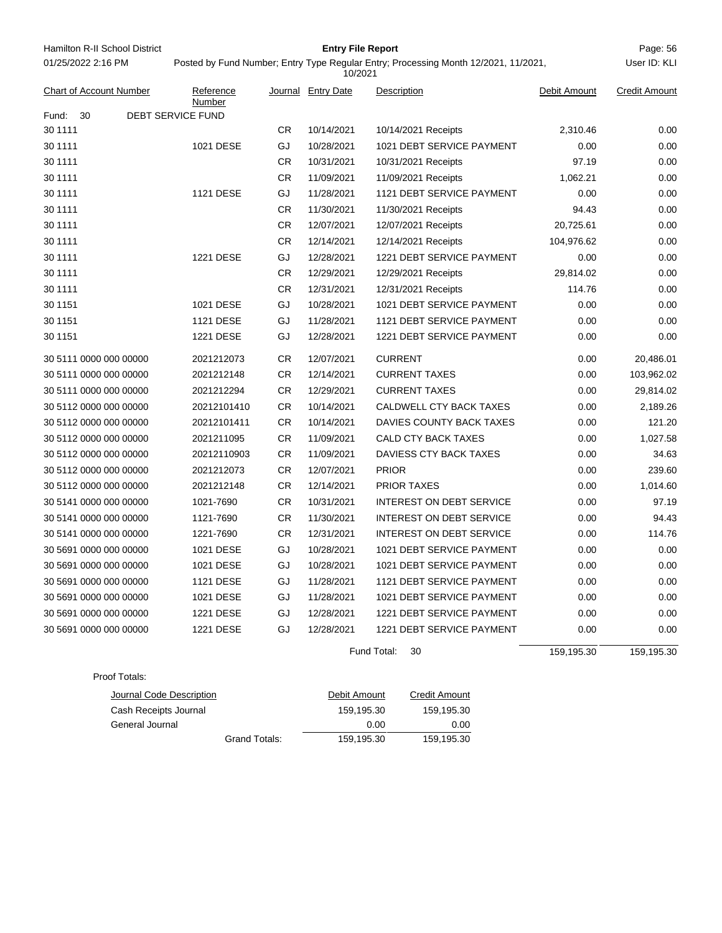| Hamilton R-II School District |                          |                                                                                                | <b>Entry File Report</b> |                                 |              | Page: 56             |
|-------------------------------|--------------------------|------------------------------------------------------------------------------------------------|--------------------------|---------------------------------|--------------|----------------------|
| 01/25/2022 2:16 PM            |                          | Posted by Fund Number; Entry Type Regular Entry; Processing Month 12/2021, 11/2021,<br>10/2021 |                          |                                 |              | User ID: KLI         |
| Chart of Account Number       | Reference<br>Number      |                                                                                                | Journal Entry Date       | Description                     | Debit Amount | <b>Credit Amount</b> |
| 30<br>Fund:                   | <b>DEBT SERVICE FUND</b> |                                                                                                |                          |                                 |              |                      |
| 30 1111                       |                          | <b>CR</b>                                                                                      | 10/14/2021               | 10/14/2021 Receipts             | 2,310.46     | 0.00                 |
| 30 1111                       | 1021 DESE                | GJ                                                                                             | 10/28/2021               | 1021 DEBT SERVICE PAYMENT       | 0.00         | 0.00                 |
| 30 1111                       |                          | <b>CR</b>                                                                                      | 10/31/2021               | 10/31/2021 Receipts             | 97.19        | 0.00                 |
| 30 1111                       |                          | CR                                                                                             | 11/09/2021               | 11/09/2021 Receipts             | 1,062.21     | 0.00                 |
| 30 1111                       | 1121 DESE                | GJ                                                                                             | 11/28/2021               | 1121 DEBT SERVICE PAYMENT       | 0.00         | 0.00                 |
| 30 1111                       |                          | <b>CR</b>                                                                                      | 11/30/2021               | 11/30/2021 Receipts             | 94.43        | 0.00                 |
| 30 1111                       |                          | CR                                                                                             | 12/07/2021               | 12/07/2021 Receipts             | 20,725.61    | 0.00                 |
| 30 1111                       |                          | <b>CR</b>                                                                                      | 12/14/2021               | 12/14/2021 Receipts             | 104,976.62   | 0.00                 |
| 30 1111                       | 1221 DESE                | GJ                                                                                             | 12/28/2021               | 1221 DEBT SERVICE PAYMENT       | 0.00         | 0.00                 |
| 30 1111                       |                          | <b>CR</b>                                                                                      | 12/29/2021               | 12/29/2021 Receipts             | 29,814.02    | 0.00                 |
| 30 1111                       |                          | CR                                                                                             | 12/31/2021               | 12/31/2021 Receipts             | 114.76       | 0.00                 |
| 30 1151                       | 1021 DESE                | GJ                                                                                             | 10/28/2021               | 1021 DEBT SERVICE PAYMENT       | 0.00         | 0.00                 |
| 30 1151                       | 1121 DESE                | GJ                                                                                             | 11/28/2021               | 1121 DEBT SERVICE PAYMENT       | 0.00         | 0.00                 |
| 30 1151                       | 1221 DESE                | GJ                                                                                             | 12/28/2021               | 1221 DEBT SERVICE PAYMENT       | 0.00         | 0.00                 |
| 30 5111 0000 000 00000        | 2021212073               | <b>CR</b>                                                                                      | 12/07/2021               | <b>CURRENT</b>                  | 0.00         | 20,486.01            |
| 30 5111 0000 000 00000        | 2021212148               | CR.                                                                                            | 12/14/2021               | <b>CURRENT TAXES</b>            | 0.00         | 103,962.02           |
| 30 5111 0000 000 00000        | 2021212294               | <b>CR</b>                                                                                      | 12/29/2021               | <b>CURRENT TAXES</b>            | 0.00         | 29,814.02            |
| 30 5112 0000 000 00000        | 20212101410              | CR.                                                                                            | 10/14/2021               | CALDWELL CTY BACK TAXES         | 0.00         | 2,189.26             |
| 30 5112 0000 000 00000        | 20212101411              | CR                                                                                             | 10/14/2021               | DAVIES COUNTY BACK TAXES        | 0.00         | 121.20               |
| 30 5112 0000 000 00000        | 2021211095               | <b>CR</b>                                                                                      | 11/09/2021               | <b>CALD CTY BACK TAXES</b>      | 0.00         | 1,027.58             |
| 30 5112 0000 000 00000        | 20212110903              | CR                                                                                             | 11/09/2021               | DAVIESS CTY BACK TAXES          | 0.00         | 34.63                |
| 30 5112 0000 000 00000        | 2021212073               | <b>CR</b>                                                                                      | 12/07/2021               | <b>PRIOR</b>                    | 0.00         | 239.60               |
| 30 5112 0000 000 00000        | 2021212148               | CR.                                                                                            | 12/14/2021               | <b>PRIOR TAXES</b>              | 0.00         | 1,014.60             |
| 30 5141 0000 000 00000        | 1021-7690                | CR                                                                                             | 10/31/2021               | <b>INTEREST ON DEBT SERVICE</b> | 0.00         | 97.19                |
| 30 5141 0000 000 00000        | 1121-7690                | <b>CR</b>                                                                                      | 11/30/2021               | <b>INTEREST ON DEBT SERVICE</b> | 0.00         | 94.43                |
| 30 5141 0000 000 00000        | 1221-7690                | <b>CR</b>                                                                                      | 12/31/2021               | <b>INTEREST ON DEBT SERVICE</b> | 0.00         | 114.76               |
| 30 5691 0000 000 00000        | 1021 DESE                | GJ                                                                                             | 10/28/2021               | 1021 DEBT SERVICE PAYMENT       | 0.00         | 0.00                 |
| 30 5691 0000 000 00000        | 1021 DESE                | GJ                                                                                             | 10/28/2021               | 1021 DEBT SERVICE PAYMENT       | 0.00         | 0.00                 |
| 30 5691 0000 000 00000        | 1121 DESE                | GJ                                                                                             | 11/28/2021               | 1121 DEBT SERVICE PAYMENT       | 0.00         | 0.00                 |
| 30 5691 0000 000 00000        | 1021 DESE                | GJ                                                                                             | 11/28/2021               | 1021 DEBT SERVICE PAYMENT       | 0.00         | 0.00                 |
| 30 5691 0000 000 00000        | 1221 DESE                | GJ                                                                                             | 12/28/2021               | 1221 DEBT SERVICE PAYMENT       | 0.00         | 0.00                 |
| 30 5691 0000 000 00000        | 1221 DESE                | GJ                                                                                             | 12/28/2021               | 1221 DEBT SERVICE PAYMENT       | 0.00         | 0.00                 |

Fund Total: 30

159,195.30 159,195.30

Proof Totals:

| Journal Code Description | Debit Amount | <b>Credit Amount</b> |
|--------------------------|--------------|----------------------|
| Cash Receipts Journal    | 159.195.30   | 159.195.30           |
| General Journal          | 0.00         | 0.00                 |
| Grand Totals:            | 159.195.30   | 159,195.30           |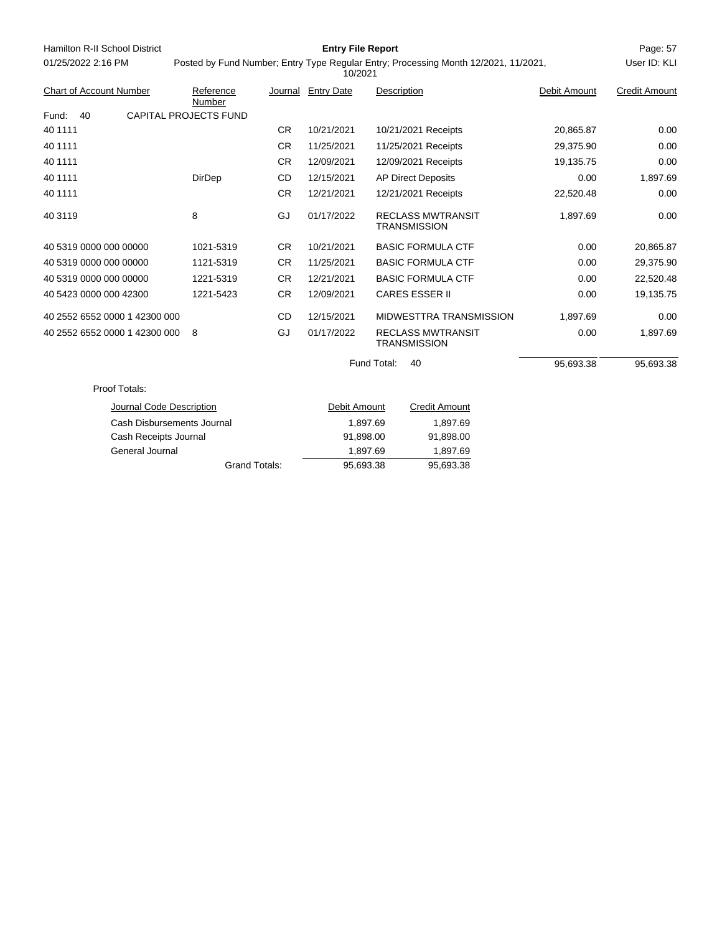| Hamilton R-II School District  | <b>Entry File Report</b>                                                            |           |                    |                                                 |              |                      |  |
|--------------------------------|-------------------------------------------------------------------------------------|-----------|--------------------|-------------------------------------------------|--------------|----------------------|--|
| 01/25/2022 2:16 PM             | Posted by Fund Number; Entry Type Regular Entry; Processing Month 12/2021, 11/2021, |           | User ID: KLI       |                                                 |              |                      |  |
| <b>Chart of Account Number</b> | Reference<br>Number                                                                 |           | Journal Entry Date | Description                                     | Debit Amount | <b>Credit Amount</b> |  |
| Fund:<br>40                    | <b>CAPITAL PROJECTS FUND</b>                                                        |           |                    |                                                 |              |                      |  |
| 40 1111                        |                                                                                     | <b>CR</b> | 10/21/2021         | 10/21/2021 Receipts                             | 20,865.87    | 0.00                 |  |
| 40 1111                        |                                                                                     | <b>CR</b> | 11/25/2021         | 11/25/2021 Receipts                             | 29,375.90    | 0.00                 |  |
| 40 1111                        |                                                                                     | <b>CR</b> | 12/09/2021         | 12/09/2021 Receipts                             | 19,135.75    | 0.00                 |  |
| 40 1111                        | DirDep                                                                              | CD        | 12/15/2021         | <b>AP Direct Deposits</b>                       | 0.00         | 1,897.69             |  |
| 40 1111                        |                                                                                     | <b>CR</b> | 12/21/2021         | 12/21/2021 Receipts                             | 22,520.48    | 0.00                 |  |
| 40 3119                        | 8                                                                                   | GJ        | 01/17/2022         | <b>RECLASS MWTRANSIT</b><br><b>TRANSMISSION</b> | 1,897.69     | 0.00                 |  |
| 40 5319 0000 000 00000         | 1021-5319                                                                           | <b>CR</b> | 10/21/2021         | <b>BASIC FORMULA CTF</b>                        | 0.00         | 20,865.87            |  |
| 40 5319 0000 000 00000         | 1121-5319                                                                           | <b>CR</b> | 11/25/2021         | <b>BASIC FORMULA CTF</b>                        | 0.00         | 29,375.90            |  |
| 40 5319 0000 000 00000         | 1221-5319                                                                           | <b>CR</b> | 12/21/2021         | <b>BASIC FORMULA CTF</b>                        | 0.00         | 22,520.48            |  |
| 40 5423 0000 000 42300         | 1221-5423                                                                           | <b>CR</b> | 12/09/2021         | <b>CARES ESSER II</b>                           | 0.00         | 19,135.75            |  |
| 40 2552 6552 0000 1 42300 000  |                                                                                     | CD        | 12/15/2021         | MIDWESTTRA TRANSMISSION                         | 1,897.69     | 0.00                 |  |
| 40 2552 6552 0000 1 42300 000  | 8                                                                                   | GJ        | 01/17/2022         | <b>RECLASS MWTRANSIT</b><br><b>TRANSMISSION</b> | 0.00         | 1,897.69             |  |
|                                |                                                                                     |           |                    | Fund Total:<br>40                               | 95,693.38    | 95,693.38            |  |
| Proof Totals:                  |                                                                                     |           |                    |                                                 |              |                      |  |
| Journal Code Description       |                                                                                     |           | Debit Amount       | <b>Credit Amount</b>                            |              |                      |  |
| Cash Disbursements Journal     |                                                                                     |           |                    | 1,897.69<br>1,897.69                            |              |                      |  |
| Cash Receipts Journal          |                                                                                     |           | 91,898.00          | 91,898.00                                       |              |                      |  |
| General Journal                |                                                                                     |           |                    | 1,897.69<br>1,897.69                            |              |                      |  |
|                                | <b>Grand Totals:</b>                                                                |           | 95,693.38          | 95,693.38                                       |              |                      |  |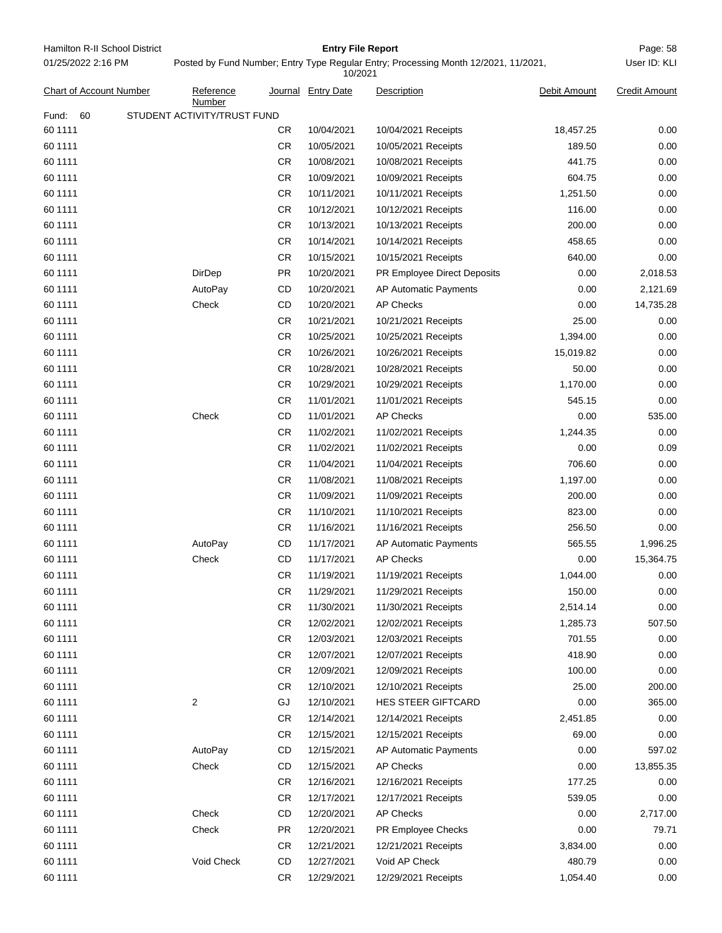Hamilton R-II School District **Entry File Report Entry File Report** Page: 58 01/25/2022 2:16 PM

## **Entry File Report**

User ID: KLI

# Posted by Fund Number; Entry Type Regular Entry; Processing Month 12/2021, 11/2021,

| Chart of Account Number                    | Reference<br>Number |           | Journal Entry Date | Description                 | Debit Amount | <b>Credit Amount</b> |  |  |
|--------------------------------------------|---------------------|-----------|--------------------|-----------------------------|--------------|----------------------|--|--|
| STUDENT ACTIVITY/TRUST FUND<br>Fund:<br>60 |                     |           |                    |                             |              |                      |  |  |
| 60 1111                                    |                     | CR.       | 10/04/2021         | 10/04/2021 Receipts         | 18,457.25    | 0.00                 |  |  |
| 60 1111                                    |                     | <b>CR</b> | 10/05/2021         | 10/05/2021 Receipts         | 189.50       | 0.00                 |  |  |
| 60 1111                                    |                     | CR        | 10/08/2021         | 10/08/2021 Receipts         | 441.75       | 0.00                 |  |  |
| 60 1111                                    |                     | <b>CR</b> | 10/09/2021         | 10/09/2021 Receipts         | 604.75       | 0.00                 |  |  |
| 60 1111                                    |                     | CR        | 10/11/2021         | 10/11/2021 Receipts         | 1,251.50     | 0.00                 |  |  |
| 60 1111                                    |                     | CR        | 10/12/2021         | 10/12/2021 Receipts         | 116.00       | 0.00                 |  |  |
| 60 1111                                    |                     | <b>CR</b> | 10/13/2021         | 10/13/2021 Receipts         | 200.00       | 0.00                 |  |  |
| 60 1111                                    |                     | CR        | 10/14/2021         | 10/14/2021 Receipts         | 458.65       | 0.00                 |  |  |
| 60 1111                                    |                     | CR        | 10/15/2021         | 10/15/2021 Receipts         | 640.00       | 0.00                 |  |  |
| 60 1111                                    | DirDep              | <b>PR</b> | 10/20/2021         | PR Employee Direct Deposits | 0.00         | 2,018.53             |  |  |
| 60 1111                                    | AutoPay             | CD        | 10/20/2021         | AP Automatic Payments       | 0.00         | 2,121.69             |  |  |
| 60 1111                                    | Check               | CD        | 10/20/2021         | <b>AP Checks</b>            | 0.00         | 14,735.28            |  |  |
| 60 1111                                    |                     | CR        | 10/21/2021         | 10/21/2021 Receipts         | 25.00        | 0.00                 |  |  |
| 60 1111                                    |                     | CR        | 10/25/2021         | 10/25/2021 Receipts         | 1,394.00     | 0.00                 |  |  |
| 60 1111                                    |                     | <b>CR</b> | 10/26/2021         | 10/26/2021 Receipts         | 15,019.82    | 0.00                 |  |  |
| 60 1111                                    |                     | CR        | 10/28/2021         | 10/28/2021 Receipts         | 50.00        | 0.00                 |  |  |
| 60 1111                                    |                     | CR        | 10/29/2021         | 10/29/2021 Receipts         | 1,170.00     | 0.00                 |  |  |
| 60 1111                                    |                     | CR        | 11/01/2021         | 11/01/2021 Receipts         | 545.15       | 0.00                 |  |  |
| 60 1111                                    | Check               | CD        | 11/01/2021         | <b>AP Checks</b>            | 0.00         | 535.00               |  |  |
| 60 1111                                    |                     | <b>CR</b> | 11/02/2021         | 11/02/2021 Receipts         | 1,244.35     | 0.00                 |  |  |
| 60 1111                                    |                     | CR        | 11/02/2021         | 11/02/2021 Receipts         | 0.00         | 0.09                 |  |  |
| 60 1111                                    |                     | CR        | 11/04/2021         | 11/04/2021 Receipts         | 706.60       | 0.00                 |  |  |
| 60 1111                                    |                     | <b>CR</b> | 11/08/2021         | 11/08/2021 Receipts         | 1,197.00     | 0.00                 |  |  |
| 60 1111                                    |                     | CR        | 11/09/2021         | 11/09/2021 Receipts         | 200.00       | 0.00                 |  |  |
| 60 1111                                    |                     | CR        | 11/10/2021         | 11/10/2021 Receipts         | 823.00       | 0.00                 |  |  |
| 60 1111                                    |                     | CR        | 11/16/2021         | 11/16/2021 Receipts         | 256.50       | 0.00                 |  |  |
| 60 1111                                    | AutoPay             | CD        | 11/17/2021         | AP Automatic Payments       | 565.55       | 1,996.25             |  |  |
| 60 1111                                    | Check               | CD        | 11/17/2021         | <b>AP Checks</b>            | 0.00         | 15,364.75            |  |  |
| 60 1111                                    |                     | <b>CR</b> | 11/19/2021         | 11/19/2021 Receipts         | 1,044.00     | 0.00                 |  |  |
| 60 1111                                    |                     | CR        | 11/29/2021         | 11/29/2021 Receipts         | 150.00       | 0.00                 |  |  |
| 60 1111                                    |                     | <b>CR</b> | 11/30/2021         | 11/30/2021 Receipts         | 2,514.14     | 0.00                 |  |  |
| 60 1111                                    |                     | <b>CR</b> | 12/02/2021         | 12/02/2021 Receipts         | 1,285.73     | 507.50               |  |  |
| 60 1111                                    |                     | CR        | 12/03/2021         | 12/03/2021 Receipts         | 701.55       | 0.00                 |  |  |
| 60 1111                                    |                     | <b>CR</b> | 12/07/2021         | 12/07/2021 Receipts         | 418.90       | 0.00                 |  |  |
| 60 1111                                    |                     | <b>CR</b> | 12/09/2021         | 12/09/2021 Receipts         | 100.00       | 0.00                 |  |  |
| 60 1111                                    |                     | <b>CR</b> | 12/10/2021         | 12/10/2021 Receipts         | 25.00        | 200.00               |  |  |
| 60 1111                                    | 2                   | GJ        | 12/10/2021         | HES STEER GIFTCARD          | 0.00         | 365.00               |  |  |
| 60 1111                                    |                     | <b>CR</b> | 12/14/2021         | 12/14/2021 Receipts         | 2,451.85     | 0.00                 |  |  |
| 60 1111                                    |                     | <b>CR</b> | 12/15/2021         | 12/15/2021 Receipts         | 69.00        | 0.00                 |  |  |
| 60 1111                                    | AutoPay             | CD        | 12/15/2021         | AP Automatic Payments       | 0.00         | 597.02               |  |  |
| 60 1111                                    | Check               | CD        | 12/15/2021         | <b>AP Checks</b>            | 0.00         | 13,855.35            |  |  |
| 60 1111                                    |                     | <b>CR</b> | 12/16/2021         | 12/16/2021 Receipts         | 177.25       | 0.00                 |  |  |
| 60 1111                                    |                     | <b>CR</b> | 12/17/2021         | 12/17/2021 Receipts         | 539.05       | 0.00                 |  |  |
| 60 1111                                    | Check               | CD        | 12/20/2021         | <b>AP Checks</b>            | 0.00         | 2,717.00             |  |  |
| 60 1111                                    | Check               | <b>PR</b> | 12/20/2021         | PR Employee Checks          | 0.00         | 79.71                |  |  |
| 60 1111                                    |                     | <b>CR</b> | 12/21/2021         | 12/21/2021 Receipts         | 3,834.00     | 0.00                 |  |  |
| 60 1111                                    | Void Check          | CD        | 12/27/2021         | Void AP Check               | 480.79       | 0.00                 |  |  |
| 60 1111                                    |                     | <b>CR</b> | 12/29/2021         | 12/29/2021 Receipts         | 1,054.40     | 0.00                 |  |  |
|                                            |                     |           |                    |                             |              |                      |  |  |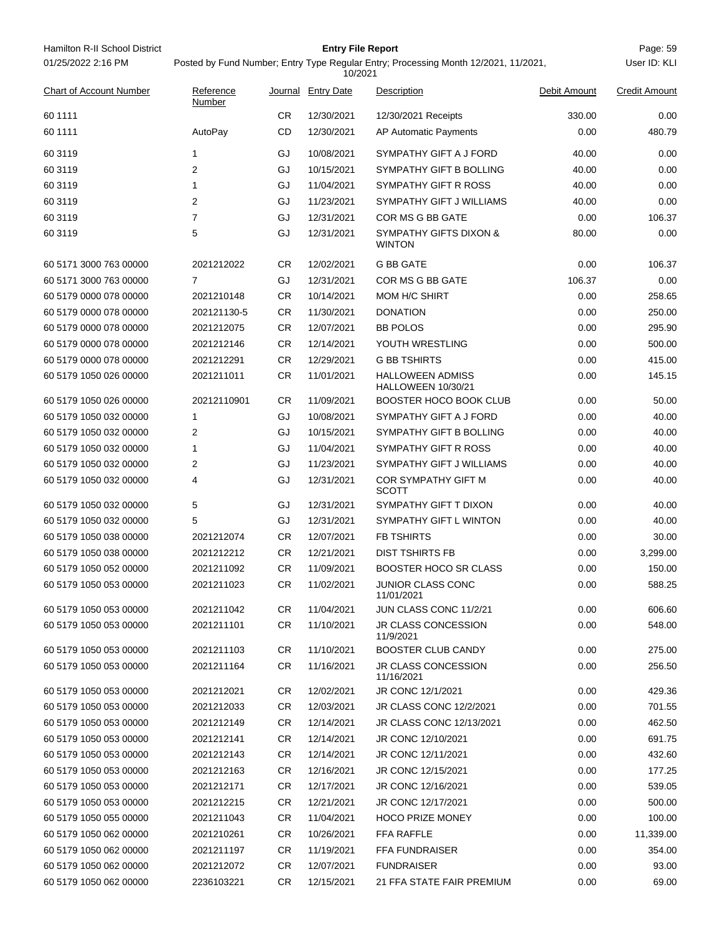| Hamilton R-II School District  |                                                                                                                |           | <b>Entry File Report</b> |                                               |              | Page: 59             |  |  |
|--------------------------------|----------------------------------------------------------------------------------------------------------------|-----------|--------------------------|-----------------------------------------------|--------------|----------------------|--|--|
| 01/25/2022 2:16 PM             | User ID: KLI<br>Posted by Fund Number; Entry Type Regular Entry; Processing Month 12/2021, 11/2021,<br>10/2021 |           |                          |                                               |              |                      |  |  |
| <b>Chart of Account Number</b> | Reference<br>Number                                                                                            | Journal   | <b>Entry Date</b>        | Description                                   | Debit Amount | <b>Credit Amount</b> |  |  |
| 60 1111                        |                                                                                                                | CR.       | 12/30/2021               | 12/30/2021 Receipts                           | 330.00       | 0.00                 |  |  |
| 60 1111                        | AutoPay                                                                                                        | CD        | 12/30/2021               | AP Automatic Payments                         | 0.00         | 480.79               |  |  |
| 60 31 19                       | 1                                                                                                              | GJ        | 10/08/2021               | SYMPATHY GIFT A J FORD                        | 40.00        | 0.00                 |  |  |
| 60 31 19                       | $\overline{2}$                                                                                                 | GJ        | 10/15/2021               | SYMPATHY GIFT B BOLLING                       | 40.00        | 0.00                 |  |  |
| 60 3119                        | $\mathbf{1}$                                                                                                   | GJ        | 11/04/2021               | SYMPATHY GIFT R ROSS                          | 40.00        | 0.00                 |  |  |
| 60 31 19                       | 2                                                                                                              | GJ        | 11/23/2021               | SYMPATHY GIFT J WILLIAMS                      | 40.00        | 0.00                 |  |  |
| 60 31 19                       | $\overline{7}$                                                                                                 | GJ        | 12/31/2021               | COR MS G BB GATE                              | 0.00         | 106.37               |  |  |
| 60 3119                        | 5                                                                                                              | GJ        | 12/31/2021               | SYMPATHY GIFTS DIXON &<br><b>WINTON</b>       | 80.00        | 0.00                 |  |  |
| 60 5171 3000 763 00000         | 2021212022                                                                                                     | <b>CR</b> | 12/02/2021               | <b>G BB GATE</b>                              | 0.00         | 106.37               |  |  |
| 60 5171 3000 763 00000         | $\overline{7}$                                                                                                 | GJ        | 12/31/2021               | COR MS G BB GATE                              | 106.37       | 0.00                 |  |  |
| 60 5179 0000 078 00000         | 2021210148                                                                                                     | CR.       | 10/14/2021               | <b>MOM H/C SHIRT</b>                          | 0.00         | 258.65               |  |  |
| 60 5179 0000 078 00000         | 202121130-5                                                                                                    | CR.       | 11/30/2021               | <b>DONATION</b>                               | 0.00         | 250.00               |  |  |
| 60 5179 0000 078 00000         | 2021212075                                                                                                     | CR        | 12/07/2021               | <b>BB POLOS</b>                               | 0.00         | 295.90               |  |  |
| 60 5179 0000 078 00000         | 2021212146                                                                                                     | CR.       | 12/14/2021               | YOUTH WRESTLING                               | 0.00         | 500.00               |  |  |
| 60 5179 0000 078 00000         | 2021212291                                                                                                     | CR.       | 12/29/2021               | <b>G BB TSHIRTS</b>                           | 0.00         | 415.00               |  |  |
| 60 5179 1050 026 00000         | 2021211011                                                                                                     | CR        | 11/01/2021               | <b>HALLOWEEN ADMISS</b><br>HALLOWEEN 10/30/21 | 0.00         | 145.15               |  |  |
| 60 5179 1050 026 00000         | 20212110901                                                                                                    | CR.       | 11/09/2021               | <b>BOOSTER HOCO BOOK CLUB</b>                 | 0.00         | 50.00                |  |  |
| 60 5179 1050 032 00000         | 1                                                                                                              | GJ        | 10/08/2021               | SYMPATHY GIFT A J FORD                        | 0.00         | 40.00                |  |  |
| 60 5179 1050 032 00000         | 2                                                                                                              | GJ        | 10/15/2021               | SYMPATHY GIFT B BOLLING                       | 0.00         | 40.00                |  |  |
| 60 5179 1050 032 00000         | 1                                                                                                              | GJ        | 11/04/2021               | SYMPATHY GIFT R ROSS                          | 0.00         | 40.00                |  |  |
| 60 5179 1050 032 00000         | 2                                                                                                              | GJ        | 11/23/2021               | SYMPATHY GIFT J WILLIAMS                      | 0.00         | 40.00                |  |  |
| 60 5179 1050 032 00000         | 4                                                                                                              | GJ        | 12/31/2021               | COR SYMPATHY GIFT M<br>SCOTT                  | 0.00         | 40.00                |  |  |
| 60 5179 1050 032 00000         | 5                                                                                                              | GJ        | 12/31/2021               | SYMPATHY GIFT T DIXON                         | 0.00         | 40.00                |  |  |
| 60 5179 1050 032 00000         | 5                                                                                                              | GJ        | 12/31/2021               | SYMPATHY GIFT L WINTON                        | 0.00         | 40.00                |  |  |
| 60 5179 1050 038 00000         | 2021212074                                                                                                     | CR        | 12/07/2021               | <b>FB TSHIRTS</b>                             | 0.00         | 30.00                |  |  |
| 60 5179 1050 038 00000         | 2021212212                                                                                                     | CR        | 12/21/2021               | <b>DIST TSHIRTS FB</b>                        | 0.00         | 3,299.00             |  |  |
| 60 5179 1050 052 00000         | 2021211092                                                                                                     | <b>CR</b> | 11/09/2021               | BOOSTER HOCO SR CLASS                         | 0.00         | 150.00               |  |  |
| 60 5179 1050 053 00000         | 2021211023                                                                                                     | CR        | 11/02/2021               | JUNIOR CLASS CONC<br>11/01/2021               | 0.00         | 588.25               |  |  |
| 60 5179 1050 053 00000         | 2021211042                                                                                                     | CR        | 11/04/2021               | JUN CLASS CONC 11/2/21                        | 0.00         | 606.60               |  |  |
| 60 5179 1050 053 00000         | 2021211101                                                                                                     | CR.       | 11/10/2021               | JR CLASS CONCESSION<br>11/9/2021              | 0.00         | 548.00               |  |  |
| 60 5179 1050 053 00000         | 2021211103                                                                                                     | CR.       | 11/10/2021               | <b>BOOSTER CLUB CANDY</b>                     | 0.00         | 275.00               |  |  |
| 60 5179 1050 053 00000         | 2021211164                                                                                                     | CR        | 11/16/2021               | <b>JR CLASS CONCESSION</b><br>11/16/2021      | 0.00         | 256.50               |  |  |
| 60 5179 1050 053 00000         | 2021212021                                                                                                     | CR        | 12/02/2021               | JR CONC 12/1/2021                             | 0.00         | 429.36               |  |  |
| 60 5179 1050 053 00000         | 2021212033                                                                                                     | CR.       | 12/03/2021               | JR CLASS CONC 12/2/2021                       | 0.00         | 701.55               |  |  |
| 60 5179 1050 053 00000         | 2021212149                                                                                                     | CR        | 12/14/2021               | <b>JR CLASS CONC 12/13/2021</b>               | 0.00         | 462.50               |  |  |
| 60 5179 1050 053 00000         | 2021212141                                                                                                     | CR        | 12/14/2021               | JR CONC 12/10/2021                            | 0.00         | 691.75               |  |  |
| 60 5179 1050 053 00000         | 2021212143                                                                                                     | CR        | 12/14/2021               | JR CONC 12/11/2021                            | 0.00         | 432.60               |  |  |
| 60 5179 1050 053 00000         | 2021212163                                                                                                     | CR.       | 12/16/2021               | JR CONC 12/15/2021                            | 0.00         | 177.25               |  |  |
| 60 5179 1050 053 00000         | 2021212171                                                                                                     | CR.       | 12/17/2021               | JR CONC 12/16/2021                            | 0.00         | 539.05               |  |  |
| 60 5179 1050 053 00000         | 2021212215                                                                                                     | CR.       | 12/21/2021               | JR CONC 12/17/2021                            | 0.00         | 500.00               |  |  |
| 60 5179 1050 055 00000         | 2021211043                                                                                                     | CR.       | 11/04/2021               | <b>HOCO PRIZE MONEY</b>                       | 0.00         | 100.00               |  |  |
| 60 5179 1050 062 00000         | 2021210261                                                                                                     | CR.       | 10/26/2021               | FFA RAFFLE                                    | 0.00         | 11,339.00            |  |  |
| 60 5179 1050 062 00000         | 2021211197                                                                                                     | CR        | 11/19/2021               | <b>FFA FUNDRAISER</b>                         | 0.00         | 354.00               |  |  |
| 60 5179 1050 062 00000         | 2021212072                                                                                                     | CR.       | 12/07/2021               | <b>FUNDRAISER</b>                             | 0.00         | 93.00                |  |  |
| 60 5179 1050 062 00000         | 2236103221                                                                                                     | CR        | 12/15/2021               | 21 FFA STATE FAIR PREMIUM                     | 0.00         | 69.00                |  |  |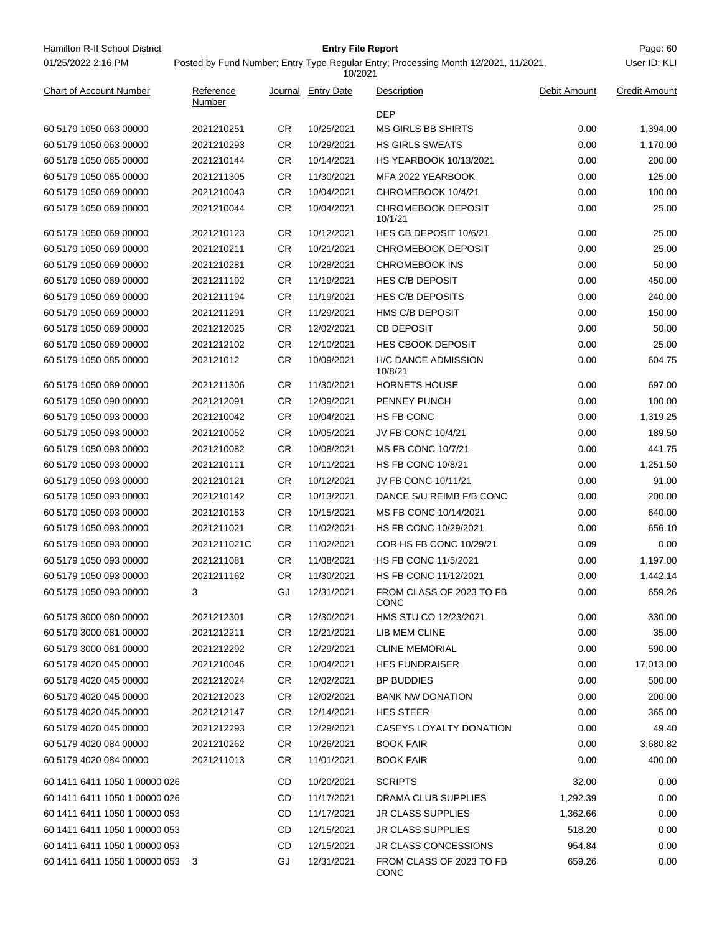Hamilton R-II School District **Entry File Report Entry File Report** Page: 60 01/25/2022 2:16 PM

## **Entry File Report**

User ID: KLI

# Posted by Fund Number; Entry Type Regular Entry; Processing Month 12/2021, 11/2021,

| <b>Chart of Account Number</b> | Reference   |           | Journal Entry Date | Description                          | Debit Amount | <b>Credit Amount</b> |
|--------------------------------|-------------|-----------|--------------------|--------------------------------------|--------------|----------------------|
|                                | Number      |           |                    | <b>DEP</b>                           |              |                      |
| 60 5179 1050 063 00000         | 2021210251  | CR        | 10/25/2021         | <b>MS GIRLS BB SHIRTS</b>            | 0.00         | 1,394.00             |
| 60 5179 1050 063 00000         | 2021210293  | <b>CR</b> | 10/29/2021         | <b>HS GIRLS SWEATS</b>               | 0.00         | 1,170.00             |
| 60 5179 1050 065 00000         | 2021210144  | <b>CR</b> | 10/14/2021         | HS YEARBOOK 10/13/2021               | 0.00         | 200.00               |
| 60 5179 1050 065 00000         | 2021211305  | <b>CR</b> | 11/30/2021         | MFA 2022 YEARBOOK                    | 0.00         | 125.00               |
| 60 5179 1050 069 00000         | 2021210043  | CR        | 10/04/2021         | CHROMEBOOK 10/4/21                   | 0.00         | 100.00               |
| 60 5179 1050 069 00000         | 2021210044  | CR        | 10/04/2021         | <b>CHROMEBOOK DEPOSIT</b><br>10/1/21 | 0.00         | 25.00                |
| 60 5179 1050 069 00000         | 2021210123  | <b>CR</b> | 10/12/2021         | HES CB DEPOSIT 10/6/21               | 0.00         | 25.00                |
| 60 5179 1050 069 00000         | 2021210211  | CR        | 10/21/2021         | <b>CHROMEBOOK DEPOSIT</b>            | 0.00         | 25.00                |
| 60 5179 1050 069 00000         | 2021210281  | CR        | 10/28/2021         | <b>CHROMEBOOK INS</b>                | 0.00         | 50.00                |
| 60 5179 1050 069 00000         | 2021211192  | CR        | 11/19/2021         | <b>HES C/B DEPOSIT</b>               | 0.00         | 450.00               |
| 60 5179 1050 069 00000         | 2021211194  | <b>CR</b> | 11/19/2021         | <b>HES C/B DEPOSITS</b>              | 0.00         | 240.00               |
| 60 5179 1050 069 00000         | 2021211291  | <b>CR</b> | 11/29/2021         | HMS C/B DEPOSIT                      | 0.00         | 150.00               |
| 60 5179 1050 069 00000         | 2021212025  | CR        | 12/02/2021         | <b>CB DEPOSIT</b>                    | 0.00         | 50.00                |
| 60 5179 1050 069 00000         | 2021212102  | CR        | 12/10/2021         | <b>HES CBOOK DEPOSIT</b>             | 0.00         | 25.00                |
| 60 5179 1050 085 00000         | 202121012   | <b>CR</b> | 10/09/2021         | H/C DANCE ADMISSION<br>10/8/21       | 0.00         | 604.75               |
| 60 5179 1050 089 00000         | 2021211306  | <b>CR</b> | 11/30/2021         | <b>HORNETS HOUSE</b>                 | 0.00         | 697.00               |
| 60 5179 1050 090 00000         | 2021212091  | <b>CR</b> | 12/09/2021         | PENNEY PUNCH                         | 0.00         | 100.00               |
| 60 5179 1050 093 00000         | 2021210042  | <b>CR</b> | 10/04/2021         | HS FB CONC                           | 0.00         | 1,319.25             |
| 60 5179 1050 093 00000         | 2021210052  | <b>CR</b> | 10/05/2021         | JV FB CONC 10/4/21                   | 0.00         | 189.50               |
| 60 5179 1050 093 00000         | 2021210082  | CR        | 10/08/2021         | MS FB CONC 10/7/21                   | 0.00         | 441.75               |
| 60 5179 1050 093 00000         | 2021210111  | <b>CR</b> | 10/11/2021         | <b>HS FB CONC 10/8/21</b>            | 0.00         | 1,251.50             |
| 60 5179 1050 093 00000         | 2021210121  | <b>CR</b> | 10/12/2021         | JV FB CONC 10/11/21                  | 0.00         | 91.00                |
| 60 5179 1050 093 00000         | 2021210142  | CR        | 10/13/2021         | DANCE S/U REIMB F/B CONC             | 0.00         | 200.00               |
| 60 5179 1050 093 00000         | 2021210153  | CR        | 10/15/2021         | MS FB CONC 10/14/2021                | 0.00         | 640.00               |
| 60 5179 1050 093 00000         | 2021211021  | CR        | 11/02/2021         | HS FB CONC 10/29/2021                | 0.00         | 656.10               |
| 60 5179 1050 093 00000         | 2021211021C | <b>CR</b> | 11/02/2021         | COR HS FB CONC 10/29/21              | 0.09         | 0.00                 |
| 60 5179 1050 093 00000         | 2021211081  | <b>CR</b> | 11/08/2021         | HS FB CONC 11/5/2021                 | 0.00         | 1,197.00             |
| 60 5179 1050 093 00000         | 2021211162  | CR        | 11/30/2021         | HS FB CONC 11/12/2021                | 0.00         | 1,442.14             |
| 60 5179 1050 093 00000         | 3           | GJ        | 12/31/2021         | FROM CLASS OF 2023 TO FB<br>CONC     | 0.00         | 659.26               |
| 60 5179 3000 080 00000         | 2021212301  | <b>CR</b> | 12/30/2021         | HMS STU CO 12/23/2021                | 0.00         | 330.00               |
| 60 5179 3000 081 00000         | 2021212211  | CR        | 12/21/2021         | LIB MEM CLINE                        | 0.00         | 35.00                |
| 60 5179 3000 081 00000         | 2021212292  | CR.       | 12/29/2021         | <b>CLINE MEMORIAL</b>                | 0.00         | 590.00               |
| 60 5179 4020 045 00000         | 2021210046  | CR.       | 10/04/2021         | <b>HES FUNDRAISER</b>                | 0.00         | 17,013.00            |
| 60 5179 4020 045 00000         | 2021212024  | <b>CR</b> | 12/02/2021         | <b>BP BUDDIES</b>                    | 0.00         | 500.00               |
| 60 5179 4020 045 00000         | 2021212023  | CR.       | 12/02/2021         | <b>BANK NW DONATION</b>              | 0.00         | 200.00               |
| 60 5179 4020 045 00000         | 2021212147  | CR.       | 12/14/2021         | <b>HES STEER</b>                     | 0.00         | 365.00               |
| 60 5179 4020 045 00000         | 2021212293  | CR        | 12/29/2021         | CASEYS LOYALTY DONATION              | 0.00         | 49.40                |
| 60 5179 4020 084 00000         | 2021210262  | <b>CR</b> | 10/26/2021         | <b>BOOK FAIR</b>                     | 0.00         | 3,680.82             |
| 60 5179 4020 084 00000         | 2021211013  | CR.       | 11/01/2021         | <b>BOOK FAIR</b>                     | 0.00         | 400.00               |
| 60 1411 6411 1050 1 00000 026  |             | CD        | 10/20/2021         | <b>SCRIPTS</b>                       | 32.00        | 0.00                 |
| 60 1411 6411 1050 1 00000 026  |             | CD        | 11/17/2021         | DRAMA CLUB SUPPLIES                  | 1,292.39     | 0.00                 |
| 60 1411 6411 1050 1 00000 053  |             | CD        | 11/17/2021         | <b>JR CLASS SUPPLIES</b>             | 1,362.66     | 0.00                 |
| 60 1411 6411 1050 1 00000 053  |             | CD        | 12/15/2021         | <b>JR CLASS SUPPLIES</b>             | 518.20       | 0.00                 |
| 60 1411 6411 1050 1 00000 053  |             | CD        | 12/15/2021         | JR CLASS CONCESSIONS                 | 954.84       | 0.00                 |
| 60 1411 6411 1050 1 00000 053  | - 3         | GJ        | 12/31/2021         | FROM CLASS OF 2023 TO FB<br>CONC     | 659.26       | 0.00                 |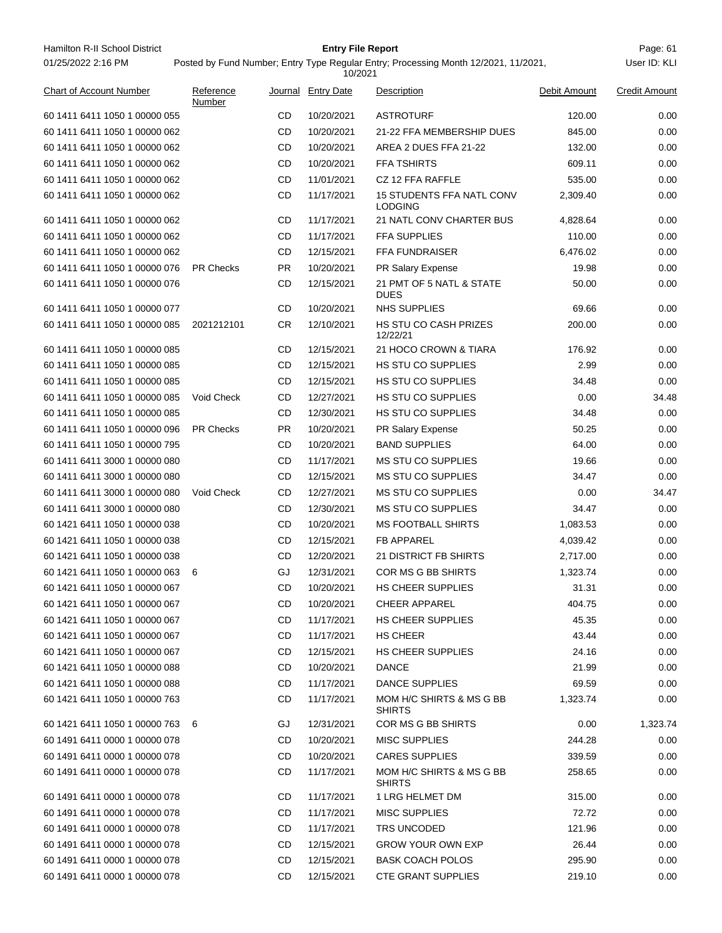Hamilton R-II School District **Example 20 Films Containers Containers Containers Containers Page: 61** Page: 61 01/25/2022 2:16 PM

## **Entry File Report**

Posted by Fund Number; Entry Type Regular Entry; Processing Month 12/2021, 11/2021,

|                                |                     |           | 10/2021            |                                                    |              |                      |
|--------------------------------|---------------------|-----------|--------------------|----------------------------------------------------|--------------|----------------------|
| <b>Chart of Account Number</b> | Reference<br>Number |           | Journal Entry Date | Description                                        | Debit Amount | <b>Credit Amount</b> |
| 60 1411 6411 1050 1 00000 055  |                     | CD        | 10/20/2021         | <b>ASTROTURF</b>                                   | 120.00       | 0.00                 |
| 60 1411 6411 1050 1 00000 062  |                     | CD        | 10/20/2021         | 21-22 FFA MEMBERSHIP DUES                          | 845.00       | 0.00                 |
| 60 1411 6411 1050 1 00000 062  |                     | CD        | 10/20/2021         | AREA 2 DUES FFA 21-22                              | 132.00       | 0.00                 |
| 60 1411 6411 1050 1 00000 062  |                     | CD        | 10/20/2021         | <b>FFA TSHIRTS</b>                                 | 609.11       | 0.00                 |
| 60 1411 6411 1050 1 00000 062  |                     | CD        | 11/01/2021         | CZ 12 FFA RAFFLE                                   | 535.00       | 0.00                 |
| 60 1411 6411 1050 1 00000 062  |                     | CD        | 11/17/2021         | <b>15 STUDENTS FFA NATL CONV</b><br><b>LODGING</b> | 2,309.40     | 0.00                 |
| 60 1411 6411 1050 1 00000 062  |                     | CD        | 11/17/2021         | 21 NATL CONV CHARTER BUS                           | 4,828.64     | 0.00                 |
| 60 1411 6411 1050 1 00000 062  |                     | CD        | 11/17/2021         | <b>FFA SUPPLIES</b>                                | 110.00       | 0.00                 |
| 60 1411 6411 1050 1 00000 062  |                     | CD        | 12/15/2021         | <b>FFA FUNDRAISER</b>                              | 6,476.02     | 0.00                 |
| 60 1411 6411 1050 1 00000 076  | <b>PR Checks</b>    | PR.       | 10/20/2021         | PR Salary Expense                                  | 19.98        | 0.00                 |
| 60 1411 6411 1050 1 00000 076  |                     | CD        | 12/15/2021         | 21 PMT OF 5 NATL & STATE<br><b>DUES</b>            | 50.00        | 0.00                 |
| 60 1411 6411 1050 1 00000 077  |                     | CD        | 10/20/2021         | NHS SUPPLIES                                       | 69.66        | 0.00                 |
| 60 1411 6411 1050 1 00000 085  | 2021212101          | CR        | 12/10/2021         | <b>HS STU CO CASH PRIZES</b><br>12/22/21           | 200.00       | 0.00                 |
| 60 1411 6411 1050 1 00000 085  |                     | <b>CD</b> | 12/15/2021         | 21 HOCO CROWN & TIARA                              | 176.92       | 0.00                 |
| 60 1411 6411 1050 1 00000 085  |                     | CD        | 12/15/2021         | <b>HS STU CO SUPPLIES</b>                          | 2.99         | 0.00                 |
| 60 1411 6411 1050 1 00000 085  |                     | CD        | 12/15/2021         | <b>HS STU CO SUPPLIES</b>                          | 34.48        | 0.00                 |
| 60 1411 6411 1050 1 00000 085  | Void Check          | CD        | 12/27/2021         | <b>HS STU CO SUPPLIES</b>                          | 0.00         | 34.48                |
| 60 1411 6411 1050 1 00000 085  |                     | CD        | 12/30/2021         | <b>HS STU CO SUPPLIES</b>                          | 34.48        | 0.00                 |
| 60 1411 6411 1050 1 00000 096  | <b>PR Checks</b>    | <b>PR</b> | 10/20/2021         | PR Salary Expense                                  | 50.25        | 0.00                 |
| 60 1411 6411 1050 1 00000 795  |                     | CD        | 10/20/2021         | <b>BAND SUPPLIES</b>                               | 64.00        | 0.00                 |
| 60 1411 6411 3000 1 00000 080  |                     | <b>CD</b> | 11/17/2021         | <b>MS STU CO SUPPLIES</b>                          | 19.66        | 0.00                 |
| 60 1411 6411 3000 1 00000 080  |                     | <b>CD</b> | 12/15/2021         | <b>MS STU CO SUPPLIES</b>                          | 34.47        | 0.00                 |
| 60 1411 6411 3000 1 00000 080  | Void Check          | CD        | 12/27/2021         | <b>MS STU CO SUPPLIES</b>                          | 0.00         | 34.47                |
| 60 1411 6411 3000 1 00000 080  |                     | CD        | 12/30/2021         | <b>MS STU CO SUPPLIES</b>                          | 34.47        | 0.00                 |
| 60 1421 6411 1050 1 00000 038  |                     | CD        | 10/20/2021         | <b>MS FOOTBALL SHIRTS</b>                          | 1,083.53     | 0.00                 |
| 60 1421 6411 1050 1 00000 038  |                     | CD        | 12/15/2021         | <b>FB APPAREL</b>                                  | 4,039.42     | 0.00                 |
| 60 1421 6411 1050 1 00000 038  |                     | CD        | 12/20/2021         | 21 DISTRICT FB SHIRTS                              | 2,717.00     | 0.00                 |
| 60 1421 6411 1050 1 00000 063  | 6                   | GJ        | 12/31/2021         | COR MS G BB SHIRTS                                 | 1,323.74     | 0.00                 |
| 60 1421 6411 1050 1 00000 067  |                     | <b>CD</b> | 10/20/2021         | <b>HS CHEER SUPPLIES</b>                           | 31.31        | 0.00                 |
| 60 1421 6411 1050 1 00000 067  |                     | CD        | 10/20/2021         | <b>CHEER APPAREL</b>                               | 404.75       | 0.00                 |
| 60 1421 6411 1050 1 00000 067  |                     | CD        | 11/17/2021         | <b>HS CHEER SUPPLIES</b>                           | 45.35        | 0.00                 |
| 60 1421 6411 1050 1 00000 067  |                     | CD        | 11/17/2021         | <b>HS CHEER</b>                                    | 43.44        | 0.00                 |
| 60 1421 6411 1050 1 00000 067  |                     | CD        | 12/15/2021         | <b>HS CHEER SUPPLIES</b>                           | 24.16        | 0.00                 |
| 60 1421 6411 1050 1 00000 088  |                     | CD        | 10/20/2021         | <b>DANCE</b>                                       | 21.99        | 0.00                 |
| 60 1421 6411 1050 1 00000 088  |                     | CD        | 11/17/2021         | DANCE SUPPLIES                                     | 69.59        | 0.00                 |
| 60 1421 6411 1050 1 00000 763  |                     | CD        | 11/17/2021         | MOM H/C SHIRTS & MS G BB<br><b>SHIRTS</b>          | 1,323.74     | 0.00                 |
| 60 1421 6411 1050 1 00000 763  | - 6                 | GJ        | 12/31/2021         | COR MS G BB SHIRTS                                 | 0.00         | 1,323.74             |
| 60 1491 6411 0000 1 00000 078  |                     | CD        | 10/20/2021         | <b>MISC SUPPLIES</b>                               | 244.28       | 0.00                 |
| 60 1491 6411 0000 1 00000 078  |                     | CD        | 10/20/2021         | <b>CARES SUPPLIES</b>                              | 339.59       | 0.00                 |
| 60 1491 6411 0000 1 00000 078  |                     | CD        | 11/17/2021         | MOM H/C SHIRTS & MS G BB<br><b>SHIRTS</b>          | 258.65       | 0.00                 |
| 60 1491 6411 0000 1 00000 078  |                     | CD        | 11/17/2021         | 1 LRG HELMET DM                                    | 315.00       | 0.00                 |
| 60 1491 6411 0000 1 00000 078  |                     | CD        | 11/17/2021         | <b>MISC SUPPLIES</b>                               | 72.72        | 0.00                 |
| 60 1491 6411 0000 1 00000 078  |                     | CD        | 11/17/2021         | TRS UNCODED                                        | 121.96       | 0.00                 |
| 60 1491 6411 0000 1 00000 078  |                     | CD        | 12/15/2021         | <b>GROW YOUR OWN EXP</b>                           | 26.44        | 0.00                 |
| 60 1491 6411 0000 1 00000 078  |                     | CD        | 12/15/2021         | <b>BASK COACH POLOS</b>                            | 295.90       | 0.00                 |
| 60 1491 6411 0000 1 00000 078  |                     | CD        | 12/15/2021         | <b>CTE GRANT SUPPLIES</b>                          | 219.10       | 0.00                 |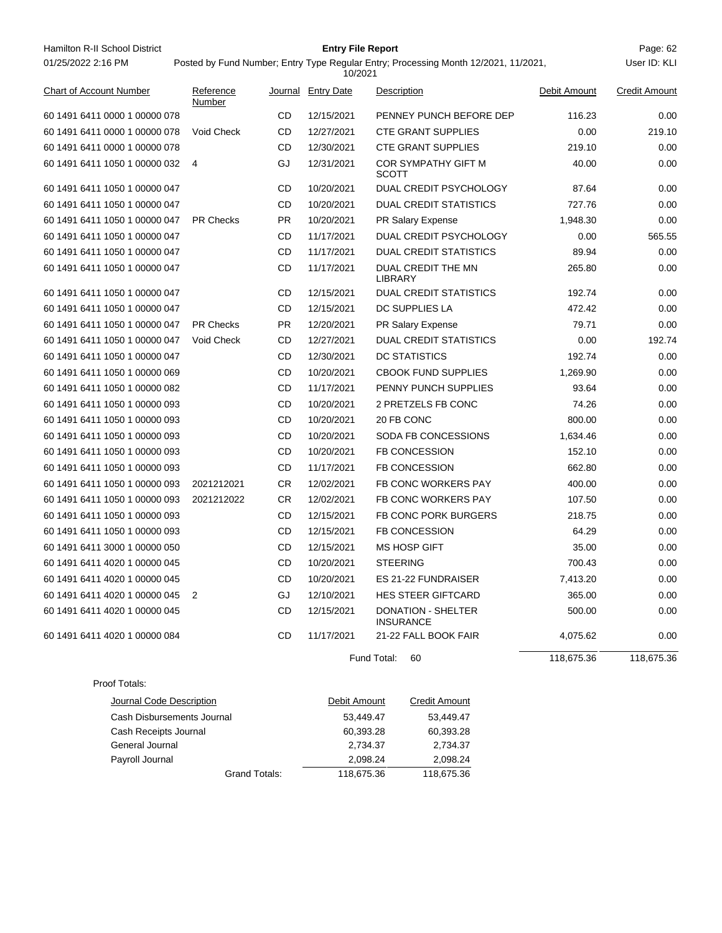| Hamilton R-II School District  | <b>Entry File Report</b> |           |                    |                                                                                                |              |                      |  |
|--------------------------------|--------------------------|-----------|--------------------|------------------------------------------------------------------------------------------------|--------------|----------------------|--|
| 01/25/2022 2:16 PM             |                          |           |                    | Posted by Fund Number; Entry Type Regular Entry; Processing Month 12/2021, 11/2021,<br>10/2021 |              |                      |  |
| <b>Chart of Account Number</b> | Reference<br>Number      |           | Journal Entry Date | Description                                                                                    | Debit Amount | <b>Credit Amount</b> |  |
| 60 1491 6411 0000 1 00000 078  |                          | CD        | 12/15/2021         | PENNEY PUNCH BEFORE DEP                                                                        | 116.23       | 0.00                 |  |
| 60 1491 6411 0000 1 00000 078  | Void Check               | CD        | 12/27/2021         | <b>CTE GRANT SUPPLIES</b>                                                                      | 0.00         | 219.10               |  |
| 60 1491 6411 0000 1 00000 078  |                          | CD        | 12/30/2021         | <b>CTE GRANT SUPPLIES</b>                                                                      | 219.10       | 0.00                 |  |
| 60 1491 6411 1050 1 00000 032  | -4                       | GJ        | 12/31/2021         | COR SYMPATHY GIFT M<br><b>SCOTT</b>                                                            | 40.00        | 0.00                 |  |
| 60 1491 6411 1050 1 00000 047  |                          | CD        | 10/20/2021         | DUAL CREDIT PSYCHOLOGY                                                                         | 87.64        | 0.00                 |  |
| 60 1491 6411 1050 1 00000 047  |                          | CD        | 10/20/2021         | <b>DUAL CREDIT STATISTICS</b>                                                                  | 727.76       | 0.00                 |  |
| 60 1491 6411 1050 1 00000 047  | <b>PR Checks</b>         | <b>PR</b> | 10/20/2021         | PR Salary Expense                                                                              | 1,948.30     | 0.00                 |  |
| 60 1491 6411 1050 1 00000 047  |                          | CD        | 11/17/2021         | DUAL CREDIT PSYCHOLOGY                                                                         | 0.00         | 565.55               |  |
| 60 1491 6411 1050 1 00000 047  |                          | CD        | 11/17/2021         | <b>DUAL CREDIT STATISTICS</b>                                                                  | 89.94        | 0.00                 |  |
| 60 1491 6411 1050 1 00000 047  |                          | CD        | 11/17/2021         | DUAL CREDIT THE MN<br><b>LIBRARY</b>                                                           | 265.80       | 0.00                 |  |
| 60 1491 6411 1050 1 00000 047  |                          | CD        | 12/15/2021         | <b>DUAL CREDIT STATISTICS</b>                                                                  | 192.74       | 0.00                 |  |
| 60 1491 6411 1050 1 00000 047  |                          | CD        | 12/15/2021         | DC SUPPLIES LA                                                                                 | 472.42       | 0.00                 |  |
| 60 1491 6411 1050 1 00000 047  | <b>PR Checks</b>         | PR        | 12/20/2021         | PR Salary Expense                                                                              | 79.71        | 0.00                 |  |
| 60 1491 6411 1050 1 00000 047  | Void Check               | CD        | 12/27/2021         | <b>DUAL CREDIT STATISTICS</b>                                                                  | 0.00         | 192.74               |  |
| 60 1491 6411 1050 1 00000 047  |                          | CD        | 12/30/2021         | DC STATISTICS                                                                                  | 192.74       | 0.00                 |  |
| 60 1491 6411 1050 1 00000 069  |                          | CD        | 10/20/2021         | <b>CBOOK FUND SUPPLIES</b>                                                                     | 1,269.90     | 0.00                 |  |
| 60 1491 6411 1050 1 00000 082  |                          | CD        | 11/17/2021         | PENNY PUNCH SUPPLIES                                                                           | 93.64        | 0.00                 |  |
| 60 1491 6411 1050 1 00000 093  |                          | CD        | 10/20/2021         | 2 PRETZELS FB CONC                                                                             | 74.26        | 0.00                 |  |
| 60 1491 6411 1050 1 00000 093  |                          | CD        | 10/20/2021         | 20 FB CONC                                                                                     | 800.00       | 0.00                 |  |
| 60 1491 6411 1050 1 00000 093  |                          | CD        | 10/20/2021         | SODA FB CONCESSIONS                                                                            | 1,634.46     | 0.00                 |  |
| 60 1491 6411 1050 1 00000 093  |                          | CD        | 10/20/2021         | <b>FB CONCESSION</b>                                                                           | 152.10       | 0.00                 |  |
| 60 1491 6411 1050 1 00000 093  |                          | CD        | 11/17/2021         | <b>FB CONCESSION</b>                                                                           | 662.80       | 0.00                 |  |
| 60 1491 6411 1050 1 00000 093  | 2021212021               | CR.       | 12/02/2021         | FB CONC WORKERS PAY                                                                            | 400.00       | 0.00                 |  |
| 60 1491 6411 1050 1 00000 093  | 2021212022               | CR.       | 12/02/2021         | FB CONC WORKERS PAY                                                                            | 107.50       | 0.00                 |  |
| 60 1491 6411 1050 1 00000 093  |                          | CD        | 12/15/2021         | FB CONC PORK BURGERS                                                                           | 218.75       | 0.00                 |  |
| 60 1491 6411 1050 1 00000 093  |                          | CD        | 12/15/2021         | <b>FB CONCESSION</b>                                                                           | 64.29        | 0.00                 |  |
| 60 1491 6411 3000 1 00000 050  |                          | CD        | 12/15/2021         | <b>MS HOSP GIFT</b>                                                                            | 35.00        | 0.00                 |  |
| 60 1491 6411 4020 1 00000 045  |                          | CD        | 10/20/2021         | <b>STEERING</b>                                                                                | 700.43       | 0.00                 |  |
| 60 1491 6411 4020 1 00000 045  |                          | <b>CD</b> | 10/20/2021         | ES 21-22 FUNDRAISER                                                                            | 7,413.20     | 0.00                 |  |
| 60 1491 6411 4020 1 00000 045  | 2                        | GJ        | 12/10/2021         | <b>HES STEER GIFTCARD</b>                                                                      | 365.00       | 0.00                 |  |
| 60 1491 6411 4020 1 00000 045  |                          | CD        | 12/15/2021         | <b>DONATION - SHELTER</b><br><b>INSURANCE</b>                                                  | 500.00       | 0.00                 |  |
| 60 1491 6411 4020 1 00000 084  |                          | CD        | 11/17/2021         | 21-22 FALL BOOK FAIR                                                                           | 4,075.62     | 0.00                 |  |
|                                |                          |           |                    | Fund Total:<br>60                                                                              | 118,675.36   | 118,675.36           |  |
| Proof Totals:                  |                          |           |                    |                                                                                                |              |                      |  |
| Journal Code Description       |                          |           | Debit Amount       | <b>Credit Amount</b>                                                                           |              |                      |  |
| Cash Disbursements Journal     |                          |           |                    | 53,449.47<br>53,449.47                                                                         |              |                      |  |
| Cash Receipts Journal          |                          |           |                    | 60,393.28<br>60,393.28                                                                         |              |                      |  |
| General Journal                |                          |           |                    | 2,734.37<br>2,734.37                                                                           |              |                      |  |

- Payroll Journal 2,098.24 2,098.24 Grand Totals: 118,675.36 118,675.36
	-